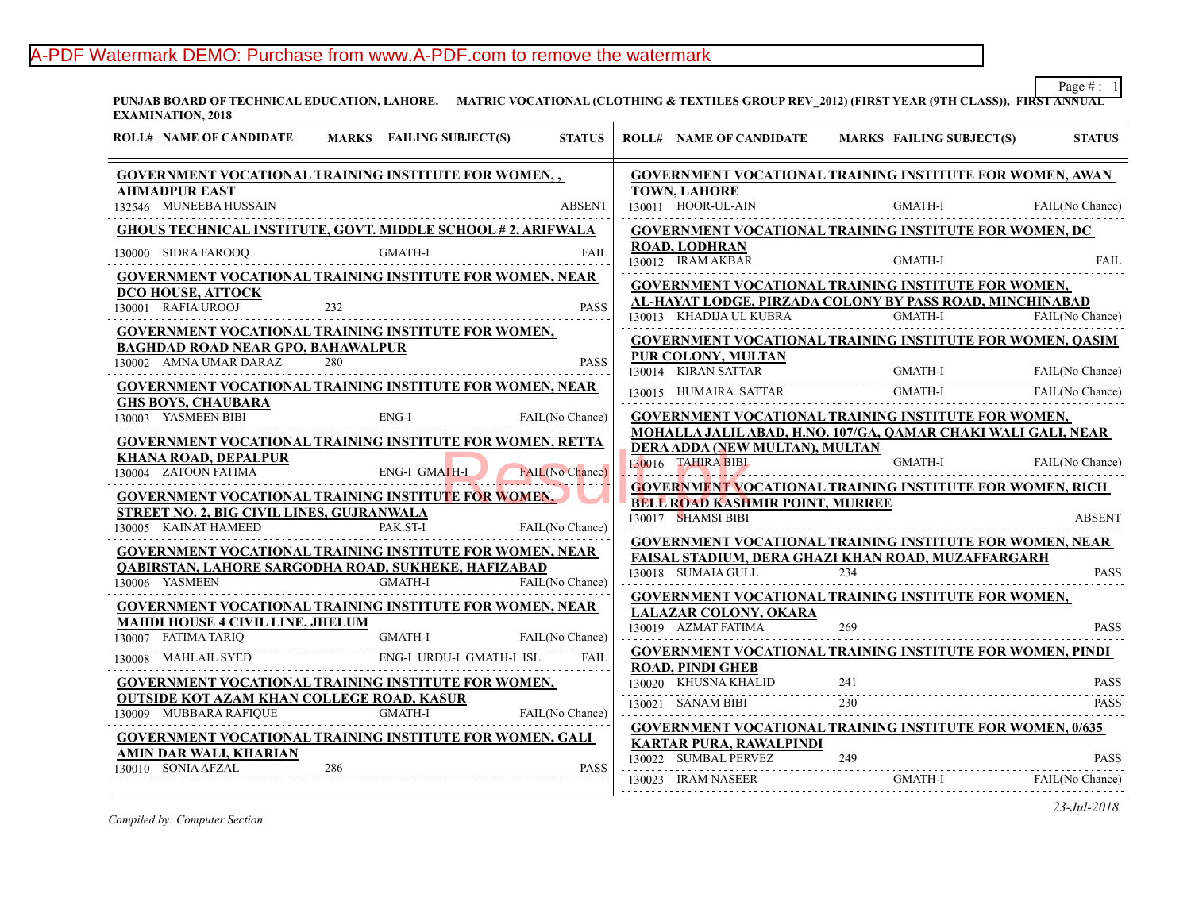# A-PDF Watermark DEMO: Purchase from www.A-PDF.com to remove the watermark

**PUNJAB BOARD OF TECHNICAL EDUCATION, LAHORE. MATRIC VOCATIONAL (CLOTHING & TEXTILES GROUP REV\_2012) (FIRST YEA EXAMINATION, 2018**

| <b>ROLL# NAME OF CANDIDATE</b>                                                               |     | MARKS FAILING SUBJECT(S) | <b>STATUS</b>   | <b>ROLL# NAME OF CANDIDATE</b>                                                           | <b>MARKS FAIL</b> |
|----------------------------------------------------------------------------------------------|-----|--------------------------|-----------------|------------------------------------------------------------------------------------------|-------------------|
| GOVERNMENT VOCATIONAL TRAINING INSTITUTE FOR WOMEN,,                                         |     |                          |                 | <b>GOVERNMENT VOCATIONAL TRAINING INS</b>                                                |                   |
| <b>AHMADPUR EAST</b>                                                                         |     |                          |                 | <b>TOWN, LAHORE</b>                                                                      |                   |
| 132546 MUNEEBA HUSSAIN                                                                       |     |                          | <b>ABSENT</b>   | 130011 HOOR-UL-AIN                                                                       | <b>GMA</b>        |
| <b>GHOUS TECHNICAL INSTITUTE, GOVT. MIDDLE SCHOOL #2, ARIFWALA</b>                           |     |                          |                 | <b>GOVERNMENT VOCATIONAL TRAINING INS</b>                                                |                   |
| 130000 SIDRA FAROOQ                                                                          |     | <b>GMATH-I</b>           | <b>FAIL</b>     | <b>ROAD, LODHRAN</b><br>130012 IRAM AKBAR                                                | <b>GMA</b>        |
| <b>GOVERNMENT VOCATIONAL TRAINING INSTITUTE FOR WOMEN, NEAR</b>                              |     |                          |                 | <b>GOVERNMENT VOCATIONAL TRAINING INS</b>                                                |                   |
| <b>DCO HOUSE, ATTOCK</b>                                                                     |     |                          |                 | AL-HAYAT LODGE, PIRZADA COLONY BY PA                                                     |                   |
| 130001 RAFIA UROOJ                                                                           | 232 |                          | <b>PASS</b>     | 130013 KHADIJA UL KUBRA                                                                  | <b>GMA</b>        |
| <b>GOVERNMENT VOCATIONAL TRAINING INSTITUTE FOR WOMEN,</b>                                   |     |                          |                 | <b>GOVERNMENT VOCATIONAL TRAINING INS</b>                                                |                   |
| <b>BAGHDAD ROAD NEAR GPO, BAHAWALPUR</b><br>130002 AMNA UMAR DARAZ                           | 280 |                          | <b>PASS</b>     | PUR COLONY, MULTAN                                                                       |                   |
|                                                                                              |     |                          |                 | 130014 KIRAN SATTAR                                                                      | <b>GMA</b>        |
| <b>GOVERNMENT VOCATIONAL TRAINING INSTITUTE FOR WOMEN, NEAR</b><br><b>GHS BOYS, CHAUBARA</b> |     |                          |                 | 130015 HUMAIRA SATTAR                                                                    | <b>GMA</b>        |
| 130003 YASMEEN BIBI                                                                          |     | ENG-I                    | FAIL(No Chance) | <b>GOVERNMENT VOCATIONAL TRAINING INS</b>                                                |                   |
| GOVERNMENT VOCATIONAL TRAINING INSTITUTE FOR WOMEN, RETTA                                    |     |                          |                 | MOHALLA JALIL ABAD, H.NO. 107/GA, OAMA                                                   |                   |
| KHANA ROAD, DEPALPUR                                                                         |     |                          |                 | DERA ADDA (NEW MULTAN), MULTAN                                                           |                   |
| 130004 ZATOON FATIMA                                                                         |     | ENG-I GMATH-I            | FAIL(No Chance) | 130016 TAHIRA BIBL                                                                       | <b>GMA</b>        |
| <b>GOVERNMENT VOCATIONAL TRAINING INSTITUTE FOR WOMEN,</b>                                   |     |                          |                 | <b>GOVERNMENT VOCATIONAL TRAINING INS</b>                                                |                   |
| <b>STREET NO. 2. BIG CIVIL LINES, GUJRANWALA</b>                                             |     |                          |                 | <b>BELL ROAD KASHMIR POINT, MURREE</b><br>130017 SHAMSI BIBI                             |                   |
| 130005 KAINAT HAMEED                                                                         |     | PAK.ST-I                 | FAIL(No Chance) |                                                                                          |                   |
| <b>GOVERNMENT VOCATIONAL TRAINING INSTITUTE FOR WOMEN, NEAR</b>                              |     |                          |                 | <b>GOVERNMENT VOCATIONAL TRAINING INS</b><br><b>FAISAL STADIUM, DERA GHAZI KHAN ROAI</b> |                   |
| <b>OABIRSTAN, LAHORE SARGODHA ROAD, SUKHEKE, HAFIZABAD</b>                                   |     |                          |                 | 130018 SUMAIA GULL                                                                       | 234               |
| 130006 YASMEEN                                                                               |     | <b>GMATH-I</b>           | FAIL(No Chance) |                                                                                          |                   |
| <b>GOVERNMENT VOCATIONAL TRAINING INSTITUTE FOR WOMEN, NEAR</b>                              |     |                          |                 | <b>GOVERNMENT VOCATIONAL TRAINING INS</b><br>LALAZAR COLONY, OKARA                       |                   |
| <b>MAHDI HOUSE 4 CIVIL LINE, JHELUM</b>                                                      |     |                          |                 | 130019 AZMAT FATIMA                                                                      | 269               |
| 130007 FATIMA TARIQ                                                                          |     | <b>GMATH-I</b>           | FAIL(No Chance) | <b>GOVERNMENT VOCATIONAL TRAINING INS</b>                                                |                   |
| 130008 MAHLAIL SYED                                                                          |     | ENG-I URDU-I GMATH-I ISL | <b>FAIL</b>     | <b>ROAD, PINDI GHEB</b>                                                                  |                   |
| GOVERNMENT VOCATIONAL TRAINING INSTITUTE FOR WOMEN,                                          |     |                          |                 | 130020 KHUSNA KHALID                                                                     | 241               |
| <b>OUTSIDE KOT AZAM KHAN COLLEGE ROAD, KASUR</b><br>130009 MUBBARA RAFIQUE                   |     | <b>GMATH-I</b>           | FAIL(No Chance) | 130021 SANAM BIBI                                                                        | 230               |
|                                                                                              |     |                          |                 | <b>GOVERNMENT VOCATIONAL TRAINING INS</b>                                                |                   |
| <b>GOVERNMENT VOCATIONAL TRAINING INSTITUTE FOR WOMEN, GALI</b>                              |     |                          |                 | <b>KARTAR PURA, RAWALPINDI</b>                                                           |                   |
| AMIN DAR WALI, KHARIAN<br>130010 SONIA AFZAL                                                 | 286 |                          | <b>PASS</b>     | 130022 SUMBAL PERVEZ                                                                     | 249               |
|                                                                                              |     |                          |                 | 130023 IRAM NASEER                                                                       | <b>GMA</b>        |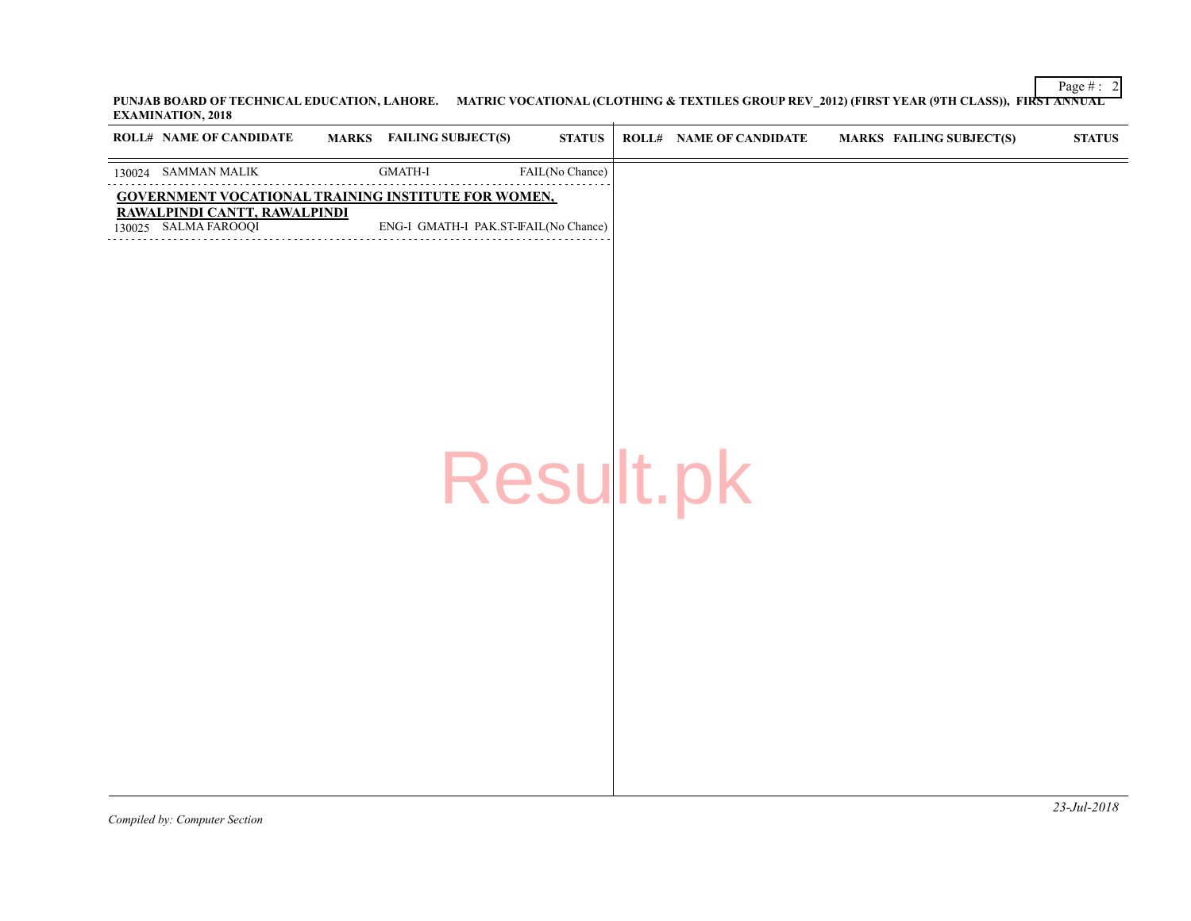| <b>ROLL# NAME OF CANDIDATE</b>                       | MARKS FAILING SUBJECT(S)             | <b>STATUS</b>   | ROLL# NAME OF CANDIDATE | <b>MARKS FAIL</b> |
|------------------------------------------------------|--------------------------------------|-----------------|-------------------------|-------------------|
| 130024 SAMMAN MALIK                                  | $\mbox{GMATH-I}$                     | FAIL(No Chance) |                         |                   |
| GOVERNMENT VOCATIONAL TRAINING INSTITUTE FOR WOMEN,  |                                      |                 |                         |                   |
| RAWALPINDI CANTT, RAWALPINDI<br>130025 SALMA FAROOQI | ENG-I GMATH-I PAK.ST-FAIL(No Chance) |                 |                         |                   |
|                                                      |                                      |                 |                         |                   |
|                                                      |                                      |                 |                         |                   |
|                                                      |                                      |                 |                         |                   |
|                                                      |                                      |                 |                         |                   |
|                                                      |                                      |                 |                         |                   |
|                                                      |                                      |                 |                         |                   |
|                                                      |                                      |                 |                         |                   |
|                                                      |                                      |                 |                         |                   |
|                                                      |                                      | Result.pk       |                         |                   |
|                                                      |                                      |                 |                         |                   |
|                                                      |                                      |                 |                         |                   |
|                                                      |                                      |                 |                         |                   |
|                                                      |                                      |                 |                         |                   |
|                                                      |                                      |                 |                         |                   |
|                                                      |                                      |                 |                         |                   |
|                                                      |                                      |                 |                         |                   |
|                                                      |                                      |                 |                         |                   |
|                                                      |                                      |                 |                         |                   |
|                                                      |                                      |                 |                         |                   |
|                                                      |                                      |                 |                         |                   |
|                                                      |                                      |                 |                         |                   |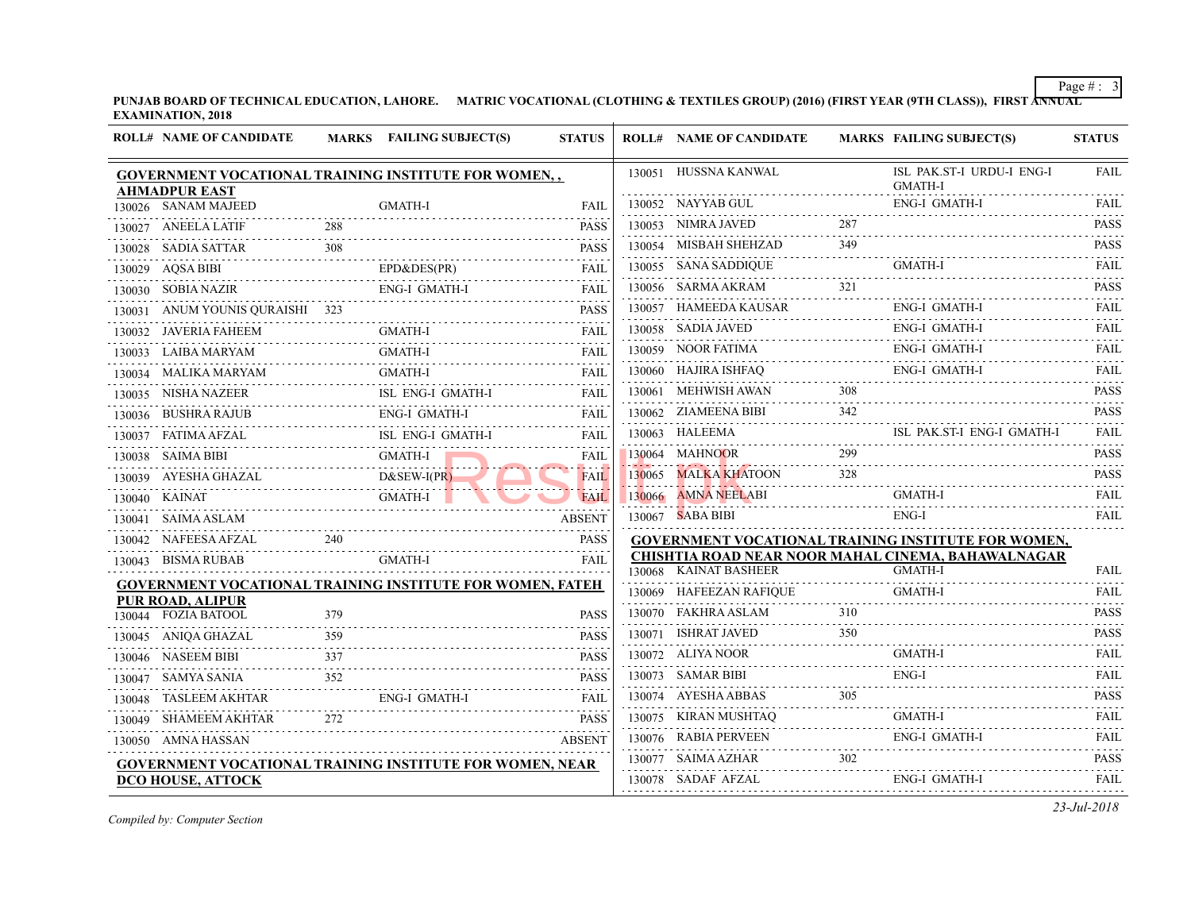| <b>EXAMINATION, 2018</b> | PUNJAB BOARD OF TECHNICAL EDUCATION, LAHORE. | MATRIC VOCATIONAL (CLOTHING & TEXTILES GROUP) (2016) (FIRST YEAR (97 |
|--------------------------|----------------------------------------------|----------------------------------------------------------------------|
|                          |                                              |                                                                      |

|               | <b>ROLL# NAME OF CANDIDATE</b>                                  |     | MARKS FAILING SUBJECT(S) | <b>STATUS</b>    | <b>ROLL# NAME OF CANDIDATE</b>            | <b>MARKS FAIL</b> |                    |
|---------------|-----------------------------------------------------------------|-----|--------------------------|------------------|-------------------------------------------|-------------------|--------------------|
|               | <b>GOVERNMENT VOCATIONAL TRAINING INSTITUTE FOR WOMEN,,</b>     |     |                          |                  | 130051 HUSSNA KANWAL                      |                   | ISL I              |
|               | <b>AHMADPUR EAST</b>                                            |     |                          |                  | 130052 NAYYAB GUL                         |                   | <b>GMA</b><br>ENG- |
|               | 130026 SANAM MAJEED                                             |     | <b>GMATH-I</b>           | FAIL             | 130053 NIMRA JAVED                        | 287               |                    |
|               | 130027 ANEELA LATIF                                             | 288 |                          | <b>PASS</b>      |                                           | 349               |                    |
|               | 130028 SADIA SATTAR                                             | 308 |                          | <b>PASS</b>      | 130054 MISBAH SHEHZAD                     |                   |                    |
|               | 130029 AQSA BIBI                                                |     | EPD&DES(PR)              | FAIL             | 130055 SANA SADDIQUE                      |                   | GMA                |
|               | 130030 SOBIA NAZIR                                              |     | <b>ENG-I GMATH-I</b>     | <b>FAIL</b>      | 130056 SARMA AKRAM                        | 321               |                    |
| 130031        | ANUM YOUNIS QURAISHI 323                                        |     |                          | <b>PASS</b>      | 130057 HAMEEDA KAUSAR                     |                   | ENG-               |
|               | 130032 JAVERIA FAHEEM                                           |     | GMATH-I                  | <b>FAIL</b>      | 130058 SADIA JAVED                        |                   | ENG-               |
|               | 130033 LAIBA MARYAM                                             |     | <b>GMATH-I</b>           | <b>FAIL</b>      | 130059 NOOR FATIMA                        |                   | ENG-               |
|               | 130034 MALIKA MARYAM                                            |     | <b>GMATH-I</b>           | FAIL             | 130060 HAJIRA ISHFAQ                      |                   | ENG-               |
|               | 130035 NISHA NAZEER                                             |     | ISL ENG-I GMATH-I        | <b>FAIL</b>      | 130061 MEHWISH AWAN                       | 308               |                    |
|               | 130036 BUSHRA RAJUB                                             |     | ENG-I GMATH-I            | <b>FAIL</b>      | 130062 ZIAMEENA BIBI                      | 342               |                    |
|               | 130037 FATIMA AFZAL                                             |     | ISL ENG-I GMATH-I        | FAIL             | 130063 HALEEMA                            |                   | ISL 1              |
|               | 130038 SAIMA BIBI                                               |     | GMATH-I                  | FAIL             | 130064 MAHNOOR                            | 299               |                    |
|               | 130039 AYESHA GHAZAL                                            |     | $D&SEW-I(PR)$            | <b>FAIL</b>      | 130065 MALKA KHATOON                      | 328               |                    |
| 130040 KAINAT |                                                                 |     | <b>GMATH-I</b>           | .<br><b>FAIL</b> | 130066 AMNA NEELABI                       |                   | <b>GMA</b>         |
|               | 130041 SAIMA ASLAM                                              |     |                          | <b>ABSENT</b>    | 130067 SABA BIBI                          |                   | ENG-               |
|               | 130042 NAFEESA AFZAL                                            | 240 |                          | <b>PASS</b>      | <b>GOVERNMENT VOCATIONAL TRAINING INS</b> |                   |                    |
|               | 130043 BISMA RUBAB                                              |     | <b>GMATH-I</b>           | FAIL             | CHISHTIA ROAD NEAR NOOR MAHAL CINE        |                   |                    |
|               | GOVERNMENT VOCATIONAL TRAINING INSTITUTE FOR WOMEN, FATEH       |     |                          |                  | 130068 KAINAT BASHEER                     |                   | <b>GMA</b>         |
|               | <b>PUR ROAD, ALIPUR</b>                                         |     |                          |                  | 130069 HAFEEZAN RAFIQUE                   |                   | <b>GMA</b>         |
|               | 130044 FOZIA BATOOL                                             | 379 |                          | <b>PASS</b>      | 130070 FAKHRA ASLAM                       | 310               |                    |
|               | 130045 ANIQA GHAZAL<br><u>.</u>                                 | 359 |                          | <b>PASS</b>      | 130071 ISHRAT JAVED                       | 350               |                    |
|               | 130046 NASEEM BIBI                                              | 337 |                          | <b>PASS</b>      | 130072 ALIYA NOOR                         |                   | <b>GMA</b>         |
|               | 130047 SAMYA SANIA                                              | 352 |                          | <b>PASS</b>      | 130073 SAMAR BIBI                         |                   | ENG-               |
|               | 130048 TASLEEM AKHTAR                                           |     | ENG-I GMATH-I            | FAIL             | 130074 AYESHA ABBAS                       | 305               |                    |
|               | 130049 SHAMEEM AKHTAR                                           | 272 |                          | .<br><b>PASS</b> | 130075 KIRAN MUSHTAQ                      |                   | <b>GMA</b>         |
|               | 130050 AMNA HASSAN                                              |     |                          | <b>ABSENT</b>    | 130076 RABIA PERVEEN                      |                   | ENG-               |
|               | <b>GOVERNMENT VOCATIONAL TRAINING INSTITUTE FOR WOMEN, NEAR</b> |     |                          |                  | 130077 SAIMA AZHAR                        | 302               |                    |
|               | <u>DCO HOUSE, ATTOCK</u>                                        |     |                          |                  | 130078 SADAF AFZAL                        |                   | ENG-               |
|               |                                                                 |     |                          |                  |                                           |                   |                    |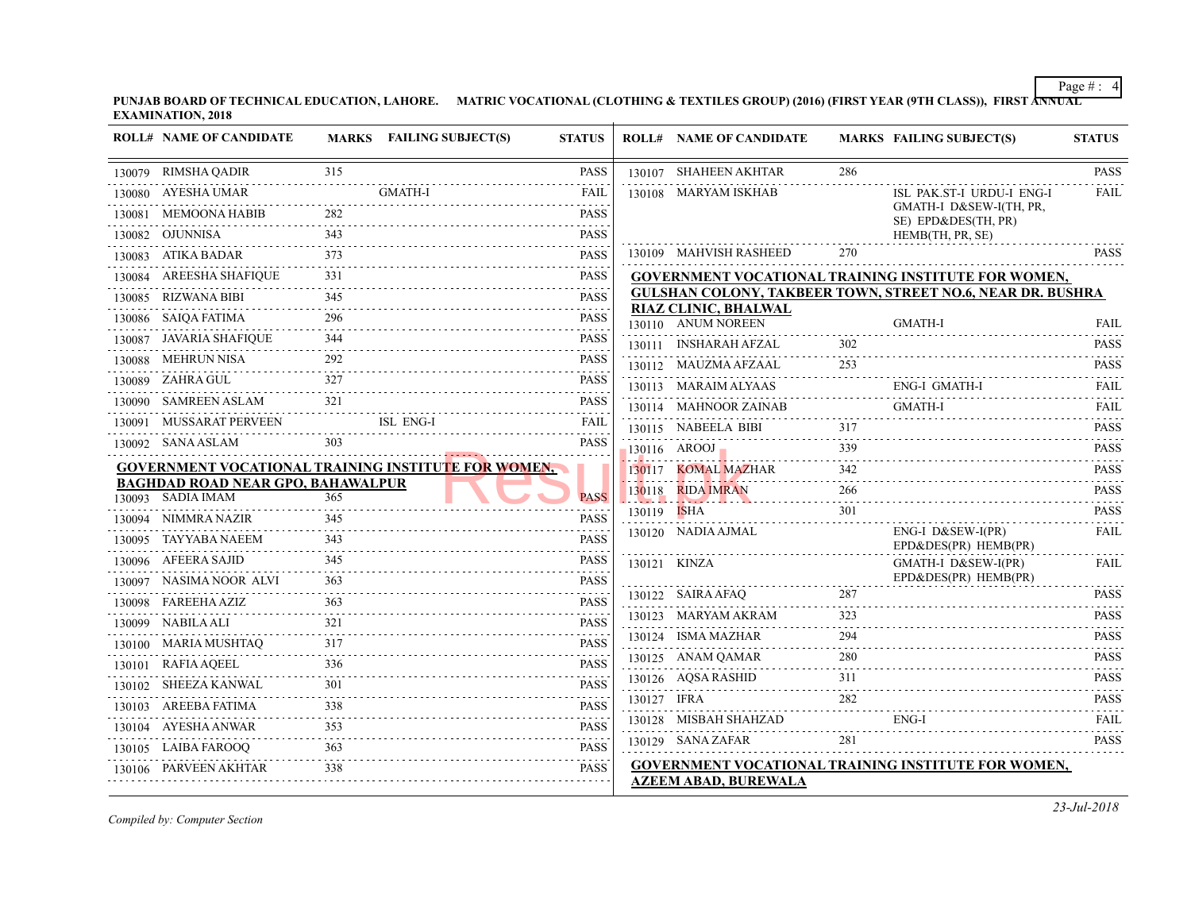| <b>ROLL# NAME OF CANDIDATE</b>                                |                                                                                                                                                                                                                                                                                                                                         | MARKS FAILING SUBJECT(S) | <b>STATUS</b>                                                                                                                                                       |             | <b>ROLL# NAME OF CANDIDATE</b>                    | <b>MARKS FAIL</b> |                           |
|---------------------------------------------------------------|-----------------------------------------------------------------------------------------------------------------------------------------------------------------------------------------------------------------------------------------------------------------------------------------------------------------------------------------|--------------------------|---------------------------------------------------------------------------------------------------------------------------------------------------------------------|-------------|---------------------------------------------------|-------------------|---------------------------|
| 130079 RIMSHA QADIR                                           | 315                                                                                                                                                                                                                                                                                                                                     |                          | PASS                                                                                                                                                                |             | 130107 SHAHEEN AKHTAR                             | 286               |                           |
| 130080 AYESHA UMAR                                            |                                                                                                                                                                                                                                                                                                                                         | <b>GMATH-I</b>           | FAIL                                                                                                                                                                |             | 130108 MARYAM ISKHAB                              |                   | ISL                       |
| 130081 MEMOONA HABIB                                          | 282                                                                                                                                                                                                                                                                                                                                     |                          | <b>PASS</b>                                                                                                                                                         |             |                                                   |                   | <b>GMA</b><br>SE) I       |
| 130082 OJUNNISA                                               | 343<br>$\frac{1}{2} \left( \begin{array}{ccc} 1 & 0 & 0 & 0 & 0 & 0 \\ 0 & 0 & 0 & 0 & 0 & 0 \\ 0 & 0 & 0 & 0 & 0 & 0 \\ 0 & 0 & 0 & 0 & 0 & 0 \\ 0 & 0 & 0 & 0 & 0 & 0 \\ 0 & 0 & 0 & 0 & 0 & 0 \\ 0 & 0 & 0 & 0 & 0 & 0 \\ 0 & 0 & 0 & 0 & 0 & 0 \\ 0 & 0 & 0 & 0 & 0 & 0 \\ 0 & 0 & 0 & 0 & 0 & 0 \\ 0 & 0 & 0 & 0 & 0 & 0 \\ 0 & 0$ |                          | <b>PASS</b>                                                                                                                                                         |             |                                                   |                   | <b>HEM</b>                |
| 130083 ATIKA BADAR                                            | 373                                                                                                                                                                                                                                                                                                                                     |                          | <b>PASS</b>                                                                                                                                                         |             | 130109 MAHVISH RASHEED                            | 270               |                           |
| 130084 AREESHA SHAFIQUE                                       | 331                                                                                                                                                                                                                                                                                                                                     |                          | <b>PASS</b>                                                                                                                                                         |             | <b>GOVERNMENT VOCATIONAL TRAINING INS</b>         |                   |                           |
| 130085 RIZWANA BIBI                                           | 345                                                                                                                                                                                                                                                                                                                                     |                          | <b>PASS</b>                                                                                                                                                         |             | <b>GULSHAN COLONY, TAKBEER TOWN, STRE</b>         |                   |                           |
| 130086 SAIQA FATIMA                                           | 296                                                                                                                                                                                                                                                                                                                                     |                          | <b>PASS</b>                                                                                                                                                         |             | <b>RIAZ CLINIC, BHALWAL</b><br>130110 ANUM NOREEN |                   | <b>GMA</b>                |
| 130087 JAVARIA SHAFIQUE                                       | 344                                                                                                                                                                                                                                                                                                                                     |                          | <b>PASS</b>                                                                                                                                                         |             | 130111 INSHARAH AFZAL                             | 302               |                           |
| 130088 MEHRUN NISA                                            | 292                                                                                                                                                                                                                                                                                                                                     |                          | <b>PASS</b>                                                                                                                                                         |             | 130112 MAUZMA AFZAAL                              | 253               |                           |
| 130089 ZAHRA GUL                                              | 327<br>.                                                                                                                                                                                                                                                                                                                                |                          | <b>PASS</b>                                                                                                                                                         |             | 130113 MARAIM ALYAAS                              |                   | ENG-                      |
| 130090 SAMREEN ASLAM                                          | 321                                                                                                                                                                                                                                                                                                                                     |                          | <b>PASS</b>                                                                                                                                                         |             | 130114 MAHNOOR ZAINAB                             |                   | <b>GMA</b>                |
| 130091 MUSSARAT PERVEEN                                       |                                                                                                                                                                                                                                                                                                                                         | ISL ENG-I                | <b>FAIL</b>                                                                                                                                                         |             | 130115 NABEELA BIBI                               | 317               |                           |
| 130092 SANA ASLAM                                             |                                                                                                                                                                                                                                                                                                                                         |                          | <b>PASS</b>                                                                                                                                                         |             | $130116$ AROOJ                                    | 339               |                           |
| <b>GOVERNMENT VOCATIONAL TRAINING INSTITUTE FOR WOMEN,</b>    |                                                                                                                                                                                                                                                                                                                                         |                          |                                                                                                                                                                     |             | 130117 KOMAL MAZHAR                               | 342               |                           |
| <b>BAGHDAD ROAD NEAR GPO, BAHAWALPUR</b><br>130093 SADIA IMAM | 365                                                                                                                                                                                                                                                                                                                                     |                          | <b>PASS</b>                                                                                                                                                         |             | 130118 RIDA IMRAN                                 | 266               |                           |
|                                                               | 345                                                                                                                                                                                                                                                                                                                                     |                          |                                                                                                                                                                     | 130119 ISHA |                                                   | .<br>301          |                           |
| 130094 NIMMRA NAZIR<br>130095 TAYYABA NAEEM                   | 343                                                                                                                                                                                                                                                                                                                                     |                          | <b>PASS</b><br><b>PASS</b>                                                                                                                                          |             | 130120 NADIA AJMAL                                |                   | ENG-                      |
| 130096 AFEERA SAJID                                           | 345                                                                                                                                                                                                                                                                                                                                     |                          |                                                                                                                                                                     |             |                                                   |                   | $EPD\delta$               |
| 130097 NASIMA NOOR ALVI                                       | .<br>363                                                                                                                                                                                                                                                                                                                                |                          | <b>PASS</b><br><b>PASS</b>                                                                                                                                          |             | 130121 KINZA                                      |                   | <b>GMA</b><br>$EPD\delta$ |
| 130098 FAREEHA AZIZ                                           | 363                                                                                                                                                                                                                                                                                                                                     |                          | <b>PASS</b>                                                                                                                                                         |             | 130122 SAIRA AFAQ                                 | 287               |                           |
| 130099 NABILA ALI                                             | 321                                                                                                                                                                                                                                                                                                                                     |                          | <b>PASS</b>                                                                                                                                                         |             | 130123 MARYAM AKRAM                               | 323               |                           |
| .                                                             | 317                                                                                                                                                                                                                                                                                                                                     |                          | <b>PASS</b>                                                                                                                                                         |             | 130124 ISMA MAZHAR                                | 294               |                           |
| 130100 MARIA MUSHTAQ<br>130101 RAFIA AQEEL                    | 336                                                                                                                                                                                                                                                                                                                                     |                          | <b>PASS</b>                                                                                                                                                         |             | 130125 ANAM QAMAR                                 | 280               |                           |
| .                                                             | 301                                                                                                                                                                                                                                                                                                                                     |                          | <b>PASS</b>                                                                                                                                                         |             | 130126 AQSA RASHID                                | 311               |                           |
| 130102 SHEEZA KANWAL<br>130103 AREEBA FATIMA                  | 338                                                                                                                                                                                                                                                                                                                                     |                          |                                                                                                                                                                     | 130127 IFRA |                                                   | 282               |                           |
|                                                               | د د د د د د د د<br>353                                                                                                                                                                                                                                                                                                                  |                          | <b>PASS</b><br>$\omega_{\alpha}=\omega_{\alpha}=\omega_{\alpha}=\omega_{\alpha}$                                                                                    |             | 130128 MISBAH SHAHZAD                             |                   | ENG-                      |
| 130104 AYESHA ANWAR                                           |                                                                                                                                                                                                                                                                                                                                         |                          | <b>PASS</b><br>$\frac{1}{2} \left( \frac{1}{2} \right) \left( \frac{1}{2} \right) \left( \frac{1}{2} \right) \left( \frac{1}{2} \right) \left( \frac{1}{2} \right)$ |             | 130129 SANA ZAFAR                                 | 281               |                           |
| 130105 LAIBA FAROOQ<br>130106 PARVEEN AKHTAR                  | 363<br>338                                                                                                                                                                                                                                                                                                                              |                          | <b>PASS</b><br><b>PASS</b>                                                                                                                                          |             | <b>GOVERNMENT VOCATIONAL TRAINING INS</b>         |                   |                           |
|                                                               |                                                                                                                                                                                                                                                                                                                                         |                          |                                                                                                                                                                     |             | <b>AZEEM ABAD, BUREWALA</b>                       |                   |                           |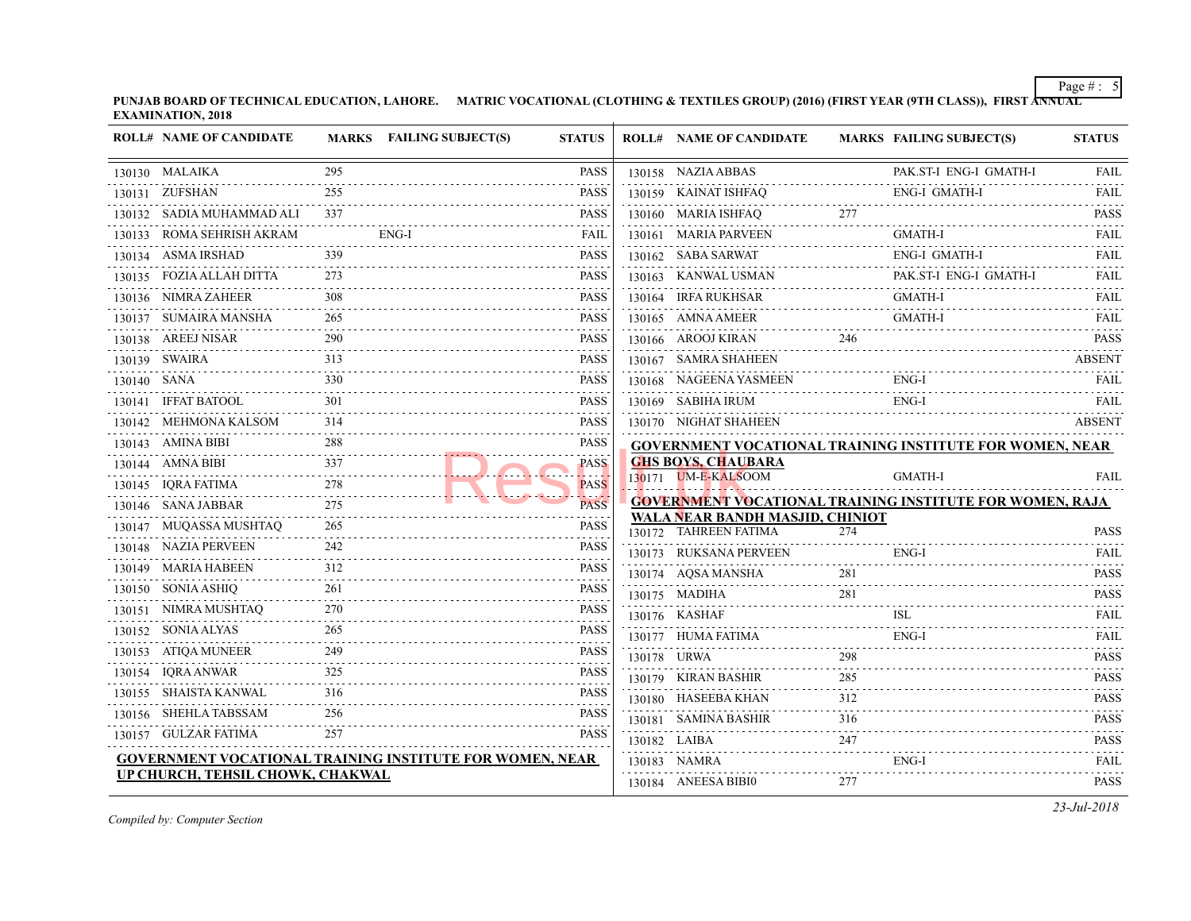**PUNJAB BOARD OF TECHNICAL EDUCATION, LAHORE.** MATRIC VOCATIONAL (CLOTHING & TEXTILES GROUP) (2016) (FIRST YEAR (9TH CLASS) **EXAMINATION, 2018**

|             | <b>ROLL# NAME OF CANDIDATE</b>                                  |                      | MARKS FAILING SUBJECT(S) | <b>STATUS</b>                                                                                                                                                                                                                                                                                                                                       |             | <b>ROLL# NAME OF CANDIDATE</b>                                                      | <b>MARKS FAIL</b> |            |
|-------------|-----------------------------------------------------------------|----------------------|--------------------------|-----------------------------------------------------------------------------------------------------------------------------------------------------------------------------------------------------------------------------------------------------------------------------------------------------------------------------------------------------|-------------|-------------------------------------------------------------------------------------|-------------------|------------|
|             | 130130 MALAIKA                                                  | 295<br>.             |                          | <b>PASS</b>                                                                                                                                                                                                                                                                                                                                         |             | 130158 NAZIA ABBAS                                                                  |                   | PAK.       |
|             | 130131 ZUFSHAN                                                  | 255                  |                          | <b>PASS</b>                                                                                                                                                                                                                                                                                                                                         |             | 130159 KAINAT ISHFAQ                                                                |                   | ENG-       |
|             | 130132 SADIA MUHAMMAD ALI                                       | 337                  |                          | <b>PASS</b>                                                                                                                                                                                                                                                                                                                                         |             | 130160 MARIA ISHFAQ                                                                 | 277               |            |
|             | 130133 ROMA SEHRISH AKRAM                                       |                      | ENG-I                    | FAIL                                                                                                                                                                                                                                                                                                                                                |             | 130161 MARIA PARVEEN                                                                |                   | GMA        |
|             | 130134 ASMA IRSHAD                                              |                      |                          | <b>PASS</b>                                                                                                                                                                                                                                                                                                                                         |             | 130162 SABA SARWAT                                                                  |                   | ENG-       |
|             | 130135 FOZIA ALLAH DITTA<br>.                                   | 273                  |                          | <b>PASS</b>                                                                                                                                                                                                                                                                                                                                         |             | 130163 KANWAL USMAN                                                                 |                   | PAK.       |
|             | 130136 NIMRA ZAHEER                                             | 308                  |                          | <b>PASS</b>                                                                                                                                                                                                                                                                                                                                         |             | 130164 IRFA RUKHSAR                                                                 |                   | GMA        |
| .           | 130137 SUMAIRA MANSHA                                           | 265                  |                          | <b>PASS</b>                                                                                                                                                                                                                                                                                                                                         |             | 130165 AMNA AMEER                                                                   |                   | <b>GMA</b> |
|             | 130138 AREEJ NISAR<br>270<br>                                   | 290                  |                          | <b>PASS</b>                                                                                                                                                                                                                                                                                                                                         |             | 130166 AROOJ KIRAN                                                                  | 246               |            |
|             | 130139 SWAIRA                                                   | 313                  |                          | <b>PASS</b>                                                                                                                                                                                                                                                                                                                                         |             | 130167 SAMRA SHAHEEN                                                                |                   |            |
| 130140 SANA |                                                                 | 330                  |                          | <b>PASS</b>                                                                                                                                                                                                                                                                                                                                         |             | 130168 NAGEENA YASMEEN                                                              |                   | ENG-       |
|             | 130141 IFFAT BATOOL                                             |                      |                          | <b>PASS</b>                                                                                                                                                                                                                                                                                                                                         |             | 130169 SABIHA IRUM                                                                  |                   | ENG-       |
|             | 130142 MEHMONA KALSOM                                           | 314                  |                          | <b>PASS</b>                                                                                                                                                                                                                                                                                                                                         |             | 130170 NIGHAT SHAHEEN                                                               |                   |            |
|             | 130143 AMINA BIBI                                               | 288<br>1.1.1.1.1.1.1 |                          | <b>PASS</b>                                                                                                                                                                                                                                                                                                                                         |             | <b>GOVERNMENT VOCATIONAL TRAINING INS</b>                                           |                   |            |
|             | 130144 AMNA BIBI                                                | 337                  |                          | <b>PASS</b><br>.                                                                                                                                                                                                                                                                                                                                    |             | <b>GHS BOYS, CHAUBARA</b>                                                           |                   |            |
|             | 130145 IQRA FATIMA                                              | 278                  |                          | <b>PASS</b>                                                                                                                                                                                                                                                                                                                                         |             | 130171 UM-E-KALSOOM                                                                 |                   | <b>GMA</b> |
|             | 130146 SANA JABBAR<br>.                                         | 275                  |                          | <b>PASS</b><br>$\frac{1}{2} \left( \begin{array}{ccc} 1 & 0 & 0 & 0 \\ 0 & 0 & 0 & 0 \\ 0 & 0 & 0 & 0 \\ 0 & 0 & 0 & 0 \\ 0 & 0 & 0 & 0 \\ 0 & 0 & 0 & 0 \\ 0 & 0 & 0 & 0 \\ 0 & 0 & 0 & 0 \\ 0 & 0 & 0 & 0 \\ 0 & 0 & 0 & 0 \\ 0 & 0 & 0 & 0 & 0 \\ 0 & 0 & 0 & 0 & 0 \\ 0 & 0 & 0 & 0 & 0 \\ 0 & 0 & 0 & 0 & 0 \\ 0 & 0 & 0 & 0 & 0 \\ 0 & 0 & 0$ |             | <b>GOVERNMENT VOCATIONAL TRAINING INS</b><br><b>WALA NEAR BANDH MASJID, CHINIOT</b> |                   |            |
|             | 130147 MUQASSA MUSHTAQ                                          | 265                  |                          | <b>PASS</b>                                                                                                                                                                                                                                                                                                                                         |             | 130172 TAHREEN FATIMA                                                               | 274               |            |
| .           | 130148 NAZIA PERVEEN                                            | 242                  |                          | <b>PASS</b><br>.                                                                                                                                                                                                                                                                                                                                    |             | 130173 RUKSANA PERVEEN                                                              |                   | ENG-       |
|             | 130149 MARIA HABEEN                                             | 312                  |                          | <b>PASS</b>                                                                                                                                                                                                                                                                                                                                         |             | 130174 AQSA MANSHA                                                                  | 281               |            |
|             | 130150 SONIA ASHIQ                                              | 261<br>.             |                          | <b>PASS</b><br>.                                                                                                                                                                                                                                                                                                                                    |             | 130175 MADIHA                                                                       | 281               |            |
| .           | 130151 NIMRA MUSHTAQ                                            | 270                  |                          | <b>PASS</b>                                                                                                                                                                                                                                                                                                                                         |             | 130176 KASHAF                                                                       |                   | ISL        |
|             | 130152 SONIA ALYAS                                              | 265                  |                          | <b>PASS</b>                                                                                                                                                                                                                                                                                                                                         |             | 130177 HUMA FATIMA                                                                  |                   | ENG-       |
|             | 130153 ATIQA MUNEER                                             | 249                  |                          | <b>PASS</b>                                                                                                                                                                                                                                                                                                                                         | 130178 URWA |                                                                                     | 298               |            |
|             | 130154 IQRA ANWAR                                               | 325                  |                          | <b>PASS</b>                                                                                                                                                                                                                                                                                                                                         |             | 130179 KIRAN BASHIR                                                                 | 285               |            |
|             | 130155 SHAISTA KANWAL                                           | 316                  |                          | <b>PASS</b>                                                                                                                                                                                                                                                                                                                                         |             | 130180 HASEEBA KHAN                                                                 | 312               |            |
|             | 130156 SHEHLA TABSSAM                                           | 256<br>2.2.2.2.2     |                          | <b>PASS</b>                                                                                                                                                                                                                                                                                                                                         |             | 130181 SAMINA BASHIR                                                                | 316               |            |
|             | 130157 GULZAR FATIMA                                            | 257                  |                          | <b>PASS</b>                                                                                                                                                                                                                                                                                                                                         |             | 130182 LAIBA                                                                        | 247               |            |
|             | <b>GOVERNMENT VOCATIONAL TRAINING INSTITUTE FOR WOMEN, NEAR</b> |                      |                          |                                                                                                                                                                                                                                                                                                                                                     |             | 130183 NAMRA                                                                        |                   | ENG-       |
|             | UP CHURCH, TEHSIL CHOWK, CHAKWAL                                |                      |                          |                                                                                                                                                                                                                                                                                                                                                     |             | 130184 ANEESA BIBI0                                                                 | 277               |            |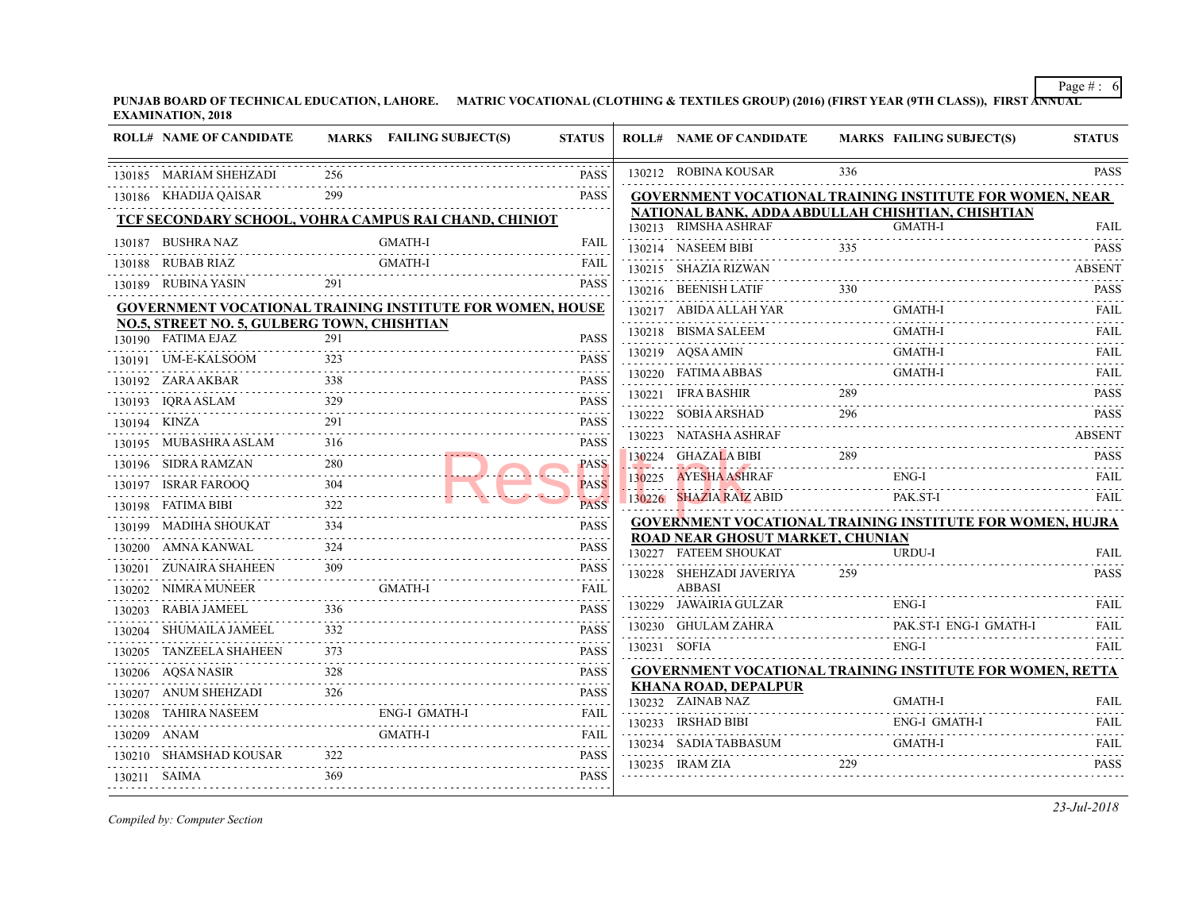| 336<br>130212 ROBINA KOUSAR<br>130185 MARIAM SHEHZADI<br>256<br><b>PASS</b><br>130186 KHADIJA QAISAR<br>299<br><b>GOVERNMENT VOCATIONAL TRAINING INS</b><br><b>PASS</b><br>NATIONAL BANK, ADDA ABDULLAH CHISHT<br>TCF SECONDARY SCHOOL, VOHRA CAMPUS RAI CHAND, CHINIOT<br>130213 RIMSHA ASHRAF<br><b>GMA</b><br><b>GMATH-I</b><br>130187 BUSHRA NAZ<br><b>FAIL</b><br>130214 NASEEM BIBI<br>335<br><b>GMATH-I</b><br>130188 RUBAB RIAZ<br>FAIL<br>130215 SHAZIA RIZWAN<br>130189 RUBINA YASIN<br>291<br><b>PASS</b><br>330<br>130216 BEENISH LATIF<br><b>GOVERNMENT VOCATIONAL TRAINING INSTITUTE FOR WOMEN, HOUSE</b><br>130217 ABIDA ALLAH YAR<br><b>GMA</b><br><b>NO.5, STREET NO. 5, GULBERG TOWN, CHISHTIAN</b><br>130218 BISMA SALEEM<br><b>GMA</b><br>130190 FATIMA EJAZ<br>291<br><b>PASS</b><br>.<br>130219 AQSA AMIN<br>GMA<br>323<br>130191 UM-E-KALSOOM<br><b>PASS</b><br>130220 FATIMA ABBAS<br><b>GMA</b><br>.<br>338<br>130192 ZARA AKBAR<br><b>PASS</b><br>289<br>130221 IFRA BASHIR<br>329<br>130193 IQRA ASLAM<br>ASLAM 329<br><b>PASS</b><br>296<br>130222 SOBIA ARSHAD<br>291<br><b>PASS</b><br>130194 KINZA<br>.<br>130223 NATASHA ASHRAF<br>130195 MUBASHRA ASLAM<br>316<br><b>PASS</b><br>289<br>130224 GHAZALA BIBI<br>280<br>130196 SIDRA RAMZAN<br><b>PASS</b><br>$\frac{280}{250}$<br><br><del></del><br>130225 AYESHA ASHRAF<br>ENG-<br><b>PASS</b><br>130197 ISRAR FAROOQ<br>$Q \qquad \qquad 304$<br>المحامل<br>130226 SHAZIA RAIZ ABID<br>PAK.<br>322<br>130198 FATIMA BIBI<br><b>PASS</b><br><b>GOVERNMENT VOCATIONAL TRAINING INS</b><br>334<br>130199 MADIHA SHOUKAT<br><b>PASS</b><br>ROAD NEAR GHOSUT MARKET, CHUNIAN<br>130200 AMNA KANWAL<br><b>PASS</b><br>130227 FATEEM SHOUKAT<br><b>URD</b><br>309<br>130201 ZUNAIRA SHAHEEN<br><b>PASS</b><br>259<br>130228 SHEHZADI JAVERIYA<br><b>ABBASI</b><br>GMATH-I<br>130202 NIMRA MUNEER<br>FAIL<br>130229 JAWAIRIA GULZAR<br>ENG-<br>336<br>130203 RABIA JAMEEL<br><b>PASS</b><br>130230 GHULAM ZAHRA<br>PAK.<br>332<br>130204 SHUMAILA JAMEEL<br><b>PASS</b><br>130231 SOFIA<br>ENG-<br>130205 TANZEELA SHAHEEN<br>373<br><b>PASS</b><br><b>GOVERNMENT VOCATIONAL TRAINING INS</b><br>328<br>130206 AQSA NASIR<br><b>PASS</b><br>$328$ PADD<br><b>KHANA ROAD, DEPALPUR</b><br>326<br>130207 ANUM SHEHZADI<br><b>PASS</b><br>130232 ZAINAB NAZ<br><b>GMA</b><br><b>ENG-I GMATH-I</b><br>130208 TAHIRA NASEEM<br>130208 TAHIRA NASEEM ENG-I GMATH-I FAIL FAIL<br>ENG-<br>130233 IRSHAD BIBI<br>GMATH-I<br>FAIL<br>130209 ANAM<br>130234 SADIA TABBASUM<br><b>GMA</b><br>.<br>322<br>130210 SHAMSHAD KOUSAR<br><b>PASS</b><br>229<br>130235 IRAM ZIA<br>369<br>PASS<br>130211 SAIMA | <b>ROLL# NAME OF CANDIDATE</b> | MARKS FAILING SUBJECT(S) | <b>STATUS</b> | <b>ROLL# NAME OF CANDIDATE</b> | <b>MARKS FAIL</b> |  |
|------------------------------------------------------------------------------------------------------------------------------------------------------------------------------------------------------------------------------------------------------------------------------------------------------------------------------------------------------------------------------------------------------------------------------------------------------------------------------------------------------------------------------------------------------------------------------------------------------------------------------------------------------------------------------------------------------------------------------------------------------------------------------------------------------------------------------------------------------------------------------------------------------------------------------------------------------------------------------------------------------------------------------------------------------------------------------------------------------------------------------------------------------------------------------------------------------------------------------------------------------------------------------------------------------------------------------------------------------------------------------------------------------------------------------------------------------------------------------------------------------------------------------------------------------------------------------------------------------------------------------------------------------------------------------------------------------------------------------------------------------------------------------------------------------------------------------------------------------------------------------------------------------------------------------------------------------------------------------------------------------------------------------------------------------------------------------------------------------------------------------------------------------------------------------------------------------------------------------------------------------------------------------------------------------------------------------------------------------------------------------------------------------------------------------------------------------------------------------------------------------------------------------------------------------------------------------------------------------------------------------------------------------------------------|--------------------------------|--------------------------|---------------|--------------------------------|-------------------|--|
|                                                                                                                                                                                                                                                                                                                                                                                                                                                                                                                                                                                                                                                                                                                                                                                                                                                                                                                                                                                                                                                                                                                                                                                                                                                                                                                                                                                                                                                                                                                                                                                                                                                                                                                                                                                                                                                                                                                                                                                                                                                                                                                                                                                                                                                                                                                                                                                                                                                                                                                                                                                                                                                                        |                                |                          |               |                                |                   |  |
|                                                                                                                                                                                                                                                                                                                                                                                                                                                                                                                                                                                                                                                                                                                                                                                                                                                                                                                                                                                                                                                                                                                                                                                                                                                                                                                                                                                                                                                                                                                                                                                                                                                                                                                                                                                                                                                                                                                                                                                                                                                                                                                                                                                                                                                                                                                                                                                                                                                                                                                                                                                                                                                                        |                                |                          |               |                                |                   |  |
|                                                                                                                                                                                                                                                                                                                                                                                                                                                                                                                                                                                                                                                                                                                                                                                                                                                                                                                                                                                                                                                                                                                                                                                                                                                                                                                                                                                                                                                                                                                                                                                                                                                                                                                                                                                                                                                                                                                                                                                                                                                                                                                                                                                                                                                                                                                                                                                                                                                                                                                                                                                                                                                                        |                                |                          |               |                                |                   |  |
|                                                                                                                                                                                                                                                                                                                                                                                                                                                                                                                                                                                                                                                                                                                                                                                                                                                                                                                                                                                                                                                                                                                                                                                                                                                                                                                                                                                                                                                                                                                                                                                                                                                                                                                                                                                                                                                                                                                                                                                                                                                                                                                                                                                                                                                                                                                                                                                                                                                                                                                                                                                                                                                                        |                                |                          |               |                                |                   |  |
|                                                                                                                                                                                                                                                                                                                                                                                                                                                                                                                                                                                                                                                                                                                                                                                                                                                                                                                                                                                                                                                                                                                                                                                                                                                                                                                                                                                                                                                                                                                                                                                                                                                                                                                                                                                                                                                                                                                                                                                                                                                                                                                                                                                                                                                                                                                                                                                                                                                                                                                                                                                                                                                                        |                                |                          |               |                                |                   |  |
|                                                                                                                                                                                                                                                                                                                                                                                                                                                                                                                                                                                                                                                                                                                                                                                                                                                                                                                                                                                                                                                                                                                                                                                                                                                                                                                                                                                                                                                                                                                                                                                                                                                                                                                                                                                                                                                                                                                                                                                                                                                                                                                                                                                                                                                                                                                                                                                                                                                                                                                                                                                                                                                                        |                                |                          |               |                                |                   |  |
|                                                                                                                                                                                                                                                                                                                                                                                                                                                                                                                                                                                                                                                                                                                                                                                                                                                                                                                                                                                                                                                                                                                                                                                                                                                                                                                                                                                                                                                                                                                                                                                                                                                                                                                                                                                                                                                                                                                                                                                                                                                                                                                                                                                                                                                                                                                                                                                                                                                                                                                                                                                                                                                                        |                                |                          |               |                                |                   |  |
|                                                                                                                                                                                                                                                                                                                                                                                                                                                                                                                                                                                                                                                                                                                                                                                                                                                                                                                                                                                                                                                                                                                                                                                                                                                                                                                                                                                                                                                                                                                                                                                                                                                                                                                                                                                                                                                                                                                                                                                                                                                                                                                                                                                                                                                                                                                                                                                                                                                                                                                                                                                                                                                                        |                                |                          |               |                                |                   |  |
|                                                                                                                                                                                                                                                                                                                                                                                                                                                                                                                                                                                                                                                                                                                                                                                                                                                                                                                                                                                                                                                                                                                                                                                                                                                                                                                                                                                                                                                                                                                                                                                                                                                                                                                                                                                                                                                                                                                                                                                                                                                                                                                                                                                                                                                                                                                                                                                                                                                                                                                                                                                                                                                                        |                                |                          |               |                                |                   |  |
|                                                                                                                                                                                                                                                                                                                                                                                                                                                                                                                                                                                                                                                                                                                                                                                                                                                                                                                                                                                                                                                                                                                                                                                                                                                                                                                                                                                                                                                                                                                                                                                                                                                                                                                                                                                                                                                                                                                                                                                                                                                                                                                                                                                                                                                                                                                                                                                                                                                                                                                                                                                                                                                                        |                                |                          |               |                                |                   |  |
|                                                                                                                                                                                                                                                                                                                                                                                                                                                                                                                                                                                                                                                                                                                                                                                                                                                                                                                                                                                                                                                                                                                                                                                                                                                                                                                                                                                                                                                                                                                                                                                                                                                                                                                                                                                                                                                                                                                                                                                                                                                                                                                                                                                                                                                                                                                                                                                                                                                                                                                                                                                                                                                                        |                                |                          |               |                                |                   |  |
|                                                                                                                                                                                                                                                                                                                                                                                                                                                                                                                                                                                                                                                                                                                                                                                                                                                                                                                                                                                                                                                                                                                                                                                                                                                                                                                                                                                                                                                                                                                                                                                                                                                                                                                                                                                                                                                                                                                                                                                                                                                                                                                                                                                                                                                                                                                                                                                                                                                                                                                                                                                                                                                                        |                                |                          |               |                                |                   |  |
|                                                                                                                                                                                                                                                                                                                                                                                                                                                                                                                                                                                                                                                                                                                                                                                                                                                                                                                                                                                                                                                                                                                                                                                                                                                                                                                                                                                                                                                                                                                                                                                                                                                                                                                                                                                                                                                                                                                                                                                                                                                                                                                                                                                                                                                                                                                                                                                                                                                                                                                                                                                                                                                                        |                                |                          |               |                                |                   |  |
|                                                                                                                                                                                                                                                                                                                                                                                                                                                                                                                                                                                                                                                                                                                                                                                                                                                                                                                                                                                                                                                                                                                                                                                                                                                                                                                                                                                                                                                                                                                                                                                                                                                                                                                                                                                                                                                                                                                                                                                                                                                                                                                                                                                                                                                                                                                                                                                                                                                                                                                                                                                                                                                                        |                                |                          |               |                                |                   |  |
|                                                                                                                                                                                                                                                                                                                                                                                                                                                                                                                                                                                                                                                                                                                                                                                                                                                                                                                                                                                                                                                                                                                                                                                                                                                                                                                                                                                                                                                                                                                                                                                                                                                                                                                                                                                                                                                                                                                                                                                                                                                                                                                                                                                                                                                                                                                                                                                                                                                                                                                                                                                                                                                                        |                                |                          |               |                                |                   |  |
|                                                                                                                                                                                                                                                                                                                                                                                                                                                                                                                                                                                                                                                                                                                                                                                                                                                                                                                                                                                                                                                                                                                                                                                                                                                                                                                                                                                                                                                                                                                                                                                                                                                                                                                                                                                                                                                                                                                                                                                                                                                                                                                                                                                                                                                                                                                                                                                                                                                                                                                                                                                                                                                                        |                                |                          |               |                                |                   |  |
|                                                                                                                                                                                                                                                                                                                                                                                                                                                                                                                                                                                                                                                                                                                                                                                                                                                                                                                                                                                                                                                                                                                                                                                                                                                                                                                                                                                                                                                                                                                                                                                                                                                                                                                                                                                                                                                                                                                                                                                                                                                                                                                                                                                                                                                                                                                                                                                                                                                                                                                                                                                                                                                                        |                                |                          |               |                                |                   |  |
|                                                                                                                                                                                                                                                                                                                                                                                                                                                                                                                                                                                                                                                                                                                                                                                                                                                                                                                                                                                                                                                                                                                                                                                                                                                                                                                                                                                                                                                                                                                                                                                                                                                                                                                                                                                                                                                                                                                                                                                                                                                                                                                                                                                                                                                                                                                                                                                                                                                                                                                                                                                                                                                                        |                                |                          |               |                                |                   |  |
|                                                                                                                                                                                                                                                                                                                                                                                                                                                                                                                                                                                                                                                                                                                                                                                                                                                                                                                                                                                                                                                                                                                                                                                                                                                                                                                                                                                                                                                                                                                                                                                                                                                                                                                                                                                                                                                                                                                                                                                                                                                                                                                                                                                                                                                                                                                                                                                                                                                                                                                                                                                                                                                                        |                                |                          |               |                                |                   |  |
|                                                                                                                                                                                                                                                                                                                                                                                                                                                                                                                                                                                                                                                                                                                                                                                                                                                                                                                                                                                                                                                                                                                                                                                                                                                                                                                                                                                                                                                                                                                                                                                                                                                                                                                                                                                                                                                                                                                                                                                                                                                                                                                                                                                                                                                                                                                                                                                                                                                                                                                                                                                                                                                                        |                                |                          |               |                                |                   |  |
|                                                                                                                                                                                                                                                                                                                                                                                                                                                                                                                                                                                                                                                                                                                                                                                                                                                                                                                                                                                                                                                                                                                                                                                                                                                                                                                                                                                                                                                                                                                                                                                                                                                                                                                                                                                                                                                                                                                                                                                                                                                                                                                                                                                                                                                                                                                                                                                                                                                                                                                                                                                                                                                                        |                                |                          |               |                                |                   |  |
|                                                                                                                                                                                                                                                                                                                                                                                                                                                                                                                                                                                                                                                                                                                                                                                                                                                                                                                                                                                                                                                                                                                                                                                                                                                                                                                                                                                                                                                                                                                                                                                                                                                                                                                                                                                                                                                                                                                                                                                                                                                                                                                                                                                                                                                                                                                                                                                                                                                                                                                                                                                                                                                                        |                                |                          |               |                                |                   |  |
|                                                                                                                                                                                                                                                                                                                                                                                                                                                                                                                                                                                                                                                                                                                                                                                                                                                                                                                                                                                                                                                                                                                                                                                                                                                                                                                                                                                                                                                                                                                                                                                                                                                                                                                                                                                                                                                                                                                                                                                                                                                                                                                                                                                                                                                                                                                                                                                                                                                                                                                                                                                                                                                                        |                                |                          |               |                                |                   |  |
|                                                                                                                                                                                                                                                                                                                                                                                                                                                                                                                                                                                                                                                                                                                                                                                                                                                                                                                                                                                                                                                                                                                                                                                                                                                                                                                                                                                                                                                                                                                                                                                                                                                                                                                                                                                                                                                                                                                                                                                                                                                                                                                                                                                                                                                                                                                                                                                                                                                                                                                                                                                                                                                                        |                                |                          |               |                                |                   |  |
|                                                                                                                                                                                                                                                                                                                                                                                                                                                                                                                                                                                                                                                                                                                                                                                                                                                                                                                                                                                                                                                                                                                                                                                                                                                                                                                                                                                                                                                                                                                                                                                                                                                                                                                                                                                                                                                                                                                                                                                                                                                                                                                                                                                                                                                                                                                                                                                                                                                                                                                                                                                                                                                                        |                                |                          |               |                                |                   |  |
|                                                                                                                                                                                                                                                                                                                                                                                                                                                                                                                                                                                                                                                                                                                                                                                                                                                                                                                                                                                                                                                                                                                                                                                                                                                                                                                                                                                                                                                                                                                                                                                                                                                                                                                                                                                                                                                                                                                                                                                                                                                                                                                                                                                                                                                                                                                                                                                                                                                                                                                                                                                                                                                                        |                                |                          |               |                                |                   |  |
|                                                                                                                                                                                                                                                                                                                                                                                                                                                                                                                                                                                                                                                                                                                                                                                                                                                                                                                                                                                                                                                                                                                                                                                                                                                                                                                                                                                                                                                                                                                                                                                                                                                                                                                                                                                                                                                                                                                                                                                                                                                                                                                                                                                                                                                                                                                                                                                                                                                                                                                                                                                                                                                                        |                                |                          |               |                                |                   |  |
|                                                                                                                                                                                                                                                                                                                                                                                                                                                                                                                                                                                                                                                                                                                                                                                                                                                                                                                                                                                                                                                                                                                                                                                                                                                                                                                                                                                                                                                                                                                                                                                                                                                                                                                                                                                                                                                                                                                                                                                                                                                                                                                                                                                                                                                                                                                                                                                                                                                                                                                                                                                                                                                                        |                                |                          |               |                                |                   |  |
|                                                                                                                                                                                                                                                                                                                                                                                                                                                                                                                                                                                                                                                                                                                                                                                                                                                                                                                                                                                                                                                                                                                                                                                                                                                                                                                                                                                                                                                                                                                                                                                                                                                                                                                                                                                                                                                                                                                                                                                                                                                                                                                                                                                                                                                                                                                                                                                                                                                                                                                                                                                                                                                                        |                                |                          |               |                                |                   |  |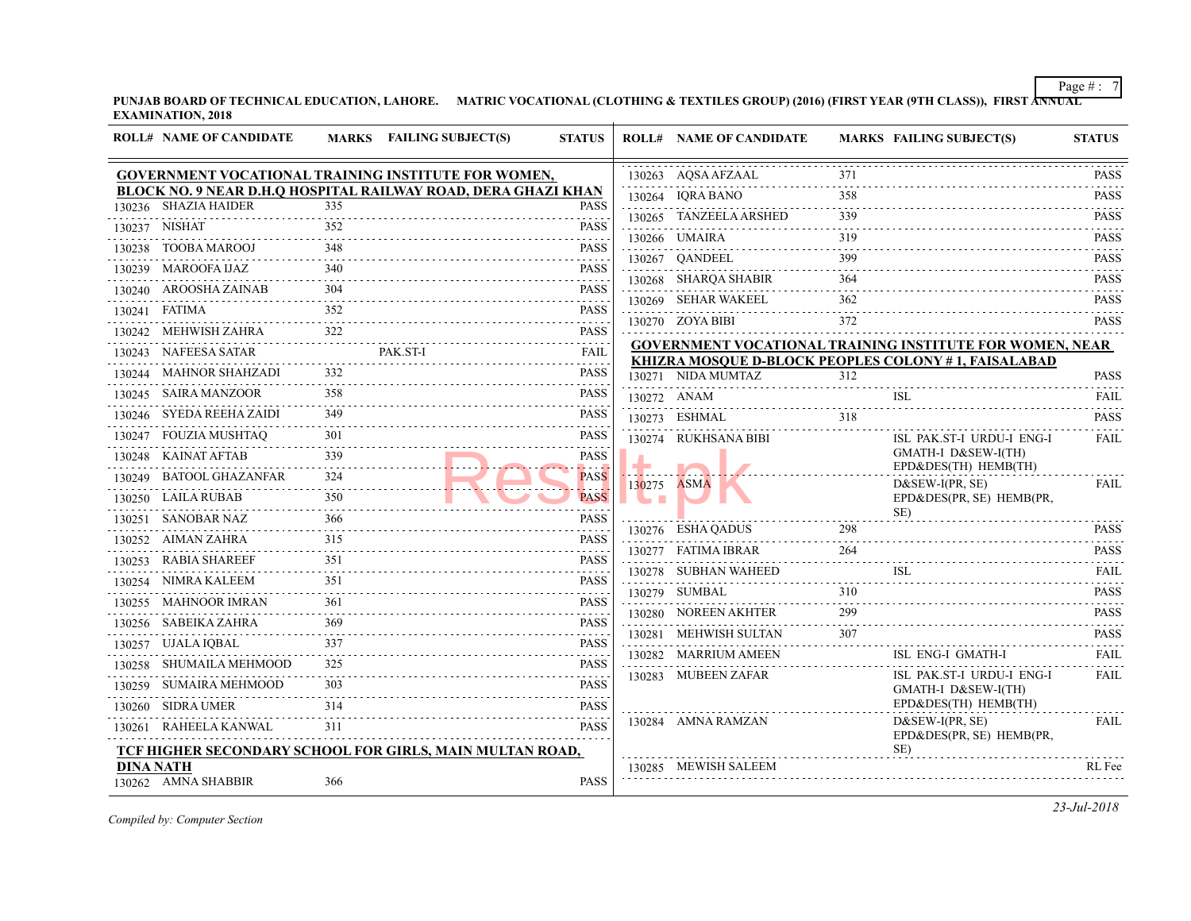| <b>ROLL# NAME OF CANDIDATE</b>          |          | MARKS FAILING SUBJECT(S)                                      | <b>STATUS</b>                    |             | <b>ROLL# NAME OF CANDIDATE</b>            | <b>MARKS FAIL</b> |                         |
|-----------------------------------------|----------|---------------------------------------------------------------|----------------------------------|-------------|-------------------------------------------|-------------------|-------------------------|
|                                         |          | GOVERNMENT VOCATIONAL TRAINING INSTITUTE FOR WOMEN,           |                                  |             | 130263 AQSA AFZAAL                        | 371               |                         |
|                                         |          | BLOCK NO. 9 NEAR D.H.Q HOSPITAL RAILWAY ROAD, DERA GHAZI KHAN |                                  |             | 130264 IQRA BANO                          | 358               |                         |
| 130236 SHAZIA HAIDER                    | 335      |                                                               | <b>PASS</b>                      |             | 130265 TANZEELA ARSHED                    | 339               |                         |
| 130237 NISHAT                           | 352      |                                                               | <b>PASS</b>                      |             | 130266 UMAIRA                             | 319               |                         |
| 130238 TOOBA MAROOJ                     | 348      |                                                               | <b>PASS</b>                      |             | 130267 QANDEEL                            | 399               |                         |
| 130239 MAROOFA IJAZ                     | 340<br>. |                                                               | <b>PASS</b>                      |             | 130268 SHARQA SHABIR                      | 364               |                         |
| 130240 AROOSHA ZAINAB<br>.ZAINAB 304    | 304      |                                                               | <b>PASS</b><br>.                 |             | 130269 SEHAR WAKEEL                       | 362               |                         |
| 130241 FATIMA                           | 352      |                                                               | <b>PASS</b>                      |             | 130270 ZOYA BIBI                          | 372               |                         |
| 130242 MEHWISH ZAHRA                    | 322      |                                                               | <b>PASS</b>                      |             | <b>GOVERNMENT VOCATIONAL TRAINING INS</b> |                   |                         |
| 130243 NAFEESA SATAR                    |          | PAK.ST-I                                                      | FAIL                             |             | KHIZRA MOSOUE D-BLOCK PEOPLES COLO        |                   |                         |
| 130244 MAHNOR SHAHZADI                  |          |                                                               | <b>PASS</b>                      |             | 130271 NIDA MUMTAZ                        | 312               |                         |
| 130245 SAIRA MANZOOR                    | 358      |                                                               | <b>PASS</b>                      |             | 130272 ANAM                               |                   | ISL                     |
| 130246 SYEDA REEHA ZAIDI                | 349      |                                                               | <b>PASS</b>                      |             | 130273 ESHMAL                             | 318               |                         |
| 130247 FOUZIA MUSHTAQ                   | 301      |                                                               | <b>PASS</b>                      |             | 130274 RUKHSANA BIBI                      |                   | ISL I                   |
| 130248 KAINAT AFTAB                     | 339      |                                                               | <b>PASS</b>                      |             |                                           |                   | <b>GMA</b>              |
| 130249 BATOOL GHAZANFAR                 | 324      |                                                               | <b>.</b><br><b>PASS</b>          | 130275 ASMA |                                           |                   | <b>EPD&amp;</b><br>D&S1 |
| 130250 LAILA RUBAB                      | 350      |                                                               | <b>Contractor</b><br><b>PASS</b> |             |                                           |                   | $EPD\delta$             |
| 130251 SANOBAR NAZ                      | 366      |                                                               | <b>PASS</b>                      |             |                                           |                   | SE)                     |
| 130252 AIMAN ZAHRA                      | 315      |                                                               | .<br><b>PASS</b>                 |             | 130276 ESHA QADUS                         | 298               |                         |
| 130253 RABIA SHAREEF                    | 351      |                                                               | $- - - - - -$<br><b>PASS</b>     |             | 130277 FATIMA IBRAR                       | 264               |                         |
| .<br>130254 NIMRA KALEEM                | 351      |                                                               | <b>PASS</b>                      |             | 130278 SUBHAN WAHEED                      |                   | ISL                     |
| 130255 MAHNOOR IMRAN                    | 361      |                                                               | $-2.5 - 2.5$<br><b>PASS</b>      |             | 130279 SUMBAL                             | 310               |                         |
| 130256 SABEIKA ZAHRA                    | 369      |                                                               | <b>PASS</b>                      |             | 130280 NOREEN AKHTER                      | 299               |                         |
| 130257 UJALA IQBAL                      | 337      |                                                               | <b>PASS</b>                      |             | 130281 MEHWISH SULTAN                     | 307               |                         |
| 130258 SHUMAILA MEHMOOD                 | 325      |                                                               | .<br><b>PASS</b>                 |             | 130282 MARRIUM AMEEN                      |                   | ISL 1                   |
| 130259 SUMAIRA MEHMOOD                  | 303.     |                                                               | <b>PASS</b>                      |             | 130283 MUBEEN ZAFAR                       |                   | ISL 1                   |
|                                         | 314      |                                                               |                                  |             |                                           |                   | GMA<br>$EPD\delta$      |
| 130260 SIDRA UMER                       |          |                                                               | <b>PASS</b>                      |             | 130284 AMNA RAMZAN                        |                   | D&SI                    |
| 130261 RAHEELA KANWAL                   | 311      |                                                               | <b>PASS</b>                      |             |                                           |                   | $EPD\delta$             |
|                                         |          | TCF HIGHER SECONDARY SCHOOL FOR GIRLS, MAIN MULTAN ROAD,      |                                  |             |                                           |                   | SE)                     |
| <b>DINA NATH</b><br>130262 AMNA SHABBIR | 366      |                                                               | <b>PASS</b>                      |             | 130285 MEWISH SALEEM                      |                   |                         |
|                                         |          |                                                               |                                  |             |                                           |                   |                         |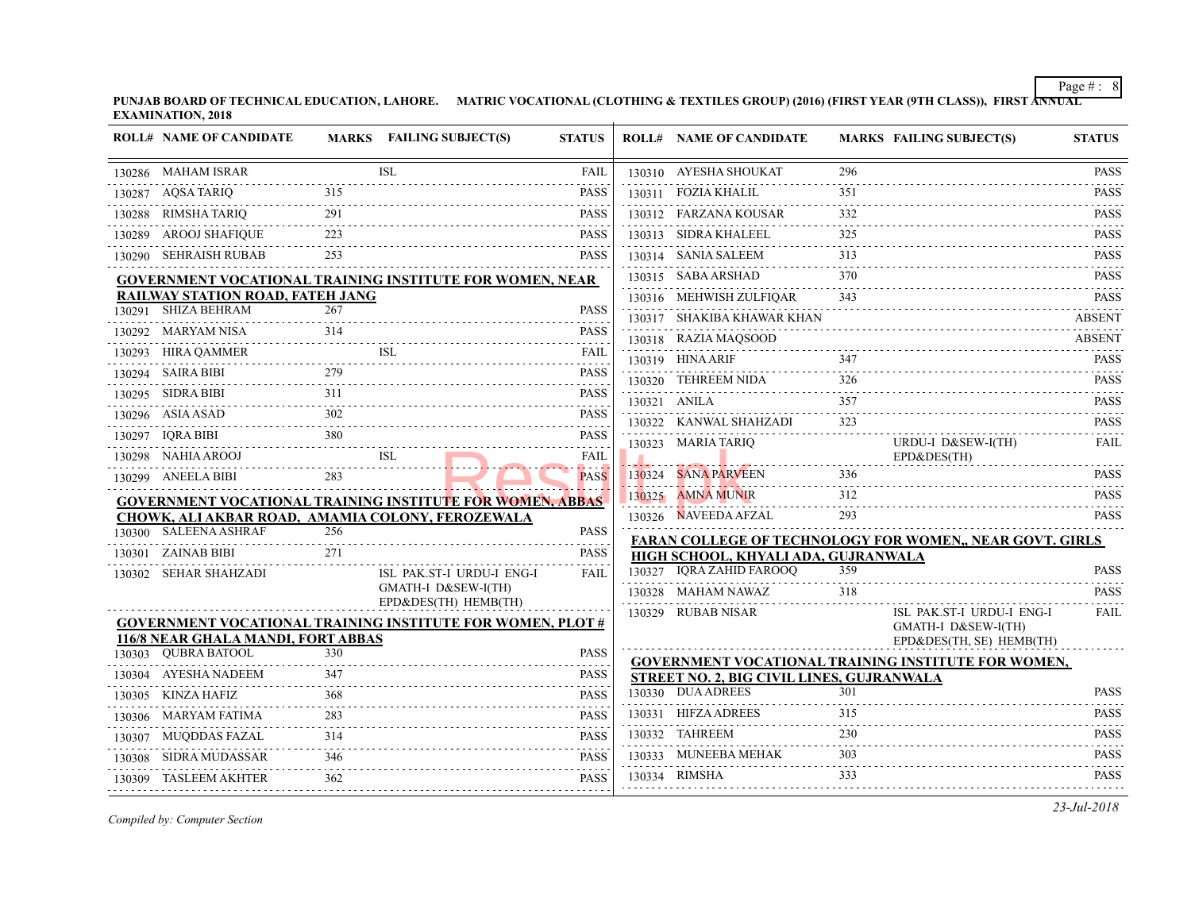|        | <b>ROLL# NAME OF CANDIDATE</b>                   |      | MARKS FAILING SUBJECT(S)                                          | <b>STATUS</b>    | <b>ROLL# NAME OF CANDIDATE</b>                 | <b>MARKS FAIL</b> |                           |
|--------|--------------------------------------------------|------|-------------------------------------------------------------------|------------------|------------------------------------------------|-------------------|---------------------------|
|        | 130286 MAHAM ISRAR                               |      | <b>ISL</b>                                                        | FAIL             | 130310 AYESHA SHOUKAT                          | 296               |                           |
|        | 130287 AQSA TARIQ                                | 315  |                                                                   | <b>PASS</b>      | 130311 FOZIA KHALIL                            | 351               |                           |
|        | 130288 RIMSHA TARIQ<br>.                         | 291  |                                                                   | <b>PASS</b>      | 130312 FARZANA KOUSAR                          | 332               |                           |
|        | 130289 AROOJ SHAFIQUE                            | 223  |                                                                   | <b>PASS</b>      | 130313 SIDRA KHALEEL                           | 325               |                           |
|        | 130290 SEHRAISH RUBAB                            | 253  |                                                                   | <b>PASS</b>      | 130314 SANIA SALEEM                            | 313               |                           |
|        |                                                  |      | <b>GOVERNMENT VOCATIONAL TRAINING INSTITUTE FOR WOMEN, NEAR</b>   |                  | 130315 SABA ARSHAD                             | 370               |                           |
|        | RAILWAY STATION ROAD, FATEH JANG                 |      |                                                                   |                  | 130316 MEHWISH ZULFIQAR                        | 343               |                           |
|        | 130291 SHIZA BEHRAM                              | 267  |                                                                   | PASS             | 130317 SHAKIBA KHAWAR KHAN                     |                   |                           |
|        | 130292 MARYAM NISA                               | 314  |                                                                   | <b>PASS</b>      | 130318 RAZIA MAQSOOD                           |                   |                           |
|        | 130293 HIRA QAMMER                               |      | ISL                                                               | FAIL             | 130319 HINA ARIF                               | 347               |                           |
|        | 130294 SAIRA BIBI                                | 2.79 |                                                                   | <b>PASS</b><br>. | 130320 TEHREEM NIDA                            | 326               |                           |
|        | 130295 SIDRA BIBI                                | 311  |                                                                   | <b>PASS</b>      | 130321 ANILA                                   | 357               |                           |
|        | 130296 ASIA ASAD                                 | 302  |                                                                   | <b>PASS</b>      | 130322 KANWAL SHAHZADI                         | 323               |                           |
|        | 130297 IORA BIBI                                 | 380  |                                                                   | <b>PASS</b>      | 130323 MARIA TARIQ                             |                   | <b>URD</b>                |
|        | 130298 NAHIA AROOJ                               |      | ISL                                                               | <b>FAIL</b>      |                                                |                   | $EPD\delta$               |
|        | 130299 ANEELA BIBI                               |      |                                                                   | <b>PASS</b>      | 130324 SANA PARVEEN                            | 336               |                           |
|        |                                                  |      | <b>GOVERNMENT VOCATIONAL TRAINING INSTITUTE FOR WOMEN, ABBAS</b>  |                  | 130325 AMNA MUNIR                              | 312               |                           |
|        | CHOWK, ALI AKBAR ROAD, AMAMIA COLONY, FEROZEWALA |      |                                                                   |                  | 130326 NAVEEDA AFZAL                           | 293               |                           |
|        | 130300 SALEENA ASHRAF                            | 256  |                                                                   | <b>PASS</b>      | <b>FARAN COLLEGE OF TECHNOLOGY FOR W</b>       |                   |                           |
|        | 130301 ZAINAB BIBI                               | 271  |                                                                   | <b>PASS</b>      | HIGH SCHOOL, KHYALI ADA, GUJRANWALA            |                   |                           |
|        | 130302 SEHAR SHAHZADI                            |      | ISL PAK.ST-I URDU-I ENG-I                                         | <b>FAIL</b>      | 130327 IQRA ZAHID FAROOQ                       | 359               |                           |
|        |                                                  |      | GMATH-I D&SEW-I(TH)<br>EPD&DES(TH) HEMB(TH)                       |                  | 130328 MAHAM NAWAZ                             | 318               |                           |
|        |                                                  |      | <b>GOVERNMENT VOCATIONAL TRAINING INSTITUTE FOR WOMEN, PLOT #</b> |                  | 130329 RUBAB NISAR                             |                   | ISL 1                     |
|        | 116/8 NEAR GHALA MANDI, FORT ABBAS               |      |                                                                   |                  |                                                |                   | <b>GMA</b><br>$EPD\delta$ |
|        | 130303 QUBRA BATOOL                              | 330  |                                                                   | <b>PASS</b>      | <b>GOVERNMENT VOCATIONAL TRAINING INS</b>      |                   |                           |
|        | 130304 AYESHA NADEEM                             | 347  |                                                                   | <b>PASS</b>      | <b>STREET NO. 2, BIG CIVIL LINES, GUJRANWA</b> |                   |                           |
| 130305 | KINZA HAFIZ                                      | 368  |                                                                   | <b>PASS</b>      | 130330 DUA ADREES                              | 301               |                           |
| 130306 | .<br>MARYAM FATIMA                               | 283  |                                                                   | <b>PASS</b>      | 130331 HIFZA ADREES                            | 315               |                           |
|        | 130307 MUQDDAS FAZAL                             | 314  |                                                                   | <b>PASS</b>      | 130332 TAHREEM                                 | 230               |                           |
|        | 130308 SIDRA MUDASSAR                            | 346  |                                                                   | <b>PASS</b>      | 130333 MUNEEBA MEHAK                           | 303               |                           |
|        | .<br>130309 TASLEEM AKHTER                       | 362  |                                                                   | <b>PASS</b>      | 130334 RIMSHA                                  | 333               |                           |
|        |                                                  |      |                                                                   |                  |                                                |                   |                           |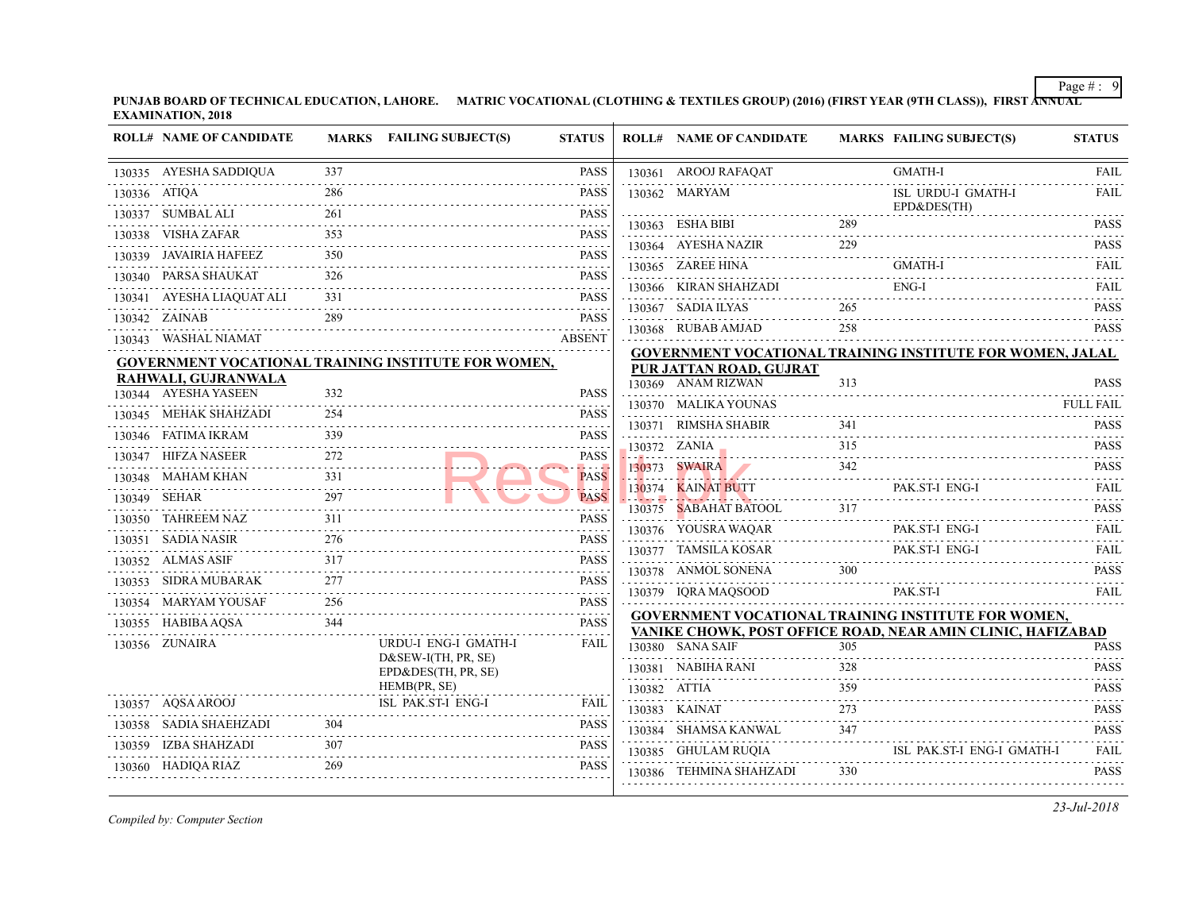**PUNJAB BOARD OF TECHNICAL EDUCATION, LAHORE. MATRIC VOCATIONAL (CLOTHING & TEXTILES GROUP) (2016) (FIRST YEAR (97 EXAMINATION, 2018** J.

|              | <b>ROLL# NAME OF CANDIDATE</b> |     | MARKS FAILING SUBJECT(S)                                   | <b>STATUS</b>                |              | <b>ROLL# NAME OF CANDIDATE</b>                                                    | <b>MARKS FAIL</b> |             |
|--------------|--------------------------------|-----|------------------------------------------------------------|------------------------------|--------------|-----------------------------------------------------------------------------------|-------------------|-------------|
|              | 130335 AYESHA SADDIQUA         | 337 |                                                            | <b>PASS</b>                  |              | 130361 AROOJ RAFAQAT                                                              |                   | <b>GMA</b>  |
| 130336 ATIQA |                                | 286 |                                                            | <b>PASS</b>                  |              | 130362 MARYAM                                                                     |                   | ISL         |
|              | 130337 SUMBAL ALI              | 261 |                                                            | <b>PASS</b><br>.             |              | 130363 ESHA BIBI                                                                  | 289               | $EPD\delta$ |
|              | 130338 VISHA ZAFAR             | 353 |                                                            | <b>PASS</b>                  |              |                                                                                   |                   |             |
|              | 130339 JAVAIRIA HAFEEZ         | 350 |                                                            | <b>PASS</b>                  |              | 130364 AYESHA NAZIR                                                               | 229               |             |
|              | 130340 PARSA SHAUKAT           | 326 |                                                            | $- - - - - -$<br><b>PASS</b> |              | 130365 ZAREE HINA<br>130366 KIRAN SHAHZADI                                        |                   | GMA<br>ENG- |
|              | 130341 AYESHA LIAQUAT ALI      | 331 |                                                            | .<br><b>PASS</b>             |              |                                                                                   |                   |             |
|              | 130342 ZAINAB                  | 289 |                                                            | .<br><b>PASS</b>             |              | 130367 SADIA ILYAS                                                                | 265               |             |
|              | 130343 WASHAL NIAMAT           |     |                                                            | .<br><b>ABSENT</b>           |              | 130368 RUBAB AMJAD                                                                | 258               |             |
|              |                                |     | <b>GOVERNMENT VOCATIONAL TRAINING INSTITUTE FOR WOMEN,</b> |                              |              | <b>GOVERNMENT VOCATIONAL TRAINING INS</b><br>PUR JATTAN ROAD, GUJRAT              |                   |             |
|              | RAHWALI, GUJRANWALA            |     |                                                            |                              |              | 130369 ANAM RIZWAN                                                                | 313               |             |
|              | 130344 AYESHA YASEEN           | 332 |                                                            | <b>PASS</b>                  |              | 130370 MALIKA YOUNAS                                                              |                   |             |
|              | 130345 MEHAK SHAHZADI          | 254 |                                                            | <b>PASS</b>                  |              | 130371 RIMSHA SHABIR                                                              | 341               |             |
|              | 130346 FATIMA IKRAM            | 339 |                                                            | <b>PASS</b>                  |              | $130372$ ZANIA $315$                                                              |                   |             |
|              | 130347 HIFZA NASEER<br>.       | 272 |                                                            | <b>PASS</b><br><b>A</b>      |              | 130373 SWAIRA                                                                     | 342               |             |
|              | 130348 MAHAM KHAN              | 331 |                                                            | <b>PASS</b>                  | .            | 130374 KAINAT BUTT                                                                |                   | PAK.        |
|              | 130349 SEHAR                   | 297 |                                                            | <b>PASS</b><br>.             |              | <u> 1980au - Jacob Alemania, martxa</u><br>130375 SABAHAT BATOOL                  |                   |             |
|              | 130350 TAHREEM NAZ             | 311 |                                                            | <b>PASS</b><br>.             |              | 130376 YOUSRA WAQAR                                                               |                   | PAK.        |
|              | 130351 SADIA NASIR             | 276 |                                                            | <b>PASS</b>                  |              | 130377 TAMSILA KOSAR                                                              |                   | PAK.        |
|              | 130352 ALMAS ASIF              | 317 |                                                            | <b>PASS</b>                  |              | 130378 ANMOL SONENA                                                               | 300               |             |
|              | 130353 SIDRA MUBARAK           | 277 |                                                            | <b>PASS</b>                  |              | 130379 IQRA MAQSOOD                                                               |                   | PAK.        |
|              | 130354 MARYAM YOUSAF           | 256 |                                                            | <b>PASS</b>                  |              |                                                                                   |                   |             |
|              | 130355 HABIBA AQSA             | 344 |                                                            | .<br><b>PASS</b>             |              | <b>GOVERNMENT VOCATIONAL TRAINING INS</b><br>VANIKE CHOWK, POST OFFICE ROAD, NEAI |                   |             |
|              | 130356 ZUNAIRA                 |     | URDU-I ENG-I GMATH-I                                       | <b>FAIL</b>                  |              | 130380 SANA SAIF                                                                  | 305               |             |
|              |                                |     | $D&SEW-I(TH, PR, SE)$<br>EPD&DES(TH, PR, SE)               |                              |              | 130381 NABIHA RANI                                                                | 328               |             |
|              |                                |     | HEMB(PR, SE)                                               |                              | 130382 ATTIA |                                                                                   | 359               |             |
|              | 130357 AQSA AROOJ              |     | ISL PAK.ST-I ENG-I                                         | <b>FAIL</b>                  |              | 130383 KAINAT                                                                     | 273               |             |
|              | 130358 SADIA SHAEHZADI         | 304 |                                                            | <b>PASS</b>                  |              | 130384 SHAMSA KANWAL                                                              | 347               |             |
|              | 130359 IZBA SHAHZADI           | 307 |                                                            | <b>PASS</b>                  |              | 130385 GHULAM RUQIA                                                               |                   | ISL         |
|              | 130360 HADIQA RIAZ             | 269 |                                                            | <b>PASS</b>                  |              | 130386 TEHMINA SHAHZADI                                                           | 330               |             |
|              |                                |     |                                                            |                              |              |                                                                                   |                   |             |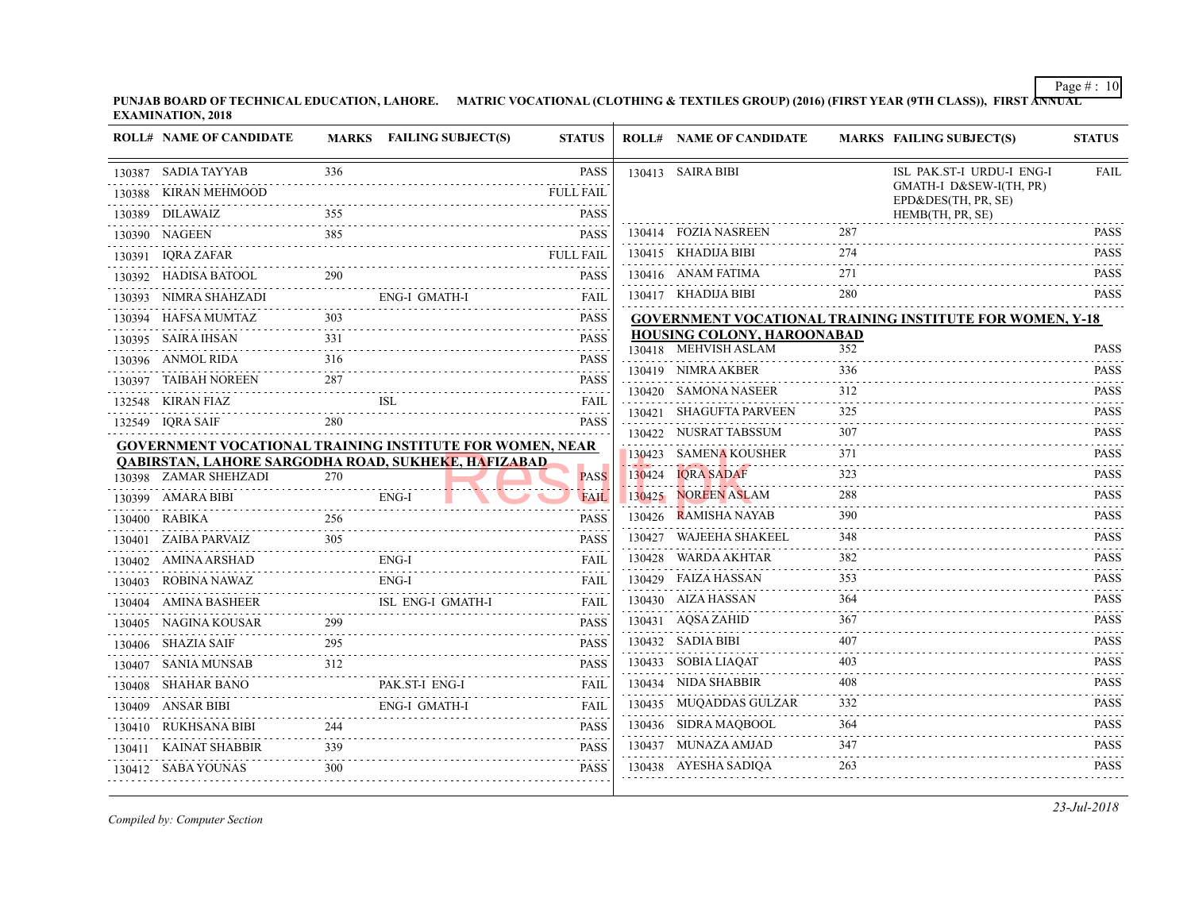**PUNJAB BOARD OF TECHNICAL EDUCATION, LAHORE.** MATRIC VOCATIONAL (CLOTHING & TEXTILES GROUP) (2016) (FIRST YEAR (9TH CLASS) **EXAMINATION, 2018**

|  | <b>ROLL# NAME OF CANDIDATE</b> |                  | MARKS FAILING SUBJECT(S)                                        | <b>STATUS</b>                                                                                                                                                                               | <b>ROLL# NAME OF CANDIDATE</b>            | <b>MARKS FAIL</b> |                    |
|--|--------------------------------|------------------|-----------------------------------------------------------------|---------------------------------------------------------------------------------------------------------------------------------------------------------------------------------------------|-------------------------------------------|-------------------|--------------------|
|  | 130387 SADIA TAYYAB            | 336              |                                                                 | <b>PASS</b>                                                                                                                                                                                 | 130413 SAIRA BIBI                         |                   | ISL                |
|  | 130388 KIRAN MEHMOOD           |                  |                                                                 | <b>FULL FAIL</b>                                                                                                                                                                            |                                           |                   | <b>GMA</b><br>EPD& |
|  | 130389 DILAWAIZ                | 355              |                                                                 | <b>PASS</b>                                                                                                                                                                                 |                                           |                   | <b>HEM</b>         |
|  | 130390 NAGEEN                  | 385              |                                                                 | <b>PASS</b>                                                                                                                                                                                 | 130414 FOZIA NASREEN                      | 287               |                    |
|  | 130391 IQRA ZAFAR              |                  |                                                                 | <b>FULL FAIL</b>                                                                                                                                                                            | 130415 KHADIJA BIBI                       | 274               |                    |
|  | 130392 HADISA BATOOL           | 290              |                                                                 | <b>PASS</b>                                                                                                                                                                                 | 130416 ANAM FATIMA                        | 271               |                    |
|  | 130393 NIMRA SHAHZADI          |                  | ENG-I GMATH-I                                                   | <b>FAIL</b>                                                                                                                                                                                 | 130417 KHADIJA BIBI                       | 280               |                    |
|  | 130394 HAFSA MUMTAZ            | 303              |                                                                 | <b>PASS</b>                                                                                                                                                                                 | <b>GOVERNMENT VOCATIONAL TRAINING INS</b> |                   |                    |
|  | 130395 SAIRA IHSAN             | 331              |                                                                 | <b>PASS</b>                                                                                                                                                                                 | <b>HOUSING COLONY, HAROONABAD</b>         |                   |                    |
|  | 130396 ANMOL RIDA              | 1.1.1.1.1<br>316 |                                                                 | PASS                                                                                                                                                                                        | 130418 MEHVISH ASLAM                      | 352               |                    |
|  | 130397 TAIBAH NOREEN           | 287              |                                                                 | <b>PASS</b>                                                                                                                                                                                 | 130419 NIMRA AKBER                        | 336               |                    |
|  | 132548 KIRAN FIAZ              |                  | <b>ISL</b>                                                      | <b>FAIL</b>                                                                                                                                                                                 | 130420 SAMONA NASEER                      | 312               |                    |
|  | 132549 IQRA SAIF               |                  |                                                                 | .<br>PASS                                                                                                                                                                                   | 130421 SHAGUFTA PARVEEN                   | 325               |                    |
|  |                                |                  | <b>GOVERNMENT VOCATIONAL TRAINING INSTITUTE FOR WOMEN, NEAR</b> |                                                                                                                                                                                             | 130422 NUSRAT TABSSUM                     | 307               |                    |
|  |                                |                  | <b>QABIRSTAN, LAHORE SARGODHA ROAD, SUKHEKE, HAFIZABAD</b>      |                                                                                                                                                                                             | 130423 SAMENA KOUSHER                     | 371               |                    |
|  | 130398 ZAMAR SHEHZADI          | 270              |                                                                 | <b>PASS</b>                                                                                                                                                                                 | 130424 IQRA SADAF                         | 323               |                    |
|  | 130399 AMARA BIBI              |                  | ENG-I                                                           | <b>FAIL</b>                                                                                                                                                                                 | 130425 NOREEN ASLAM                       | 288               |                    |
|  | 130400 RABIKA                  | 256              |                                                                 | <b>PASS</b>                                                                                                                                                                                 | 130426 RAMISHA NAYAB                      | 390               |                    |
|  | 130401 ZAIBA PARVAIZ           | 305              |                                                                 | <b>PASS</b>                                                                                                                                                                                 | 130427 WAJEEHA SHAKEEL                    | 348               |                    |
|  | 130402 AMINA ARSHAD            |                  | ENG-I                                                           | FAIL                                                                                                                                                                                        | 130428 WARDA AKHTAR                       | 382               |                    |
|  | 130403 ROBINA NAWAZ            |                  | $ENG-I$                                                         | FAIL                                                                                                                                                                                        | 130429 FAIZA HASSAN                       | 353               |                    |
|  | 130404 AMINA BASHEER           |                  | ISL ENG-I GMATH-I                                               | FAIL                                                                                                                                                                                        | 130430 AIZA HASSAN                        | 364               |                    |
|  | 130405 NAGINA KOUSAR           | 299              |                                                                 | PASS                                                                                                                                                                                        | 130431 AQSA ZAHID                         | 367               |                    |
|  | 130406 SHAZIA SAIF             | 295              |                                                                 | <b>PASS</b>                                                                                                                                                                                 | 130432 SADIA BIBI                         | 407               |                    |
|  | 130407 SANIA MUNSAB            | 312              |                                                                 | <b>PASS</b>                                                                                                                                                                                 | 130433 SOBIA LIAQAT                       | 403               |                    |
|  | 130408 SHAHAR BANO             |                  | PAK.ST-I ENG-I                                                  | FAIL                                                                                                                                                                                        | 130434 NIDA SHABBIR                       | 408               |                    |
|  | 130409 ANSAR BIBI              |                  | <b>ENG-I GMATH-I</b>                                            | <b>FAIL</b>                                                                                                                                                                                 | 130435 MUQADDAS GULZAR                    | 332               |                    |
|  | 130410 RUKHSANA BIBI           | 244              |                                                                 | $\mathcal{L}^{\mathcal{A}}\left( \mathcal{L}^{\mathcal{A}}\left( \mathcal{L}^{\mathcal{A}}\right) \right) =\mathcal{L}^{\mathcal{A}}\left( \mathcal{L}^{\mathcal{A}}\right)$<br><b>PASS</b> | 130436 SIDRA MAQBOOL                      | 364               |                    |
|  | 130411 KAINAT SHABBIR          | 339              |                                                                 | <b>PASS</b>                                                                                                                                                                                 | 130437 MUNAZA AMJAD                       | 347               |                    |
|  | 130412 SABA YOUNAS             | 300              |                                                                 | <b>PASS</b>                                                                                                                                                                                 | 130438 AYESHA SADIQA                      | 263               |                    |
|  |                                |                  |                                                                 |                                                                                                                                                                                             |                                           |                   |                    |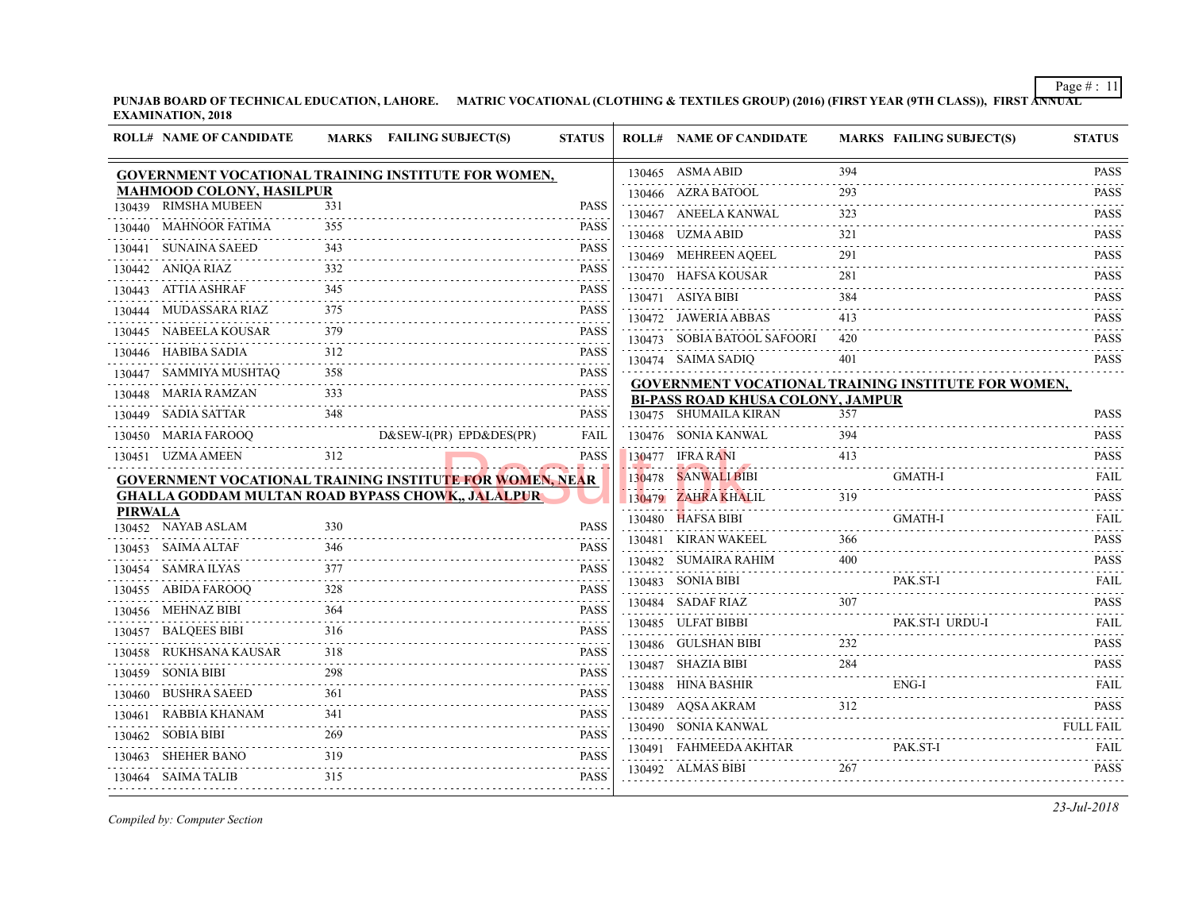⊤

|                | <b>ROLL# NAME OF CANDIDATE</b>  |               | MARKS FAILING SUBJECT(S)                                        | <b>STATUS</b>                                                                                                                                                                                                                                                                                                                                                                                                                  | <b>ROLL# NAME OF CANDIDATE</b>                                                        | <b>MARKS FAIL</b> |
|----------------|---------------------------------|---------------|-----------------------------------------------------------------|--------------------------------------------------------------------------------------------------------------------------------------------------------------------------------------------------------------------------------------------------------------------------------------------------------------------------------------------------------------------------------------------------------------------------------|---------------------------------------------------------------------------------------|-------------------|
|                |                                 |               | GOVERNMENT VOCATIONAL TRAINING INSTITUTE FOR WOMEN,             |                                                                                                                                                                                                                                                                                                                                                                                                                                | 130465 ASMA ABID                                                                      | 394               |
|                | <b>MAHMOOD COLONY, HASILPUR</b> |               |                                                                 |                                                                                                                                                                                                                                                                                                                                                                                                                                | 130466 AZRA BATOOL                                                                    | 293               |
|                | 130439 RIMSHA MUBEEN            | 331           |                                                                 | <b>PASS</b>                                                                                                                                                                                                                                                                                                                                                                                                                    | 130467 ANEELA KANWAL                                                                  | 323               |
|                | 130440 MAHNOOR FATIMA           | 355           |                                                                 | <b>PASS</b>                                                                                                                                                                                                                                                                                                                                                                                                                    | 130468 UZMA ABID                                                                      | 321               |
|                | 130441 SUNAINA SAEED            | 343           |                                                                 | PASS                                                                                                                                                                                                                                                                                                                                                                                                                           | 130469 MEHREEN AQEEL                                                                  | 291               |
| .              | 130442 ANIQA RIAZ               | 332           |                                                                 | <b>PASS</b>                                                                                                                                                                                                                                                                                                                                                                                                                    | 130470 HAFSA KOUSAR                                                                   | 281               |
|                | 130443 ATTIA ASHRAF             | 345           |                                                                 | <b>PASS</b>                                                                                                                                                                                                                                                                                                                                                                                                                    | 130471 ASIYA BIBI                                                                     | 384               |
|                | 130444 MUDASSARA RIAZ           | 375           |                                                                 | PASS<br><b><i><u>Property</u></i></b>                                                                                                                                                                                                                                                                                                                                                                                          | 130472 JAWERIA ABBAS                                                                  | 413               |
|                | 130445 NABEELA KOUSAR           | 379           |                                                                 | <b>PASS</b><br>.                                                                                                                                                                                                                                                                                                                                                                                                               | 130473 SOBIA BATOOL SAFOORI                                                           | 420               |
|                | 130446 HABIBA SADIA<br>.        | 312           |                                                                 | <b>PASS</b>                                                                                                                                                                                                                                                                                                                                                                                                                    | 130474 SAIMA SADIQ                                                                    | 401               |
|                | 130447 SAMMIYA MUSHTAQ          | 358           |                                                                 | <b>PASS</b><br><u>.</u>                                                                                                                                                                                                                                                                                                                                                                                                        |                                                                                       |                   |
|                | 130448 MARIA RAMZAN             | 333           |                                                                 | <b>PASS</b>                                                                                                                                                                                                                                                                                                                                                                                                                    | <b>GOVERNMENT VOCATIONAL TRAINING INS</b><br><b>BI-PASS ROAD KHUSA COLONY, JAMPUR</b> |                   |
|                | 130449 SADIA SATTAR             | 348           |                                                                 | $-1 - 1 - 1 - 1$<br><b>PASS</b>                                                                                                                                                                                                                                                                                                                                                                                                | 130475     SHUMAILA KIRAN                                                             | 357               |
|                | 130450 MARIA FAROOO             |               | D&SEW-I(PR) EPD&DES(PR)                                         | FAIL                                                                                                                                                                                                                                                                                                                                                                                                                           | 130476 SONIA KANWAL                                                                   | 394               |
|                | 130451 UZMA AMEEN               | 312           |                                                                 | .<br><b>PASS</b>                                                                                                                                                                                                                                                                                                                                                                                                               | 130477 IFRA RANI                                                                      | 413               |
|                |                                 |               | <b>GOVERNMENT VOCATIONAL TRAINING INSTITUTE FOR WOMEN, NEAR</b> |                                                                                                                                                                                                                                                                                                                                                                                                                                | 130478 SANWALI BIBI                                                                   | <b>GMA</b>        |
|                |                                 |               | <b>GHALLA GODDAM MULTAN ROAD BYPASS CHOWK,, JALALPUR</b>        |                                                                                                                                                                                                                                                                                                                                                                                                                                | 130479 ZAHRA KHALIL                                                                   | 319               |
| <b>PIRWALA</b> | 130452 NAYAB ASLAM              | 330           |                                                                 | <b>PASS</b>                                                                                                                                                                                                                                                                                                                                                                                                                    | 130480 HAFSA BIBI                                                                     | <b>GMA</b>        |
|                | 130453 SAIMA ALTAF              | 346           |                                                                 | <b>PASS</b>                                                                                                                                                                                                                                                                                                                                                                                                                    | 130481 KIRAN WAKEEL                                                                   | 366               |
|                |                                 | 377           |                                                                 |                                                                                                                                                                                                                                                                                                                                                                                                                                | 130482 SUMAIRA RAHIM                                                                  | 400               |
|                | 130454 SAMRA ILYAS<br>.         |               |                                                                 | <b>PASS</b><br>.                                                                                                                                                                                                                                                                                                                                                                                                               | 130483 SONIA BIBI                                                                     | PAK.              |
|                | 130455 ABIDA FAROOQ             | 328           |                                                                 | PASS<br>.                                                                                                                                                                                                                                                                                                                                                                                                                      | 130484 SADAF RIAZ                                                                     | 307               |
| .              | 130456 MEHNAZ BIBI<br>.         | 364           |                                                                 | <b>PASS</b>                                                                                                                                                                                                                                                                                                                                                                                                                    | 130485 ULFAT BIBBI                                                                    | PAK.              |
|                | 130457 BALQEES BIBI             | 316           |                                                                 | PASS                                                                                                                                                                                                                                                                                                                                                                                                                           | 130486 GULSHAN BIBI                                                                   | 232               |
|                | 130458 RUKHSANA KAUSAR          | 318           |                                                                 | PASS<br>$\mathbf{1} \mathbf{1} \mathbf{1} \mathbf{1} \mathbf{1} \mathbf{1} \mathbf{1} \mathbf{1} \mathbf{1} \mathbf{1} \mathbf{1} \mathbf{1} \mathbf{1} \mathbf{1} \mathbf{1} \mathbf{1} \mathbf{1} \mathbf{1} \mathbf{1} \mathbf{1} \mathbf{1} \mathbf{1} \mathbf{1} \mathbf{1} \mathbf{1} \mathbf{1} \mathbf{1} \mathbf{1} \mathbf{1} \mathbf{1} \mathbf{1} \mathbf{1} \mathbf{1} \mathbf{1} \mathbf{1} \mathbf{1} \mathbf{$ | 130487 SHAZIA BIBI                                                                    | 284               |
|                | 130459 SONIA BIBI               | 298<br>111111 |                                                                 | <b>PASS</b><br>الداعات عاملا                                                                                                                                                                                                                                                                                                                                                                                                   | 130488 HINA BASHIR                                                                    | ENG-              |
|                | 130460 BUSHRA SAEED             | 361           |                                                                 | <b>PASS</b><br>. <b>.</b> .                                                                                                                                                                                                                                                                                                                                                                                                    | 130489 AQSA AKRAM                                                                     | 312               |
|                | 130461 RABBIA KHANAM            | 341           |                                                                 | PASS                                                                                                                                                                                                                                                                                                                                                                                                                           |                                                                                       |                   |
|                | 130462 SOBIA BIBI               | 269           |                                                                 | <b>PASS</b><br>.                                                                                                                                                                                                                                                                                                                                                                                                               | 130490 SONIA KANWAL                                                                   | PAK.              |
|                | 130463 SHEHER BANO              | 319           |                                                                 | PASS<br>.                                                                                                                                                                                                                                                                                                                                                                                                                      | 130491 FAHMEEDA AKHTAR                                                                |                   |
|                | 130464 SAIMA TALIB              | 315           |                                                                 | PASS                                                                                                                                                                                                                                                                                                                                                                                                                           | 130492 ALMAS BIBI                                                                     | 267               |
|                |                                 |               |                                                                 |                                                                                                                                                                                                                                                                                                                                                                                                                                |                                                                                       |                   |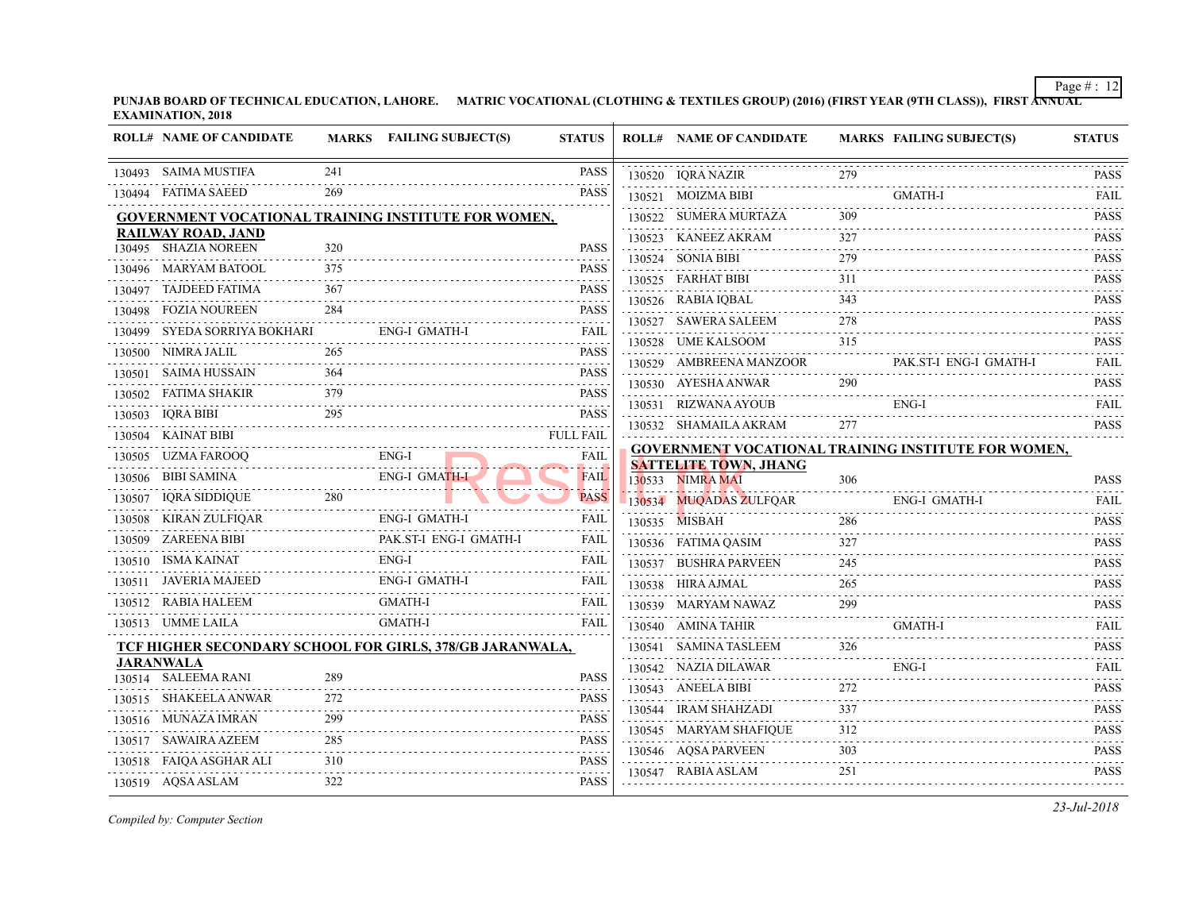|        | <b>ROLL# NAME OF CANDIDATE</b> |          | MARKS FAILING SUBJECT(S)                                   | <b>STATUS</b>                                                                                                                                                                               | <b>ROLL# NAME OF CANDIDATE</b>                   | <b>MARKS FAIL</b> |      |
|--------|--------------------------------|----------|------------------------------------------------------------|---------------------------------------------------------------------------------------------------------------------------------------------------------------------------------------------|--------------------------------------------------|-------------------|------|
|        | 130493 SAIMA MUSTIFA           | 241      |                                                            | <b>PASS</b>                                                                                                                                                                                 | 130520 IQRA NAZIR                                | 279               |      |
|        | 130494 FATIMA SAEED            | 269      |                                                            | <b>PASS</b>                                                                                                                                                                                 | 130521 MOIZMA BIBI                               |                   | GMA  |
|        |                                |          | <b>GOVERNMENT VOCATIONAL TRAINING INSTITUTE FOR WOMEN,</b> |                                                                                                                                                                                             | 130522 SUMERA MURTAZA                            | 309               |      |
|        | <b>RAILWAY ROAD, JAND</b>      |          |                                                            |                                                                                                                                                                                             | 130523 KANEEZ AKRAM                              | 327               |      |
|        | 130495 SHAZIA NOREEN           | 320      |                                                            | <b>PASS</b>                                                                                                                                                                                 | 130524 SONIA BIBI                                | 279               |      |
|        | 130496 MARYAM BATOOL           | 375      |                                                            | <b>PASS</b>                                                                                                                                                                                 | 130525 FARHAT BIBI                               | 311               |      |
| 130497 | TAJDEED FATIMA                 | 367      |                                                            | <b>PASS</b>                                                                                                                                                                                 | 130526 RABIA IQBAL                               | 343               |      |
|        | 130498 FOZIA NOUREEN           | 284      |                                                            | <b>PASS</b>                                                                                                                                                                                 | 130527 SAWERA SALEEM                             | 278               |      |
| 130499 | SYEDA SORRIYA BOKHARI          |          | ENG-I GMATH-I                                              | FAIL                                                                                                                                                                                        | 130528 UME KALSOOM                               | 315               |      |
|        | 130500 NIMRA JALIL             | 265      |                                                            | <b>PASS</b>                                                                                                                                                                                 | 130529 AMBREENA MANZOOR                          |                   | PAK. |
|        | 130501 SAIMA HUSSAIN           | 364      |                                                            | <b>PASS</b>                                                                                                                                                                                 |                                                  |                   |      |
| 130502 | FATIMA SHAKIR                  | 379      |                                                            | $\mathcal{L}^{\mathcal{A}}\left( \mathcal{L}^{\mathcal{A}}\left( \mathcal{L}^{\mathcal{A}}\right) \right) =\mathcal{L}^{\mathcal{A}}\left( \mathcal{L}^{\mathcal{A}}\right)$<br><b>PASS</b> | 130530 AYESHA ANWAR                              | 290               |      |
| 130503 | IQRA BIBI                      | 295      |                                                            | $\mathcal{L}^{\mathcal{A}}\left( \mathcal{L}^{\mathcal{A}}\left( \mathcal{L}^{\mathcal{A}}\right) \right) =\mathcal{L}^{\mathcal{A}}\left( \mathcal{L}^{\mathcal{A}}\right)$<br><b>PASS</b> | 130531 RIZWANA AYOUB                             |                   | ENG- |
|        | 130504 KAINAT BIBI             |          |                                                            | .<br><b>FULL FAIL</b>                                                                                                                                                                       | 130532 SHAMAILA AKRAM                            | 277               |      |
| 130505 | UZMA FAROOQ                    |          | ENG-I                                                      | FAIL                                                                                                                                                                                        | <b>GOVERNMENT VOCATIONAL TRAINING INS</b>        |                   |      |
|        | 130506 BIBI SAMINA             |          | <b>ENG-I GMATH-I</b>                                       | .<br><b>FAIL</b>                                                                                                                                                                            | <b>SATTELITE TOWN, JHANG</b><br>130533 NIMRA MAI | 306               |      |
|        | 130507 IQRA SIDDIQUE           | 280      |                                                            | <b>PASS</b>                                                                                                                                                                                 | 130534 MUQADAS ZULFQAR                           |                   | ENG- |
| 130508 | KIRAN ZULFIQAR                 |          | ENG-I GMATH-I                                              | FAIL                                                                                                                                                                                        | 130535 MISBAH                                    | 286               |      |
|        | 130509 ZAREENA BIBI            |          | PAK.ST-I ENG-I GMATH-I                                     | FAIL                                                                                                                                                                                        | 130536 FATIMA QASIM                              | 327               |      |
|        | 130510 ISMA KAINAT             |          | $ENG-I$                                                    | FAIL                                                                                                                                                                                        | 130537 BUSHRA PARVEEN                            | 245               |      |
|        | 130511 JAVERIA MAJEED          |          | ENG-I GMATH-I                                              | FAIL                                                                                                                                                                                        | 130538 HIRA AJMAL                                | 265               |      |
|        | 130512 RABIA HALEEM            |          | <b>GMATH-I</b>                                             | FAIL                                                                                                                                                                                        | 130539 MARYAM NAWAZ                              | 299               |      |
|        | 130513 UMME LAILA              |          | <b>GMATH-I</b>                                             | FAIL                                                                                                                                                                                        | 130540 AMINA TAHIR                               |                   | GMA  |
|        |                                |          | TCF HIGHER SECONDARY SCHOOL FOR GIRLS, 378/GB JARANWALA,   |                                                                                                                                                                                             | 130541 SAMINA TASLEEM                            | 326               |      |
|        | <b>JARANWALA</b>               | 289      |                                                            |                                                                                                                                                                                             | 130542 NAZIA DILAWAR                             |                   | ENG- |
|        | 130514 SALEEMA RANI            |          |                                                            | <b>PASS</b><br>.                                                                                                                                                                            | 130543 ANEELA BIBI                               | 272               |      |
|        | 130515 SHAKEELA ANWAR          | 272      |                                                            | <b>PASS</b>                                                                                                                                                                                 | 130544 IRAM SHAHZADI                             | 337               |      |
|        | 130516 MUNAZA IMRAN            | 299<br>. |                                                            | <b>PASS</b>                                                                                                                                                                                 | 130545 MARYAM SHAFIQUE                           | 312               |      |
|        | 130517 SAWAIRA AZEEM           | 285<br>. |                                                            | <b>PASS</b>                                                                                                                                                                                 | 130546 AQSA PARVEEN                              | 303               |      |
|        | 130518 FAIQA ASGHAR ALI        | 310      |                                                            | <b>PASS</b>                                                                                                                                                                                 | 130547 RABIA ASLAM                               | 251               |      |
|        | 130519 AQSA ASLAM              | 322      |                                                            | <b>PASS</b>                                                                                                                                                                                 |                                                  |                   |      |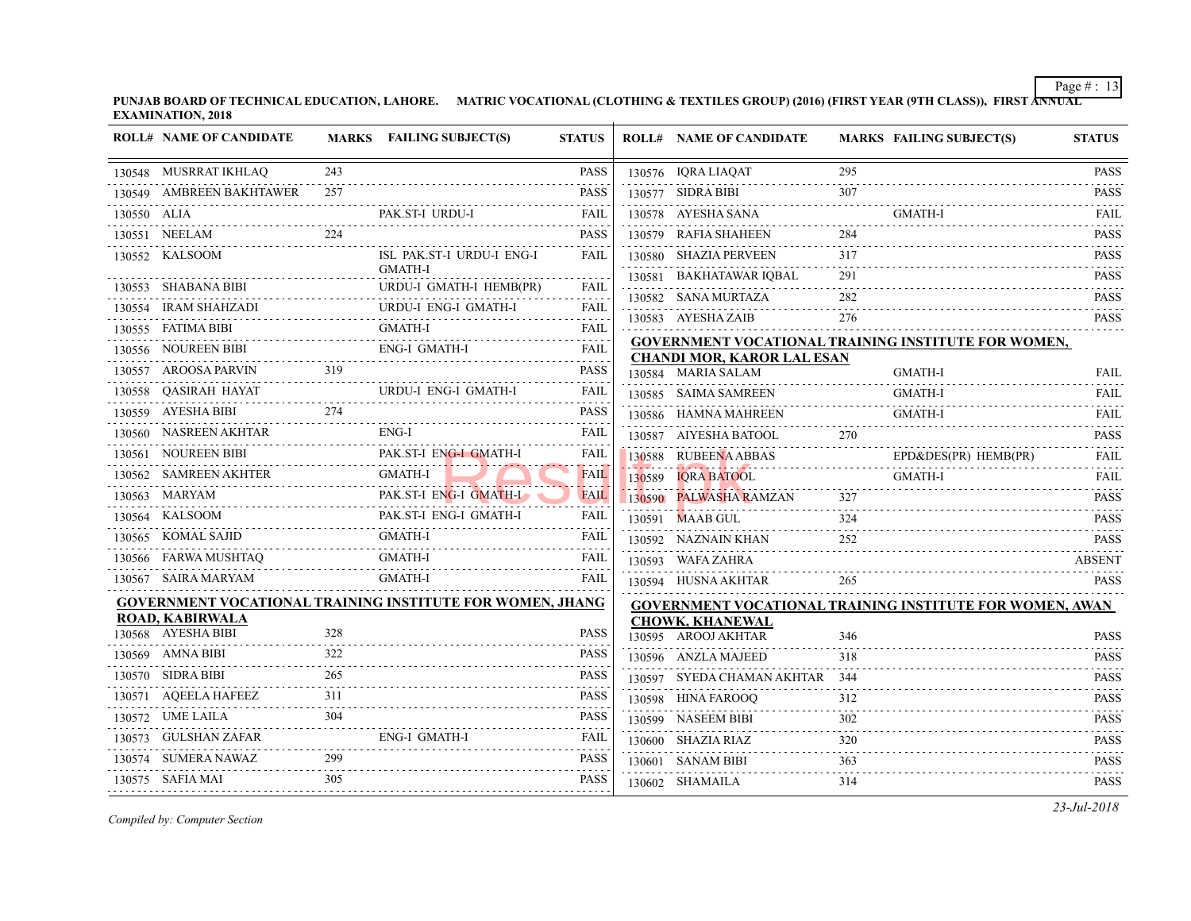|             | <b>ROLL# NAME OF CANDIDATE</b>        |            | MARKS FAILING SUBJECT(S)                                         | <b>STATUS</b> | <b>ROLL# NAME OF CANDIDATE</b>                                                 | <b>MARKS FAIL</b> |             |
|-------------|---------------------------------------|------------|------------------------------------------------------------------|---------------|--------------------------------------------------------------------------------|-------------------|-------------|
|             | 130548 MUSRRAT IKHLAQ                 | 243        |                                                                  | PASS.         | 130576 IQRA LIAQAT                                                             | 295               |             |
|             | 130549 AMBREEN BAKHTAWER              | 257        |                                                                  | <b>PASS</b>   | 130577 SIDRA BIBI                                                              | 307               |             |
| 130550 ALIA |                                       |            | PAK.ST-I URDU-I                                                  | FAIL          | 130578 AYESHA SANA                                                             |                   | <b>GMA</b>  |
|             | 130551 NEELAM                         | 224        |                                                                  | <b>PASS</b>   | 130579 RAFIA SHAHEEN                                                           | 284               |             |
|             | 130552 KALSOOM                        |            | ISL PAK.ST-I URDU-I ENG-I<br><b>GMATH-I</b>                      | FAIL          | 130580 SHAZIA PERVEEN<br>130581 BAKHATAWAR IOBAL                               | 317<br>291        |             |
|             | 130553 SHABANA BIBI                   |            | URDU-I GMATH-I HEMB(PR)                                          | FAIL          | 130582 SANA MURTAZA                                                            | 282               |             |
|             | 130554 IRAM SHAHZADI                  |            | URDU-I ENG-I GMATH-I                                             | FAIL          | 130583 AYESHA ZAIB                                                             | 276               |             |
|             | 130555 FATIMA BIBI                    |            | <b>GMATH-I</b>                                                   | <b>FAIL</b>   |                                                                                |                   |             |
|             | 130556 NOUREEN BIBI                   |            | <b>ENG-I GMATH-I</b>                                             | FAIL          | <b>GOVERNMENT VOCATIONAL TRAINING INS</b><br><b>CHANDI MOR, KAROR LAL ESAN</b> |                   |             |
|             | 130557 AROOSA PARVIN                  | 319        |                                                                  | PASS          | 130584 MARIA SALAM                                                             |                   | <b>GMA</b>  |
|             | 130558 QASIRAH HAYAT                  |            | URDU-I ENG-I GMATH-I                                             | FAIL          | 130585 SAIMA SAMREEN                                                           |                   | <b>GMA</b>  |
|             | 130559 AYESHA BIBI                    | 274        |                                                                  | PASS          | 130586 HAMNA MAHREEN                                                           |                   | GMA         |
|             | 130560 NASREEN AKHTAR                 |            | ENG-I                                                            | FAIL          | 130587 AIYESHA BATOOL                                                          | 270               |             |
|             | 130561 NOUREEN BIBI                   |            | PAK.ST-I ENG-I GMATH-I                                           | FAIL          | 130588 RUBEENA ABBAS                                                           |                   | $EPD\delta$ |
|             | 130562 SAMREEN AKHTER                 |            | <b>GMATH-I</b>                                                   | <b>FAIL</b>   | 130589 IQRA BATOOL                                                             |                   | <b>GMA</b>  |
|             | 130563 MARYAM                         |            | PAK.ST-I ENG-I GMATH-I                                           | <b>FAIL</b>   | 130590 PALWASHA RAMZAN                                                         | 327               |             |
|             | 130564 KALSOOM                        |            | PAK.ST-I ENG-I GMATH-I                                           | FAIL          | 130591 MAAB GUL                                                                | 324               |             |
|             | 130565 KOMAL SAJID                    |            | <b>GMATH-I</b><br>.                                              | FAIL          | 130592 NAZNAIN KHAN                                                            | 252               |             |
|             | 130566 FARWA MUSHTAQ                  |            | GMATH-I                                                          | FAIL          | 130593 WAFA ZAHRA                                                              |                   |             |
|             | 130567 SAIRA MARYAM                   |            | <b>GMATH-I</b>                                                   | <b>FAIL</b>   | 130594 HUSNA AKHTAR                                                            | 265               |             |
|             |                                       |            | <b>GOVERNMENT VOCATIONAL TRAINING INSTITUTE FOR WOMEN, JHANG</b> |               | <b>GOVERNMENT VOCATIONAL TRAINING INS</b>                                      |                   |             |
|             | ROAD, KABIRWALA<br>130568 AYESHA BIBI | 328        |                                                                  | PASS          | <b>CHOWK, KHANEWAL</b>                                                         |                   |             |
|             | 130569 AMNA BIBI                      | 322        |                                                                  | PASS          | 130595 AROOJ AKHTAR                                                            | 346               |             |
|             |                                       | 265        |                                                                  |               | 130596 ANZLA MAJEED                                                            | 318               |             |
|             | 130570 SIDRA BIBI                     |            |                                                                  | PASS          | 130597 SYEDA CHAMAN AKHTAR 344                                                 |                   |             |
|             | 130571 AQEELA HAFEEZ<br><u>.</u>      | 311<br>304 |                                                                  | PASS          | 130598 HINA FAROOQ                                                             | 312               |             |
|             | 130572 UME LAILA                      |            |                                                                  | PASS          | 130599 NASEEM BIBI                                                             | 302               |             |
|             | 130573 GULSHAN ZAFAR                  |            | ENG-I GMATH-I                                                    | FAIL          | 130600 SHAZIA RIAZ                                                             | 320               |             |
|             |                                       |            |                                                                  | <b>PASS</b>   | 130601 SANAM BIBI                                                              | 363               |             |
|             | 130575 SAFIA MAI                      | 305        |                                                                  | <b>PASS</b>   | 130602 SHAMAILA                                                                | 314               |             |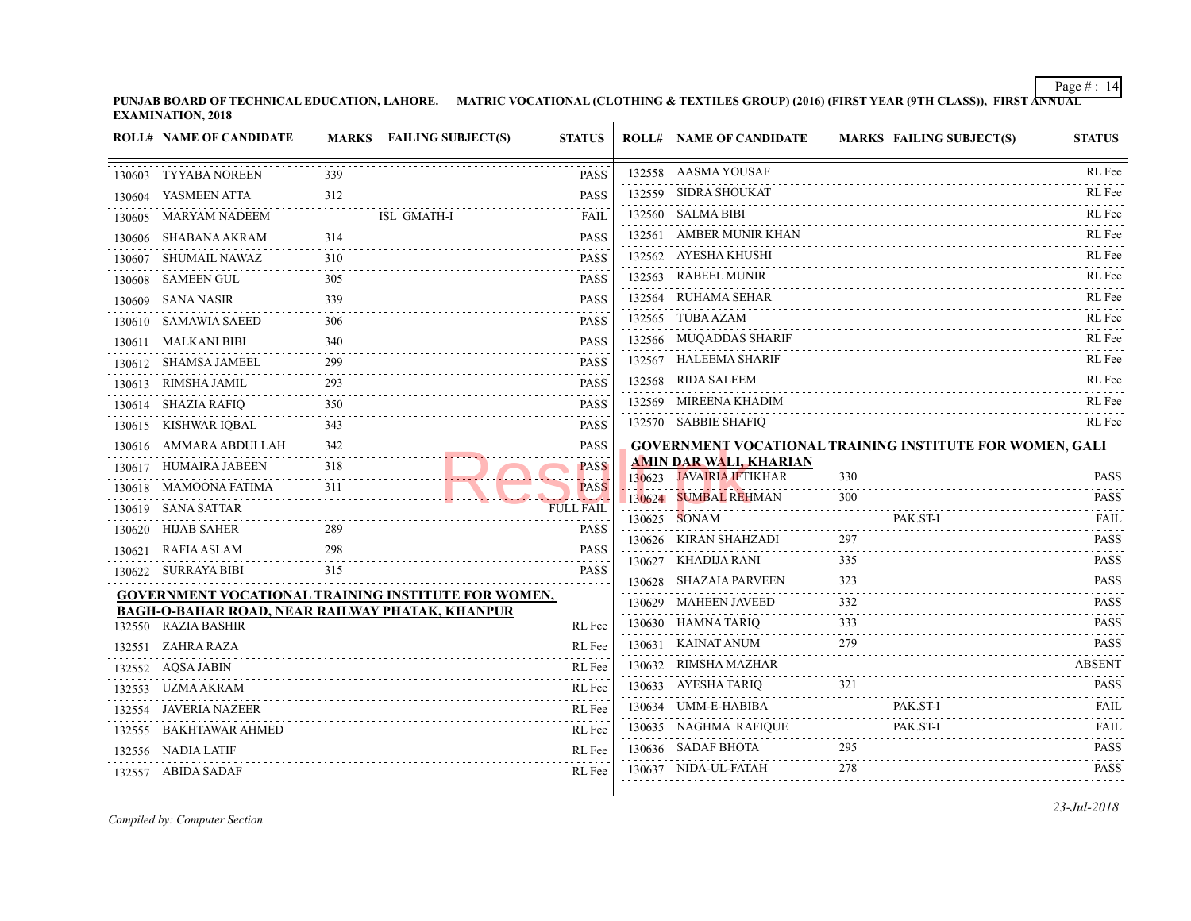**PUNJAB BOARD OF TECHNICAL EDUCATION, LAHORE. MATRIC VOCATIONAL (CLOTHING & TEXTILES GROUP) (2016) (FIRST YEAR (97 EXAMINATION, 2018**  $\overline{1}$ 

|        | <b>ROLL# NAME OF CANDIDATE</b>                         |                        | MARKS FAILING SUBJECT(S) | <b>STATUS</b>    | <b>ROLL# NAME OF CANDIDATE</b>                            | <b>MARKS FAIL</b> |
|--------|--------------------------------------------------------|------------------------|--------------------------|------------------|-----------------------------------------------------------|-------------------|
| 130603 | TYYABA NOREEN                                          | 339                    |                          | <b>PASS</b>      | 132558 AASMA YOUSAF                                       |                   |
| 130604 | YASMEEN ATTA                                           | 312                    |                          | <b>PASS</b>      | 132559 SIDRA SHOUKAT                                      |                   |
| 130605 | MARYAM NADEEM                                          |                        | ISL GMATH-I              | FAIL             | 132560 SALMA BIBI                                         |                   |
|        | 130606 SHABANA AKRAM                                   | 314                    |                          | PASS             | 132561 AMBER MUNIR KHAN                                   |                   |
| 130607 | SHUMAIL NAWAZ                                          | 310                    |                          | <b>PASS</b>      | 132562 AYESHA KHUSHI                                      |                   |
|        | 130608 SAMEEN GUL                                      | 305                    |                          | <b>PASS</b>      | 132563 RABEEL MUNIR                                       |                   |
|        | 130609 SANA NASIR                                      | 339                    |                          | <b>PASS</b>      | 132564 RUHAMA SEHAR                                       |                   |
|        | 130610 SAMAWIA SAEED                                   | 306                    |                          | <b>PASS</b>      | 132565 TUBA AZAM                                          |                   |
|        | 130611 MALKANI BIBI                                    | 340                    |                          | <b>PASS</b>      | 132566 MUQADDAS SHARIF                                    |                   |
|        | 130612 SHAMSA JAMEEL                                   | 299<br>$- - - - - - -$ |                          | <b>PASS</b>      | 132567 HALEEMA SHARIF                                     |                   |
|        | 130613 RIMSHA JAMIL                                    | 293                    |                          | <b>PASS</b>      | 132568 RIDA SALEEM                                        |                   |
|        | 130614 SHAZIA RAFIQ                                    | 350                    |                          | <b>PASS</b>      | 132569 MIREENA KHADIM                                     |                   |
|        | 130615 KISHWAR IQBAL                                   | 343                    |                          | <b>PASS</b>      | 132570 SABBIE SHAFIO                                      |                   |
|        | 130616 AMMARA ABDULLAH                                 | 342                    |                          | PASS             | <b>GOVERNMENT VOCATIONAL TRAINING INS</b>                 |                   |
|        | 130617 HUMAIRA JABEEN                                  | 318                    |                          | <b>PASS</b>      | <b>AMIN DAR WALI, KHARIAN</b><br>130623 JAVAIRIA IFTIKHAR | 330               |
|        | 130618 MAMOONA FATIMA                                  | 311                    |                          | <b>PASS</b>      | 130624 SUMBAL REHMAN                                      | 300               |
|        | 130619 SANA SATTAR                                     |                        |                          | <b>FULL FAIL</b> | 130625 SONAM                                              | PAK.              |
|        | 130620 HIJAB SAHER                                     | 289                    |                          | <b>PASS</b>      |                                                           | 297               |
|        | 130621 RAFIA ASLAM                                     | 298                    |                          | PASS             | 130626 KIRAN SHAHZADI                                     | 335               |
|        | 130622 SURRAYA BIBI                                    | 315                    |                          | PASS             | 130627 KHADIJA RANI<br>130628 SHAZAIA PARVEEN             | 323               |
|        | GOVERNMENT VOCATIONAL TRAINING INSTITUTE FOR WOMEN,    |                        |                          |                  | 130629 MAHEEN JAVEED                                      | 332               |
|        | <b>BAGH-O-BAHAR ROAD, NEAR RAILWAY PHATAK, KHANPUR</b> |                        |                          |                  | 130630 HAMNA TARIQ                                        | 333               |
|        | 132550 RAZIA BASHIR                                    |                        |                          | RL Fee           | 130631 KAINAT ANUM                                        | 279               |
|        | 132551 ZAHRA RAZA                                      |                        |                          | RL Fee           | 130632 RIMSHA MAZHAR                                      |                   |
|        | 132552 AQSA JABIN                                      |                        |                          | RL Fee           | 130633 AYESHA TARIQ                                       | 321               |
|        | 132553 UZMA AKRAM                                      |                        |                          | RL Fee           | 130634 UMM-E-HABIBA                                       | PAK.              |
| 132554 | JAVERIA NAZEER                                         |                        |                          | RL Fee           |                                                           |                   |
|        | 132555 BAKHTAWAR AHMED                                 |                        |                          | RL Fee           | 130635 NAGHMA RAFIQUE                                     | PAK.              |
|        | 132556 NADIA LATIF                                     |                        |                          | RL Fee           | 130636 SADAF BHOTA                                        | 295               |
|        | 132557 ABIDA SADAF                                     |                        |                          | RL Fee           | 130637 NIDA-UL-FATAH                                      | 278               |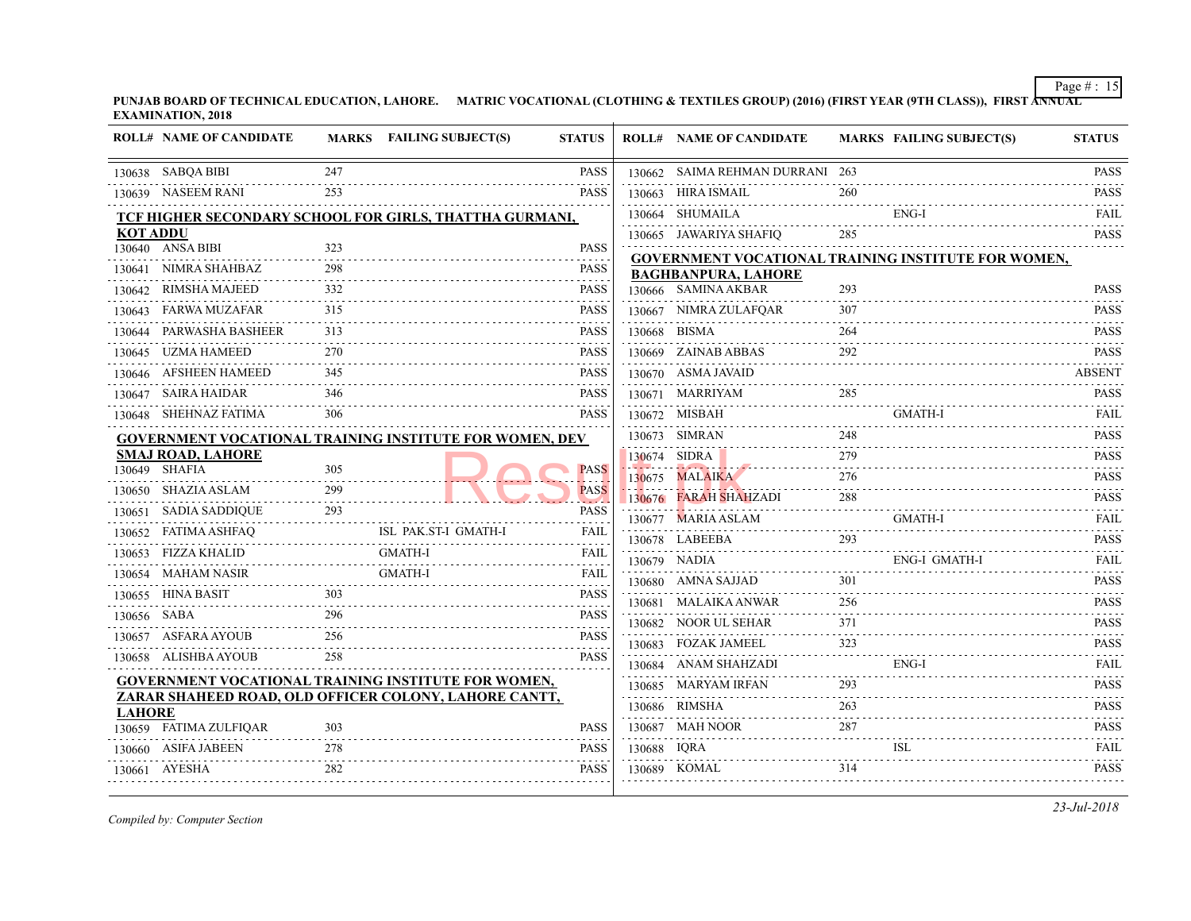⊤

|                 | <b>ROLL# NAME OF CANDIDATE</b> |          | MARKS FAILING SUBJECT(S)                                       | <b>STATUS</b>        |             | <b>ROLL# NAME OF CANDIDATE</b>                                                                                                  | <b>MARKS FAIL</b> |            |
|-----------------|--------------------------------|----------|----------------------------------------------------------------|----------------------|-------------|---------------------------------------------------------------------------------------------------------------------------------|-------------------|------------|
|                 | 130638 SABQA BIBI              | 247<br>. |                                                                | <b>PASS</b>          |             | 130662 SAIMA REHMAN DURRANI 263                                                                                                 |                   |            |
|                 | 130639 NASEEM RANI             | 253      |                                                                | .<br><b>PASS</b>     |             | 130663 HIRA ISMAIL                                                                                                              | 260               |            |
|                 |                                |          | TCF HIGHER SECONDARY SCHOOL FOR GIRLS, THATTHA GURMANI,        |                      |             | 130664 SHUMAILA                                                                                                                 |                   | ENG-       |
| <b>KOT ADDU</b> |                                |          |                                                                |                      |             | 130665 JAWARIYA SHAFIO                                                                                                          | 285               |            |
|                 | 130640 ANSA BIBI               | 323      |                                                                | <b>PASS</b>          |             | <b>GOVERNMENT VOCATIONAL TRAINING INS</b>                                                                                       |                   |            |
| 130641          | NIMRA SHAHBAZ                  | 298      |                                                                | <b>PASS</b>          |             | <b>BAGHBANPURA, LAHORE</b>                                                                                                      |                   |            |
| 130642          | RIMSHA MAJEED                  | 332      |                                                                | <b>PASS</b>          |             | 130666 SAMINA AKBAR                                                                                                             | 293               |            |
|                 | 130643 FARWA MUZAFAR           | 315      |                                                                | <b>PASS</b>          |             | 130667 NIMRA ZULAFQAR                                                                                                           | 307               |            |
| 130644          | PARWASHA BASHEER               | 313      |                                                                | <b>PASS</b>          |             | 130668 BISMA                                                                                                                    | 264               |            |
|                 | 130645 UZMA HAMEED             | 270      |                                                                | PASS                 |             | 130669 ZAINAB ABBAS                                                                                                             | 292               |            |
|                 | 130646 AFSHEEN HAMEED          | 345      |                                                                | <b>PASS</b>          |             | 130670 ASMA JAVAID                                                                                                              |                   |            |
|                 | 130647 SAIRA HAIDAR            | 346      |                                                                | <b>PASS</b>          |             | 130671 MARRIYAM                                                                                                                 | 285               |            |
|                 | 130648 SHEHNAZ FATIMA          | 306      |                                                                | <b>PASS</b>          |             | 130672 MISBAH                                                                                                                   |                   | <b>GMA</b> |
|                 |                                |          | <b>GOVERNMENT VOCATIONAL TRAINING INSTITUTE FOR WOMEN, DEV</b> |                      |             | 130673 SIMRAN                                                                                                                   | 248               |            |
|                 | <b>SMAJ ROAD, LAHORE</b>       |          |                                                                |                      |             | 130674 SIDRA                                                                                                                    | 279               |            |
|                 | 130649 SHAFIA                  | 305<br>. |                                                                | <b>PASS</b>          |             | de a a a de la construcción de la construcción de la construcción de la construcción de la construcción de la<br>130675 MALAIKA | 276               |            |
|                 | 130650 SHAZIA ASLAM            | 299      |                                                                | <b>PASS</b><br>2.724 |             | 130676 FARAH SHAHZADI                                                                                                           | 288               |            |
|                 | 130651 SADIA SADDIQUE          | 293      |                                                                | <b>PASS</b><br>.     |             | 130677 MARIA ASLAM                                                                                                              |                   | <b>GMA</b> |
|                 | 130652 FATIMA ASHFAQ           |          | ISL PAK.ST-I GMATH-I                                           | FAIL                 |             | 130678 LABEEBA                                                                                                                  | 293               |            |
|                 | 130653 FIZZA KHALID            |          | <b>GMATH-I</b>                                                 | FAIL                 |             | 130679 NADIA                                                                                                                    |                   | ENG-       |
|                 | 130654 MAHAM NASIR             |          | <b>GMATH-I</b>                                                 | FAIL<br>.            |             | 130680 AMNA SAJJAD                                                                                                              | 301               |            |
|                 | 130655 HINA BASIT              | 303      |                                                                | <b>PASS</b>          |             | 130681 MALAIKA ANWAR                                                                                                            | 256               |            |
| 130656 SABA     |                                | 296      |                                                                | <b>PASS</b>          |             | 130682 NOOR UL SEHAR                                                                                                            | 371               |            |
|                 | 130657 ASFARA AYOUB            | 256      |                                                                | .<br><b>PASS</b>     |             | 130683 FOZAK JAMEEL                                                                                                             | 323               |            |
|                 | 130658 ALISHBA AYOUB           | 258      |                                                                | <b>PASS</b>          |             | 130684 ANAM SHAHZADI                                                                                                            |                   | ENG-       |
|                 |                                |          | <b>GOVERNMENT VOCATIONAL TRAINING INSTITUTE FOR WOMEN,</b>     |                      |             | 130685 MARYAM IRFAN                                                                                                             | 293               |            |
|                 |                                |          | ZARAR SHAHEED ROAD, OLD OFFICER COLONY, LAHORE CANTT,          |                      |             | 130686 RIMSHA                                                                                                                   | 263               |            |
| <b>LAHORE</b>   | 130659 FATIMA ZULFIQAR         | 303      |                                                                | <b>PASS</b>          |             | 130687 MAH NOOR                                                                                                                 | 287               |            |
|                 | 130660 ASIFA JABEEN            | 278      |                                                                | PASS                 | 130688 IQRA |                                                                                                                                 |                   | ISL        |
|                 |                                | 282      |                                                                | <b>PASS</b>          |             |                                                                                                                                 | 314               |            |
|                 | 130661 AYESHA                  |          |                                                                |                      |             | 130689 KOMAL                                                                                                                    |                   |            |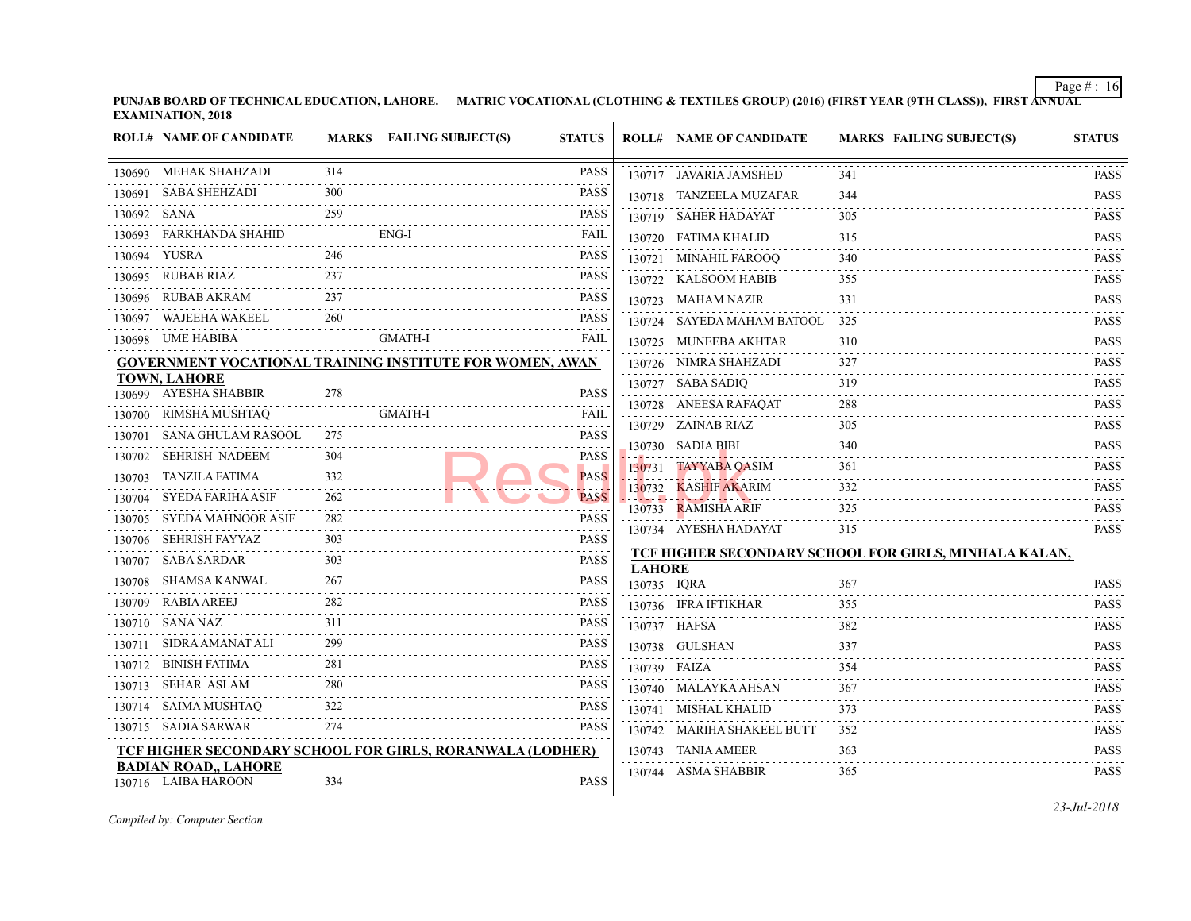**PUNJAB BOARD OF TECHNICAL EDUCATION, LAHORE.** MATRIC VOCATIONAL (CLOTHING & TEXTILES GROUP) (2016) (FIRST YEAR (9TH CLASS) **EXAMINATION, 2018**

|   | <b>ROLL# NAME OF CANDIDATE</b>                     |                 | MARKS FAILING SUBJECT(S)                                        | <b>STATUS</b>    |               | <b>ROLL# NAME OF CANDIDATE</b>                             | <b>MARKS FAIL</b> |
|---|----------------------------------------------------|-----------------|-----------------------------------------------------------------|------------------|---------------|------------------------------------------------------------|-------------------|
|   | 130690 MEHAK SHAHZADI                              | 314             |                                                                 | <b>PASS</b>      |               | 130717 JAVARIA JAMSHED                                     | 341               |
|   | 130691 – SABA SHEHZADI                             | 300<br><u>.</u> |                                                                 | <b>PASS</b>      |               | 130718 TANZEELA MUZAFAR                                    | 344               |
| . | 130692 SANA                                        | 259             |                                                                 | <b>PASS</b>      |               | 130719 SAHER HADAYAT                                       | 305               |
|   | 130693 FARKHANDA SHAHID                            |                 | ENG-I                                                           | FAIL             |               | 130720 FATIMA KHALID                                       | 315               |
|   | 130694 YUSRA                                       | 246             |                                                                 | <b>PASS</b>      |               | 130721 MINAHIL FAROOQ                                      | 340               |
|   | 130695 RUBAB RIAZ                                  | 237             |                                                                 | <b>PASS</b>      |               | 130722 KALSOOM HABIB                                       | 355               |
|   | 130696 RUBAB AKRAM                                 | 237<br>.        |                                                                 | <b>PASS</b>      |               | 130723 MAHAM NAZIR                                         | 331               |
|   | 130697 WAJEEHA WAKEEL                              | 260             |                                                                 | <b>PASS</b>      |               | 130724 SAYEDA MAHAM BATOOL 325                             |                   |
|   | 130698 UME HABIBA                                  |                 | <b>GMATH-I</b>                                                  | <b>FAIL</b>      |               | 130725 MUNEEBA AKHTAR                                      | 310               |
|   |                                                    |                 | <b>GOVERNMENT VOCATIONAL TRAINING INSTITUTE FOR WOMEN, AWAN</b> |                  |               | 130726 NIMRA SHAHZADI                                      | 327               |
|   | <b>TOWN, LAHORE</b><br>130699 AYESHA SHABBIR       | 278             |                                                                 | <b>PASS</b>      |               | 130727 SABA SADIO                                          | 319               |
|   |                                                    |                 | <b>GMATH-I</b>                                                  | FAIL             |               | 130728 ANEESA RAFAQAT                                      | 288               |
|   | 130700 RIMSHA MUSHTAQ                              | 275             |                                                                 | <b>PASS</b>      |               | 130729 ZAINAB RIAZ                                         | 305               |
|   | 130701 SANA GHULAM RASOOL                          | 304             |                                                                 | <b>PASS</b>      |               | .<br>130730 SADIA BIBI                                     | 340               |
|   | 130702 SEHRISH NADEEM<br>130703 TANZILA FATIMA     | 332             | $r_{\text{AOD}}$                                                | <b>PASS</b>      |               | 130731 TAYYABA QASIM                                       | 361               |
|   | 130704 SYEDA FARIHA ASIF                           | 262             |                                                                 | <b>PASS</b>      |               | 130732 KASHIF AKARIM<br><u>. . German - Manaffin Bir A</u> | 332               |
|   |                                                    | .<br>282        |                                                                 | <b>PASS</b>      |               | 130733 RAMISHA ARIF                                        | 325               |
|   | 130705 SYEDA MAHNOOR ASIF<br>130706 SEHRISH FAYYAZ | 303             |                                                                 | <b>PASS</b>      |               | 130734 AYESHA HADAYAT                                      | 315               |
|   | .<br>130707 SABA SARDAR                            | 303             |                                                                 | .<br><b>PASS</b> |               | <b>TCF HIGHER SECONDARY SCHOOL FOR GII</b>                 |                   |
|   | 130708 SHAMSA KANWAL                               | 267             |                                                                 | <b>PASS</b>      | <b>LAHORE</b> |                                                            |                   |
|   | .<br>130709 RABIA AREEJ                            |                 |                                                                 | <b>PASS</b>      | 130735 IORA   |                                                            | 367               |
|   | 130710 SANA NAZ                                    | 311             |                                                                 | PASS             |               | 130736 IFRA IFTIKHAR                                       | 355               |
|   | 130711 SIDRA AMANAT ALI                            | 299             |                                                                 | <b>PASS</b>      |               | 130737 HAFSA                                               | 382               |
|   | 130712 BINISH FATIMA                               | 281             |                                                                 | PASS             |               | 130738 GULSHAN                                             | 337               |
|   | .<br>130713 SEHAR ASLAM                            | 280             |                                                                 | <b>PASS</b>      |               | 130739 FAIZA                                               | 354               |
|   | 130714 SAIMA MUSHTAQ                               | 322             |                                                                 | <b>PASS</b>      |               | 130740 MALAYKA AHSAN                                       | 367               |
|   | 130715 SADIA SARWAR                                | 274             |                                                                 | <b>PASS</b>      |               | 130741 MISHAL KHALID                                       | 373               |
|   |                                                    |                 |                                                                 |                  |               | 130742 MARIHA SHAKEEL BUTT                                 | 352               |
|   | <b>BADIAN ROAD,, LAHORE</b>                        |                 | TCF HIGHER SECONDARY SCHOOL FOR GIRLS, RORANWALA (LODHER)       |                  |               | 130743 TANIA AMEER                                         | 363               |
|   | 130716 LAIBA HAROON                                | 334             |                                                                 | <b>PASS</b>      |               | 130744 ASMA SHABBIR                                        | 365               |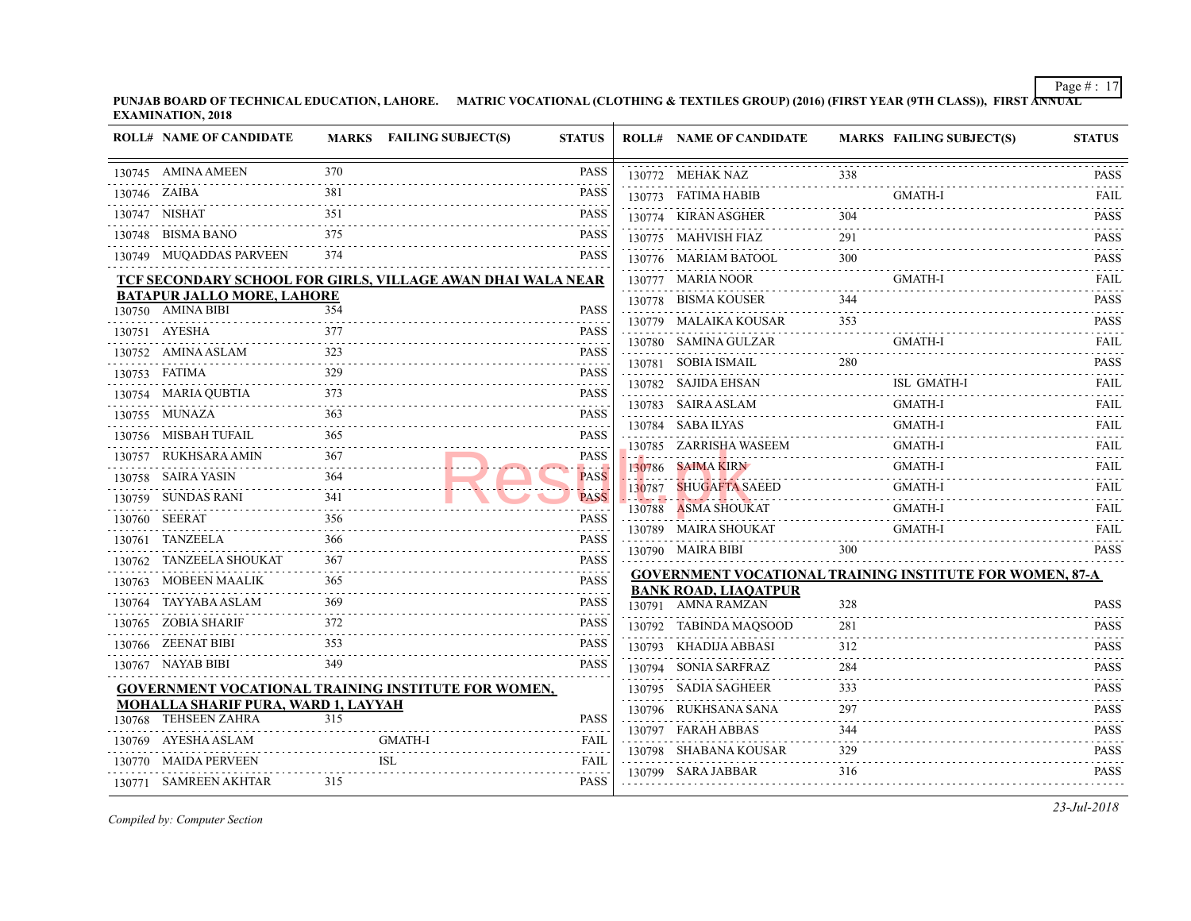| <b>ROLL# NAME OF CANDIDATE</b>                              |                                                                                                                                                                                                                                                                                                                                                                                                                                                                                               | MARKS FAILING SUBJECT(S) | <b>STATUS</b>                   |                     | <b>ROLL# NAME OF CANDIDATE</b>            | <b>MARKS FAIL</b> |            |
|-------------------------------------------------------------|-----------------------------------------------------------------------------------------------------------------------------------------------------------------------------------------------------------------------------------------------------------------------------------------------------------------------------------------------------------------------------------------------------------------------------------------------------------------------------------------------|--------------------------|---------------------------------|---------------------|-------------------------------------------|-------------------|------------|
| 130745 AMINA AMEEN                                          | 370                                                                                                                                                                                                                                                                                                                                                                                                                                                                                           |                          | <b>PASS</b>                     |                     | 130772 MEHAK NAZ                          | 338               |            |
| 130746 ZAIBA<br>.                                           | 381                                                                                                                                                                                                                                                                                                                                                                                                                                                                                           |                          | PASS                            |                     | 130773 FATIMA HABIB                       |                   | GMA        |
| 130747 NISHAT                                               | 351                                                                                                                                                                                                                                                                                                                                                                                                                                                                                           |                          | PASS                            |                     | 130774 KIRAN ASGHER                       | 304               |            |
| 130748 BISMA BANO                                           | 375                                                                                                                                                                                                                                                                                                                                                                                                                                                                                           |                          | PASS                            |                     | 130775 MAHVISH FIAZ                       | 291               |            |
| 130749 MUQADDAS PARVEEN                                     | 374                                                                                                                                                                                                                                                                                                                                                                                                                                                                                           |                          | <b>PASS</b>                     |                     | 130776 MARIAM BATOOL                      | 300               |            |
| TCF SECONDARY SCHOOL FOR GIRLS, VILLAGE AWAN DHAI WALA NEAR |                                                                                                                                                                                                                                                                                                                                                                                                                                                                                               |                          |                                 |                     | 130777 MARIA NOOR                         |                   | GMA        |
| <b>BATAPUR JALLO MORE, LAHORE</b>                           |                                                                                                                                                                                                                                                                                                                                                                                                                                                                                               |                          |                                 |                     | 130778 BISMA KOUSER                       | 344               |            |
| 130750 AMINA BIBI                                           | 354                                                                                                                                                                                                                                                                                                                                                                                                                                                                                           |                          | PASS                            |                     | 130779 MALAIKA KOUSAR                     | 353               |            |
| 130751 AYESHA                                               | 377                                                                                                                                                                                                                                                                                                                                                                                                                                                                                           |                          | PASS                            |                     | 130780 SAMINA GULZAR                      |                   | GMA        |
| 130752 AMINA ASLAM                                          | 323                                                                                                                                                                                                                                                                                                                                                                                                                                                                                           |                          | PASS<br>$- - - - - -$           |                     | 130781 SOBIA ISMAIL                       | 280               |            |
| 130753 FATIMA                                               | 329                                                                                                                                                                                                                                                                                                                                                                                                                                                                                           |                          | <b>PASS</b><br>$-1 - 1 - 1 - 1$ |                     | 130782 SAJIDA EHSAN                       |                   | ISL (      |
| 130754 MARIA QUBTIA                                         | 373                                                                                                                                                                                                                                                                                                                                                                                                                                                                                           |                          | <b>PASS</b>                     |                     | 130783 SAIRA ASLAM                        |                   | <b>GMA</b> |
| 130755 MUNAZA                                               | 363                                                                                                                                                                                                                                                                                                                                                                                                                                                                                           |                          | PASS<br>.                       |                     | 130784 SABA ILYAS                         |                   | GMA        |
| 130756 MISBAH TUFAIL                                        | 365<br>$\begin{array}{cccccccccccccc} \multicolumn{2}{c}{} & \multicolumn{2}{c}{} & \multicolumn{2}{c}{} & \multicolumn{2}{c}{} & \multicolumn{2}{c}{} & \multicolumn{2}{c}{} & \multicolumn{2}{c}{} & \multicolumn{2}{c}{} & \multicolumn{2}{c}{} & \multicolumn{2}{c}{} & \multicolumn{2}{c}{} & \multicolumn{2}{c}{} & \multicolumn{2}{c}{} & \multicolumn{2}{c}{} & \multicolumn{2}{c}{} & \multicolumn{2}{c}{} & \multicolumn{2}{c}{} & \multicolumn{2}{c}{} & \multicolumn{2}{c}{} & \$ |                          | <b>PASS</b>                     |                     | 130785 ZARRISHA WASEEM                    |                   | GMA        |
| 130757 RUKHSARA AMIN                                        | 367                                                                                                                                                                                                                                                                                                                                                                                                                                                                                           |                          | PASS<br>.                       |                     | 130786 SAIMA KIRN                         |                   | GMA        |
| 130758 SAIRA YASIN                                          |                                                                                                                                                                                                                                                                                                                                                                                                                                                                                               |                          | <b>PASS</b><br>الجامعات         |                     | 130787 SHUGAFTA SAEED                     |                   | <b>GMA</b> |
| 130759 SUNDAS RANI                                          | 341                                                                                                                                                                                                                                                                                                                                                                                                                                                                                           |                          | <b>PASS</b>                     | والمتعاون والمتعاون | .<br>130788 ASMA SHOUKAT                  |                   | <b>GMA</b> |
| 130760 SEERAT                                               | 356<br>.                                                                                                                                                                                                                                                                                                                                                                                                                                                                                      |                          | PASS<br>.                       |                     | 130789 MAIRA SHOUKAT                      |                   | GMA        |
| 130761 TANZEELA                                             | 366                                                                                                                                                                                                                                                                                                                                                                                                                                                                                           |                          | PASS<br>.                       |                     | 130790 MAIRA BIBI                         | 300               |            |
| 130762 TANZEELA SHOUKAT                                     | 367                                                                                                                                                                                                                                                                                                                                                                                                                                                                                           |                          | PASS                            |                     | <b>GOVERNMENT VOCATIONAL TRAINING INS</b> |                   |            |
| 130763 MOBEEN MAALIK                                        | 365                                                                                                                                                                                                                                                                                                                                                                                                                                                                                           |                          | PASS                            |                     | <b>BANK ROAD, LIAQATPUR</b>               |                   |            |
| 130764 TAYYABA ASLAM                                        | 369                                                                                                                                                                                                                                                                                                                                                                                                                                                                                           |                          | PASS                            |                     | 130791 AMNA RAMZAN                        | 328               |            |
| 130765 ZOBIA SHARIF                                         | 372                                                                                                                                                                                                                                                                                                                                                                                                                                                                                           |                          | PASS                            |                     | 130792 TABINDA MAQSOOD                    | 281               |            |
| 130766 ZEENAT BIBI                                          | 353                                                                                                                                                                                                                                                                                                                                                                                                                                                                                           |                          | PASS                            |                     | 130793 KHADIJA ABBASI                     | 312               |            |
| 130767 NAYAB BIBI                                           | 349                                                                                                                                                                                                                                                                                                                                                                                                                                                                                           |                          | PASS                            |                     | 130794 SONIA SARFRAZ                      | 284               |            |
| GOVERNMENT VOCATIONAL TRAINING INSTITUTE FOR WOMEN,         |                                                                                                                                                                                                                                                                                                                                                                                                                                                                                               |                          |                                 |                     | 130795 SADIA SAGHEER                      | 333               |            |
| <b>MOHALLA SHARIF PURA, WARD 1, LAYYAH</b>                  |                                                                                                                                                                                                                                                                                                                                                                                                                                                                                               |                          |                                 |                     | 130796 RUKHSANA SANA                      | 297               |            |
| 130768 TEHSEEN ZAHRA                                        | 315                                                                                                                                                                                                                                                                                                                                                                                                                                                                                           |                          | PASS                            |                     | 130797 FARAH ABBAS                        | 344               |            |
| 130769 AYESHA ASLAM                                         |                                                                                                                                                                                                                                                                                                                                                                                                                                                                                               | <b>GMATH-I</b>           | FAIL<br>.                       |                     | 130798 SHABANA KOUSAR                     | 329               |            |
| 130770 MAIDA PERVEEN                                        |                                                                                                                                                                                                                                                                                                                                                                                                                                                                                               | <b>ISL</b>               | FAIL                            |                     | 130799 SARA JABBAR                        | 316               |            |
| 130771 SAMREEN AKHTAR                                       | 315                                                                                                                                                                                                                                                                                                                                                                                                                                                                                           |                          | PASS                            |                     |                                           |                   |            |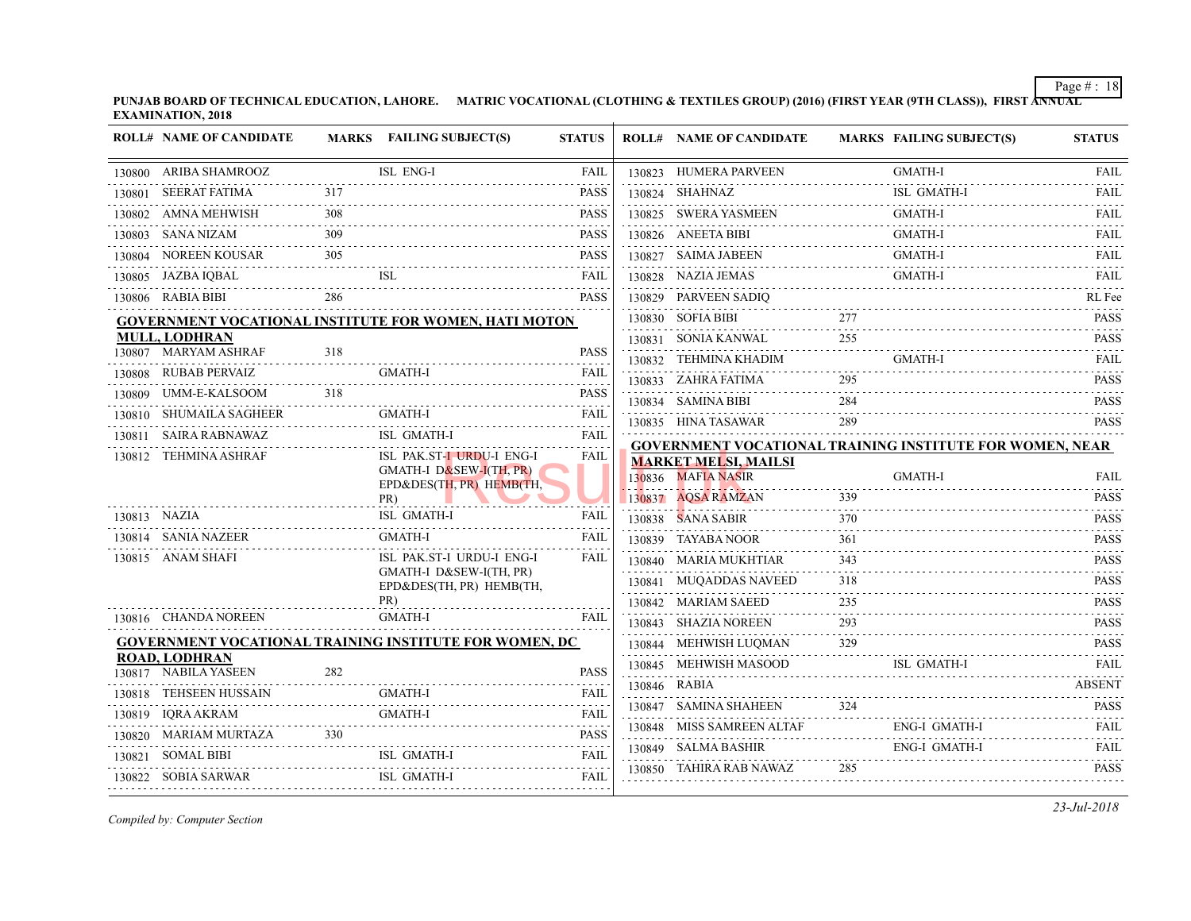**PUNJAB BOARD OF TECHNICAL EDUCATION, LAHORE.** MATRIC VOCATIONAL (CLOTHING & TEXTILES GROUP) (2016) (FIRST YEAR (9TH CLASS) **EXAMINATION, 2018**

|        | <b>ROLL# NAME OF CANDIDATE</b>      |     | MARKS FAILING SUBJECT(S)                                                         | <b>STATUS</b>                                                                                                                                                                |              | <b>ROLL# NAME OF CANDIDATE</b>                    | <b>MARKS FAIL</b> |            |
|--------|-------------------------------------|-----|----------------------------------------------------------------------------------|------------------------------------------------------------------------------------------------------------------------------------------------------------------------------|--------------|---------------------------------------------------|-------------------|------------|
|        | 130800 ARIBA SHAMROOZ               |     | ISL ENG-I                                                                        | FAIL                                                                                                                                                                         |              | 130823 HUMERA PARVEEN                             |                   | <b>GMA</b> |
|        | 130801 SEERAT FATIMA                | 317 |                                                                                  | <b>PASS</b>                                                                                                                                                                  |              | 130824 SHAHNAZ                                    |                   | ISL 0      |
|        | 130802 AMNA MEHWISH                 | 308 |                                                                                  | <b>PASS</b>                                                                                                                                                                  |              | 130825 SWERA YASMEEN                              |                   | GMA        |
|        | 130803 SANA NIZAM                   | 309 |                                                                                  | <b>PASS</b>                                                                                                                                                                  |              | 130826 ANEETA BIBI                                |                   | <b>GMA</b> |
|        | 130804 NOREEN KOUSAR                | 305 |                                                                                  | <b>PASS</b>                                                                                                                                                                  |              | 130827 SAIMA JABEEN                               |                   | <b>GMA</b> |
|        | 130805 JAZBA IQBAL                  |     | <b>ISL</b>                                                                       | FAIL<br>.                                                                                                                                                                    |              | 130828 NAZIA JEMAS                                |                   | <b>GMA</b> |
|        | 130806 RABIA BIBI                   | 286 |                                                                                  | <b>PASS</b>                                                                                                                                                                  |              | 130829 PARVEEN SADIQ                              |                   |            |
|        |                                     |     | <b>GOVERNMENT VOCATIONAL INSTITUTE FOR WOMEN, HATI MOTON</b>                     |                                                                                                                                                                              |              | 130830 SOFIA BIBI                                 | 277               |            |
|        | <b>MULL, LODHRAN</b>                |     |                                                                                  |                                                                                                                                                                              |              | 130831 SONIA KANWAL                               | 255               |            |
|        | 130807 MARYAM ASHRAF                | 318 |                                                                                  | <b>PASS</b>                                                                                                                                                                  |              | 130832 TEHMINA KHADIM                             |                   | <b>GMA</b> |
|        | 130808 RUBAB PERVAIZ                |     | GMATH-I                                                                          | <b>FAIL</b><br>$\mathcal{L}^{\mathcal{A}}\left( \mathcal{A}^{\mathcal{A}}\right) \mathcal{L}^{\mathcal{A}}\left( \mathcal{A}^{\mathcal{A}}\right) \mathcal{L}^{\mathcal{A}}$ |              | 130833 ZAHRA FATIMA                               | 295               |            |
| 130809 | 318<br>UMM-E-KALSOOM<br>.           |     |                                                                                  | <b>PASS</b>                                                                                                                                                                  |              | 130834 SAMINA BIBI                                | 284               |            |
|        | 130810 SHUMAILA SAGHEER             |     | GMATH-I                                                                          | FAIL<br>.                                                                                                                                                                    |              | 130835 HINA TASAWAR                               | 289               |            |
|        | 130811 SAIRA RABNAWAZ               |     | <b>ISL GMATH-I</b>                                                               | <b>FAIL</b>                                                                                                                                                                  |              | <b>GOVERNMENT VOCATIONAL TRAINING INS</b>         |                   |            |
|        | 130812 TEHMINA ASHRAF               |     | ISL PAK.ST-I URDU-I ENG-I<br>GMATH-I D&SEW-I(TH, PR)<br>EPD&DES(TH, PR) HEMB(TH, | FAIL                                                                                                                                                                         |              | <b>MARKET MELSI, MAILSI</b><br>130836 MAFIA NASIR |                   | <b>GMA</b> |
|        |                                     |     | PR)<br>ISL GMATH-I                                                               | <b>FAIL</b>                                                                                                                                                                  |              | 130837 AQSA RAMZAN                                | 339               |            |
|        | 130813 NAZIA<br>130814 SANIA NAZEER |     | <b>GMATH-I</b>                                                                   |                                                                                                                                                                              |              | 130838 SANA SABIR                                 | 370               |            |
|        |                                     |     |                                                                                  | FAIL                                                                                                                                                                         |              | 130839 TAYABA NOOR                                | 361               |            |
|        | 130815 ANAM SHAFI                   |     | ISL PAK.ST-I URDU-I ENG-I<br>GMATH-I D&SEW-I(TH, PR)                             | FAIL                                                                                                                                                                         |              | 130840 MARIA MUKHTIAR                             | 343               |            |
|        |                                     |     | EPD&DES(TH, PR) HEMB(TH,                                                         |                                                                                                                                                                              |              | 130841 MUQADDAS NAVEED                            | 318               |            |
|        | 130816 CHANDA NOREEN                |     | PR)<br><b>GMATH-I</b>                                                            | FAIL                                                                                                                                                                         |              | 130842 MARIAM SAEED                               | 235               |            |
|        |                                     |     |                                                                                  |                                                                                                                                                                              |              | 130843 SHAZIA NOREEN                              | 293               |            |
|        | <b>ROAD, LODHRAN</b>                |     | GOVERNMENT VOCATIONAL TRAINING INSTITUTE FOR WOMEN, DC                           |                                                                                                                                                                              |              | 130844 MEHWISH LUQMAN                             | 329               |            |
|        | 130817 NABILA YASEEN                | 282 |                                                                                  | <b>PASS</b>                                                                                                                                                                  |              | 130845 MEHWISH MASOOD                             |                   | ISL 0      |
|        | 130818 TEHSEEN HUSSAIN              |     | GMATH-I                                                                          | <b>FAIL</b>                                                                                                                                                                  | 130846 RABIA |                                                   |                   |            |
|        | 130819 IQRA AKRAM                   |     | <b>GMATH-I</b>                                                                   | FAIL                                                                                                                                                                         |              | 130847 SAMINA SHAHEEN                             | 324               |            |
|        | 130820 MARIAM MURTAZA 330           |     |                                                                                  | <b>PASS</b>                                                                                                                                                                  |              | 130848 MISS SAMREEN ALTAF                         |                   | ENG-       |
|        | 130821 SOMAL BIBI                   |     | BI ISL GMATH-I                                                                   | .<br><b>FAIL</b>                                                                                                                                                             |              | 130849 SALMA BASHIR                               |                   | ENG-       |
|        |                                     |     | 130822 SOBIA SARWAR ISL GMATH-I FAIL FAIL                                        |                                                                                                                                                                              |              | 130850 TAHIRA RAB NAWAZ                           | 285               |            |
|        |                                     |     |                                                                                  |                                                                                                                                                                              |              |                                                   |                   |            |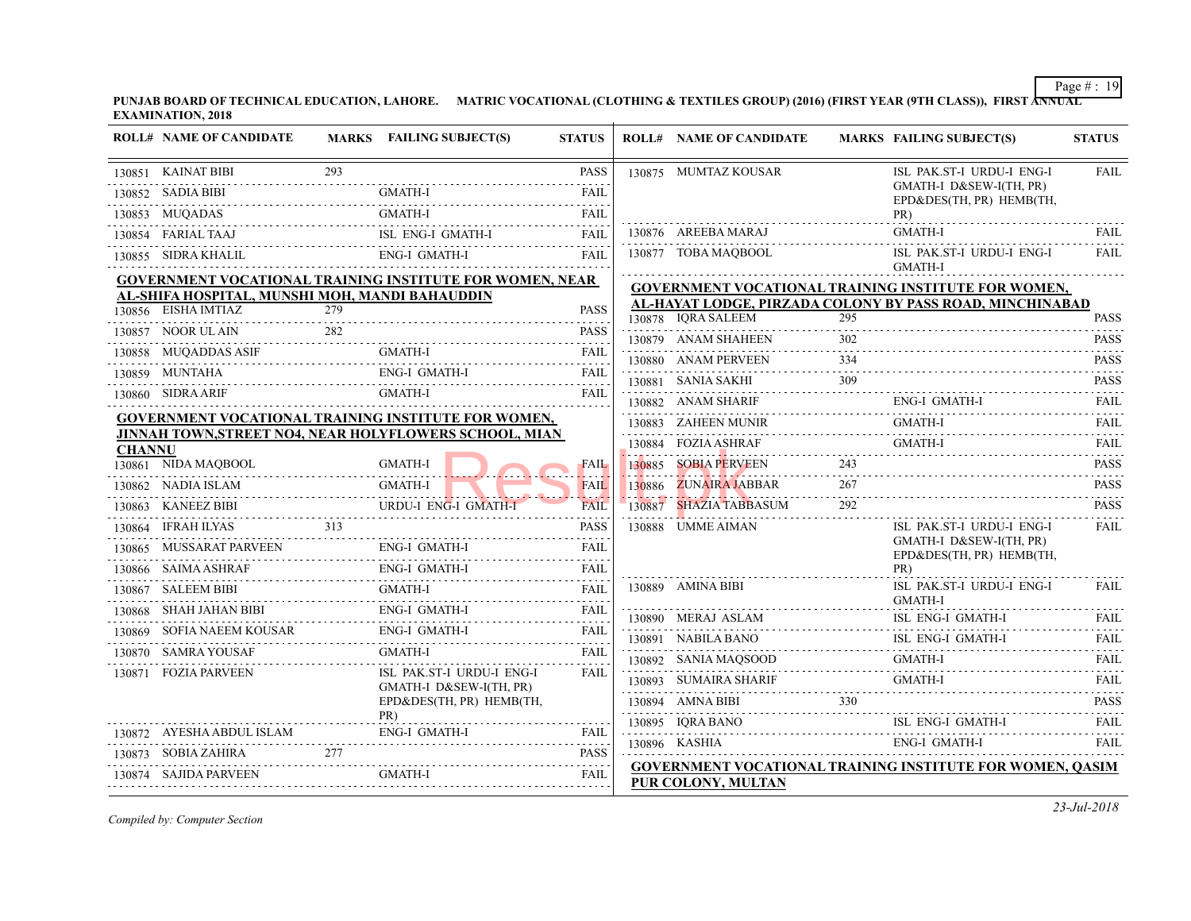|               | <b>ROLL# NAME OF CANDIDATE</b>                                  |     | MARKS FAILING SUBJECT(S)                                          | <b>STATUS</b>    |        | <b>ROLL# NAME OF CANDIDATE</b>                                         | <b>MARKS FAIL</b> |                               |
|---------------|-----------------------------------------------------------------|-----|-------------------------------------------------------------------|------------------|--------|------------------------------------------------------------------------|-------------------|-------------------------------|
|               | 130851 KAINAT BIBI                                              | 293 |                                                                   | <b>PASS</b>      |        | 130875 MUMTAZ KOUSAR                                                   |                   | ISL 1                         |
|               | 130852 SADIA BIBI                                               |     | <b>GMATH-I</b>                                                    | <b>FAIL</b>      |        |                                                                        |                   | <b>GMA</b><br>$EPD\delta$     |
|               | 130853 MUQADAS                                                  |     | <b>GMATH-I</b>                                                    | <b>FAIL</b>      |        |                                                                        |                   | PR)                           |
|               | 130854 FARIAL TAAJ                                              |     | ISL ENG-I GMATH-I                                                 | <b>FAIL</b>      |        | 130876 AREEBA MARAJ                                                    |                   | <b>GMA</b>                    |
|               | 130855 SIDRA KHALIL                                             |     | ENG-I GMATH-I                                                     | <b>FAIL</b>      |        | 130877 TOBA MAQBOOL                                                    |                   | ISL                           |
|               | <b>GOVERNMENT VOCATIONAL TRAINING INSTITUTE FOR WOMEN, NEAR</b> |     |                                                                   |                  |        | <b>GOVERNMENT VOCATIONAL TRAINING INS</b>                              |                   | <b>GMA</b>                    |
|               | AL-SHIFA HOSPITAL, MUNSHI MOH, MANDI BAHAUDDIN                  |     |                                                                   |                  |        | AL-HAYAT LODGE, PIRZADA COLONY BY PA                                   |                   |                               |
|               | 130856 EISHA IMTIAZ                                             | 279 |                                                                   | <b>PASS</b>      |        | 130878 IQRA SALEEM                                                     | 295               |                               |
|               | 130857 NOOR UL AIN                                              | 282 |                                                                   | <b>PASS</b>      |        | 130879 ANAM SHAHEEN                                                    | 302               |                               |
|               | 130858 MUQADDAS ASIF                                            |     | <b>GMATH-I</b>                                                    | FAIL             |        | 130880 ANAM PERVEEN                                                    | 334               |                               |
|               | 130859 MUNTAHA                                                  |     | <b>ENG-I GMATH-I</b>                                              | <b>FAIL</b><br>. |        | 130881 SANIA SAKHI                                                     | 309               |                               |
|               | 130860 SIDRA ARIF                                               |     | <b>GMATH-I</b>                                                    | <b>FAIL</b>      |        | 130882 ANAM SHARIF                                                     |                   | ENG-                          |
|               | GOVERNMENT VOCATIONAL TRAINING INSTITUTE FOR WOMEN,             |     |                                                                   |                  |        | 130883 ZAHEEN MUNIR                                                    |                   | <b>GMA</b>                    |
|               | JINNAH TOWN, STREET NO4, NEAR HOLYFLOWERS SCHOOL, MIAN          |     |                                                                   |                  |        | 130884 FOZIA ASHRAF                                                    |                   | <b>GMA</b>                    |
| <b>CHANNU</b> | 130861 NIDA MAQBOOL                                             |     | <b>GMATH-I</b>                                                    | <b>FAIL</b>      | 130885 | <b>SOBIA PERVEEN</b>                                                   | 243               |                               |
|               | 130862 NADIA ISLAM                                              |     | <b>GMATH-I</b>                                                    | <b>FAIL</b>      | 130886 | <b>ZUNAIRA JABBAR</b>                                                  | 267               |                               |
| 130863        | KANEEZ BIBI                                                     |     | URDU-I ENG-I GMATH-I                                              | FAIL             | 130887 | <b>SHAZIA TABBASUM</b>                                                 | 292               |                               |
|               | 130864 IFRAH ILYAS                                              | 313 |                                                                   | <b>PASS</b>      |        | 130888 UMME AIMAN                                                      |                   | ISL 1                         |
|               | 130865 MUSSARAT PARVEEN                                         |     | ENG-I GMATH-I<br>2200 - ORDIN I<br>222222222222222222222222222222 | <b>FAIL</b>      |        |                                                                        |                   | <b>GMA</b><br><b>EPD&amp;</b> |
|               | 130866 SAIMA ASHRAF                                             |     | <b>ENG-I GMATH-I</b>                                              | .<br>FAIL        |        |                                                                        |                   | PR)                           |
|               | 130867 SALEEM BIBI                                              |     | <b>GMATH-I</b>                                                    | <b>FAIL</b>      |        | 130889 AMINA BIBI                                                      |                   | ISL                           |
|               | 130868 SHAH JAHAN BIBI                                          |     | <b>ENG-I GMATH-I</b>                                              | <b>FAIL</b>      |        | 130890 MERAJ ASLAM                                                     |                   | <b>GMA</b><br>ISL             |
|               | 130869 SOFIA NAEEM KOUSAR                                       |     | <b>ENG-I GMATH-I</b>                                              | .                |        | 130891 NABILA BANO                                                     |                   | ISL :                         |
|               | 130870 SAMRA YOUSAF                                             |     | <b>GMATH-I</b>                                                    | <b>FAIL</b>      |        | 130892 SANIA MAQSOOD                                                   |                   | GMA                           |
|               | 130871 FOZIA PARVEEN                                            |     | ISL PAK.ST-I URDU-I ENG-I                                         | FAIL             |        | 130893 SUMAIRA SHARIF                                                  |                   | <b>GMA</b>                    |
|               |                                                                 |     | GMATH-I D&SEW-I(TH, PR)<br>EPD&DES(TH, PR) HEMB(TH,               |                  |        | 130894 AMNA BIBI                                                       | 330               |                               |
|               |                                                                 |     | PR)                                                               |                  |        | 130895 IORA BANO                                                       |                   | ISL 1                         |
|               | 130872 AYESHA ABDUL ISLAM                                       |     | <b>ENG-I GMATH-I</b>                                              | <b>FAIL</b>      |        | 130896 KASHIA                                                          |                   | ENG-                          |
|               | 130873 SOBIA ZAHIRA                                             | 277 |                                                                   | <b>PASS</b>      |        |                                                                        |                   |                               |
|               | 130874 SAJIDA PARVEEN                                           |     | GMATH-I                                                           | <b>FAIL</b>      |        | <b>GOVERNMENT VOCATIONAL TRAINING INS</b><br><b>PUR COLONY, MULTAN</b> |                   |                               |
|               |                                                                 |     |                                                                   |                  |        |                                                                        |                   |                               |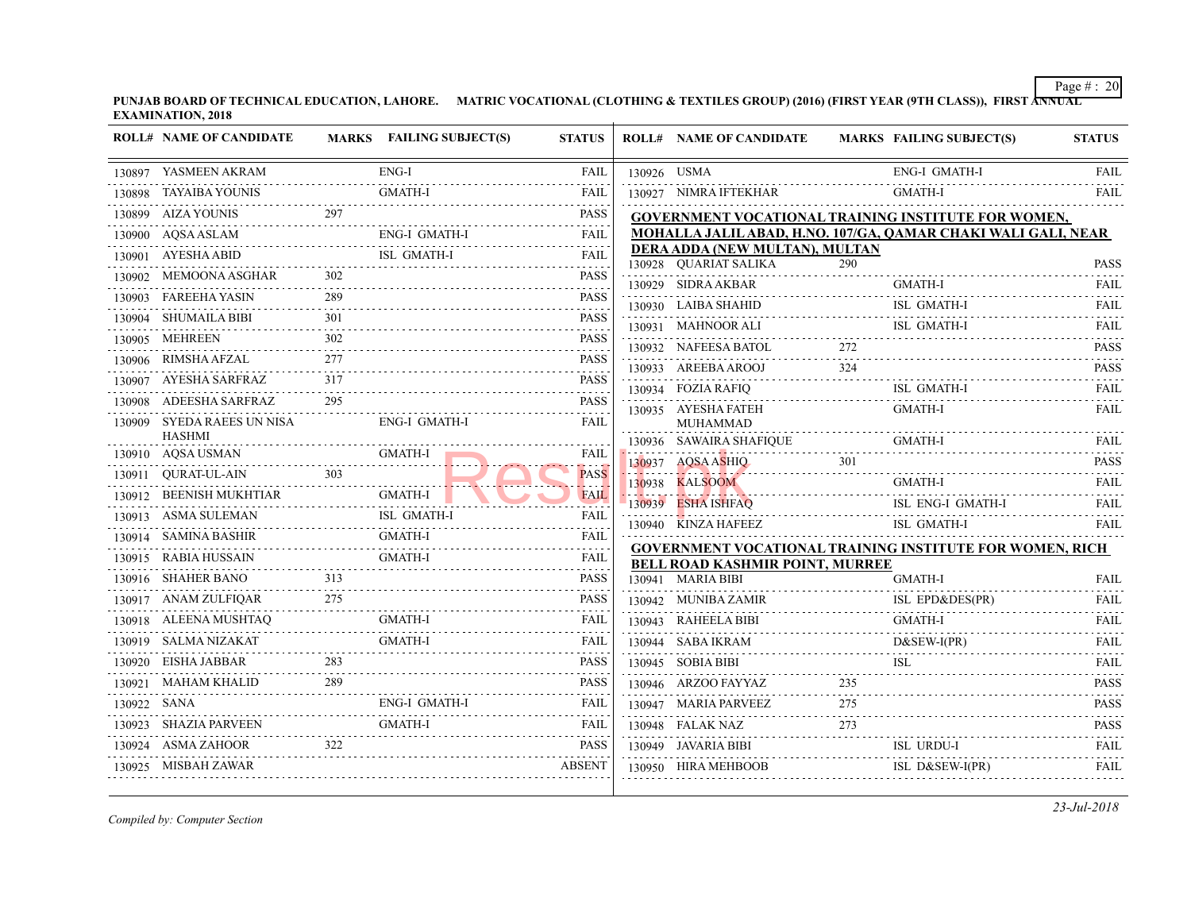**PUNJAB BOARD OF TECHNICAL EDUCATION, LAHORE. MATRIC VOCATIONAL (CLOTHING & TEXTILES GROUP) (2016) (FIRST YEAR (97 EXAMINATION, 2018** J.

|             | <b>ROLL# NAME OF CANDIDATE</b>              |                                                                                                                                                                     | MARKS FAILING SUBJECT(S) | <b>STATUS</b>               |             | <b>ROLL# NAME OF CANDIDATE</b>                                                      | <b>MARKS FAIL</b> |            |
|-------------|---------------------------------------------|---------------------------------------------------------------------------------------------------------------------------------------------------------------------|--------------------------|-----------------------------|-------------|-------------------------------------------------------------------------------------|-------------------|------------|
|             | 130897 YASMEEN AKRAM                        |                                                                                                                                                                     | ENG-I                    | <b>FAIL</b>                 | 130926 USMA |                                                                                     |                   | ENG-       |
|             | 130898 TAYAIBA YOUNIS                       |                                                                                                                                                                     | <b>GMATH-I</b>           | FAIL                        |             | 130927 NIMRA IFTEKHAR                                                               |                   | <b>GMA</b> |
|             | 130899 AIZA YOUNIS                          | 297                                                                                                                                                                 |                          | PASS                        |             | <b>GOVERNMENT VOCATIONAL TRAINING INS</b>                                           |                   |            |
|             | 130900 AQSA ASLAM                           |                                                                                                                                                                     | ENG-I GMATH-I            | <b>FAIL</b>                 |             | MOHALLA JALIL ABAD, H.NO. 107/GA, QAMA                                              |                   |            |
|             | 130901 AYESHA ABID                          |                                                                                                                                                                     | ISL GMATH-I              | FAIL                        |             | DERA ADDA (NEW MULTAN), MULTAN<br>130928 QUARIAT SALIKA                             | 290               |            |
|             | 130902 MEMOONA ASGHAR                       |                                                                                                                                                                     |                          | <b>PASS</b>                 |             | 130929 SIDRA AKBAR                                                                  |                   | <b>GMA</b> |
|             | 130903 FAREEHA YASIN                        | 289                                                                                                                                                                 |                          | <b>PASS</b>                 |             | 130930 LAIBA SHAHID                                                                 |                   | ISL 0      |
| 130904      | .<br>SHUMAILA BIBI                          | 301                                                                                                                                                                 |                          | <b>PASS</b>                 |             | 130931 MAHNOOR ALI                                                                  |                   | ISL 0      |
|             | 130905 MEHREEN                              | 302                                                                                                                                                                 |                          | <b>PASS</b>                 |             | 130932 NAFEESA BATOL                                                                | 272               |            |
|             | 130906 RIMSHA AFZAL                         | .<br>277                                                                                                                                                            |                          | $-1 - 1 - 1$<br><b>PASS</b> |             | 130933 AREEBA AROOJ                                                                 | 324               |            |
| 130907      | AYESHA SARFRAZ                              | 317                                                                                                                                                                 |                          | <b>PASS</b>                 |             |                                                                                     |                   | ISL 0      |
|             | 130908 ADEESHA SARFRAZ                      | $\label{eq:2.1} \begin{array}{cccccccccc} \mathbb{L} & \mathbb{L} & \mathbb{L} & \mathbb{L} & \mathbb{L} & \mathbb{L} & \mathbb{L} & \mathbb{L} \end{array}$<br>295 |                          | <b>PASS</b>                 |             | 130934 FOZIA RAFIQ<br>130935 AYESHA FATEH                                           |                   | <b>GMA</b> |
|             | 130909 SYEDA RAEES UN NISA<br><b>HASHMI</b> |                                                                                                                                                                     | ENG-I GMATH-I            | FAIL                        |             | <b>MUHAMMAD</b><br>130936 SAWAIRA SHAFIQUE                                          |                   | GMA        |
|             | .<br>130910 AQSA USMAN                      |                                                                                                                                                                     | GMATH-I                  | <b>FAIL</b>                 |             | 130937 AQSA ASHIQ                                                                   | 301               |            |
|             | 130911 QURAT-UL-AIN                         |                                                                                                                                                                     |                          | <b>PASS</b>                 |             | 130938 KALSOOM                                                                      |                   | <b>GMA</b> |
|             | 130912 BEENISH MUKHTIAR                     |                                                                                                                                                                     | <b>GMATH-I</b>           | <b>FAIL</b>                 |             | 130939 ESHA ISHFAQ                                                                  |                   | ISL 1      |
|             | 130913 ASMA SULEMAN                         |                                                                                                                                                                     | <b>ISL GMATH-I</b>       | <b>FAIL</b>                 |             | 130940 KINZA HAFEEZ                                                                 |                   | ISL        |
|             | 130914 SAMINA BASHIR                        |                                                                                                                                                                     | <b>GMATH-I</b>           | <b>FAIL</b>                 |             |                                                                                     |                   |            |
|             | 130915 RABIA HUSSAIN                        |                                                                                                                                                                     | <b>GMATH-I</b>           | <b>FAIL</b>                 |             | <b>GOVERNMENT VOCATIONAL TRAINING INS</b><br><b>BELL ROAD KASHMIR POINT, MURREE</b> |                   |            |
|             | 130916 SHAHER BANO                          | 313                                                                                                                                                                 |                          | <b>PASS</b>                 |             | 130941 MARIA BIBI                                                                   |                   | <b>GMA</b> |
|             | 130917 ANAM ZULFIQAR                        | 275<br>.                                                                                                                                                            |                          | <b>PASS</b>                 |             | 130942 MUNIBA ZAMIR                                                                 |                   | ISL 1      |
|             | 130918 ALEENA MUSHTAQ                       |                                                                                                                                                                     | GMATH-I                  | FAIL                        |             | 130943 RAHEELA BIBI                                                                 |                   | <b>GMA</b> |
|             | 130919 SALMA NIZAKAT                        |                                                                                                                                                                     | <b>GMATH-I</b>           | FAIL                        |             | 130944 SABA IKRAM                                                                   |                   | D&S        |
|             | 130920 EISHA JABBAR                         | 283                                                                                                                                                                 |                          | <b>PASS</b>                 |             | 130945 SOBIA BIBI                                                                   |                   | ISL        |
|             | 130921 MAHAM KHALID                         | .<br>289                                                                                                                                                            |                          | PASS                        |             | 130946 ARZOO FAYYAZ                                                                 | 235               |            |
| 130922 SANA |                                             |                                                                                                                                                                     | ENG-I GMATH-I            | FAIL                        |             | 130947 MARIA PARVEEZ                                                                | 275               |            |
| 130923      | SHAZIA PARVEEN                              |                                                                                                                                                                     | GMATH-I                  | FAIL                        |             | 130948 FALAK NAZ                                                                    | 273               |            |
|             | 130924 ASMA ZAHOOR                          | 322                                                                                                                                                                 |                          | <b>PASS</b>                 |             | 130949 JAVARIA BIBI ISL                                                             |                   | ISL        |
|             | 130925 MISBAH ZAWAR                         |                                                                                                                                                                     |                          | <b>ABSENT</b>               |             | 130950 HIRA MEHBOOB                                                                 |                   | ISL        |
|             |                                             |                                                                                                                                                                     |                          |                             |             |                                                                                     |                   |            |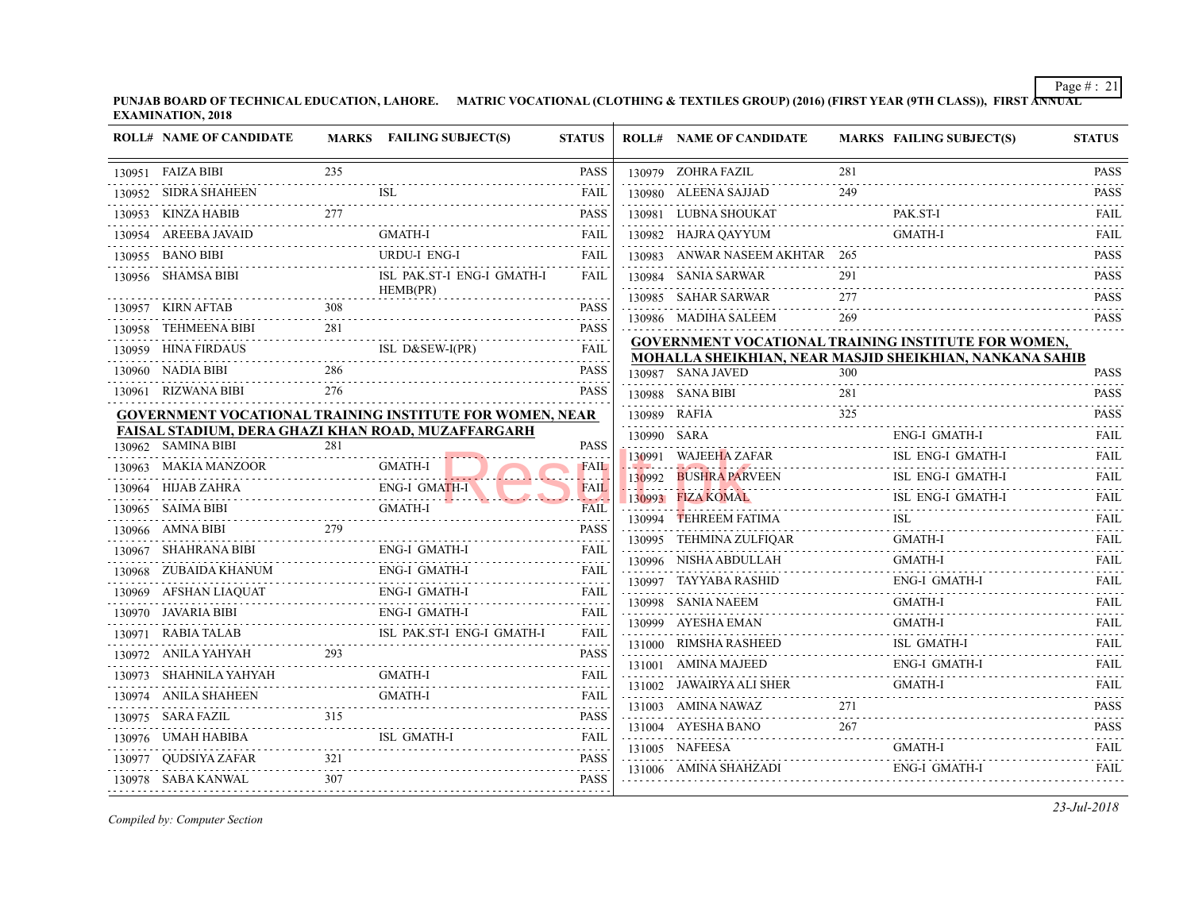|   | <b>ROLL# NAME OF CANDIDATE</b>                               |     | MARKS FAILING SUBJECT(S)                                        | <b>STATUS</b>                                                                                                                                                                               | <b>ROLL# NAME OF CANDIDATE</b>                                                                                                                | <b>MARKS FAIL</b> |            |
|---|--------------------------------------------------------------|-----|-----------------------------------------------------------------|---------------------------------------------------------------------------------------------------------------------------------------------------------------------------------------------|-----------------------------------------------------------------------------------------------------------------------------------------------|-------------------|------------|
|   | 130951 FAIZA BIBI                                            | 235 |                                                                 | <b>PASS</b>                                                                                                                                                                                 | 130979 ZOHRA FAZIL                                                                                                                            | 281               |            |
|   | 130952 SIDRA SHAHEEN                                         |     |                                                                 | <b>FAIL</b>                                                                                                                                                                                 | 130980 ALEENA SAJJAD                                                                                                                          | 249               |            |
|   | 130953 KINZA HABIB                                           | 277 |                                                                 | <b>PASS</b>                                                                                                                                                                                 | 130981 LUBNA SHOUKAT                                                                                                                          |                   | PAK.       |
|   | 130954 AREEBA JAVAID                                         |     | GMATH-I                                                         | FAIL                                                                                                                                                                                        | 130982 HAJRA QAYYUM                                                                                                                           |                   | <b>GMA</b> |
|   | 130955 BANO BIBI                                             |     | <b>URDU-I ENG-I</b>                                             | FAIL                                                                                                                                                                                        | 130983 ANWAR NASEEM AKHTAR 265                                                                                                                |                   |            |
|   | 130956 SHAMSA BIBI                                           |     | ISL PAK.ST-I ENG-I GMATH-I<br>HEMB(PR)                          | FAIL                                                                                                                                                                                        | 130984 SANIA SARWAR                                                                                                                           | 291               |            |
|   | 308<br>130957 KIRN AFTAB                                     |     |                                                                 | <b>PASS</b>                                                                                                                                                                                 | 130985 SAHAR SARWAR                                                                                                                           | 277               |            |
|   | 130958 TEHMEENA BIBI                                         | 281 |                                                                 | .<br><b>PASS</b>                                                                                                                                                                            | 130986 MADIHA SALEEM                                                                                                                          | 269               |            |
|   | DAUS<br>--------------------------<br>130959 HINA FIRDAUS    |     | ISL D&SEW-I(PR)                                                 | FAIL                                                                                                                                                                                        | <b>GOVERNMENT VOCATIONAL TRAINING INS</b>                                                                                                     |                   |            |
|   | 130960 NADIA BIBI                                            | 286 | . <i>.</i>                                                      | <b>PASS</b>                                                                                                                                                                                 | <b>MOHALLA SHEIKHIAN, NEAR MASJID SHEI</b><br>130987 SANA JAVED                                                                               | 300               |            |
|   | 130961 RIZWANA BIBI                                          | 276 |                                                                 | <b>PASS</b>                                                                                                                                                                                 | 130988 SANA BIBI                                                                                                                              | 281               |            |
|   |                                                              |     | <b>GOVERNMENT VOCATIONAL TRAINING INSTITUTE FOR WOMEN, NEAR</b> |                                                                                                                                                                                             | 130989 RAFIA                                                                                                                                  | 325               |            |
|   |                                                              |     | <b>FAISAL STADIUM, DERA GHAZI KHAN ROAD, MUZAFFARGARH</b>       |                                                                                                                                                                                             | 130990 SARA                                                                                                                                   |                   | ENG-       |
|   | 130962 SAMINA BIBI<br>.                                      | 281 |                                                                 | <b>PASS</b>                                                                                                                                                                                 | 130991 WAJEEHA ZAFAR                                                                                                                          |                   | ISL 1      |
|   | 130963 MAKIA MANZOOR                                         |     | GMATH-I                                                         | <b>FAIL</b>                                                                                                                                                                                 | <u> 1980 - Jan Barnard II, amerikan bizi da bizi da bizi da bizi da bizi da bizi da bizi da bizi da bizi da bizi</u><br>130992 BUSHRA PARVEEN |                   | ISL        |
|   | 130964 HIJAB ZAHRA                                           |     | BZAHRA ENG-I GMATH-I                                            | <b>FAIL</b><br><b>The College</b>                                                                                                                                                           | 130993 FIZA KOMAL                                                                                                                             |                   | ISL        |
| . | BI<br>GMATH-I<br>130965 SAIMA BIBI                           |     |                                                                 | FAIL                                                                                                                                                                                        | 130994 TEHREEM FATIMA                                                                                                                         |                   | ISL        |
|   | $\frac{31}{279}$<br>130966 AMNA BIBI                         |     |                                                                 | <b>PASS</b><br>.                                                                                                                                                                            | 130995 TEHMINA ZULFIQAR                                                                                                                       |                   | GMA        |
|   | 130967 SHAHRANA BIBI                                         |     | ENG-I GMATH-I                                                   | FAIL                                                                                                                                                                                        | 130996 NISHA ABDULLAH                                                                                                                         |                   | <b>GMA</b> |
|   | 130968 ZUBAIDA KHANUM                                        |     | ENG-I GMATH-I                                                   | FAIL                                                                                                                                                                                        | 130997 TAYYABA RASHID                                                                                                                         |                   | ENG-       |
|   | 130969 AFSHAN LIAQUAT<br>AQUAT<br>-------------------------- |     | ENG-I GMATH-I                                                   | FAIL.<br>2.2.2.2.2.1                                                                                                                                                                        | 130998 SANIA NAEEM                                                                                                                            |                   | <b>GMA</b> |
|   | 130970 JAVARIA BIBI                                          |     | ENG-I GMATH-I                                                   | FAIL                                                                                                                                                                                        | 130999 AYESHA EMAN                                                                                                                            |                   | <b>GMA</b> |
|   | 130971 RABIA TALAB                                           |     | B<br>ISL PAK.ST-I ENG-I GMATH-I                                 | FAIL                                                                                                                                                                                        | 131000 RIMSHA RASHEED                                                                                                                         |                   | ISL 0      |
|   | 130972 ANILA YAHYAH                                          |     |                                                                 | <b>PASS</b>                                                                                                                                                                                 | 131001 AMINA MAJEED                                                                                                                           |                   | ENG-       |
|   | 130973 SHAHNILA YAHYAH<br>.                                  |     | <b>GMATH-I</b>                                                  | FAIL                                                                                                                                                                                        | 131002 JAWAIRYA ALI SHER                                                                                                                      |                   | <b>GMA</b> |
|   | 130974 ANILA SHAHEEN                                         |     | <b>GMATH-I</b>                                                  | FAIL<br>.                                                                                                                                                                                   | 131003 AMINA NAWAZ                                                                                                                            | 271               |            |
|   | 130975 SARA FAZIL                                            |     |                                                                 | <b>PASS</b><br>$\mathcal{L}^{\mathcal{A}}\left( \mathcal{L}^{\mathcal{A}}\left( \mathcal{L}^{\mathcal{A}}\right) \right) =\mathcal{L}^{\mathcal{A}}\left( \mathcal{L}^{\mathcal{A}}\right)$ | 131004 AYESHA BANO                                                                                                                            | 267               |            |
|   |                                                              |     | ISL GMATH-I<br>$ISL GMATH-I$                                    | FAIL<br>.                                                                                                                                                                                   | 131005 NAFEESA                                                                                                                                |                   | <b>GMA</b> |
|   |                                                              |     | 130977 QUDSIYA ZAFAR 321 PASS                                   |                                                                                                                                                                                             | 131006 AMINA SHAHZADI                                                                                                                         |                   | ENG-       |
|   |                                                              |     | 130978 SABA KANWAL 307 PASS                                     | <b>PASS</b>                                                                                                                                                                                 |                                                                                                                                               |                   |            |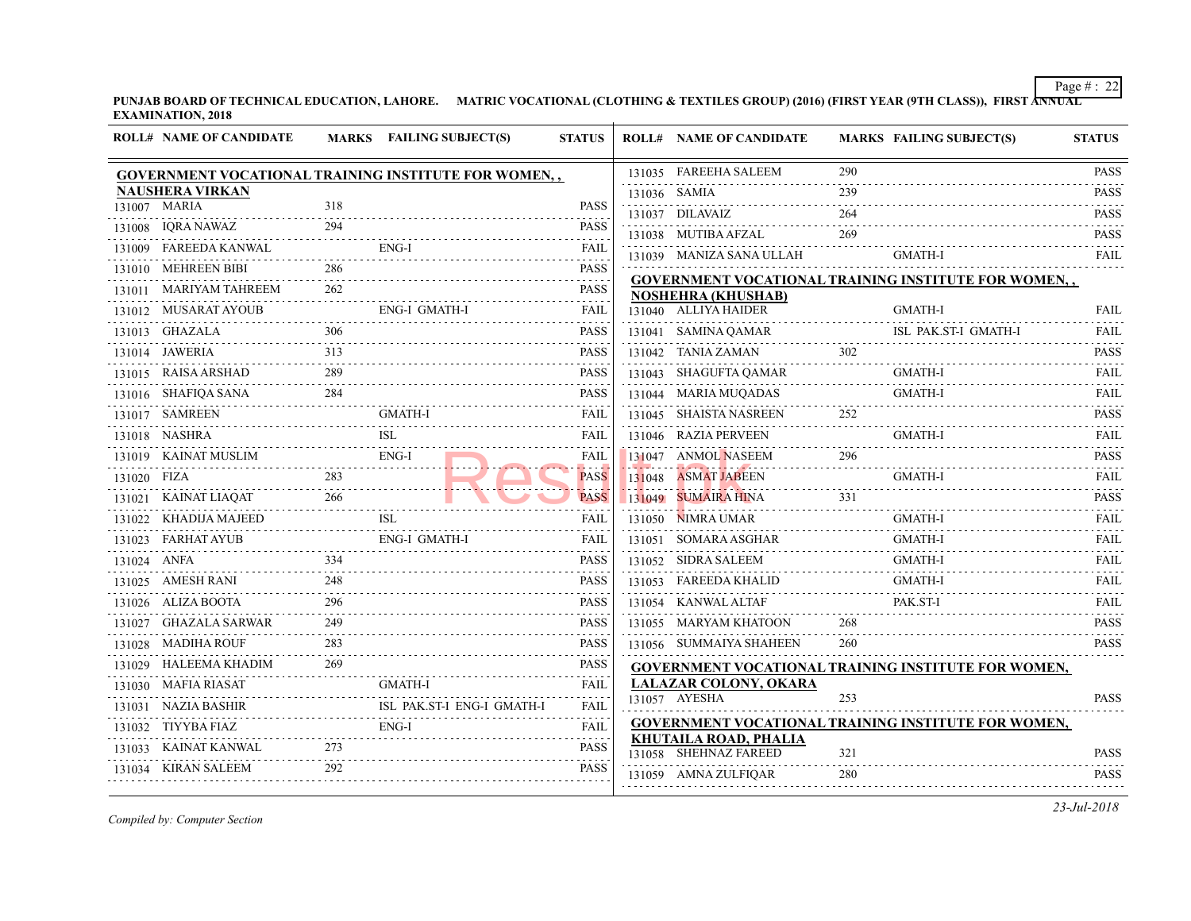| 290<br>131035 FAREEHA SALEEM<br><b>GOVERNMENT VOCATIONAL TRAINING INSTITUTE FOR WOMEN,,</b><br><b>NAUSHERA VIRKAN</b><br>239<br>131036 SAMIA<br>131007 MARIA<br>318<br><b>PASS</b><br>264<br>131037 DILAVAIZ<br>.<br>294<br>131008 IQRA NAWAZ<br><b>PASS</b><br>131038 MUTIBA AFZAL<br>269<br>$ENG-I$<br>131009 FAREEDA KANWAL<br><b>FAIL</b><br>131039 MANIZA SANA ULLAH<br>286<br><b>PASS</b><br>131010 MEHREEN BIBI<br>.<br>262<br>131011 MARIYAM TAHREEM<br><b>PASS</b><br><b>NOSHEHRA (KHUSHAB)</b><br>.<br>.<br>ENG-I GMATH-I<br><b>FAIL</b><br>131012 MUSARAT AYOUB<br>131040 ALLIYA HAIDER<br>.<br>306<br><b>PASS</b><br>131013 GHAZALA<br>131041 SAMINA QAMAR<br>ISL 1<br>131013 GHAZALA 306 PASS<br>302<br>313<br><b>PASS</b><br>131014 JAWERIA<br>131042 TANIA ZAMAN<br>289<br>131015 RAISA ARSHAD<br><b>PASS</b><br>131043 SHAGUFTA QAMAR<br>2.2.2.2.2<br>131016 SHAFIQA SANA<br>284<br><b>PASS</b><br>131044 MARIA MUQADAS<br>252<br>GMATH-I<br>131017 SAMREEN<br><b>FAIL</b><br>131045 SHAISTA NASREEN<br><b>ISL</b><br>131018 NASHRA<br><b>FAIL</b><br>131046 RAZIA PERVEEN<br>131019 KAINAT MUSLIM ENG-I<br>296<br><b>FAIL</b><br>131047 ANMOL NASEEM<br>.<br>283<br>131020 FIZA<br><b>PASS</b><br>131048 ASMAT JABEEN<br>266<br>131049 SUMAIRA HINA<br>331<br>131021 KAINAT LIAQAT<br><b>PASS</b><br>131022 KHADIJA MAJEED<br><b>ISL</b><br>131050 NIMRA UMAR<br>FAIL<br>131022 KHADIJA MAJEED ISL ISL<br>.<br><b>ENG-I GMATH-I</b><br>131023 FARHAT AYUB<br><b>FAIL</b><br>131051 SOMARA ASGHAR<br>334<br>131024 ANFA<br><b>PASS</b><br>131052 SIDRA SALEEM<br>248<br><b>PASS</b><br>131053 FAREEDA KHALID<br>131025 AMESH RANI<br>$-1 - 1 - 1 - 1$<br>296<br><b>PASS</b><br>131026 ALIZA BOOTA<br>131054 KANWAL ALTAF<br>2.2.2.2.1<br>131027 GHAZALA SARWAR<br>249<br><b>PASS</b><br>268<br>131055 MARYAM KHATOON<br>.<br>$\mathcal{L}^{\mathcal{A}}\left( \mathcal{A}^{\mathcal{A}}\right) =\mathcal{L}^{\mathcal{A}}\left( \mathcal{A}^{\mathcal{A}}\right)$<br>283<br><b>PASS</b><br>131028 MADIHA ROUF<br>131056 SUMMAIYA SHAHEEN<br>260<br>.<br>2.2.2.2.2<br>269<br>131029 HALEEMA KHADIM<br><b>PASS</b><br><b>LALAZAR COLONY, OKARA</b><br><b>FAIL</b><br>131030 MAFIA RIASAT<br>GMATH-I<br>2.2.2.2.2<br>131057 AYESHA<br>253<br>131031 NAZIA BASHIR<br>ISL PAK.ST-I ENG-I GMATH-I<br><b>FAIL</b><br>$\omega_{\alpha}=\omega_{\alpha}=\omega_{\alpha}=\omega_{\alpha}$<br>131032 TIYYBA FIAZ<br>FAII.<br><b>KHUTAILA ROAD, PHALIA</b><br>273<br><b>PASS</b><br>131033     KAINAT KANWAL<br>131058 SHEHNAZ FAREED<br>321<br>292<br><b>PASS</b><br>131034 KIRAN SALEEM<br>131059 AMNA ZULFIQAR<br>280 |  |  |  |  |  |
|------------------------------------------------------------------------------------------------------------------------------------------------------------------------------------------------------------------------------------------------------------------------------------------------------------------------------------------------------------------------------------------------------------------------------------------------------------------------------------------------------------------------------------------------------------------------------------------------------------------------------------------------------------------------------------------------------------------------------------------------------------------------------------------------------------------------------------------------------------------------------------------------------------------------------------------------------------------------------------------------------------------------------------------------------------------------------------------------------------------------------------------------------------------------------------------------------------------------------------------------------------------------------------------------------------------------------------------------------------------------------------------------------------------------------------------------------------------------------------------------------------------------------------------------------------------------------------------------------------------------------------------------------------------------------------------------------------------------------------------------------------------------------------------------------------------------------------------------------------------------------------------------------------------------------------------------------------------------------------------------------------------------------------------------------------------------------------------------------------------------------------------------------------------------------------------------------------------------------------------------------------------------------------------------------------------------------------------------------------------------------------------------------------------------------------------------------------------------------------------------------------------------------------------------------------------------------------------------------------------------------|--|--|--|--|--|
| <b>GOVERNMENT VOCATIONAL TRAINING INS</b><br>PAK.                                                                                                                                                                                                                                                                                                                                                                                                                                                                                                                                                                                                                                                                                                                                                                                                                                                                                                                                                                                                                                                                                                                                                                                                                                                                                                                                                                                                                                                                                                                                                                                                                                                                                                                                                                                                                                                                                                                                                                                                                                                                                                                                                                                                                                                                                                                                                                                                                                                                                                                                                                            |  |  |  |  |  |
| <b>GMA</b><br><b>GMA</b><br><b>GMA</b><br><b>GMA</b><br>GMA<br>GMA<br>GMA<br><b>GMA</b><br><b>GMA</b><br><b>GMA</b><br><b>GOVERNMENT VOCATIONAL TRAINING INS</b><br><b>GOVERNMENT VOCATIONAL TRAINING INS</b>                                                                                                                                                                                                                                                                                                                                                                                                                                                                                                                                                                                                                                                                                                                                                                                                                                                                                                                                                                                                                                                                                                                                                                                                                                                                                                                                                                                                                                                                                                                                                                                                                                                                                                                                                                                                                                                                                                                                                                                                                                                                                                                                                                                                                                                                                                                                                                                                                |  |  |  |  |  |
|                                                                                                                                                                                                                                                                                                                                                                                                                                                                                                                                                                                                                                                                                                                                                                                                                                                                                                                                                                                                                                                                                                                                                                                                                                                                                                                                                                                                                                                                                                                                                                                                                                                                                                                                                                                                                                                                                                                                                                                                                                                                                                                                                                                                                                                                                                                                                                                                                                                                                                                                                                                                                              |  |  |  |  |  |
|                                                                                                                                                                                                                                                                                                                                                                                                                                                                                                                                                                                                                                                                                                                                                                                                                                                                                                                                                                                                                                                                                                                                                                                                                                                                                                                                                                                                                                                                                                                                                                                                                                                                                                                                                                                                                                                                                                                                                                                                                                                                                                                                                                                                                                                                                                                                                                                                                                                                                                                                                                                                                              |  |  |  |  |  |
|                                                                                                                                                                                                                                                                                                                                                                                                                                                                                                                                                                                                                                                                                                                                                                                                                                                                                                                                                                                                                                                                                                                                                                                                                                                                                                                                                                                                                                                                                                                                                                                                                                                                                                                                                                                                                                                                                                                                                                                                                                                                                                                                                                                                                                                                                                                                                                                                                                                                                                                                                                                                                              |  |  |  |  |  |
|                                                                                                                                                                                                                                                                                                                                                                                                                                                                                                                                                                                                                                                                                                                                                                                                                                                                                                                                                                                                                                                                                                                                                                                                                                                                                                                                                                                                                                                                                                                                                                                                                                                                                                                                                                                                                                                                                                                                                                                                                                                                                                                                                                                                                                                                                                                                                                                                                                                                                                                                                                                                                              |  |  |  |  |  |
|                                                                                                                                                                                                                                                                                                                                                                                                                                                                                                                                                                                                                                                                                                                                                                                                                                                                                                                                                                                                                                                                                                                                                                                                                                                                                                                                                                                                                                                                                                                                                                                                                                                                                                                                                                                                                                                                                                                                                                                                                                                                                                                                                                                                                                                                                                                                                                                                                                                                                                                                                                                                                              |  |  |  |  |  |
|                                                                                                                                                                                                                                                                                                                                                                                                                                                                                                                                                                                                                                                                                                                                                                                                                                                                                                                                                                                                                                                                                                                                                                                                                                                                                                                                                                                                                                                                                                                                                                                                                                                                                                                                                                                                                                                                                                                                                                                                                                                                                                                                                                                                                                                                                                                                                                                                                                                                                                                                                                                                                              |  |  |  |  |  |
|                                                                                                                                                                                                                                                                                                                                                                                                                                                                                                                                                                                                                                                                                                                                                                                                                                                                                                                                                                                                                                                                                                                                                                                                                                                                                                                                                                                                                                                                                                                                                                                                                                                                                                                                                                                                                                                                                                                                                                                                                                                                                                                                                                                                                                                                                                                                                                                                                                                                                                                                                                                                                              |  |  |  |  |  |
|                                                                                                                                                                                                                                                                                                                                                                                                                                                                                                                                                                                                                                                                                                                                                                                                                                                                                                                                                                                                                                                                                                                                                                                                                                                                                                                                                                                                                                                                                                                                                                                                                                                                                                                                                                                                                                                                                                                                                                                                                                                                                                                                                                                                                                                                                                                                                                                                                                                                                                                                                                                                                              |  |  |  |  |  |
|                                                                                                                                                                                                                                                                                                                                                                                                                                                                                                                                                                                                                                                                                                                                                                                                                                                                                                                                                                                                                                                                                                                                                                                                                                                                                                                                                                                                                                                                                                                                                                                                                                                                                                                                                                                                                                                                                                                                                                                                                                                                                                                                                                                                                                                                                                                                                                                                                                                                                                                                                                                                                              |  |  |  |  |  |
|                                                                                                                                                                                                                                                                                                                                                                                                                                                                                                                                                                                                                                                                                                                                                                                                                                                                                                                                                                                                                                                                                                                                                                                                                                                                                                                                                                                                                                                                                                                                                                                                                                                                                                                                                                                                                                                                                                                                                                                                                                                                                                                                                                                                                                                                                                                                                                                                                                                                                                                                                                                                                              |  |  |  |  |  |
|                                                                                                                                                                                                                                                                                                                                                                                                                                                                                                                                                                                                                                                                                                                                                                                                                                                                                                                                                                                                                                                                                                                                                                                                                                                                                                                                                                                                                                                                                                                                                                                                                                                                                                                                                                                                                                                                                                                                                                                                                                                                                                                                                                                                                                                                                                                                                                                                                                                                                                                                                                                                                              |  |  |  |  |  |
|                                                                                                                                                                                                                                                                                                                                                                                                                                                                                                                                                                                                                                                                                                                                                                                                                                                                                                                                                                                                                                                                                                                                                                                                                                                                                                                                                                                                                                                                                                                                                                                                                                                                                                                                                                                                                                                                                                                                                                                                                                                                                                                                                                                                                                                                                                                                                                                                                                                                                                                                                                                                                              |  |  |  |  |  |
|                                                                                                                                                                                                                                                                                                                                                                                                                                                                                                                                                                                                                                                                                                                                                                                                                                                                                                                                                                                                                                                                                                                                                                                                                                                                                                                                                                                                                                                                                                                                                                                                                                                                                                                                                                                                                                                                                                                                                                                                                                                                                                                                                                                                                                                                                                                                                                                                                                                                                                                                                                                                                              |  |  |  |  |  |
|                                                                                                                                                                                                                                                                                                                                                                                                                                                                                                                                                                                                                                                                                                                                                                                                                                                                                                                                                                                                                                                                                                                                                                                                                                                                                                                                                                                                                                                                                                                                                                                                                                                                                                                                                                                                                                                                                                                                                                                                                                                                                                                                                                                                                                                                                                                                                                                                                                                                                                                                                                                                                              |  |  |  |  |  |
|                                                                                                                                                                                                                                                                                                                                                                                                                                                                                                                                                                                                                                                                                                                                                                                                                                                                                                                                                                                                                                                                                                                                                                                                                                                                                                                                                                                                                                                                                                                                                                                                                                                                                                                                                                                                                                                                                                                                                                                                                                                                                                                                                                                                                                                                                                                                                                                                                                                                                                                                                                                                                              |  |  |  |  |  |
|                                                                                                                                                                                                                                                                                                                                                                                                                                                                                                                                                                                                                                                                                                                                                                                                                                                                                                                                                                                                                                                                                                                                                                                                                                                                                                                                                                                                                                                                                                                                                                                                                                                                                                                                                                                                                                                                                                                                                                                                                                                                                                                                                                                                                                                                                                                                                                                                                                                                                                                                                                                                                              |  |  |  |  |  |
|                                                                                                                                                                                                                                                                                                                                                                                                                                                                                                                                                                                                                                                                                                                                                                                                                                                                                                                                                                                                                                                                                                                                                                                                                                                                                                                                                                                                                                                                                                                                                                                                                                                                                                                                                                                                                                                                                                                                                                                                                                                                                                                                                                                                                                                                                                                                                                                                                                                                                                                                                                                                                              |  |  |  |  |  |
|                                                                                                                                                                                                                                                                                                                                                                                                                                                                                                                                                                                                                                                                                                                                                                                                                                                                                                                                                                                                                                                                                                                                                                                                                                                                                                                                                                                                                                                                                                                                                                                                                                                                                                                                                                                                                                                                                                                                                                                                                                                                                                                                                                                                                                                                                                                                                                                                                                                                                                                                                                                                                              |  |  |  |  |  |
|                                                                                                                                                                                                                                                                                                                                                                                                                                                                                                                                                                                                                                                                                                                                                                                                                                                                                                                                                                                                                                                                                                                                                                                                                                                                                                                                                                                                                                                                                                                                                                                                                                                                                                                                                                                                                                                                                                                                                                                                                                                                                                                                                                                                                                                                                                                                                                                                                                                                                                                                                                                                                              |  |  |  |  |  |
|                                                                                                                                                                                                                                                                                                                                                                                                                                                                                                                                                                                                                                                                                                                                                                                                                                                                                                                                                                                                                                                                                                                                                                                                                                                                                                                                                                                                                                                                                                                                                                                                                                                                                                                                                                                                                                                                                                                                                                                                                                                                                                                                                                                                                                                                                                                                                                                                                                                                                                                                                                                                                              |  |  |  |  |  |
|                                                                                                                                                                                                                                                                                                                                                                                                                                                                                                                                                                                                                                                                                                                                                                                                                                                                                                                                                                                                                                                                                                                                                                                                                                                                                                                                                                                                                                                                                                                                                                                                                                                                                                                                                                                                                                                                                                                                                                                                                                                                                                                                                                                                                                                                                                                                                                                                                                                                                                                                                                                                                              |  |  |  |  |  |
|                                                                                                                                                                                                                                                                                                                                                                                                                                                                                                                                                                                                                                                                                                                                                                                                                                                                                                                                                                                                                                                                                                                                                                                                                                                                                                                                                                                                                                                                                                                                                                                                                                                                                                                                                                                                                                                                                                                                                                                                                                                                                                                                                                                                                                                                                                                                                                                                                                                                                                                                                                                                                              |  |  |  |  |  |
|                                                                                                                                                                                                                                                                                                                                                                                                                                                                                                                                                                                                                                                                                                                                                                                                                                                                                                                                                                                                                                                                                                                                                                                                                                                                                                                                                                                                                                                                                                                                                                                                                                                                                                                                                                                                                                                                                                                                                                                                                                                                                                                                                                                                                                                                                                                                                                                                                                                                                                                                                                                                                              |  |  |  |  |  |
|                                                                                                                                                                                                                                                                                                                                                                                                                                                                                                                                                                                                                                                                                                                                                                                                                                                                                                                                                                                                                                                                                                                                                                                                                                                                                                                                                                                                                                                                                                                                                                                                                                                                                                                                                                                                                                                                                                                                                                                                                                                                                                                                                                                                                                                                                                                                                                                                                                                                                                                                                                                                                              |  |  |  |  |  |
|                                                                                                                                                                                                                                                                                                                                                                                                                                                                                                                                                                                                                                                                                                                                                                                                                                                                                                                                                                                                                                                                                                                                                                                                                                                                                                                                                                                                                                                                                                                                                                                                                                                                                                                                                                                                                                                                                                                                                                                                                                                                                                                                                                                                                                                                                                                                                                                                                                                                                                                                                                                                                              |  |  |  |  |  |
|                                                                                                                                                                                                                                                                                                                                                                                                                                                                                                                                                                                                                                                                                                                                                                                                                                                                                                                                                                                                                                                                                                                                                                                                                                                                                                                                                                                                                                                                                                                                                                                                                                                                                                                                                                                                                                                                                                                                                                                                                                                                                                                                                                                                                                                                                                                                                                                                                                                                                                                                                                                                                              |  |  |  |  |  |
|                                                                                                                                                                                                                                                                                                                                                                                                                                                                                                                                                                                                                                                                                                                                                                                                                                                                                                                                                                                                                                                                                                                                                                                                                                                                                                                                                                                                                                                                                                                                                                                                                                                                                                                                                                                                                                                                                                                                                                                                                                                                                                                                                                                                                                                                                                                                                                                                                                                                                                                                                                                                                              |  |  |  |  |  |
|                                                                                                                                                                                                                                                                                                                                                                                                                                                                                                                                                                                                                                                                                                                                                                                                                                                                                                                                                                                                                                                                                                                                                                                                                                                                                                                                                                                                                                                                                                                                                                                                                                                                                                                                                                                                                                                                                                                                                                                                                                                                                                                                                                                                                                                                                                                                                                                                                                                                                                                                                                                                                              |  |  |  |  |  |
|                                                                                                                                                                                                                                                                                                                                                                                                                                                                                                                                                                                                                                                                                                                                                                                                                                                                                                                                                                                                                                                                                                                                                                                                                                                                                                                                                                                                                                                                                                                                                                                                                                                                                                                                                                                                                                                                                                                                                                                                                                                                                                                                                                                                                                                                                                                                                                                                                                                                                                                                                                                                                              |  |  |  |  |  |

**PUNJAB BOARD OF TECHNICAL EDUCATION, LAHORE.** MATRIC VOCATIONAL (CLOTHING & TEXTILES GROUP) (2016) (FIRST YEAR (9TH CLASS) **EXAMINATION, 2018**

**ROLL# NAME OF CANDIDATE MARKS FAILING SUBJECT(S) STATUS ROLL# NAME OF CANDIDATE MARKS FAILING SUBJECT(S) STATUS**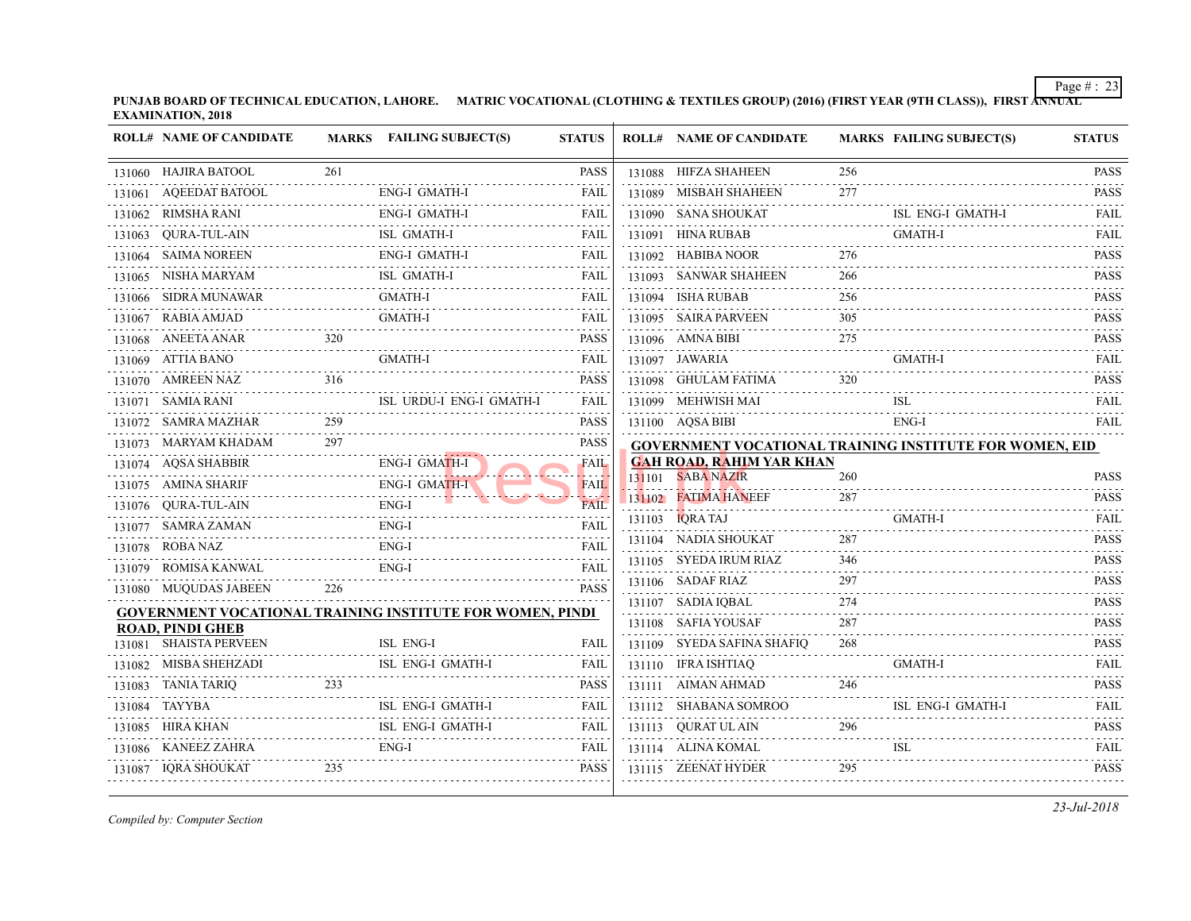| <b>ROLL# NAME OF CANDIDATE</b> |     | MARKS FAILING SUBJECT(S)                                         | <b>STATUS</b> | <b>ROLL# NAME OF CANDIDATE</b>            | <b>MARKS FAIL</b> |            |
|--------------------------------|-----|------------------------------------------------------------------|---------------|-------------------------------------------|-------------------|------------|
| 131060 HAJIRA BATOOL           | 261 |                                                                  | <b>PASS</b>   | 131088 HIFZA SHAHEEN                      | 256               |            |
| 131061 AQEEDAT BATOOL          |     | ENG-I GMATH-I                                                    | FAIL          | 131089 MISBAH SHAHEEN                     | 277               |            |
| 131062 RIMSHA RANI             |     | ENG-I GMATH-I                                                    | FAIL          | 131090 SANA SHOUKAT                       |                   | ISL I      |
| 131063 QURA-TUL-AIN            |     | ISL GMATH-I                                                      | FAIL          | 131091 HINA RUBAB                         |                   | <b>GMA</b> |
| 131064 SAIMA NOREEN            |     | <b>ENG-I GMATH-I</b>                                             | <b>FAIL</b>   | 131092 HABIBA NOOR                        | 276               |            |
| 131065 NISHA MARYAM            |     | ISL GMATH-I                                                      | FAIL          | 131093 SANWAR SHAHEEN                     | 266               |            |
| 131066 SIDRA MUNAWAR           |     | <b>GMATH-I</b>                                                   | FAIL          | 131094 ISHA RUBAB                         | 256               |            |
| 131067 RABIA AMJAD             |     | <b>GMATH-I</b>                                                   | FAIL          | 131095 SAIRA PARVEEN                      | 305               |            |
| 131068 ANEETA ANAR             | 320 |                                                                  | <b>PASS</b>   | 131096 AMNA BIBI                          | 275               |            |
| 131069 ATTIA BANO              |     | <b>GMATH-I</b>                                                   | FAIL          | 131097 JAWARIA                            |                   | <b>GMA</b> |
| 131070 AMREEN NAZ              | 316 |                                                                  | <b>PASS</b>   | 131098 GHULAM FATIMA                      | 320               |            |
| 131071 SAMIA RANI              |     | ISL URDU-I ENG-I GMATH-I                                         | FAIL          | 131099 MEHWISH MAI                        |                   | ISL-       |
| 131072 SAMRA MAZHAR            | 259 |                                                                  | <b>PASS</b>   | 131100 AQSA BIBI                          |                   | ENG-       |
| 131073 MARYAM KHADAM           | 297 |                                                                  | <b>PASS</b>   | <b>GOVERNMENT VOCATIONAL TRAINING INS</b> |                   |            |
| 131074 AQSA SHABBIR            |     | . <mark>.</mark><br>ENG-I GMATH-I                                | FAIL          | <b>GAH ROAD, RAHIM YAR KHAN</b>           |                   |            |
| 131075 AMINA SHARIF            |     | <b>ENG-I GMATH-I</b>                                             | <b>FAIL</b>   | 131101 SABA NAZIR                         | 260               |            |
| 131076 QURA-TUL-AIN            |     | ENG-I                                                            | FAIL          | 131102 FATIMA HANEEF                      | 287               |            |
| 131077 SAMRA ZAMAN             |     | ENG-I                                                            | FAIL          | 131103 <b>IQRATAJ</b>                     |                   | <b>GMA</b> |
| 131078 ROBA NAZ                |     | ENG-I                                                            | FAIL          | 131104 NADIA SHOUKAT                      | 287               |            |
| 131079 ROMISA KANWAL           |     | ENG-I                                                            | FAIL          | 131105 SYEDA IRUM RIAZ                    | 346               |            |
| 131080 MUQUDAS JABEEN          | 226 |                                                                  | <b>PASS</b>   | 131106 SADAF RIAZ                         | 297               |            |
|                                |     | <b>GOVERNMENT VOCATIONAL TRAINING INSTITUTE FOR WOMEN, PINDI</b> |               | 131107 SADIA IQBAL                        | 274               |            |
| <b>ROAD, PINDI GHEB</b>        |     |                                                                  |               | 131108 SAFIA YOUSAF                       | 287               |            |
| 131081 SHAISTA PERVEEN         |     | ISL ENG-I                                                        | FAIL          | 131109 SYEDA SAFINA SHAFIO                | 268               |            |
| 131082 MISBA SHEHZADI          |     | ISL ENG-I GMATH-I                                                | FAIL          | 131110 IFRA ISHTIAQ                       |                   | GMA        |
| 131083 TANIA TARIQ             | 233 |                                                                  | <b>PASS</b>   | 131111 AIMAN AHMAD                        | 246               |            |
| 131084 TAYYBA                  |     | <b>ISL ENG-I GMATH-I</b>                                         | FAIL          | 131112 SHABANA SOMROO                     |                   | ISL 1      |
| 131085 HIRA KHAN               |     | ISL ENG-I GMATH-I                                                | FAIL          | 131113 QURAT ULAIN                        | 296               |            |
| 131086 KANEEZ ZAHRA            |     | $ENG-I$                                                          | FAIL          | 131114 ALINA KOMAL                        |                   | <b>ISL</b> |
| 131087 IQRA SHOUKAT            | 235 |                                                                  | <b>PASS</b>   | 131115 ZEENAT HYDER                       | 295               |            |
|                                |     |                                                                  |               |                                           |                   |            |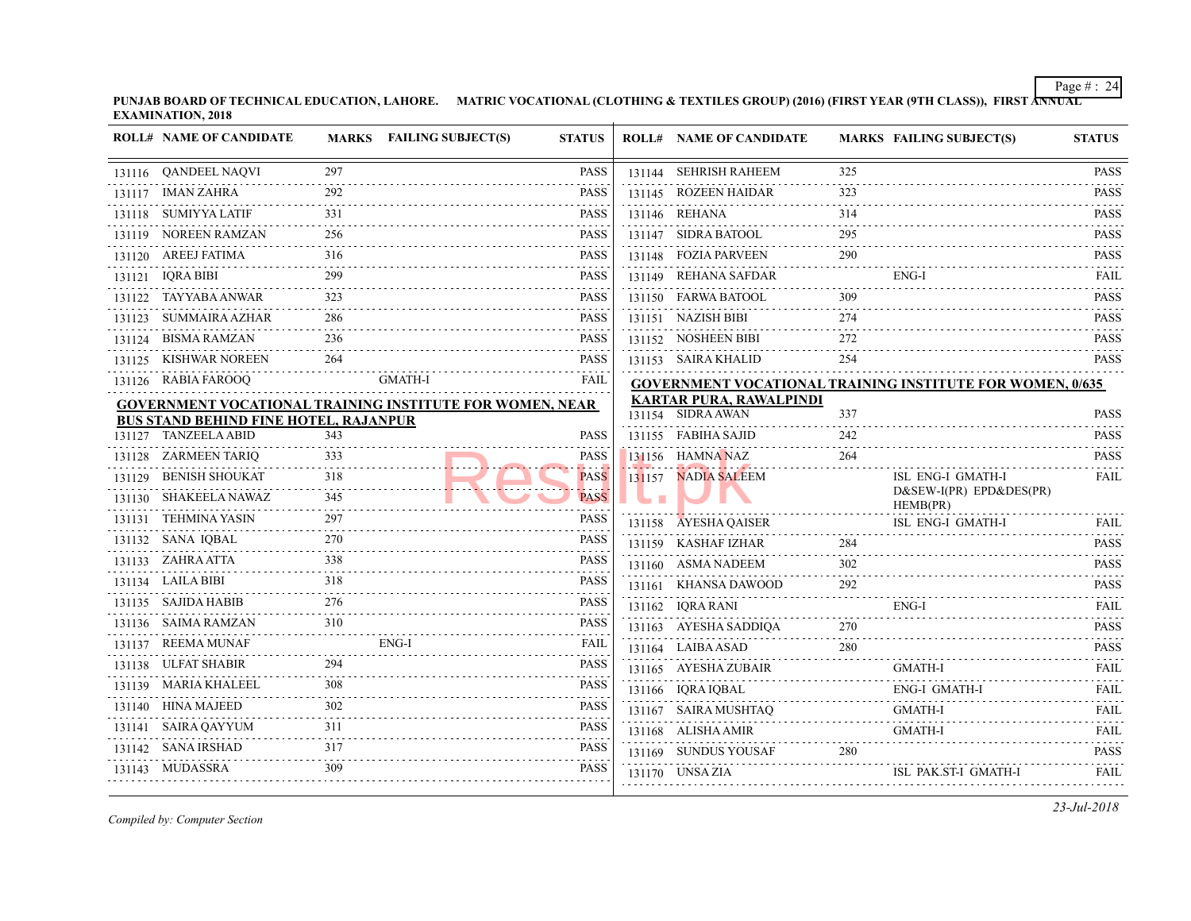**PUNJAB BOARD OF TECHNICAL EDUCATION, LAHORE.** MATRIC VOCATIONAL (CLOTHING & TEXTILES GROUP) (2016) (FIRST YEAR (9TH CLASS) **EXAMINATION, 2018**

|   | <b>ROLL# NAME OF CANDIDATE</b>               |          | MARKS FAILING SUBJECT(S)                                        | <b>STATUS</b> | <b>ROLL# NAME OF CANDIDATE</b>            | <b>MARKS FAIL</b> |              |
|---|----------------------------------------------|----------|-----------------------------------------------------------------|---------------|-------------------------------------------|-------------------|--------------|
|   | 131116 QANDEEL NAQVI                         | 297      |                                                                 | <b>PASS</b>   | 131144 SEHRISH RAHEEM                     | 325               |              |
| . | 131117 IMAN ZAHRA                            | 292      |                                                                 | <b>PASS</b>   | 131145 ROZEEN HAIDAR                      | 323               |              |
|   | 131118 SUMIYYA LATIF                         | 331      |                                                                 | PASS          | 131146 REHANA                             | 314               |              |
|   | 131119 NOREEN RAMZAN                         | 256      |                                                                 | PASS          | 131147 SIDRA BATOOL                       | 295               |              |
|   | 131120 AREEJ FATIMA                          | 316<br>. |                                                                 | PASS          | 131148 FOZIA PARVEEN                      | 290               |              |
|   | 131121 IQRA BIBI                             | 299      |                                                                 | <b>PASS</b>   | 131149 REHANA SAFDAR                      |                   | ENG-         |
|   | 131122 TAYYABA ANWAR                         | 323      |                                                                 | PASS          | 131150 FARWA BATOOL                       | 309               |              |
|   | 131123 SUMMAIRA AZHAR                        | 286      |                                                                 | PASS          | 131151 NAZISH BIBI                        | 274               |              |
|   | 131124 BISMA RAMZAN                          | 236      |                                                                 | <b>PASS</b>   | 131152 NOSHEEN BIBI                       | 272               |              |
|   | 131125 KISHWAR NOREEN                        | 264      |                                                                 | <b>PASS</b>   | 131153 SAIRA KHALID                       | 254               |              |
|   | 131126 RABIA FAROOQ                          |          | GMATH-I                                                         | FAIL          | <b>GOVERNMENT VOCATIONAL TRAINING INS</b> |                   |              |
|   |                                              |          | <b>GOVERNMENT VOCATIONAL TRAINING INSTITUTE FOR WOMEN, NEAR</b> |               | <b>KARTAR PURA, RAWALPINDI</b>            |                   |              |
|   | <b>BUS STAND BEHIND FINE HOTEL, RAJANPUR</b> |          |                                                                 |               | 131154 SIDRA AWAN                         | 337               |              |
|   | 131127 TANZEELA ABID                         | 343      |                                                                 | PASS          | 131155 FABIHA SAJID                       | 242               |              |
|   | 131128 ZARMEEN TARIQ                         | 333      |                                                                 | PASS          | 131156 HAMNA NAZ                          | 264               |              |
|   | 131129 BENISH SHOUKAT                        | 318<br>. |                                                                 | <b>PASS</b>   | 131157 NADIA SALEEM                       |                   | ISL 1<br>D&S |
|   | 131130 SHAKEELA NAWAZ                        | 345      |                                                                 | <b>PASS</b>   |                                           |                   | <b>HEM</b>   |
|   | 131131 TEHMINA YASIN                         | 297      |                                                                 | <b>PASS</b>   | 131158 AYESHA QAISER                      |                   | ISL I        |
|   | 131132 SANA IQBAL                            | 270      |                                                                 | <b>PASS</b>   | 131159 KASHAF IZHAR                       | 284               |              |
|   | 131133 ZAHRA ATTA                            | 338      |                                                                 | <b>PASS</b>   | 131160 ASMA NADEEM                        | 302               |              |
|   | 131134 LAILA BIBI                            | 318      |                                                                 | <b>PASS</b>   | 131161 KHANSA DAWOOD                      | 292               |              |
|   | 131135 SAJIDA HABIB                          | 276      |                                                                 | PASS          | 131162 IQRA RANI                          |                   | ENG-         |
|   | 131136 SAIMA RAMZAN                          | 310      |                                                                 | PASS          | 131163 AYESHA SADDIQA                     | 270               |              |
|   | 131137 REEMA MUNAF                           |          | ENG-I                                                           | FAIL          | 131164 LAIBA ASAD                         | 280               |              |
|   | 131138 ULFAT SHABIR                          | 294      |                                                                 | <b>PASS</b>   | 131165 AYESHA ZUBAIR                      |                   | GMA          |
|   | 131139 MARIA KHALEEL                         | 308      |                                                                 | <b>PASS</b>   | 131166 IQRA IQBAL                         |                   | ENG-         |
|   | 131140 HINA MAJEED                           | 302      |                                                                 | PASS          | 131167 SAIRA MUSHTAQ                      |                   | <b>GMA</b>   |
|   | 131141 SAIRA QAYYUM                          | 311      |                                                                 | <b>PASS</b>   | 131168 ALISHA AMIR                        |                   | <b>GMA</b>   |
|   | 131142 SANA IRSHAD                           | 317      |                                                                 | <b>PASS</b>   | 131169 SUNDUS YOUSAF                      | 280               |              |
|   | 131143 MUDASSRA                              | 309      |                                                                 | <b>PASS</b>   | 131170 UNSA ZIA                           |                   | ISL          |
|   |                                              |          |                                                                 |               |                                           |                   |              |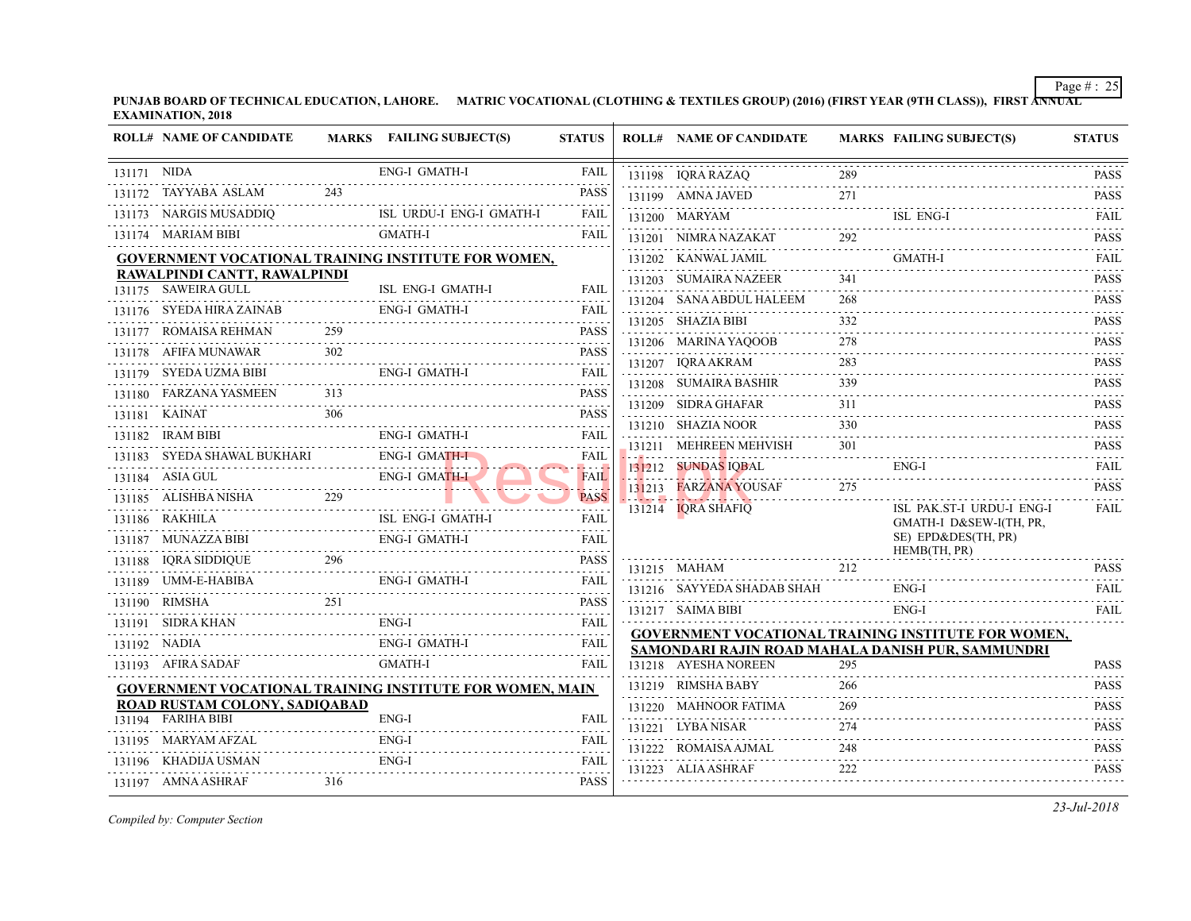|             | <b>ROLL# NAME OF CANDIDATE</b>                           |     | MARKS FAILING SUBJECT(S)                                        | <b>STATUS</b>                                                                                                                                       | <b>ROLL# NAME OF CANDIDATE</b>            | <b>MARKS FAIL</b> |                     |
|-------------|----------------------------------------------------------|-----|-----------------------------------------------------------------|-----------------------------------------------------------------------------------------------------------------------------------------------------|-------------------------------------------|-------------------|---------------------|
| 131171 NIDA |                                                          |     | ENG-I GMATH-I                                                   | FAIL                                                                                                                                                | 131198 IQRA RAZAQ                         | 289               |                     |
|             | 131172 TAYYABA ASLAM                                     | 243 |                                                                 | <b>PASS</b>                                                                                                                                         | 131199 AMNA JAVED                         | 271               |                     |
|             | 131173 NARGIS MUSADDIQ<br>4DDIQ<br>--------------------- |     | ISL URDU-I ENG-I GMATH-I                                        | FAIL                                                                                                                                                | 131200 MARYAM                             |                   | ISL 1               |
|             | 131174 MARIAM BIBI                                       |     | GMATH-I                                                         | FAIL                                                                                                                                                | 131201 NIMRA NAZAKAT                      | 292               |                     |
|             |                                                          |     | <b>GOVERNMENT VOCATIONAL TRAINING INSTITUTE FOR WOMEN,</b>      |                                                                                                                                                     | 131202 KANWAL JAMIL                       |                   | GMA                 |
|             | RAWALPINDI CANTT, RAWALPINDI                             |     |                                                                 |                                                                                                                                                     | 131203 SUMAIRA NAZEER                     | 341               |                     |
|             | 131175 SAWEIRA GULL                                      |     | ISL ENG-I GMATH-I                                               | FAIL                                                                                                                                                | 131204 SANA ABDUL HALEEM                  | 268               |                     |
|             | 131176 SYEDA HIRA ZAINAB                                 |     | ENG-I GMATH-I                                                   | FAIL                                                                                                                                                | 131205 SHAZIA BIBI                        | 332               |                     |
|             | 131177     ROMAISA REHMAN                                | 259 |                                                                 | <b>PASS</b><br>$\alpha$ , $\alpha$ , $\alpha$ , $\alpha$ , $\alpha$                                                                                 | 131206 MARINA YAQOOB                      | 278               |                     |
|             | 131178 AFIFA MUNAWAR                                     | 302 |                                                                 | <b>PASS</b><br>$\mathcal{L}^{\mathcal{A}}\left( \mathcal{A}^{\mathcal{A}}\right) =\mathcal{L}^{\mathcal{A}}\left( \mathcal{A}^{\mathcal{A}}\right)$ |                                           | 283               |                     |
|             | 131179 SYEDA UZMA BIBI                                   |     | ENG-I GMATH-I                                                   | FAIL                                                                                                                                                | 131207 IORA AKRAM                         |                   |                     |
|             | 131180 FARZANA YASMEEN 313                               |     |                                                                 | .<br><b>PASS</b>                                                                                                                                    | 131208 SUMAIRA BASHIR                     | 339               |                     |
|             | 131181 KAINAT                                            | 306 |                                                                 | a a a a an<br><b>PASS</b>                                                                                                                           | 131209 SIDRA GHAFAR                       | 311               |                     |
|             | 131182 IRAM BIBI                                         |     | <b>ENG-I GMATH-I</b>                                            | FAIL                                                                                                                                                | 131210 SHAZIA NOOR                        | 330<br>.          |                     |
|             | 131183 SYEDA SHAWAL BUKHARI                              |     | <b>ENG-I GMATH-I</b>                                            | FAIL                                                                                                                                                | 131211 MEHREEN MEHVISH                    | 301               |                     |
|             | 131184 ASIA GUL                                          |     | ENG-I GMATH-I                                                   | .<br><b>FAIL</b>                                                                                                                                    | 131212 SUNDAS IQBAL                       |                   | ENG-                |
|             | 131184 ASIA GUL ENG-I GMATH-<br>131185 ALISHBA NISHA 229 |     |                                                                 | .<br><b>PASS</b>                                                                                                                                    | 131213 FARZANA YOUSAF                     | 275               |                     |
|             | 131186 RAKHILA                                           |     | ISL ENG-I GMATH-I                                               | FAIL                                                                                                                                                | 131214 IQRA SHAFIQ                        |                   | ISL 1               |
|             | 131187 MUNAZZA BIBI                                      |     | ENG-I GMATH-I                                                   | FAIL                                                                                                                                                |                                           |                   | <b>GMA</b><br>SE) I |
|             | BI<br>                                                   |     |                                                                 |                                                                                                                                                     |                                           |                   | <b>HEM</b>          |
|             | $\frac{3}{2}$ 296<br>131188 IQRA SIDDIQUE                |     |                                                                 | <b>PASS</b><br>.                                                                                                                                    | 131215 MAHAM                              | 212               |                     |
|             |                                                          |     | ENG-I GMATH-I                                                   | <b>FAIL</b><br>.                                                                                                                                    | 131216 SAYYEDA SHADAB SHAH                |                   | ENG-                |
|             | 131190 RIMSHA                                            | 251 |                                                                 | <b>PASS</b><br>.                                                                                                                                    | 131217 SAIMA BIBI                         |                   | ENG-                |
|             | 131191 SIDRA KHAN                                        |     | ENG-I                                                           | <b>FAIL</b><br>.                                                                                                                                    | <b>GOVERNMENT VOCATIONAL TRAINING INS</b> |                   |                     |
|             | 131192 NADIA                                             |     | <b>ENG-I GMATH-I</b>                                            | FAIL                                                                                                                                                | SAMONDARI RAJIN ROAD MAHALA DANISH        |                   |                     |
|             | 131193 AFIRA SADAF                                       |     | GMATH-I                                                         | FAIL                                                                                                                                                | 131218 AYESHA NOREEN                      | 295               |                     |
|             |                                                          |     | <b>GOVERNMENT VOCATIONAL TRAINING INSTITUTE FOR WOMEN, MAIN</b> |                                                                                                                                                     | 131219 RIMSHA BABY                        | 266               |                     |
|             | ROAD RUSTAM COLONY, SADIOABAD                            |     |                                                                 |                                                                                                                                                     | 131220 MAHNOOR FATIMA                     | 269               |                     |
|             | 131194 FARIHA BIBI                                       |     | ENG-I                                                           | FAIL                                                                                                                                                | 131221 LYBA NISAR                         | 274               |                     |
|             | 131195 MARYAM AFZAL                                      |     | $ENG-I$                                                         | <b>FAIL</b>                                                                                                                                         | 131222 ROMAISA AJMAL                      | 248               |                     |
|             | 131196 KHADIJA USMAN                                     |     | ENG-I                                                           | FAIL<br>.                                                                                                                                           | 131223 ALIA ASHRAF                        | 222               |                     |
|             | 131197 AMNA ASHRAF                                       | 316 |                                                                 | PASS                                                                                                                                                |                                           |                   |                     |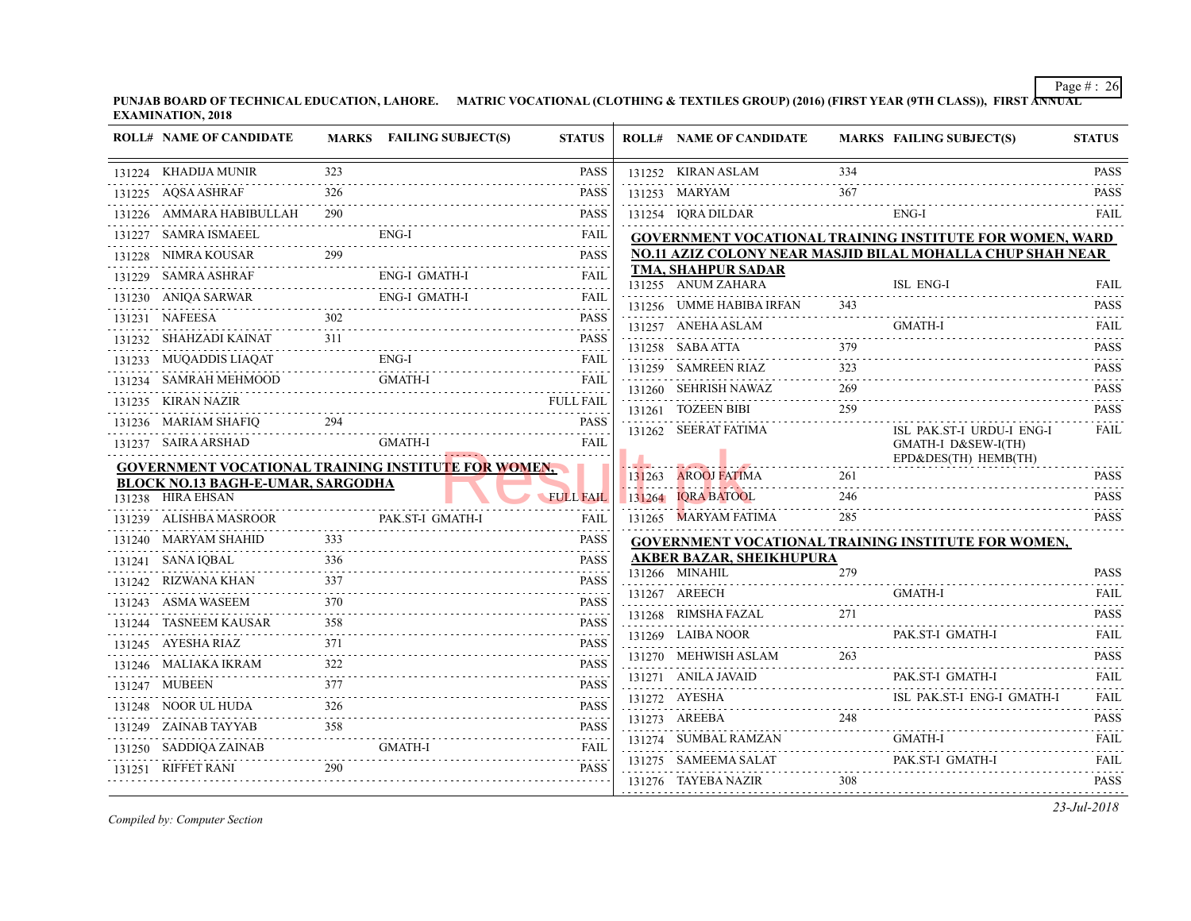|   | <b>ROLL# NAME OF CANDIDATE</b>                             |     | MARKS FAILING SUBJECT(S) | <b>STATUS</b>                                                       | <b>ROLL# NAME OF CANDIDATE</b>                                               | <b>MARKS FAIL</b> |             |
|---|------------------------------------------------------------|-----|--------------------------|---------------------------------------------------------------------|------------------------------------------------------------------------------|-------------------|-------------|
|   | 131224 KHADIJA MUNIR                                       | 323 |                          | <b>PASS</b>                                                         | 131252 KIRAN ASLAM                                                           | 334               |             |
|   | 131225 AQSA ASHRAF                                         | 326 |                          | PASS                                                                | 131253 MARYAM                                                                | 367               |             |
|   | 131226 AMMARA HABIBULLAH 290                               |     |                          | <b>PASS</b>                                                         | 131254 IQRA DILDAR                                                           |                   | ENG-        |
|   | 131227 SAMRA ISMAEEL                                       |     | ENG-I                    | FAIL<br>الداعات عامات                                               | <b>GOVERNMENT VOCATIONAL TRAINING INS</b>                                    |                   |             |
|   | 299<br>131228 NIMRA KOUSAR                                 |     |                          | <b>PASS</b><br>.                                                    | <b>NO.11 AZIZ COLONY NEAR MASJID BILAL M</b>                                 |                   |             |
|   | 131229 SAMRA ASHRAF<br>F<br>-----------------------        |     | ENG-I GMATH-I            | FAIL                                                                | <b>TMA, SHAHPUR SADAR</b><br>131255 ANUM ZAHARA                              |                   | ISL 1       |
|   | 131230 ANIQA SARWAR ENG-I GMATH-I FAIL                     |     |                          |                                                                     | 131256 UMME HABIBA IRFAN                                                     | 343               |             |
|   | 302<br>131231 NAFEESA                                      |     |                          | <b>PASS</b>                                                         | 131257 ANEHA ASLAM                                                           |                   | <b>GMA</b>  |
|   | 131232 SHAHZADI KAINAT                                     |     | 311                      | <b>PASS</b>                                                         | 131258 SABA ATTA                                                             | 379               |             |
|   | 131233 MUQADDIS LIAQAT                                     |     | $ENG-I$                  | <b>FAIL</b>                                                         | 131259 SAMREEN RIAZ                                                          | 323               |             |
|   | 131234 SAMRAH MEHMOOD                                      |     | <b>GMATH-I</b>           | <b>FAIL</b>                                                         | 131260 SEHRISH NAWAZ                                                         | 269               |             |
|   | 131235 KIRAN NAZIR                                         |     |                          | <b>FULL FAIL</b>                                                    | 131261 TOZEEN BIBI                                                           | 259               |             |
|   | $131236 \text{ MARIAM SHAFIQ} \longrightarrow \text{PASS}$ |     |                          | <b>PASS</b>                                                         | 131262 SEERAT FATIMA                                                         |                   | ISL 1       |
|   | 131237 SAIRA ARSHAD                                        |     | GMATH-I                  | FAIL                                                                |                                                                              |                   | <b>GMA</b>  |
|   | <b>GOVERNMENT VOCATIONAL TRAINING INSTITUTE FOR WOMEN.</b> |     |                          |                                                                     |                                                                              | 261               | $EPD\delta$ |
|   | <b>BLOCK NO.13 BAGH-E-UMAR, SARGODHA</b>                   |     |                          |                                                                     | 131263 AROOJ FATIMA                                                          |                   |             |
|   | 131238 HIRA EHSAN                                          |     |                          | <b>FULL FAIL</b>                                                    | 131264 IQRA BATOOL                                                           | 246               |             |
|   | 131239 ALISHBA MASROOR                                     |     | PAK.ST-I GMATH-I         | <b>FAIL</b>                                                         | 131265 MARYAM FATIMA                                                         | 285               |             |
|   | 131240 MARYAM SHAHID                                       | 333 |                          | <b>PASS</b>                                                         | <b>GOVERNMENT VOCATIONAL TRAINING INS</b><br><b>AKBER BAZAR, SHEIKHUPURA</b> |                   |             |
|   | 336<br>131241 SANA IQBAL                                   |     |                          | <b>PASS</b>                                                         | 131266 MINAHIL                                                               | 279               |             |
|   | 131242 RIZWANA KHAN                                        |     |                          | <b>PASS</b>                                                         | 131267 AREECH                                                                |                   | <b>GMA</b>  |
|   | 131243 ASMA WASEEM                                         | 370 |                          | <b>PASS</b>                                                         | 131268 RIMSHA FAZAL                                                          |                   |             |
|   | 131244 TASNEEM KAUSAR<br>.                                 | 358 |                          | <b>PASS</b><br>$\alpha$ , $\alpha$ , $\alpha$ , $\alpha$ , $\alpha$ | 131269 LAIBA NOOR                                                            |                   | PAK.        |
| . | 131245 AYESHA RIAZ<br>.                                    | 371 |                          | PASS                                                                | .<br>131270 MEHWISH ASLAM                                                    | 263               |             |
|   | 131246 MALIAKA IKRAM                                       |     |                          | <b>PASS</b>                                                         | 131271 ANILA JAVAID                                                          |                   | PAK.        |
|   | 131247 MUBEEN<br>.                                         | 377 |                          | <b>PASS</b><br>.                                                    |                                                                              |                   |             |
|   | 131248 NOOR UL HUDA                                        | 326 |                          | <b>PASS</b><br>.                                                    | 131272 AYESHA ISL I<br>131273 AREEBA                                         | 248               |             |
|   | 131249 ZAINAB TAYYAB                                       | 358 |                          | <b>PASS</b>                                                         | 131274 SUMBAL RAMZAN                                                         |                   | <b>GMA</b>  |
|   | 131250 SADDIQA ZAINAB                                      |     | GMATH-I                  | <b>FAIL</b>                                                         | 131275 SAMEEMA SALAT                                                         |                   | PAK.        |
|   | 131251 RIFFET RANI                                         | 290 |                          | <b>PASS</b>                                                         |                                                                              | 308               |             |
|   |                                                            |     |                          |                                                                     | 131276 TAYEBA NAZIR                                                          |                   |             |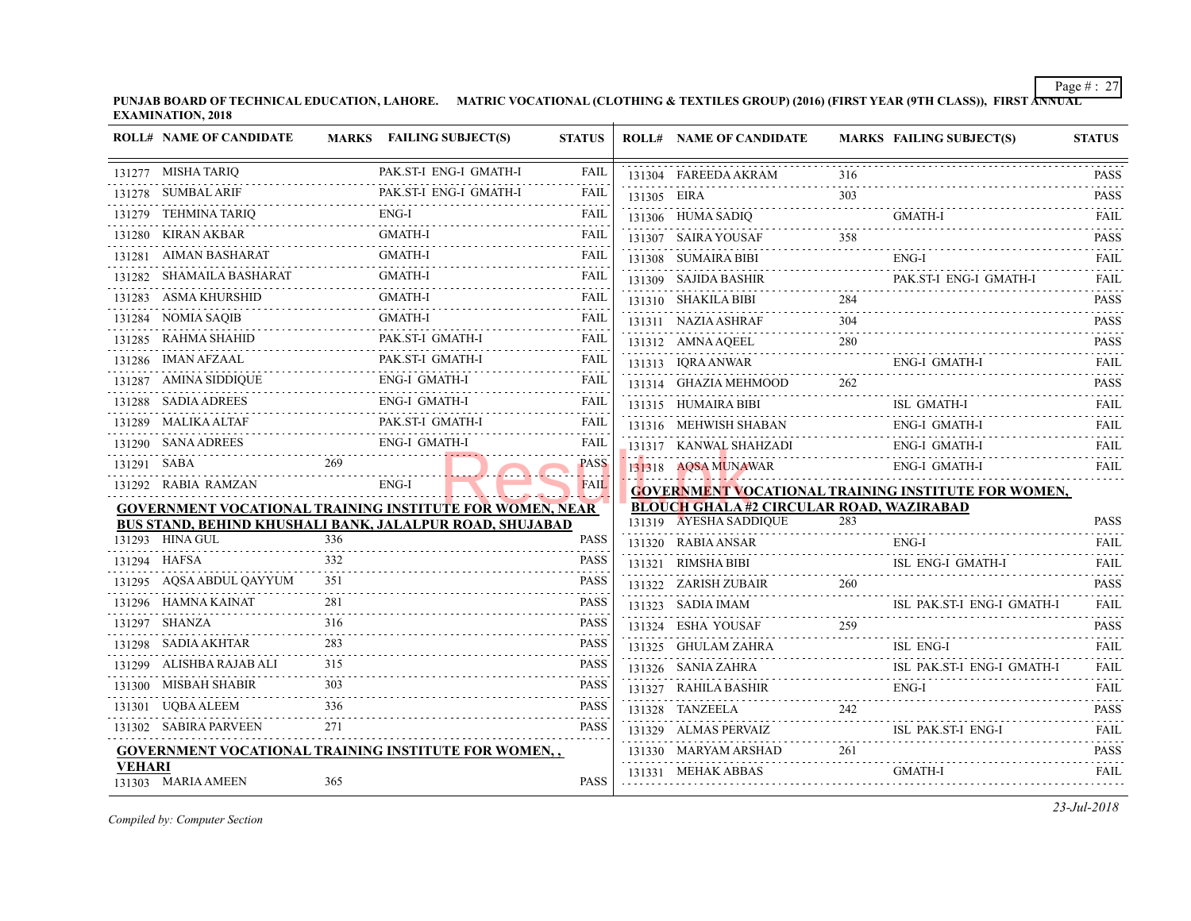|               | <b>ROLL# NAME OF CANDIDATE</b> |     | MARKS FAILING SUBJECT(S)                                    | <b>STATUS</b> |             | <b>ROLL# NAME OF CANDIDATE</b>             | <b>MARKS FAIL</b> |       |
|---------------|--------------------------------|-----|-------------------------------------------------------------|---------------|-------------|--------------------------------------------|-------------------|-------|
|               | 131277 MISHA TARIQ             |     | PAK.ST-I ENG-I GMATH-I                                      | FAIL          |             | 131304 FAREEDA AKRAM                       | 316               |       |
|               | 131278 SUMBAL ARIF             |     | PAK.ST-I ENG-I GMATH-I                                      | FAIL          | 131305 EIRA |                                            | 303               |       |
|               | 131279 TEHMINA TARIQ           |     | $ENG-I$                                                     | FAIL          |             | 131306 HUMA SADIQ                          |                   | GMA   |
|               | 131280 KIRAN AKBAR             |     | <b>GMATH-I</b>                                              | FAIL          |             | 131307 SAIRA YOUSAF                        | 358               |       |
|               | 131281 AIMAN BASHARAT          |     | <b>GMATH-I</b>                                              | FAIL          |             | 131308 SUMAIRA BIBI                        |                   | ENG-  |
|               | 131282 SHAMAILA BASHARAT       |     | <b>GMATH-I</b>                                              | FAIL          |             | 131309 SAJIDA BASHIR                       |                   | PAK.  |
|               | 131283 ASMA KHURSHID           |     | GMATH-I                                                     | FAIL          |             | 131310 SHAKILA BIBI                        | 284               |       |
|               | 131284 NOMIA SAQIB             |     | <b>GMATH-I</b>                                              | FAIL          |             | 131311 NAZIA ASHRAF                        | 304               |       |
|               | 131285 RAHMA SHAHID            |     | PAK.ST-I GMATH-I                                            | FAIL          |             | 131312 AMNA AQEEL                          | 280               |       |
|               | 131286 IMAN AFZAAL             |     | PAK.ST-I GMATH-I                                            | FAIL          |             | 131313 IQRA ANWAR                          |                   | ENG-  |
|               | 131287 AMINA SIDDIQUE          |     | <b>ENG-I GMATH-I</b>                                        | FAIL          |             | 131314 GHAZIA MEHMOOD                      | 262               |       |
|               | 131288 SADIA ADREES<br>.       |     | ENG-I GMATH-I                                               | FAIL          |             | 131315 HUMAIRA BIBI                        |                   | ISL 0 |
|               | 131289 MALIKA ALTAF            |     | PAK.ST-I GMATH-I                                            | FAIL          |             | 131316 MEHWISH SHABAN                      |                   | ENG-  |
|               | 131290 SANA ADREES             |     | <b>ENG-I GMATH-I</b>                                        | FAIL          |             | 131317 KANWAL SHAHZADI                     |                   | ENG-  |
| 131291 SABA   |                                | 269 |                                                             | <b>PASS</b>   |             | 131318 AQSA MUNAWAR                        |                   | ENG-  |
|               | 131292 RABIA RAMZAN            |     | $ENG-I$                                                     | <b>FAIL</b>   |             | <b>GOVERNMENT VOCATIONAL TRAINING INS</b>  |                   |       |
|               |                                |     | GOVERNMENT VOCATIONAL TRAINING INSTITUTE FOR WOMEN, NEAR    |               |             | <b>BLOUCH GHALA #2 CIRCULAR ROAD, WAZI</b> |                   |       |
|               |                                |     | BUS STAND, BEHIND KHUSHALI BANK, JALALPUR ROAD, SHUJABAD    |               |             | 131319 AYESHA SADDIQUE                     | 283               |       |
|               | 131293 HINA GUL                | 336 |                                                             | <b>PASS</b>   |             | 131320 RABIA ANSAR                         |                   | ENG-  |
|               | 131294 HAFSA                   | 332 |                                                             | <b>PASS</b>   |             | 131321 RIMSHA BIBI                         |                   | ISL 1 |
|               | 131295 AQSA ABDUL QAYYUM       | 351 |                                                             | PASS          |             | 131322 ZARISH ZUBAIR                       | 260               |       |
|               | 131296 HAMNA KAINAT            | 281 |                                                             | <b>PASS</b>   |             | 131323 SADIA IMAM                          |                   | ISL 1 |
|               | 131297 SHANZA                  | 316 |                                                             | <b>PASS</b>   |             | 131324 ESHA YOUSAF                         | 259               |       |
|               | 131298 SADIA AKHTAR            | 283 |                                                             | <b>PASS</b>   |             | 131325 GHULAM ZAHRA<br>.                   |                   | ISL 1 |
|               | 131299 ALISHBA RAJAB ALI       | 315 |                                                             | <b>PASS</b>   |             | 131326 SANIA ZAHRA                         |                   | ISL 1 |
|               | 131300 MISBAH SHABIR           |     |                                                             | PASS          |             | 131327 RAHILA BASHIR                       |                   | ENG-  |
|               | 131301 UQBA ALEEM              | 336 |                                                             | PASS          |             | 131328 TANZEELA                            | 242               |       |
|               | 131302 SABIRA PARVEEN          | 271 |                                                             | <b>PASS</b>   |             | 131329 ALMAS PERVAIZ                       |                   | ISL 1 |
| <b>VEHARI</b> |                                |     | <b>GOVERNMENT VOCATIONAL TRAINING INSTITUTE FOR WOMEN,,</b> |               |             | 131330 MARYAM ARSHAD<br>.                  | 261               |       |
|               | 131303 MARIA AMEEN             | 365 |                                                             | PASS          |             | 131331 MEHAK ABBAS                         |                   | GMA   |
|               |                                |     |                                                             |               |             |                                            |                   |       |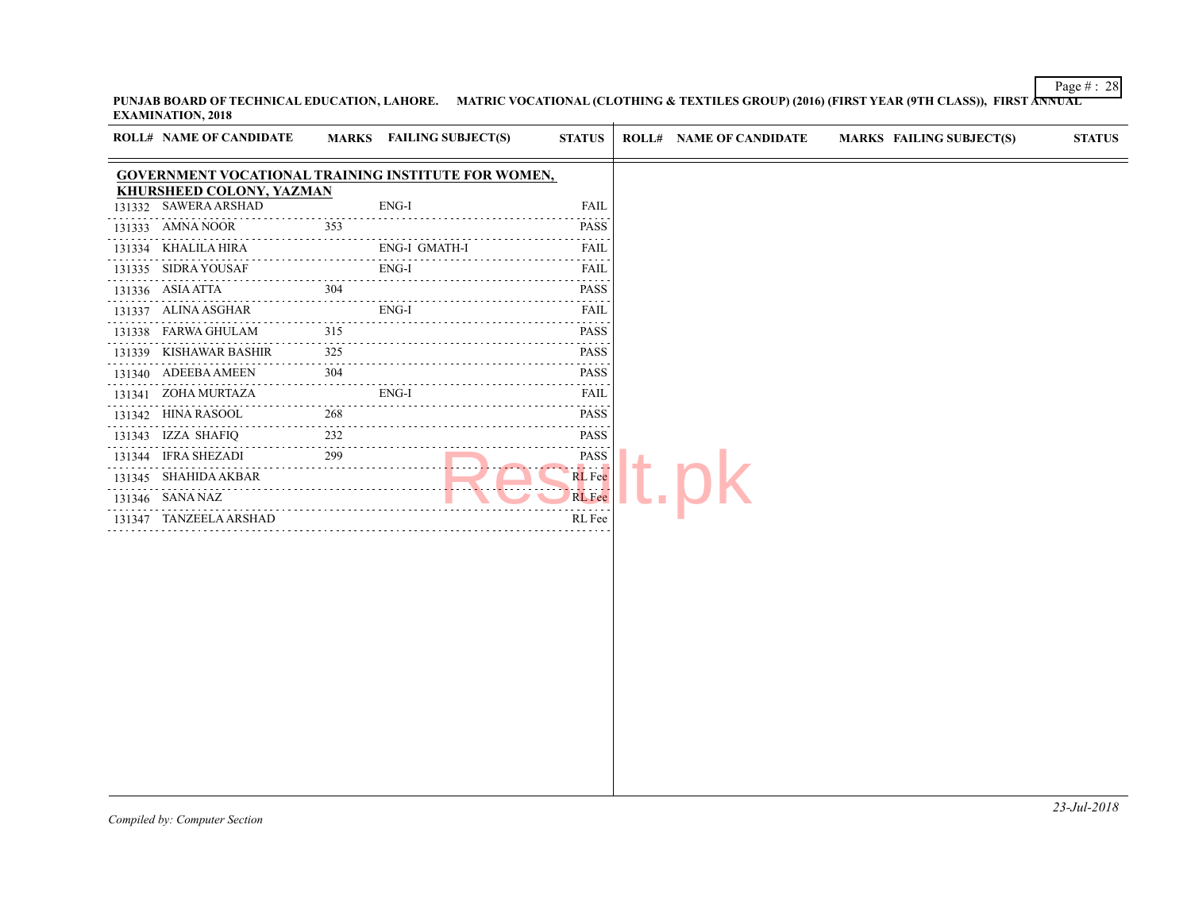| <b>EXAMINATION, 2018</b>                                                                      |          |                          |                                                                                                                                                                                                                                                                                               |                                |                   |
|-----------------------------------------------------------------------------------------------|----------|--------------------------|-----------------------------------------------------------------------------------------------------------------------------------------------------------------------------------------------------------------------------------------------------------------------------------------------|--------------------------------|-------------------|
| <b>ROLL# NAME OF CANDIDATE</b>                                                                |          | MARKS FAILING SUBJECT(S) | <b>STATUS</b>                                                                                                                                                                                                                                                                                 | <b>ROLL# NAME OF CANDIDATE</b> | <b>MARKS FAIL</b> |
| <b>GOVERNMENT VOCATIONAL TRAINING INSTITUTE FOR WOMEN,</b><br><b>KHURSHEED COLONY, YAZMAN</b> |          |                          |                                                                                                                                                                                                                                                                                               |                                |                   |
| 131332 SAWERA ARSHAD                                                                          |          | ENG-I                    | <b>FAIL</b>                                                                                                                                                                                                                                                                                   |                                |                   |
| 131333 AMNA NOOR                                                                              | 353      |                          | .<br><b>PASS</b>                                                                                                                                                                                                                                                                              |                                |                   |
| 131334 KHALILA HIRA                                                                           |          | ENG-I GMATH-I            | $\mathcal{L}^{\mathcal{A}}\left( \mathcal{A}^{\mathcal{A}}\right) =\mathcal{L}^{\mathcal{A}}\left( \mathcal{A}^{\mathcal{A}}\right)$<br>FAIL                                                                                                                                                  |                                |                   |
| 131335 SIDRA YOUSAF                                                                           |          | .<br>ENG-I               | $\sim$ $\sim$ $\sim$ $\sim$ $\sim$<br>FAIL                                                                                                                                                                                                                                                    |                                |                   |
| 131336 ASIA ATTA                                                                              | 304      |                          | .<br><b>PASS</b>                                                                                                                                                                                                                                                                              |                                |                   |
| .<br>131337 ALINA ASGHAR                                                                      |          | ENG-I                    | .<br>FAIL                                                                                                                                                                                                                                                                                     |                                |                   |
| 131338 FARWA GHULAM                                                                           | 315      | .                        | .<br><b>PASS</b>                                                                                                                                                                                                                                                                              |                                |                   |
| .<br>131339 KISHAWAR BASHIR                                                                   | .<br>325 |                          | <b>PASS</b>                                                                                                                                                                                                                                                                                   |                                |                   |
| 131340 ADEEBA AMEEN                                                                           | 304      |                          | .<br><b>PASS</b>                                                                                                                                                                                                                                                                              |                                |                   |
| .<br>. <u>.</u> .<br>131341 ZOHA MURTAZA                                                      |          | ENG-I                    | 2.2.2.2.2.<br>FAIL                                                                                                                                                                                                                                                                            |                                |                   |
| 131342 HINA RASOOL                                                                            | 268      |                          | .<br><b>PASS</b>                                                                                                                                                                                                                                                                              |                                |                   |
| 131343 IZZA SHAFIQ<br>and the state of the state of                                           | 232      |                          | $\mathcal{L}^{\mathcal{A}}(\mathcal{A})=\mathcal{L}^{\mathcal{A}}(\mathcal{A})=\mathcal{L}^{\mathcal{A}}(\mathcal{A})$<br><b>PASS</b><br>2.2.2.2.2                                                                                                                                            |                                |                   |
| 131344 IFRA SHEZADI                                                                           | 299      |                          | PASS<br>$\begin{aligned} \mathcal{L}_{\mathcal{A}}(\mathcal{A}) & = \mathcal{L}_{\mathcal{A}}(\mathcal{A}) + \mathcal{L}_{\mathcal{A}}(\mathcal{A}) + \mathcal{L}_{\mathcal{A}}(\mathcal{A}) + \mathcal{L}_{\mathcal{A}}(\mathcal{A}) + \mathcal{L}_{\mathcal{A}}(\mathcal{A}) \end{aligned}$ |                                |                   |
| 131345 SHAHIDA AKBAR                                                                          |          |                          | <b>RL</b> Fee<br>.                                                                                                                                                                                                                                                                            |                                |                   |
| 131346 SANA NAZ                                                                               |          |                          | <b>RL</b> Fee                                                                                                                                                                                                                                                                                 |                                |                   |
| 131347 TANZEELA ARSHAD                                                                        |          |                          | RL Fee                                                                                                                                                                                                                                                                                        |                                |                   |
|                                                                                               |          |                          |                                                                                                                                                                                                                                                                                               |                                |                   |
|                                                                                               |          |                          |                                                                                                                                                                                                                                                                                               |                                |                   |
|                                                                                               |          |                          |                                                                                                                                                                                                                                                                                               |                                |                   |
|                                                                                               |          |                          |                                                                                                                                                                                                                                                                                               |                                |                   |
|                                                                                               |          |                          |                                                                                                                                                                                                                                                                                               |                                |                   |
|                                                                                               |          |                          |                                                                                                                                                                                                                                                                                               |                                |                   |
|                                                                                               |          |                          |                                                                                                                                                                                                                                                                                               |                                |                   |
|                                                                                               |          |                          |                                                                                                                                                                                                                                                                                               |                                |                   |
|                                                                                               |          |                          |                                                                                                                                                                                                                                                                                               |                                |                   |
|                                                                                               |          |                          |                                                                                                                                                                                                                                                                                               |                                |                   |
|                                                                                               |          |                          |                                                                                                                                                                                                                                                                                               |                                |                   |
|                                                                                               |          |                          |                                                                                                                                                                                                                                                                                               |                                |                   |
|                                                                                               |          |                          |                                                                                                                                                                                                                                                                                               |                                |                   |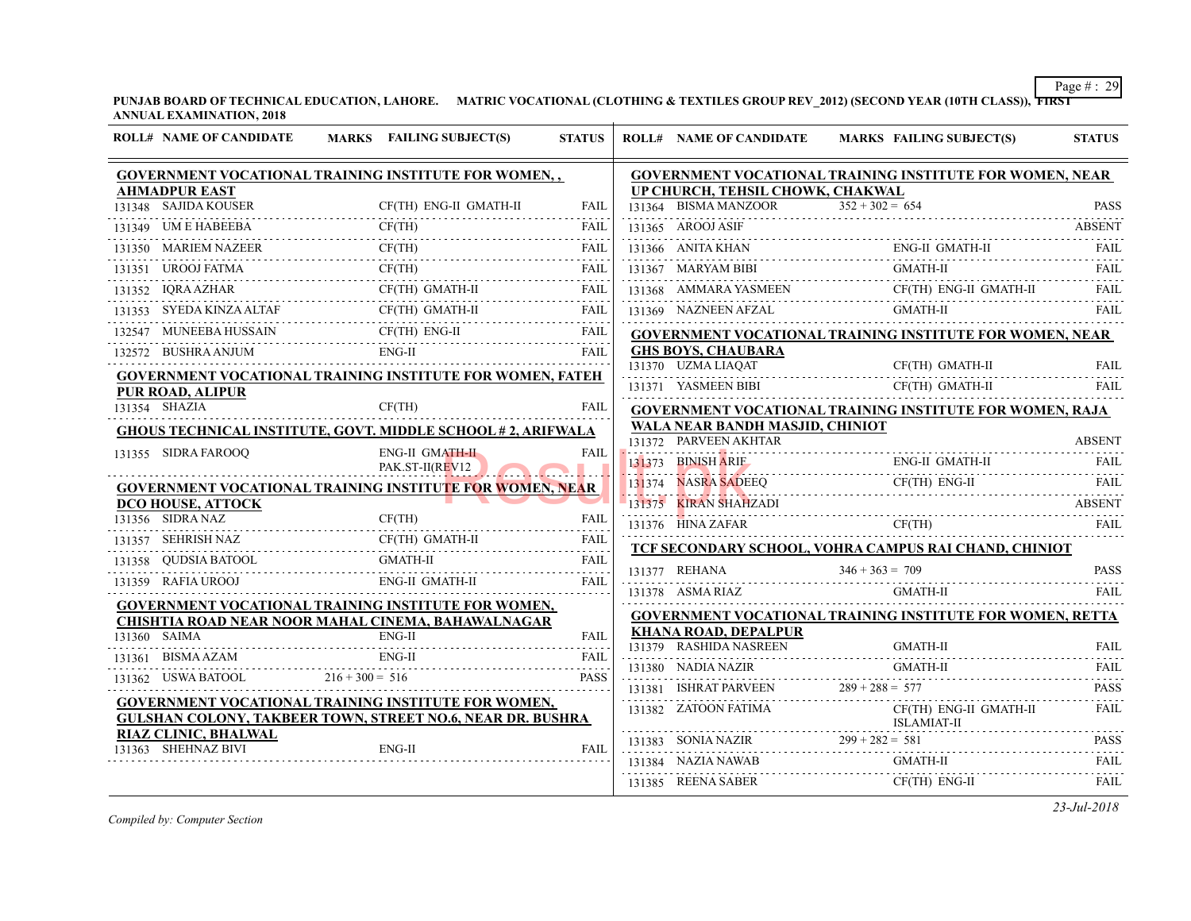**PUNJAB BOARD OF TECHNICAL EDUCATION, LAHORE. MATRIC VOCATIONAL (CLOTHING & TEXTILES GROUP REV\_2012) (SECOND YI ANNUAL EXAMINATION, 2018 ROLL# NAME OF CANDIDATE MARKS FAILING SUBJECT(S) STATUS ROLL# NAME OF CANDIDATE MARKS FAILING SUBJECT(S) STATUS**

| ROLL# NAME OF CANDIDATE                      | MARKS FAILING SUBJECT(S)                                                                                                                                                        | <b>STATUS</b>    |               | ROLL# NAME OF CANDIDATE                                                                                  | <b>MARKS FAIL</b>    |
|----------------------------------------------|---------------------------------------------------------------------------------------------------------------------------------------------------------------------------------|------------------|---------------|----------------------------------------------------------------------------------------------------------|----------------------|
|                                              | GOVERNMENT VOCATIONAL TRAINING INSTITUTE FOR WOMEN,,                                                                                                                            |                  |               | <b>GOVERNMENT VOCATIONAL TRAINING INS</b>                                                                |                      |
| <b>AHMADPUR EAST</b><br>131348 SAJIDA KOUSER | CF(TH) ENG-II GMATH-II                                                                                                                                                          | <b>FAIL</b>      |               | UP CHURCH, TEHSIL CHOWK, CHAKWAL<br>131364 BISMA MANZOOR                                                 | $352 + 302 = 654$    |
| 131349 UM E HABEEBA                          | CF(TH)                                                                                                                                                                          | FAII.            |               | 131365 AROOJ ASIF                                                                                        |                      |
| 131350 MARIEM NAZEER                         | CF(TH)                                                                                                                                                                          |                  |               | 131366 ANITA KHAN                                                                                        | ENG-                 |
| 131351 UROOJ FATMA                           | UROOJ FATMA CF(TH)<br>FAIL FAIL                                                                                                                                                 | <b>FAIL</b>      |               | 131367 MARYAM BIBI                                                                                       | <b>GMA</b>           |
| 131352 IQRA AZHAR                            | $\begin{tabular}{ll} \bf 131352 & IQRA AZHAR & CF(TH) GMATH-II & FAIL \\ \hline \end{tabular} \begin{tabular}{ll} \bf 131352 & IQRA AZHAR & \bf 131352 & FAIL \\ \end{tabular}$ |                  |               | 131368 AMMARA YASMEEN CF(1                                                                               | CF(T)                |
| 131353 SYEDA KINZA ALTAF                     | CF(TH) GMATH-II FAIL                                                                                                                                                            |                  |               | 131369 NAZNEEN AFZAL                                                                                     | <b>GMA</b>           |
|                                              | 132547 MUNEEBA HUSSAIN CF(TH) ENG-II FAIL                                                                                                                                       |                  |               | <b>GOVERNMENT VOCATIONAL TRAINING INS</b>                                                                |                      |
| 132572 BUSHRA ANJUM                          | $ENG-II$                                                                                                                                                                        | FAIL             |               | <b>GHS BOYS, CHAUBARA</b>                                                                                |                      |
|                                              | <b>GOVERNMENT VOCATIONAL TRAINING INSTITUTE FOR WOMEN, FATEH</b>                                                                                                                |                  |               | 131370 UZMA LIAOAT                                                                                       | CF(T)                |
| <b>PUR ROAD, ALIPUR</b>                      |                                                                                                                                                                                 |                  |               | 131371 YASMEEN BIBI                                                                                      | CF(T)                |
| 131354 SHAZIA                                | CF(TH)                                                                                                                                                                          | <b>FAIL</b>      |               | <b>GOVERNMENT VOCATIONAL TRAINING INS</b>                                                                |                      |
|                                              | <b>GHOUS TECHNICAL INSTITUTE, GOVT, MIDDLE SCHOOL #2, ARIFWALA</b>                                                                                                              |                  |               | WALA NEAR BANDH MASJID, CHINIOT<br>131372 PARVEEN AKHTAR                                                 |                      |
| 131355 SIDRA FAROOQ                          | <b>ENG-II GMATH-II</b><br>PAK.ST-II(REV12                                                                                                                                       | <b>FAIL</b>      |               | 131373 BINISH ARIE                                                                                       | ENG-                 |
|                                              | GOVERNMENT VOCATIONAL TRAINING INSTITUTE FOR WOMEN, NEAR                                                                                                                        |                  |               | 131374 NASRA SADEEQ                                                                                      | CF(T)                |
| <b>DCO HOUSE, ATTOCK</b>                     |                                                                                                                                                                                 |                  |               | 131375 KIRAN SHAHZADI<br>the contract of the contract of the contract of the contract of the contract of |                      |
| 131356 SIDRA NAZ                             | CF(TH)                                                                                                                                                                          | <b>FAIL</b>      |               | 131376 HINA ZAFAR                                                                                        | CF(T)                |
| 131357 SEHRISH NAZ                           | CF(TH) GMATH-II                                                                                                                                                                 |                  |               | TCF SECONDARY SCHOOL, VOHRA CAMPUS                                                                       |                      |
|                                              | <b>GMATH-II</b><br>131358    QUDSIA BATOOL    GMATH-II    FAIL    FAIL                                                                                                          |                  | 131377 REHANA |                                                                                                          | $346 + 363 = 709$    |
| 131359 RAFIA UROOJ                           | ENG-II GMATH-II                                                                                                                                                                 | <b>FAIL</b>      |               | 131378 ASMA RIAZ                                                                                         | GMA                  |
|                                              | GOVERNMENT VOCATIONAL TRAINING INSTITUTE FOR WOMEN,<br>CHISHTIA ROAD NEAR NOOR MAHAL CINEMA, BAHAWALNAGAR                                                                       |                  |               | <b>GOVERNMENT VOCATIONAL TRAINING INS</b>                                                                |                      |
| 131360 SAIMA                                 | $ENG-II$                                                                                                                                                                        | <b>FAIL</b>      |               | <b>KHANA ROAD, DEPALPUR</b>                                                                              |                      |
| 131361 BISMA AZAM                            | $ENG-II$                                                                                                                                                                        | .<br>FAIL        |               | 131379 RASHIDA NASREEN                                                                                   | <b>GMA</b>           |
| 131362 USWA BATOOL $216 + 300 = 516$         |                                                                                                                                                                                 | .<br><b>PASS</b> |               | 131380 NADIA NAZIR                                                                                       | <b>GMA</b>           |
|                                              | GOVERNMENT VOCATIONAL TRAINING INSTITUTE FOR WOMEN,                                                                                                                             |                  |               | 131381 ISHRAT PARVEEN                                                                                    | $289 + 288 = 577$    |
|                                              | <b>GULSHAN COLONY, TAKBEER TOWN, STREET NO.6, NEAR DR. BUSHRA</b>                                                                                                               |                  |               | 131382 ZATOON FATIMA                                                                                     | CF(T)<br><b>ISLA</b> |
| <b>RIAZ CLINIC, BHALWAL</b>                  |                                                                                                                                                                                 |                  |               | 131383 SONIA NAZIR $299 + 282 = 581$                                                                     |                      |
| 131363 SHEHNAZ BIVI                          | ENG-II                                                                                                                                                                          | <b>FAIL</b>      |               | 131384 NAZIA NAWAB                                                                                       | <b>GMA</b>           |
|                                              |                                                                                                                                                                                 |                  |               | 131385 REENA SABER                                                                                       | CF(T)                |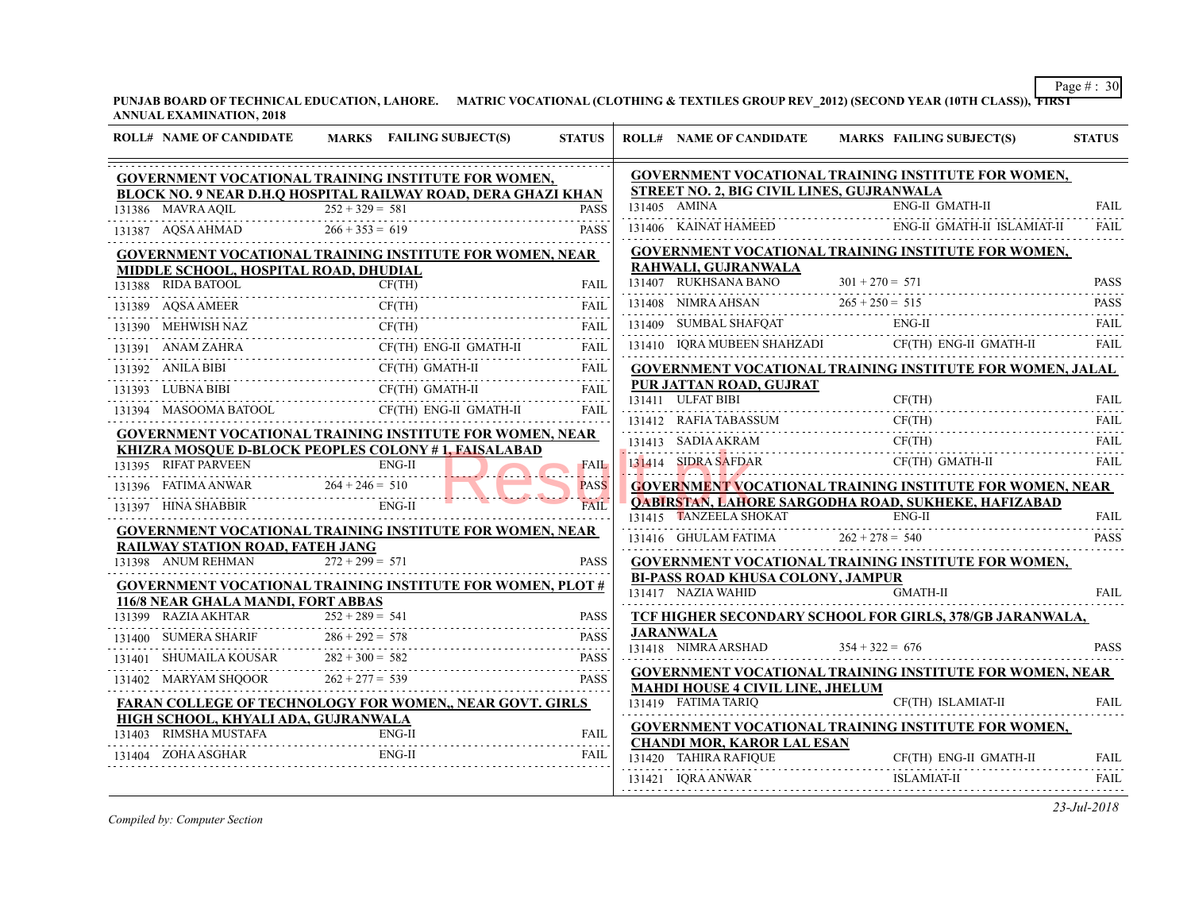| <b>ROLL# NAME OF CANDIDATE</b>                                     | MARKS FAILING SUBJECT(S)                                                                                                                                   | <b>STATUS</b> | <b>ROLL# NAME OF CANDIDATE</b>                                                       | <b>MARKS FAIL</b> |
|--------------------------------------------------------------------|------------------------------------------------------------------------------------------------------------------------------------------------------------|---------------|--------------------------------------------------------------------------------------|-------------------|
|                                                                    | <b>GOVERNMENT VOCATIONAL TRAINING INSTITUTE FOR WOMEN,</b>                                                                                                 |               | <b>GOVERNMENT VOCATIONAL TRAINING INS</b>                                            |                   |
|                                                                    | BLOCK NO. 9 NEAR D.H.Q HOSPITAL RAILWAY ROAD, DERA GHAZI KHAN                                                                                              |               | <b>STREET NO. 2, BIG CIVIL LINES, GUJRANWA</b><br>131405 AMINA                       | ENG-              |
| 131386 MAVRA AQIL                                                  | $252 + 329 = 581$<br>131386 MAVRA AQIL 252 + 329 = 581<br>131387 AQSA AHMAD 266 + 353 = 619                                                                | <b>PASS</b>   |                                                                                      |                   |
|                                                                    |                                                                                                                                                            | <b>PASS</b>   | 131406 KAINAT HAMEED                                                                 | ENG-              |
|                                                                    | <b>GOVERNMENT VOCATIONAL TRAINING INSTITUTE FOR WOMEN, NEAR</b>                                                                                            |               | <b>GOVERNMENT VOCATIONAL TRAINING INS</b><br>RAHWALI, GUJRANWALA                     |                   |
| MIDDLE SCHOOL, HOSPITAL ROAD, DHUDIAL<br>131388 RIDA BATOOL        | CF(TH)                                                                                                                                                     | FAIL          | 131407 RUKHSANA BANO                                                                 | $301 + 270 = 571$ |
|                                                                    |                                                                                                                                                            |               |                                                                                      |                   |
| 131389 AQSA AMEER                                                  | CF(TH)<br>EER CF(TH) FAIL                                                                                                                                  |               | 131408 NIMRA AHSAN $265 + 250 = 515$                                                 |                   |
| 131390 MEHWISH NAZ CF                                              | CF(TH)                                                                                                                                                     | FAIL<br>.     | 131409 SUMBAL SHAFQAT ENG                                                            | ENG-              |
| 131391 ANAM ZAHRA                                                  | CF(TH) ENG-II GMATH-II<br>$\begin{tabular}{lllllllll} \bf 131391 & \bf ANAM ZAHRA & \bf CF(TH) \bf ENG-II \bf GMATH-II & \bf FAIL \\ \hline \end{tabular}$ |               | 131410 IQRA MUBEEN SHAHZADI                                                          | CF(T)             |
| 131392 ANILA BIBI<br>$131392$ ANILA BIBI<br>$\cdots$               | CF(TH) GMATH-II FAIL                                                                                                                                       |               | <b>GOVERNMENT VOCATIONAL TRAINING INS</b>                                            |                   |
| 131393 LUBNA BIBI CF                                               | CF(TH) GMATH-II FAIL                                                                                                                                       |               | PUR JATTAN ROAD, GUJRAT                                                              |                   |
|                                                                    | 131394 MASOOMA BATOOL CF(TH) ENG-II GMATH-II                                                                                                               | FAIL          | 131411 ULFAT BIBI                                                                    | CF(T)             |
|                                                                    | <b>GOVERNMENT VOCATIONAL TRAINING INSTITUTE FOR WOMEN, NEAR</b>                                                                                            |               | 131412 RAFIA TABASSUM                                                                | CF(T)             |
|                                                                    | <b>KHIZRA MOSOUE D-BLOCK PEOPLES COLONY #1, FAISALABAD</b>                                                                                                 |               | $131413$ SADIA AKRAM CF(T                                                            | CF(T)             |
| 131395 RIFAT PARVEEN                                               |                                                                                                                                                            | <b>FAIL</b>   | 131414 SIDRA SAFDAR<br><u>LA MUZZILILILILILILILILILILILILILI</u>                     | CF(T)             |
| 131395 RIFAT PARVEEN ENG-II<br>131396 FATIMA ANWAR 264 + 246 = 510 |                                                                                                                                                            | <b>PASS</b>   | <b>GOVERNMENT VOCATIONAL TRAINING INS</b>                                            |                   |
| 131397 HINA SHABBIR                                                | $ENG-II$                                                                                                                                                   | <b>FAIL</b>   | <b>QABIRSTAN, LAHORE SARGODHA ROAD, SU</b>                                           |                   |
|                                                                    | <b>GOVERNMENT VOCATIONAL TRAINING INSTITUTE FOR WOMEN, NEAR</b>                                                                                            |               | 131415 TANZEELA SHOKAT                                                               | ENG-              |
| <b>RAILWAY STATION ROAD, FATEH JANG</b>                            |                                                                                                                                                            |               | 131416 GHULAM FATIMA $262 + 278 = 540$                                               |                   |
| 131398 ANUM REHMAN                                                 | $272 + 299 = 571$                                                                                                                                          | <b>PASS</b>   | <b>GOVERNMENT VOCATIONAL TRAINING INS</b>                                            |                   |
|                                                                    | <b>GOVERNMENT VOCATIONAL TRAINING INSTITUTE FOR WOMEN, PLOT #</b>                                                                                          |               | <b>BI-PASS ROAD KHUSA COLONY, JAMPUR</b>                                             |                   |
| 116/8 NEAR GHALA MANDI, FORT ABBAS                                 |                                                                                                                                                            |               | 131417 NAZIA WAHID                                                                   | <b>GMA</b>        |
| 131399 RAZIA AKHTAR                                                | $252 + 289 = 541$                                                                                                                                          | <b>PASS</b>   | <b>TCF HIGHER SECONDARY SCHOOL FOR GII</b>                                           |                   |
| 131400 SUMERA SHARIF                                               | IF $286 + 292 = 578$                                                                                                                                       | <b>PASS</b>   | <b>JARANWALA</b>                                                                     |                   |
| 131401 SHUMAILA KOUSAR $282 + 300 = 582$                           |                                                                                                                                                            | <b>PASS</b>   | $131418$ NIMRA ARSHAD $354 + 322 = 676$                                              |                   |
|                                                                    | 131402 MARYAM SHQOOR $262 + 277 = 539$                                                                                                                     | <b>PASS</b>   | <b>GOVERNMENT VOCATIONAL TRAINING INS</b><br><b>MAHDI HOUSE 4 CIVIL LINE, JHELUM</b> |                   |
|                                                                    | <b>FARAN COLLEGE OF TECHNOLOGY FOR WOMEN,, NEAR GOVT. GIRLS</b>                                                                                            |               | 131419 FATIMA TARIQ                                                                  | CF(T)             |
| HIGH SCHOOL, KHYALI ADA, GUJRANWALA                                |                                                                                                                                                            |               |                                                                                      |                   |
| 131403 RIMSHA MUSTAFA                                              | 131403 RIMSHA MUSTAFA ENG-II FAIL FAIL                                                                                                                     | <b>FAIL</b>   | <b>GOVERNMENT VOCATIONAL TRAINING INS</b><br><b>CHANDI MOR, KAROR LAL ESAN</b>       |                   |
| 131404 ZOHA ASGHAR                                                 | $ENG-II$                                                                                                                                                   | FAIL          | 131420 TAHIRA RAFIQUE                                                                | CF(T)             |
|                                                                    |                                                                                                                                                            |               | 131421 IQRA ANWAR                                                                    | <b>ISLA</b>       |
|                                                                    |                                                                                                                                                            |               |                                                                                      |                   |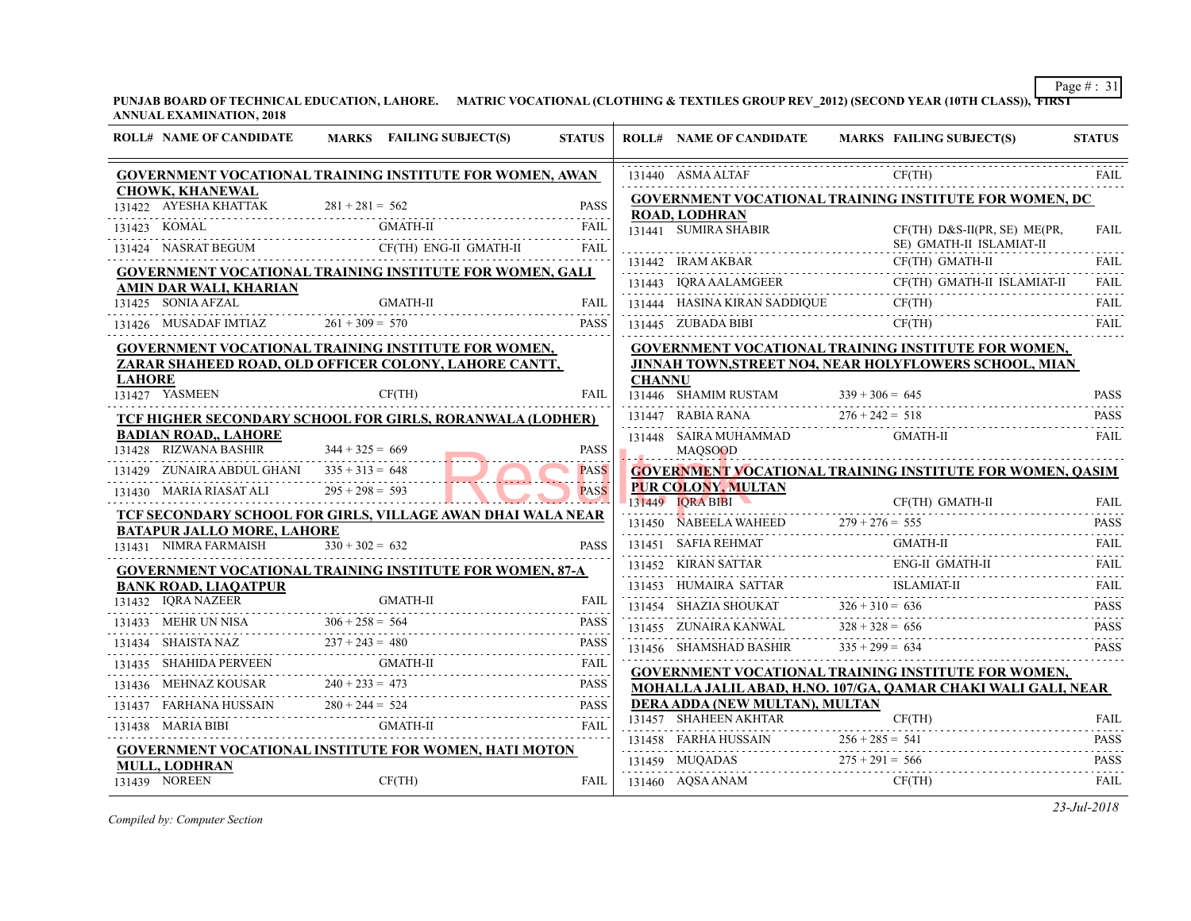|  |                                                                                                                                                                                                                                                                                                         | MARKS FAILING SUBJECT(S)<br><b>STATUS</b>                                                                                                                                                              |                                                                                                                                                                                                                                                                                                                                                                                                                                                                                                                                                                                                                                                                                                                                                                                                                                                                                                                                                                                                                                                                                                                                                                                                                                                                                                                                                                                                                                                                                                                                                                                                                                                                                                       | <b>ROLL# NAME OF CANDIDATE</b> | <b>MARKS FAIL</b>                                                                                                                                                                                                                                                                                                                                                                                                                                                                                                                                                                                                                                                                                                                                                                                                                                                                                                                                                                                                                                             |
|--|---------------------------------------------------------------------------------------------------------------------------------------------------------------------------------------------------------------------------------------------------------------------------------------------------------|--------------------------------------------------------------------------------------------------------------------------------------------------------------------------------------------------------|-------------------------------------------------------------------------------------------------------------------------------------------------------------------------------------------------------------------------------------------------------------------------------------------------------------------------------------------------------------------------------------------------------------------------------------------------------------------------------------------------------------------------------------------------------------------------------------------------------------------------------------------------------------------------------------------------------------------------------------------------------------------------------------------------------------------------------------------------------------------------------------------------------------------------------------------------------------------------------------------------------------------------------------------------------------------------------------------------------------------------------------------------------------------------------------------------------------------------------------------------------------------------------------------------------------------------------------------------------------------------------------------------------------------------------------------------------------------------------------------------------------------------------------------------------------------------------------------------------------------------------------------------------------------------------------------------------|--------------------------------|---------------------------------------------------------------------------------------------------------------------------------------------------------------------------------------------------------------------------------------------------------------------------------------------------------------------------------------------------------------------------------------------------------------------------------------------------------------------------------------------------------------------------------------------------------------------------------------------------------------------------------------------------------------------------------------------------------------------------------------------------------------------------------------------------------------------------------------------------------------------------------------------------------------------------------------------------------------------------------------------------------------------------------------------------------------|
|  |                                                                                                                                                                                                                                                                                                         |                                                                                                                                                                                                        |                                                                                                                                                                                                                                                                                                                                                                                                                                                                                                                                                                                                                                                                                                                                                                                                                                                                                                                                                                                                                                                                                                                                                                                                                                                                                                                                                                                                                                                                                                                                                                                                                                                                                                       |                                | CF(T)                                                                                                                                                                                                                                                                                                                                                                                                                                                                                                                                                                                                                                                                                                                                                                                                                                                                                                                                                                                                                                                         |
|  |                                                                                                                                                                                                                                                                                                         |                                                                                                                                                                                                        |                                                                                                                                                                                                                                                                                                                                                                                                                                                                                                                                                                                                                                                                                                                                                                                                                                                                                                                                                                                                                                                                                                                                                                                                                                                                                                                                                                                                                                                                                                                                                                                                                                                                                                       |                                |                                                                                                                                                                                                                                                                                                                                                                                                                                                                                                                                                                                                                                                                                                                                                                                                                                                                                                                                                                                                                                                               |
|  |                                                                                                                                                                                                                                                                                                         |                                                                                                                                                                                                        |                                                                                                                                                                                                                                                                                                                                                                                                                                                                                                                                                                                                                                                                                                                                                                                                                                                                                                                                                                                                                                                                                                                                                                                                                                                                                                                                                                                                                                                                                                                                                                                                                                                                                                       |                                | CF(T)                                                                                                                                                                                                                                                                                                                                                                                                                                                                                                                                                                                                                                                                                                                                                                                                                                                                                                                                                                                                                                                         |
|  |                                                                                                                                                                                                                                                                                                         | <b>FAIL</b>                                                                                                                                                                                            |                                                                                                                                                                                                                                                                                                                                                                                                                                                                                                                                                                                                                                                                                                                                                                                                                                                                                                                                                                                                                                                                                                                                                                                                                                                                                                                                                                                                                                                                                                                                                                                                                                                                                                       |                                | $SE$ ) (                                                                                                                                                                                                                                                                                                                                                                                                                                                                                                                                                                                                                                                                                                                                                                                                                                                                                                                                                                                                                                                      |
|  |                                                                                                                                                                                                                                                                                                         |                                                                                                                                                                                                        |                                                                                                                                                                                                                                                                                                                                                                                                                                                                                                                                                                                                                                                                                                                                                                                                                                                                                                                                                                                                                                                                                                                                                                                                                                                                                                                                                                                                                                                                                                                                                                                                                                                                                                       |                                | CF(T)                                                                                                                                                                                                                                                                                                                                                                                                                                                                                                                                                                                                                                                                                                                                                                                                                                                                                                                                                                                                                                                         |
|  |                                                                                                                                                                                                                                                                                                         |                                                                                                                                                                                                        |                                                                                                                                                                                                                                                                                                                                                                                                                                                                                                                                                                                                                                                                                                                                                                                                                                                                                                                                                                                                                                                                                                                                                                                                                                                                                                                                                                                                                                                                                                                                                                                                                                                                                                       |                                | CF(T)                                                                                                                                                                                                                                                                                                                                                                                                                                                                                                                                                                                                                                                                                                                                                                                                                                                                                                                                                                                                                                                         |
|  |                                                                                                                                                                                                                                                                                                         | FAIL                                                                                                                                                                                                   |                                                                                                                                                                                                                                                                                                                                                                                                                                                                                                                                                                                                                                                                                                                                                                                                                                                                                                                                                                                                                                                                                                                                                                                                                                                                                                                                                                                                                                                                                                                                                                                                                                                                                                       |                                | CF(T)                                                                                                                                                                                                                                                                                                                                                                                                                                                                                                                                                                                                                                                                                                                                                                                                                                                                                                                                                                                                                                                         |
|  |                                                                                                                                                                                                                                                                                                         | <b>PASS</b>                                                                                                                                                                                            |                                                                                                                                                                                                                                                                                                                                                                                                                                                                                                                                                                                                                                                                                                                                                                                                                                                                                                                                                                                                                                                                                                                                                                                                                                                                                                                                                                                                                                                                                                                                                                                                                                                                                                       |                                | CF(T)                                                                                                                                                                                                                                                                                                                                                                                                                                                                                                                                                                                                                                                                                                                                                                                                                                                                                                                                                                                                                                                         |
|  |                                                                                                                                                                                                                                                                                                         |                                                                                                                                                                                                        |                                                                                                                                                                                                                                                                                                                                                                                                                                                                                                                                                                                                                                                                                                                                                                                                                                                                                                                                                                                                                                                                                                                                                                                                                                                                                                                                                                                                                                                                                                                                                                                                                                                                                                       |                                |                                                                                                                                                                                                                                                                                                                                                                                                                                                                                                                                                                                                                                                                                                                                                                                                                                                                                                                                                                                                                                                               |
|  |                                                                                                                                                                                                                                                                                                         |                                                                                                                                                                                                        |                                                                                                                                                                                                                                                                                                                                                                                                                                                                                                                                                                                                                                                                                                                                                                                                                                                                                                                                                                                                                                                                                                                                                                                                                                                                                                                                                                                                                                                                                                                                                                                                                                                                                                       |                                |                                                                                                                                                                                                                                                                                                                                                                                                                                                                                                                                                                                                                                                                                                                                                                                                                                                                                                                                                                                                                                                               |
|  | CF(TH)                                                                                                                                                                                                                                                                                                  | FAIL                                                                                                                                                                                                   |                                                                                                                                                                                                                                                                                                                                                                                                                                                                                                                                                                                                                                                                                                                                                                                                                                                                                                                                                                                                                                                                                                                                                                                                                                                                                                                                                                                                                                                                                                                                                                                                                                                                                                       |                                |                                                                                                                                                                                                                                                                                                                                                                                                                                                                                                                                                                                                                                                                                                                                                                                                                                                                                                                                                                                                                                                               |
|  |                                                                                                                                                                                                                                                                                                         |                                                                                                                                                                                                        |                                                                                                                                                                                                                                                                                                                                                                                                                                                                                                                                                                                                                                                                                                                                                                                                                                                                                                                                                                                                                                                                                                                                                                                                                                                                                                                                                                                                                                                                                                                                                                                                                                                                                                       |                                |                                                                                                                                                                                                                                                                                                                                                                                                                                                                                                                                                                                                                                                                                                                                                                                                                                                                                                                                                                                                                                                               |
|  |                                                                                                                                                                                                                                                                                                         |                                                                                                                                                                                                        |                                                                                                                                                                                                                                                                                                                                                                                                                                                                                                                                                                                                                                                                                                                                                                                                                                                                                                                                                                                                                                                                                                                                                                                                                                                                                                                                                                                                                                                                                                                                                                                                                                                                                                       |                                | <b>GMA</b>                                                                                                                                                                                                                                                                                                                                                                                                                                                                                                                                                                                                                                                                                                                                                                                                                                                                                                                                                                                                                                                    |
|  |                                                                                                                                                                                                                                                                                                         |                                                                                                                                                                                                        |                                                                                                                                                                                                                                                                                                                                                                                                                                                                                                                                                                                                                                                                                                                                                                                                                                                                                                                                                                                                                                                                                                                                                                                                                                                                                                                                                                                                                                                                                                                                                                                                                                                                                                       |                                |                                                                                                                                                                                                                                                                                                                                                                                                                                                                                                                                                                                                                                                                                                                                                                                                                                                                                                                                                                                                                                                               |
|  |                                                                                                                                                                                                                                                                                                         |                                                                                                                                                                                                        |                                                                                                                                                                                                                                                                                                                                                                                                                                                                                                                                                                                                                                                                                                                                                                                                                                                                                                                                                                                                                                                                                                                                                                                                                                                                                                                                                                                                                                                                                                                                                                                                                                                                                                       |                                |                                                                                                                                                                                                                                                                                                                                                                                                                                                                                                                                                                                                                                                                                                                                                                                                                                                                                                                                                                                                                                                               |
|  |                                                                                                                                                                                                                                                                                                         |                                                                                                                                                                                                        |                                                                                                                                                                                                                                                                                                                                                                                                                                                                                                                                                                                                                                                                                                                                                                                                                                                                                                                                                                                                                                                                                                                                                                                                                                                                                                                                                                                                                                                                                                                                                                                                                                                                                                       |                                | CF(T)                                                                                                                                                                                                                                                                                                                                                                                                                                                                                                                                                                                                                                                                                                                                                                                                                                                                                                                                                                                                                                                         |
|  |                                                                                                                                                                                                                                                                                                         |                                                                                                                                                                                                        |                                                                                                                                                                                                                                                                                                                                                                                                                                                                                                                                                                                                                                                                                                                                                                                                                                                                                                                                                                                                                                                                                                                                                                                                                                                                                                                                                                                                                                                                                                                                                                                                                                                                                                       |                                |                                                                                                                                                                                                                                                                                                                                                                                                                                                                                                                                                                                                                                                                                                                                                                                                                                                                                                                                                                                                                                                               |
|  | $330 + 302 = 632$                                                                                                                                                                                                                                                                                       | <b>PASS</b>                                                                                                                                                                                            |                                                                                                                                                                                                                                                                                                                                                                                                                                                                                                                                                                                                                                                                                                                                                                                                                                                                                                                                                                                                                                                                                                                                                                                                                                                                                                                                                                                                                                                                                                                                                                                                                                                                                                       |                                | <b>GMA</b>                                                                                                                                                                                                                                                                                                                                                                                                                                                                                                                                                                                                                                                                                                                                                                                                                                                                                                                                                                                                                                                    |
|  |                                                                                                                                                                                                                                                                                                         |                                                                                                                                                                                                        |                                                                                                                                                                                                                                                                                                                                                                                                                                                                                                                                                                                                                                                                                                                                                                                                                                                                                                                                                                                                                                                                                                                                                                                                                                                                                                                                                                                                                                                                                                                                                                                                                                                                                                       |                                | ENG-                                                                                                                                                                                                                                                                                                                                                                                                                                                                                                                                                                                                                                                                                                                                                                                                                                                                                                                                                                                                                                                          |
|  |                                                                                                                                                                                                                                                                                                         |                                                                                                                                                                                                        |                                                                                                                                                                                                                                                                                                                                                                                                                                                                                                                                                                                                                                                                                                                                                                                                                                                                                                                                                                                                                                                                                                                                                                                                                                                                                                                                                                                                                                                                                                                                                                                                                                                                                                       |                                | <b>ISLA</b>                                                                                                                                                                                                                                                                                                                                                                                                                                                                                                                                                                                                                                                                                                                                                                                                                                                                                                                                                                                                                                                   |
|  |                                                                                                                                                                                                                                                                                                         |                                                                                                                                                                                                        |                                                                                                                                                                                                                                                                                                                                                                                                                                                                                                                                                                                                                                                                                                                                                                                                                                                                                                                                                                                                                                                                                                                                                                                                                                                                                                                                                                                                                                                                                                                                                                                                                                                                                                       |                                |                                                                                                                                                                                                                                                                                                                                                                                                                                                                                                                                                                                                                                                                                                                                                                                                                                                                                                                                                                                                                                                               |
|  |                                                                                                                                                                                                                                                                                                         |                                                                                                                                                                                                        |                                                                                                                                                                                                                                                                                                                                                                                                                                                                                                                                                                                                                                                                                                                                                                                                                                                                                                                                                                                                                                                                                                                                                                                                                                                                                                                                                                                                                                                                                                                                                                                                                                                                                                       |                                |                                                                                                                                                                                                                                                                                                                                                                                                                                                                                                                                                                                                                                                                                                                                                                                                                                                                                                                                                                                                                                                               |
|  |                                                                                                                                                                                                                                                                                                         |                                                                                                                                                                                                        |                                                                                                                                                                                                                                                                                                                                                                                                                                                                                                                                                                                                                                                                                                                                                                                                                                                                                                                                                                                                                                                                                                                                                                                                                                                                                                                                                                                                                                                                                                                                                                                                                                                                                                       |                                |                                                                                                                                                                                                                                                                                                                                                                                                                                                                                                                                                                                                                                                                                                                                                                                                                                                                                                                                                                                                                                                               |
|  |                                                                                                                                                                                                                                                                                                         |                                                                                                                                                                                                        |                                                                                                                                                                                                                                                                                                                                                                                                                                                                                                                                                                                                                                                                                                                                                                                                                                                                                                                                                                                                                                                                                                                                                                                                                                                                                                                                                                                                                                                                                                                                                                                                                                                                                                       |                                |                                                                                                                                                                                                                                                                                                                                                                                                                                                                                                                                                                                                                                                                                                                                                                                                                                                                                                                                                                                                                                                               |
|  |                                                                                                                                                                                                                                                                                                         |                                                                                                                                                                                                        |                                                                                                                                                                                                                                                                                                                                                                                                                                                                                                                                                                                                                                                                                                                                                                                                                                                                                                                                                                                                                                                                                                                                                                                                                                                                                                                                                                                                                                                                                                                                                                                                                                                                                                       |                                |                                                                                                                                                                                                                                                                                                                                                                                                                                                                                                                                                                                                                                                                                                                                                                                                                                                                                                                                                                                                                                                               |
|  |                                                                                                                                                                                                                                                                                                         |                                                                                                                                                                                                        |                                                                                                                                                                                                                                                                                                                                                                                                                                                                                                                                                                                                                                                                                                                                                                                                                                                                                                                                                                                                                                                                                                                                                                                                                                                                                                                                                                                                                                                                                                                                                                                                                                                                                                       |                                | CF(T)                                                                                                                                                                                                                                                                                                                                                                                                                                                                                                                                                                                                                                                                                                                                                                                                                                                                                                                                                                                                                                                         |
|  |                                                                                                                                                                                                                                                                                                         | FAIL                                                                                                                                                                                                   |                                                                                                                                                                                                                                                                                                                                                                                                                                                                                                                                                                                                                                                                                                                                                                                                                                                                                                                                                                                                                                                                                                                                                                                                                                                                                                                                                                                                                                                                                                                                                                                                                                                                                                       |                                |                                                                                                                                                                                                                                                                                                                                                                                                                                                                                                                                                                                                                                                                                                                                                                                                                                                                                                                                                                                                                                                               |
|  |                                                                                                                                                                                                                                                                                                         |                                                                                                                                                                                                        |                                                                                                                                                                                                                                                                                                                                                                                                                                                                                                                                                                                                                                                                                                                                                                                                                                                                                                                                                                                                                                                                                                                                                                                                                                                                                                                                                                                                                                                                                                                                                                                                                                                                                                       |                                |                                                                                                                                                                                                                                                                                                                                                                                                                                                                                                                                                                                                                                                                                                                                                                                                                                                                                                                                                                                                                                                               |
|  | CF(TH)                                                                                                                                                                                                                                                                                                  | <b>FAIL</b>                                                                                                                                                                                            |                                                                                                                                                                                                                                                                                                                                                                                                                                                                                                                                                                                                                                                                                                                                                                                                                                                                                                                                                                                                                                                                                                                                                                                                                                                                                                                                                                                                                                                                                                                                                                                                                                                                                                       |                                | CF(T)                                                                                                                                                                                                                                                                                                                                                                                                                                                                                                                                                                                                                                                                                                                                                                                                                                                                                                                                                                                                                                                         |
|  | <b>CHOWK, KHANEWAL</b><br>131422 AYESHA KHATTAK<br>131423 KOMAL<br>AMIN DAR WALI, KHARIAN<br><b>LAHORE</b><br>131427 YASMEEN<br><b>BADIAN ROAD,, LAHORE</b><br>131431 NIMRA FARMAISH<br><b>BANK ROAD, LIAQATPUR</b><br>131432 IQRA NAZEER<br>131438 MARIA BIBI<br><b>MULL, LODHRAN</b><br>131439 NOREEN | KHATTAK $281 + 281 = 562$<br>131428 RIZWANA BASHIR $344 + 325 = 669$<br>131429 ZUNAIRA ABDUL GHANI $335 + 313 = 648$<br>131430 MARIA RIASAT ALI $295 + 298 = 593$<br><b>BATAPUR JALLO MORE, LAHORE</b> | <b>GOVERNMENT VOCATIONAL TRAINING INSTITUTE FOR WOMEN, AWAN</b><br><b>PASS</b><br>GMATH-II<br>FAIL<br>$\begin{tabular}{ll} \bf 131424 & NASAAT BEGUM & \bf 2F(TH) ENG-II GMATH-II \\ \hline \end{tabular}$<br><b>GOVERNMENT VOCATIONAL TRAINING INSTITUTE FOR WOMEN, GALI</b><br>$\begin{array}{c}\n \text{GMATH-II}\n \end{array}\n \quad \begin{array}{c}\n \text{FAIL}\n \end{array}\n \quad \begin{array}{c}\n \text{FAIL}\n \end{array}\n \quad \begin{array}{c}\n \text{FAIL}\n \end{array}\n \quad \begin{array}{c}\n \text{FAIL}\n \end{array}\n \quad \begin{array}{c}\n \text{FAIL}\n \end{array}\n \quad \begin{array}{c}\n \text{FAIL}\n \end{array}\n \quad \begin{array}{c}\n \text{FAIL}\n \end{array}\n \quad \begin{array}{c}\n \text{FAIL}\n \end{array}\n \quad \begin{array}{c}\n \text{$<br><b>GOVERNMENT VOCATIONAL TRAINING INSTITUTE FOR WOMEN,</b><br>ZARAR SHAHEED ROAD, OLD OFFICER COLONY, LAHORE CANTT,<br>TCF HIGHER SECONDARY SCHOOL FOR GIRLS, RORANWALA (LODHER)<br><b>PASS</b><br><b>PASS</b><br><b>PASS</b><br>TCF SECONDARY SCHOOL FOR GIRLS, VILLAGE AWAN DHAI WALA NEAR<br><b>GOVERNMENT VOCATIONAL TRAINING INSTITUTE FOR WOMEN, 87-A</b><br>31432 IQRA NAZEER GMATH-II FAIL FAIL<br>131433 MEHR UN NISA $306 + 258 = 564$ PASS<br>PASS<br>131434 SHAISTA NAZ $237 + 243 = 480$ PASS PASS<br>$\begin{tabular}{ll} \bf 131435 & SHAHIDA PERVEEN & GMATH-II & FAIL \\ \hline \end{tabular} \begin{tabular}{ll} \bf 131435 & SHAHIDA PERVEEN & \bf 131437 & TAIL \\ \end{tabular}$<br>131436 MEHNAZ KOUSAR $240 + 233 = 473$ PASS PASS<br>131437 FARHANA HUSSAIN $280 + 244 = 524$ PASS PASS<br>GMATH-II<br>GOVERNMENT VOCATIONAL INSTITUTE FOR WOMEN, HATI MOTON |                                | 131440 ASMA ALTAF<br><b>GOVERNMENT VOCATIONAL TRAINING INS</b><br><b>ROAD, LODHRAN</b><br>131441 SUMIRA SHABIR<br>131442 IRAM AKBAR<br>131443 IQRA AALAMGEER CF(T<br>131444 HASINA KIRAN SADDIQUE<br><b>GOVERNMENT VOCATIONAL TRAINING INS</b><br><b>JINNAH TOWN.STREET NO4. NEAR HOLYFL</b><br><b>CHANNU</b><br>131446 SHAMIM RUSTAM $339 + 306 = 645$<br>131447 RABIA RANA $276 + 242 = 518$<br>131448 SAIRA MUHAMMAD<br><b>MAOSOOD</b><br><b>GOVERNMENT VOCATIONAL TRAINING INS</b><br><b>PUR COLONY, MULTAN</b><br>$131449$ IORA BIBI<br>131450 NABEELA WAHEED 279 + 276 = 555<br>131451 SAFIA REHMAT GMA<br>131452 KIRAN SATTAR ENG<br>131453 HUMAIRA SATTAR ISLA<br>131454 SHAZIA SHOUKAT $326 + 310 = 636$<br>131455 ZUNAIRA KANWAL $328 + 328 = 656$<br>131456 SHAMSHAD BASHIR $335 + 299 = 634$<br><b>GOVERNMENT VOCATIONAL TRAINING INS</b><br>MOHALLA JALIL ABAD, H.NO. 107/GA, OAM<br>DERA ADDA (NEW MULTAN), MULTAN<br>131457 SHAHEEN AKHTAR<br>$131458$ FARHA HUSSAIN $256 + 285 = 541$<br>131459 MUQADAS $275 + 291 = 566$<br>131460 AQSA ANAM |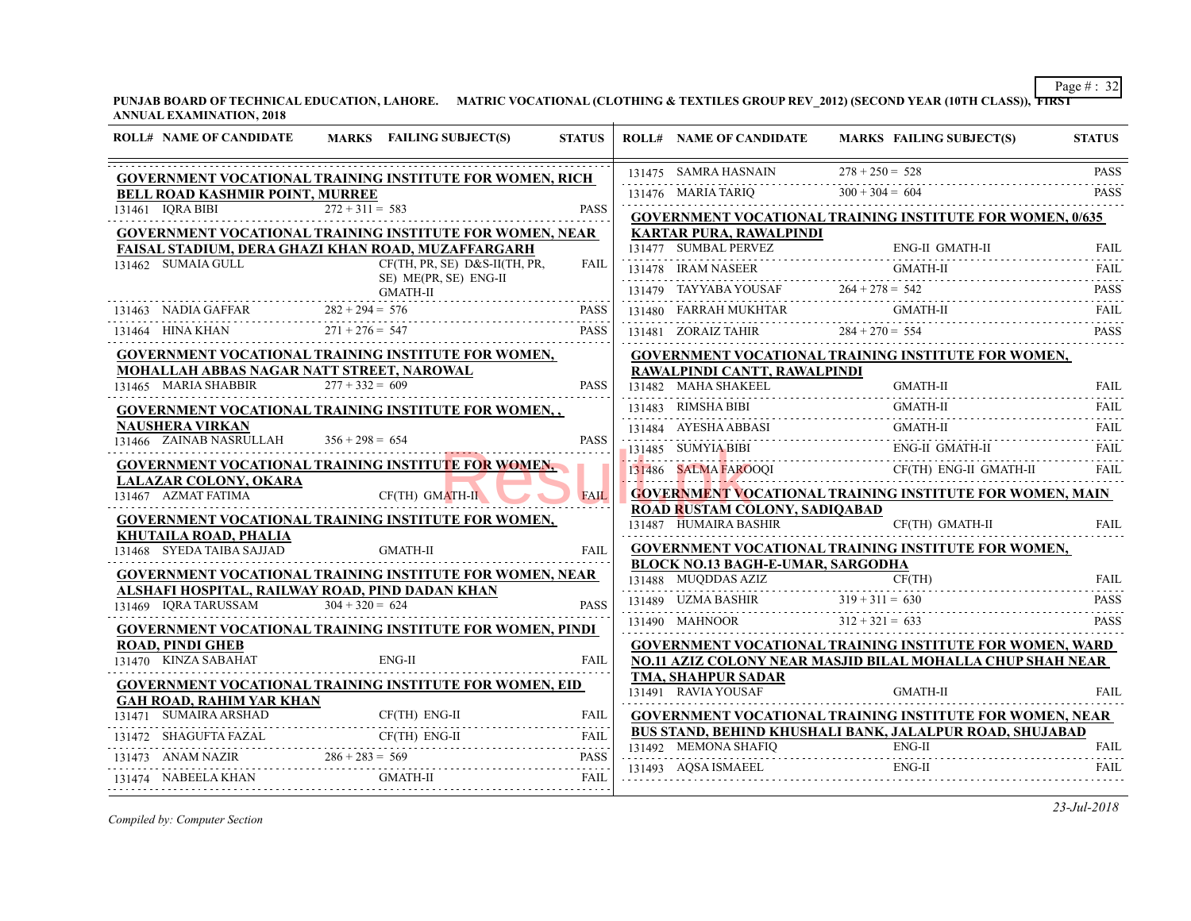| <b>ROLL# NAME OF CANDIDATE</b>                    | MARKS FAILING SUBJECT(S)                                                        | <b>STATUS</b> | <b>ROLL# NAME OF CANDIDATE</b>                                                        | <b>MARKS FAIL</b> |
|---------------------------------------------------|---------------------------------------------------------------------------------|---------------|---------------------------------------------------------------------------------------|-------------------|
|                                                   | <b>GOVERNMENT VOCATIONAL TRAINING INSTITUTE FOR WOMEN, RICH</b>                 |               | 131475 SAMRA HASNAIN                                                                  | $278 + 250 = 528$ |
| <b>BELL ROAD KASHMIR POINT, MURREE</b>            |                                                                                 |               | 131476 MARIA TARIQ                                                                    | $300 + 304 = 604$ |
| 131461 IQRA BIBI                                  | $272 + 311 = 583$                                                               | <b>PASS</b>   | <b>GOVERNMENT VOCATIONAL TRAINING INS</b>                                             |                   |
|                                                   | <b>GOVERNMENT VOCATIONAL TRAINING INSTITUTE FOR WOMEN, NEAR</b>                 |               | <b>KARTAR PURA, RAWALPINDI</b>                                                        |                   |
| 131462 SUMAIA GULL                                | FAISAL STADIUM, DERA GHAZI KHAN ROAD, MUZAFFARGARH                              | FAIL          | 131477 SUMBAL PERVEZ                                                                  | ENG-              |
|                                                   | CF(TH, PR, SE) D&S-II(TH, PR,<br>SE) ME(PR, SE) ENG-II                          |               | 131478 IRAM NASEER                                                                    | <b>GMA</b>        |
|                                                   | GMATH-II                                                                        |               | 131479 TAYYABA YOUSAF 264 + 278 = 542                                                 |                   |
|                                                   | 131463 NADIA GAFFAR $282 + 294 = 576$ PASS                                      |               | 131480 FARRAH MUKHTAR                                                                 | <b>GMA</b>        |
| 131464 HINA KHAN $271 + 276 = 547$                |                                                                                 | <b>PASS</b>   | 131481 ZORAIZ TAHIR $284 + 270 = 554$                                                 |                   |
|                                                   | <b>GOVERNMENT VOCATIONAL TRAINING INSTITUTE FOR WOMEN,</b>                      |               | <b>GOVERNMENT VOCATIONAL TRAINING INS</b>                                             |                   |
| 131465 MARIA SHABBIR                              | MOHALLAH ABBAS NAGAR NATT STREET, NAROWAL<br>$277 + 332 = 609$                  | <b>PASS</b>   | RAWALPINDI CANTT, RAWALPINDI                                                          |                   |
|                                                   |                                                                                 |               | 131482 MAHA SHAKEEL                                                                   | <b>GMA</b>        |
|                                                   | <b>GOVERNMENT VOCATIONAL TRAINING INSTITUTE FOR WOMEN,,</b>                     |               | 131483 RIMSHA BIBI                                                                    | <b>GMA</b>        |
| <b>NAUSHERA VIRKAN</b><br>131466 ZAINAB NASRULLAH | $356 + 298 = 654$                                                               | <b>PASS</b>   | 131484 AYESHA ABBASI                                                                  | <b>GMA</b>        |
|                                                   | <b>GOVERNMENT VOCATIONAL TRAINING INSTITUTE FOR WOMEN,</b>                      |               | 131485 SUMYIA BIBI                                                                    | ENG-              |
| <b>LALAZAR COLONY, OKARA</b>                      |                                                                                 |               | 131486 SALMA FAROOQI                                                                  | CF(T)             |
| 131467 AZMAT FATIMA                               | CF(TH) GMATH-II                                                                 | <b>FAIL</b>   | <b>GOVERNMENT VOCATIONAL TRAINING INS</b>                                             |                   |
|                                                   | GOVERNMENT VOCATIONAL TRAINING INSTITUTE FOR WOMEN,                             |               | <b>ROAD RUSTAM COLONY, SADIOABAD</b><br>131487 HUMAIRA BASHIR                         | CF(T)             |
| KHUTAILA ROAD, PHALIA                             |                                                                                 |               |                                                                                       |                   |
| 131468 SYEDA TAIBA SAJJAD                         | <b>GMATH-II</b>                                                                 | <b>FAIL</b>   | <b>GOVERNMENT VOCATIONAL TRAINING INS</b><br><b>BLOCK NO.13 BAGH-E-UMAR, SARGODHA</b> |                   |
|                                                   | <b>GOVERNMENT VOCATIONAL TRAINING INSTITUTE FOR WOMEN, NEAR</b>                 |               | 131488 MUQDDAS AZIZ                                                                   | CF(T)             |
| 131469 IQRA TARUSSAM                              | ALSHAFI HOSPITAL, RAILWAY ROAD, PIND DADAN KHAN<br>$\overline{304} + 320 = 624$ | <b>PASS</b>   | 131489 UZMA BASHIR 3                                                                  | $319 + 311 = 630$ |
|                                                   |                                                                                 |               | 131490 MAHNOOR $312 + 321 = 633$                                                      |                   |
| <b>ROAD, PINDI GHEB</b>                           | <b>GOVERNMENT VOCATIONAL TRAINING INSTITUTE FOR WOMEN, PINDI</b>                |               | <b>GOVERNMENT VOCATIONAL TRAINING INS</b>                                             |                   |
| 131470 KINZA SABAHAT                              | $ENG-II$                                                                        | FAII.         | NO.11 AZIZ COLONY NEAR MASJID BILAL M                                                 |                   |
|                                                   | <b>GOVERNMENT VOCATIONAL TRAINING INSTITUTE FOR WOMEN, EID</b>                  |               | <b>TMA, SHAHPUR SADAR</b>                                                             |                   |
| <b>GAH ROAD, RAHIM YAR KHAN</b>                   |                                                                                 |               | 131491 RAVIA YOUSAF                                                                   | <b>GMA</b>        |
| 131471 SUMAIRA ARSHAD                             | CF(TH) ENG-II                                                                   | <b>FAIL</b>   | <b>GOVERNMENT VOCATIONAL TRAINING INS</b>                                             |                   |
|                                                   |                                                                                 |               | <b>BUS STAND, BEHIND KHUSHALI BANK, JALA</b><br>131492 MEMONA SHAFIO                  | ENG-              |
|                                                   |                                                                                 |               |                                                                                       |                   |
| 131474 NABEELA KHAN                               | GMATH-II                                                                        | FAIL          | 131493 AOSA ISMAEEL                                                                   | ENG-              |
|                                                   |                                                                                 |               |                                                                                       |                   |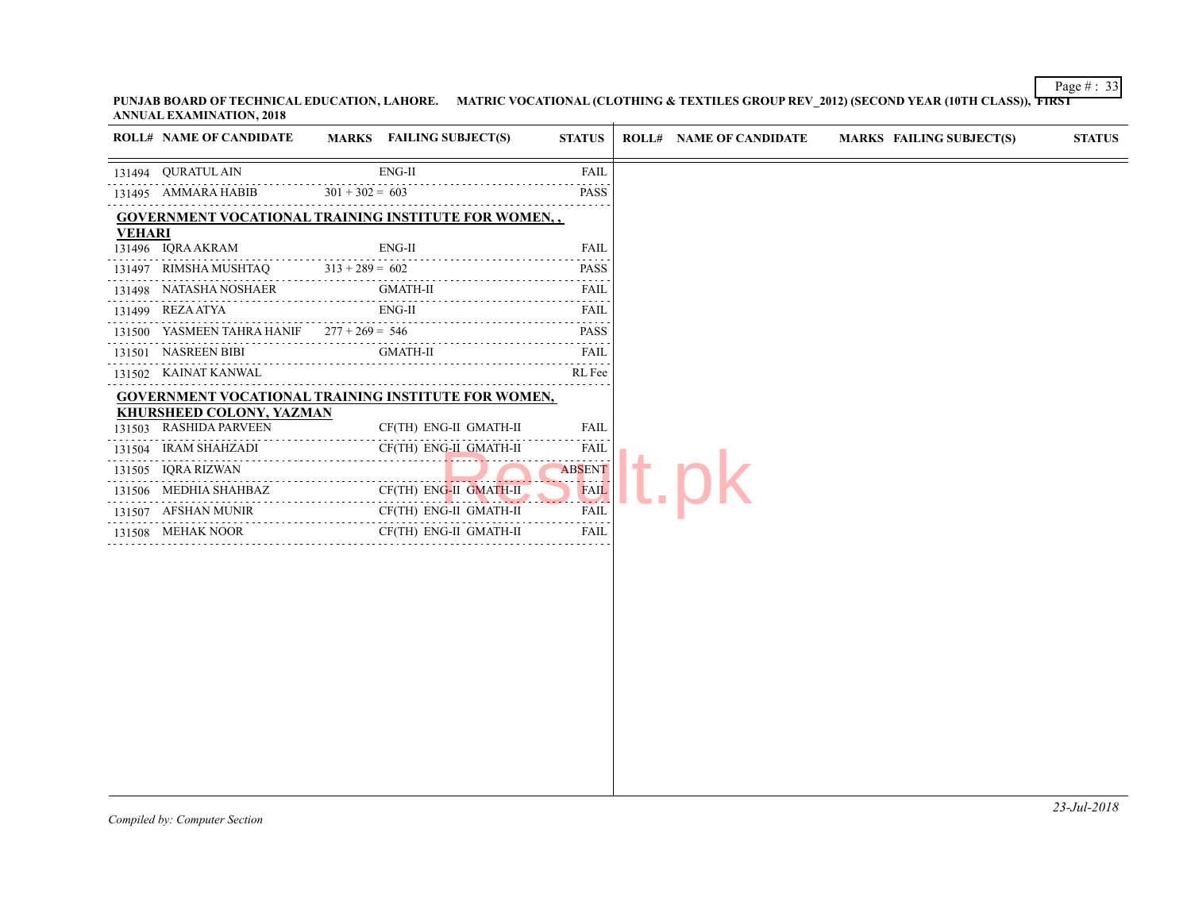| <b>ROLL# NAME OF CANDIDATE</b>             | MARKS FAILING SUBJECT(S)                                    | <b>STATUS</b>                                                                                                                                | <b>ROLL# NAME OF CANDIDATE</b> | <b>MARKS FAIL</b> |
|--------------------------------------------|-------------------------------------------------------------|----------------------------------------------------------------------------------------------------------------------------------------------|--------------------------------|-------------------|
| 131494 QURATUL AIN                         | $ENG-II$                                                    | <b>FAIL</b>                                                                                                                                  |                                |                   |
| 131495 AMMARA HABIB                        | $301 + 302 = 603$                                           | <b>PASS</b>                                                                                                                                  |                                |                   |
|                                            | <b>GOVERNMENT VOCATIONAL TRAINING INSTITUTE FOR WOMEN,,</b> |                                                                                                                                              |                                |                   |
| <b>VEHARI</b>                              | $ENG-II$                                                    | <b>FAIL</b>                                                                                                                                  |                                |                   |
| 131496 IQRA AKRAM<br>131497 RIMSHA MUSHTAQ | $313 + 289 = 602$                                           | <b>PASS</b>                                                                                                                                  |                                |                   |
| 131498 NATASHA NOSHAER                     | GMATH-II                                                    | FAIL                                                                                                                                         |                                |                   |
| 131499 REZA ATYA                           | $ENG-II$                                                    | <b>FAIL</b>                                                                                                                                  |                                |                   |
| 131500 YASMEEN TAHRA HANIF                 | $277 + 269 = 546$                                           | .<br><b>PASS</b>                                                                                                                             |                                |                   |
| 131501 NASREEN BIBI                        | <b>GMATH-II</b>                                             | .<br>FAIL                                                                                                                                    |                                |                   |
| 131502 KAINAT KANWAL                       |                                                             | RL Fee                                                                                                                                       |                                |                   |
|                                            | GOVERNMENT VOCATIONAL TRAINING INSTITUTE FOR WOMEN,         |                                                                                                                                              |                                |                   |
| <b>KHURSHEED COLONY, YAZMAN</b>            |                                                             |                                                                                                                                              |                                |                   |
| 131503 RASHIDA PARVEEN                     | CF(TH) ENG-II GMATH-II                                      | FAIL                                                                                                                                         |                                |                   |
| 131504 IRAM SHAHZADI                       | CF(TH) ENG-II GMATH-II                                      | FAIL<br>.                                                                                                                                    |                                |                   |
| IORA RIZWAN<br>131505                      | .                                                           | <b>ABSENT</b><br>المتحلة                                                                                                                     |                                |                   |
| 131506 MEDHIA SHAHBAZ                      | CF(TH) ENG-II GMATH-II                                      | FAIL<br>$2 - 4$                                                                                                                              |                                |                   |
| 131507 AFSHAN MUNIR                        | CF(TH) ENG-II GMATH-II                                      | FAIL<br>$\mathcal{L}^{\mathcal{A}}\left( \mathcal{A}^{\mathcal{A}}\right) =\mathcal{L}^{\mathcal{A}}\left( \mathcal{A}^{\mathcal{A}}\right)$ |                                |                   |
| 131508 MEHAK NOOR                          | CF(TH) ENG-II GMATH-II                                      | <b>FAIL</b>                                                                                                                                  |                                |                   |
|                                            |                                                             |                                                                                                                                              |                                |                   |
|                                            |                                                             |                                                                                                                                              |                                |                   |
|                                            |                                                             |                                                                                                                                              |                                |                   |
|                                            |                                                             |                                                                                                                                              |                                |                   |
|                                            |                                                             |                                                                                                                                              |                                |                   |
|                                            |                                                             |                                                                                                                                              |                                |                   |
|                                            |                                                             |                                                                                                                                              |                                |                   |
|                                            |                                                             |                                                                                                                                              |                                |                   |
|                                            |                                                             |                                                                                                                                              |                                |                   |
|                                            |                                                             |                                                                                                                                              |                                |                   |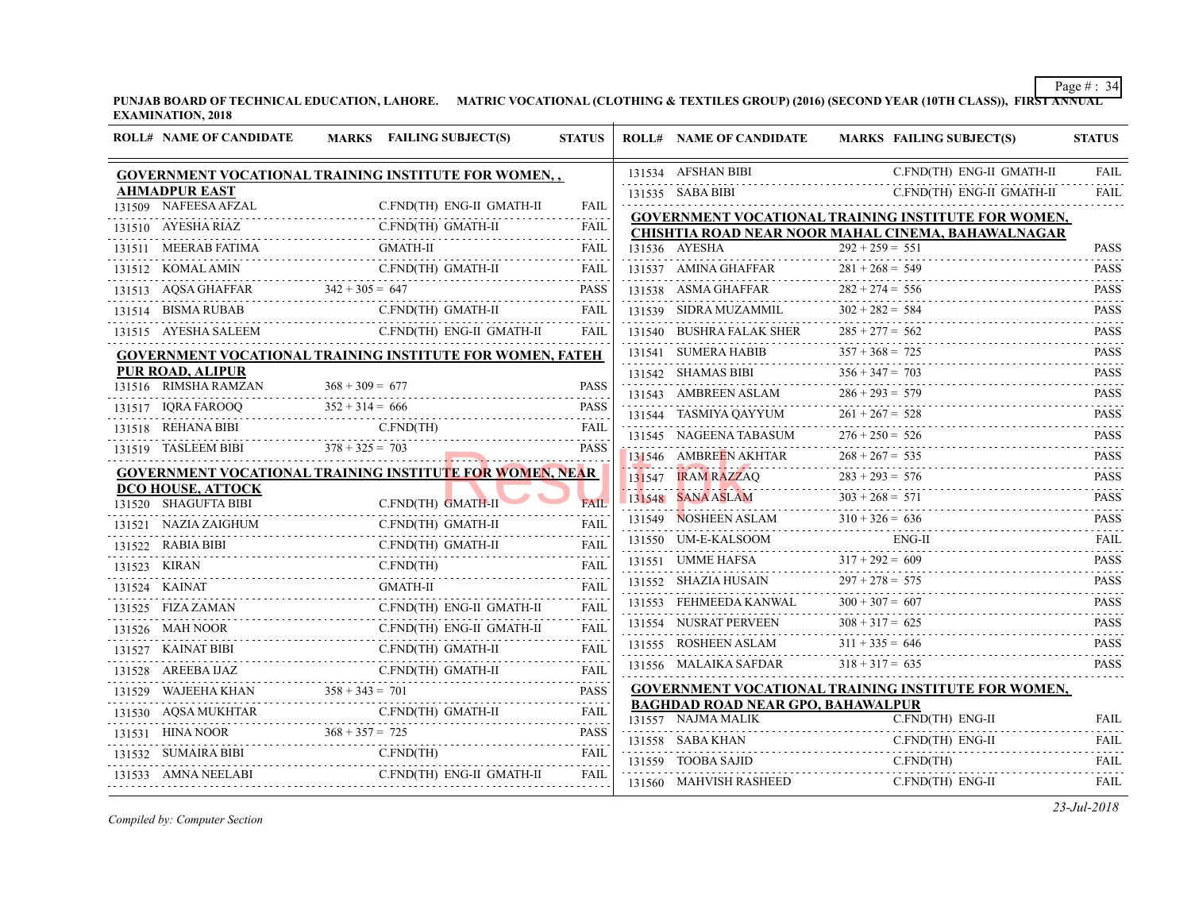| <b>ROLL# NAME OF CANDIDATE</b>                   | MARKS FAILING SUBJECT(S)                                         | <b>STATUS</b>    | <b>ROLL# NAME OF CANDIDATE</b>                | <b>MARKS FAIL</b> |
|--------------------------------------------------|------------------------------------------------------------------|------------------|-----------------------------------------------|-------------------|
|                                                  | GOVERNMENT VOCATIONAL TRAINING INSTITUTE FOR WOMEN,,             |                  | 131534 AFSHAN BIBI                            | C.FN.             |
| <b>AHMADPUR EAST</b>                             |                                                                  |                  | 131535 SABA BIBI                              | C.FN              |
| 131509 NAFEESA AFZAL                             | C.FND(TH) ENG-II GMATH-II                                        | <b>FAIL</b>      | <b>GOVERNMENT VOCATIONAL TRAINING INS</b>     |                   |
| NYESHA RIAZ C.FND<br>131510 AYESHA RIAZ          | C.FND(TH) GMATH-II                                               | FAIL             | <b>CHISHTIA ROAD NEAR NOOR MAHAL CINE</b>     |                   |
| 131511 MEERAB FATIMA                             | MA G<br>GMATH-II                                                 | <b>FAIL</b>      | 131536 AYESHA                                 | $292 + 259 = 551$ |
|                                                  |                                                                  |                  | 131537 AMINA GHAFFAR $281 + 268 =$            | $281 + 268 = 549$ |
|                                                  |                                                                  |                  | 131538 ASMA GHAFFAR $282 + 274 = 556$         |                   |
| 131514 BISMA RUBAB C.FND(TH                      | C.FND(TH) GMATH-II                                               | <b>FAIL</b>      | 131539 SIDRA MUZAMMIL $302 + 282 = 584$       |                   |
|                                                  | 131515 AYESHA SALEEM C.FND(TH) ENG-II GMATH-II                   | <b>FAIL</b>      | 131540 BUSHRA FALAK SHER                      | $285 + 277 = 562$ |
|                                                  | <b>GOVERNMENT VOCATIONAL TRAINING INSTITUTE FOR WOMEN, FATEH</b> |                  | 131541 SUMERA HABIB                           | $357 + 368 = 725$ |
| PUR ROAD, ALIPUR                                 |                                                                  |                  | 131542 SHAMAS BIBI $356 + 347 = 703$          |                   |
| 131516 RIMSHA RAMZAN                             | $368 + 309 = 677$                                                | <b>PASS</b>      | 131543 AMBREEN ASLAM $286 + 293 = 579$        |                   |
| 131517 IQRA FAROOQ                               | $Q \qquad 352 + 314 = 666$ PASS                                  |                  | 131544 TASMIYA QAYYUM $261 + 267 = 528$       |                   |
|                                                  | C.FND(TH)<br>131518 REHANA BIBI C.FND(TH) FAIL                   |                  | 131545 NAGEENA TABASUM $276 + 250 = 526$      |                   |
| 131519 TASLEEM BIBI $378 + 325 = 703$            | and the contract of the contract of                              | <b>PASS</b>      | 131546 AMBREEN AKHTAR                         | $268 + 267 = 535$ |
|                                                  | <b>GOVERNMENT VOCATIONAL TRAINING INSTITUTE FOR WOMEN, NEAR</b>  |                  | 131547 IRAM RAZZAQ $283 + 293 = 576$          |                   |
| <b>DCO HOUSE, ATTOCK</b><br>131520 SHAGUFTA BIBI | C.FND(TH) GMATH-II                                               | <b>FAIL</b>      | $131548$ SANA ASLAM $303 + 268 = 571$         |                   |
| 131521 NAZIA ZAIGHUM                             | C.FND(TH) GMATH-II                                               | <b>FAIL</b>      | 131549 NOSHEEN ASLAM $310 + 326 = 636$        |                   |
| AIGHUM<br>----------------------------           |                                                                  | <b>FAIL</b>      | 131550 UM-E-KALSOOM                           | ENG-              |
| 131523 KIRAN                                     | 131522 RABIA BIBI C.FND(TH) GMATH-II<br>C.FND(TH)                |                  | 131551 UMME HAFSA $317 + 292 = 609$           |                   |
| 131524 KAINAT                                    | .N C.FND(TH) FAIL<br><b>GMATH-II</b>                             | <b>FAIL</b>      | 131552 SHAZIA HUSAIN                          | $297 + 278 = 575$ |
| 131525 FIZA ZAMAN                                | C.FND(TH) ENG-II GMATH-II                                        | <b>FAIL</b>      | .<br>131553 FEHMEEDA KANWAL $300 + 307 = 607$ |                   |
| $\sum_{\ldots}$                                  | C.FND(TH) ENG-II GMATH-II                                        | FAIL             | 131554 NUSRAT PERVEEN $308 + 317 = 625$       |                   |
| [NOOR C<br>131526 MAH NOOR                       |                                                                  |                  | 131555 ROSHEEN ASLAM $311 + 335 = 646$        |                   |
| 131527 KAINAT BIBI                               | C.FND(TH) GMATH-II                                               | FAIL             | 131556 MALAIKA SAFDAR $318 + 317 = 635$       |                   |
| 131528 AREEBA IJAZ                               |                                                                  | FAIL             | <b>GOVERNMENT VOCATIONAL TRAINING INS</b>     |                   |
|                                                  | 131529 WAJEEHA KHAN $358 + 343 = 701$ PASS                       |                  | <b>BAGHDAD ROAD NEAR GPO, BAHAWALPUR</b>      |                   |
|                                                  |                                                                  |                  | 131557 NAJMA MALIK                            | C.FN              |
|                                                  |                                                                  |                  | 131558 SABA KHAN                              | C.FN.             |
|                                                  | 131532 SUMAIRA BIBI C.FND(TH)                                    | <b>FAIL</b><br>. | 131559 TOOBA SAJID                            | C.FN.             |
| 131533 AMNA NEELABI                              |                                                                  |                  | 131560 MAHVISH RASHEED                        | C.FN              |
|                                                  |                                                                  |                  |                                               |                   |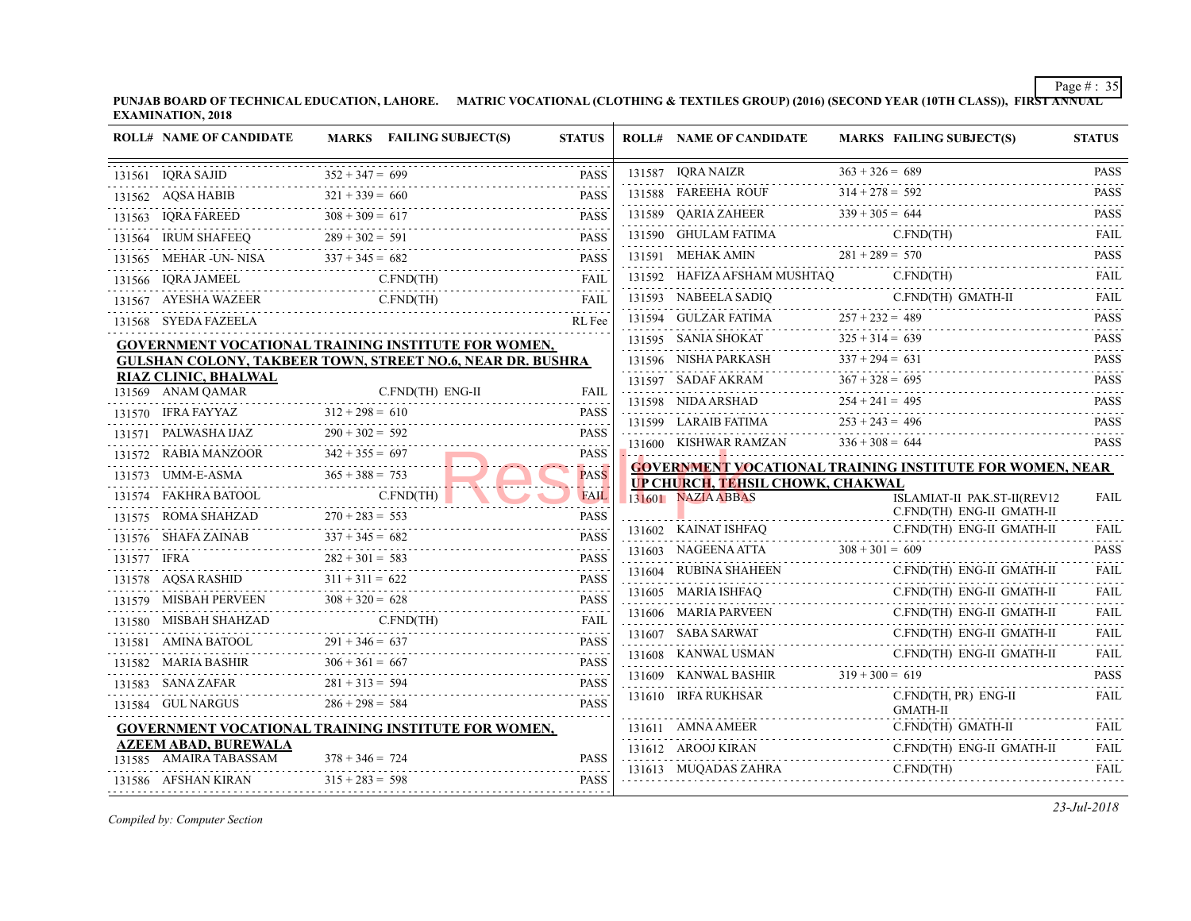**PUNJAB BOARD OF TECHNICAL EDUCATION, LAHORE. MATRIC VOCATIONAL (CLOTHING & TEXTILES GROUP) (2016) (SECOND YEAR EXAMINATION, 2018**

|   | <b>ROLL# NAME OF CANDIDATE</b>                   |                                        | MARKS FAILING SUBJECT(S)                                                                            | <b>STATUS</b>              | <b>ROLL# NAME OF CANDIDATE</b>            | <b>MARKS FAIL</b>   |
|---|--------------------------------------------------|----------------------------------------|-----------------------------------------------------------------------------------------------------|----------------------------|-------------------------------------------|---------------------|
|   | 131561 IQRA SAJID                                | $352 + 347 = 699$                      | $D$ $352 + 347 = 699$ PAS:                                                                          | <b>PASS</b>                | 131587 IQRA NAIZR                         | $363 + 326 = 689$   |
| . |                                                  |                                        | 131562 AQSA HABIB $321 + 339 = 660$ PASS                                                            | <b>PASS</b>                | 131588 FAREEHA ROUF $314 + 278 = 592$     |                     |
|   |                                                  |                                        | 131563 IQRA FAREED $308 + 309 = 617$ PASS                                                           |                            | 131589 QARIA ZAHEER $339 + 305 = 644$     |                     |
|   |                                                  |                                        | 131564 IRUM SHAFEEQ $289 + 302 = 591$ PASS                                                          |                            | 131590 GHULAM FATIMA                      | C.FN                |
|   |                                                  |                                        | 131565 MEHAR-UN-NISA $337 + 345 = 682$                                                              | <b>PASS</b>                | 131591 MEHAK AMIN $281 + 289 = 570$       |                     |
|   |                                                  |                                        | 131566    IQRA JAMEEL    C.FND(TH)    FAIL                                                          |                            | 131592 HAFIZA AFSHAM MUSHTAQ              | C.FN                |
|   |                                                  |                                        | $131567 \quad \text{AYESHA WAZEER} \qquad \qquad \text{C-FND}(\text{TH}) \qquad \qquad \text{FAIL}$ |                            | 131593 NABEELA SADIQ C.                   | C.FN                |
|   | 131568 SYEDA FAZEELA                             |                                        |                                                                                                     | RL Fee                     | 131594 GULZAR FATIMA $257 + 232 = 489$    |                     |
|   |                                                  |                                        | <b>GOVERNMENT VOCATIONAL TRAINING INSTITUTE FOR WOMEN,</b>                                          |                            | 131595 SANIA SHOKAT 325 + 314 = 639       |                     |
|   |                                                  |                                        | GULSHAN COLONY, TAKBEER TOWN, STREET NO.6, NEAR DR. BUSHRA                                          |                            | 131596 NISHA PARKASH $337 + 294 = 631$    |                     |
|   | <b>RIAZ CLINIC, BHALWAL</b><br>131569 ANAM QAMAR |                                        | C.FND(TH) ENG-II                                                                                    | FAIL                       | 131597 SADAF AKRAM $367 + 328 = 695$      |                     |
|   | 131570 IFRA FAYYAZ $312 + 298 = 610$             |                                        |                                                                                                     | <b>PASS</b>                | 131598 NIDA ARSHAD $254 + 241 = 495$      |                     |
|   |                                                  |                                        | $312 + 298 = 610$ PASS                                                                              | <b>PASS</b>                | 131599 LARAIB FATIMA $253 + 243 = 496$    |                     |
|   |                                                  |                                        | 131571 PALWASHA IJAZ $290 + 302 = 592$ PASS                                                         | <b>PASS</b>                | 131600 KISHWAR RAMZAN $336 + 308 = 644$   |                     |
|   | 131572 RABIA MANZOOR $342 + 355 = 697$           |                                        |                                                                                                     | <b>PASS</b>                | <b>GOVERNMENT VOCATIONAL TRAINING INS</b> |                     |
|   | 131573 UMM-E-ASMA $365 + 388 = 753$              |                                        |                                                                                                     | .                          | <b>UP CHURCH, TEHSIL CHOWK, CHAKWAL</b>   |                     |
|   | 131574 FAKHRA BATOOL C.FND(TH)                   |                                        |                                                                                                     | <b>FAIL</b>                | 131601 NAZIA ABBAS                        | <b>ISLA</b><br>C.FN |
|   |                                                  |                                        | 131575 ROMA SHAHZAD $270 + 283 = 553$ PASS                                                          |                            | 131602 KAINAT ISHFAQ                      | C.FN                |
|   |                                                  |                                        |                                                                                                     |                            | 131603 NAGEENA ATTA $308 + 301 = 609$     |                     |
|   |                                                  |                                        |                                                                                                     |                            | 131604 RUBINA SHAHEEN                     | C.FN                |
|   |                                                  |                                        | 131578 AQSA RASHID $311 + 311 = 622$ PASS                                                           |                            |                                           | C.FN                |
|   |                                                  |                                        | 131579 MISBAH PERVEEN $308 + 320 = 628$ PASS                                                        | <b>PASS</b>                | 131605 MARIA ISHFAQ C.                    | C.FN                |
|   |                                                  |                                        | 131580 MISBAH SHAHZAD C.FND(TH) FAIL                                                                | FAIL                       | 131606 MARIA PARVEEN C.F                  | C.FN                |
|   |                                                  |                                        |                                                                                                     |                            | 131607 SABA SARWAT C.FT                   |                     |
|   |                                                  |                                        |                                                                                                     |                            |                                           |                     |
|   |                                                  |                                        | 131581 AMINA BATOOL $291 + 346 = 637$ PASS                                                          | <b>PASS</b>                | 131608 KANWAL USMAN                       | C.FN                |
|   |                                                  |                                        | 131582 MARIA BASHIR $306 + 361 = 667$ PASS                                                          |                            | 131609 KANWAL BASHIR $319 + 300 = 619$    |                     |
|   | 131584 GUL NARGUS $286 + 298 = 584$              |                                        | 131583 SANA ZAFAR $281 + 313 = 594$ PASS                                                            | <b>PASS</b>                | 131610 IRFA RUKHSAR                       | C.FN<br><b>GMA</b>  |
|   |                                                  |                                        | <b>GOVERNMENT VOCATIONAL TRAINING INSTITUTE FOR WOMEN,</b>                                          |                            | 131611 AMNA AMEER                         | C.FN                |
|   | <b>AZEEM ABAD, BUREWALA</b>                      |                                        |                                                                                                     |                            | 131612 AROOJ KIRAN                        |                     |
|   | 131585 AMAIRA TABASSAM<br>131586 AFSHAN KIRAN    | $378 + 346 = 724$<br>$315 + 283 = 598$ |                                                                                                     | <b>PASS</b><br><b>PASS</b> | 131613 MUQADAS ZAHRA C.FN                 | C.FN<br>C.FN        |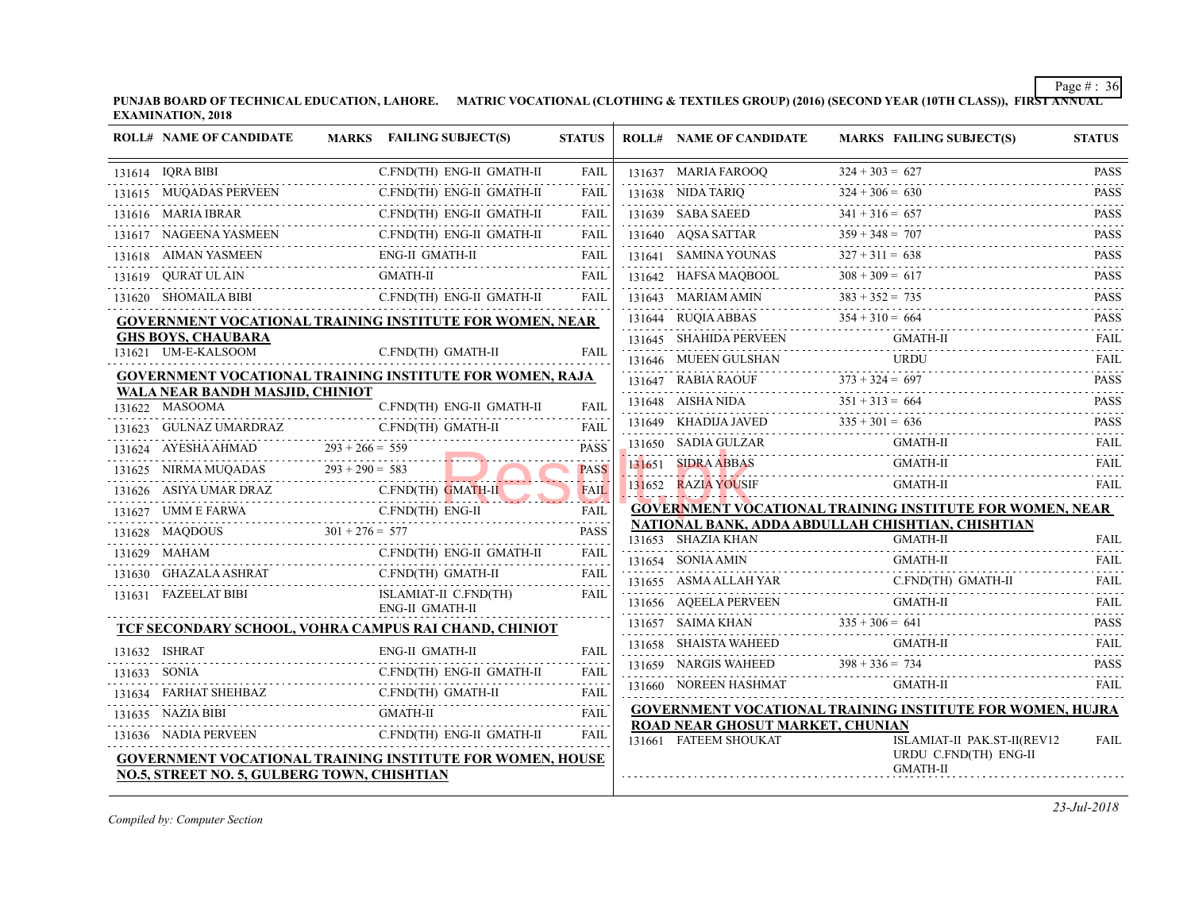|                                                          |  | 131615 MUQADAS PERVEEN                                                                             | C.FND(TH) ENG-II GMATH-II                |  | FAIL             | 131638 NIDA TARIQ                                         | $324 + 306 = 630$         |
|----------------------------------------------------------|--|----------------------------------------------------------------------------------------------------|------------------------------------------|--|------------------|-----------------------------------------------------------|---------------------------|
|                                                          |  | 131616 MARIA IBRAR                                                                                 | C.FND(TH) ENG-II GMATH-II                |  | <b>FAIL</b>      | 131639 SABA SAEED                                         | $341 + 316 = 657$         |
|                                                          |  | 131617 NAGEENA YASMEEN<br>131617 NAGEENA YASMEEN C.FND(TH) ENG-II GMATH-II FAIL                    | C.FND(TH) ENG-II GMATH-II                |  |                  | 131640 AQSA SATTAR 359 + 348 = 7                          | $359 + 348 = 707$         |
|                                                          |  | 131618 AIMAN YASMEEN                                                                               | ENG-II GMATH-II                          |  |                  | 131641 SAMINA YOUNAS $327 + 311 = 63$                     | $327 + 311 = 638$         |
|                                                          |  | 131619 QURAT UL AIN GMATH-II FAIL FAIL                                                             |                                          |  |                  | 131642 HAFSA MAQBOOL $308 + 309 = 617$                    |                           |
|                                                          |  | 131620 SHOMAILA BIBI                                                                               | C.FND(TH) ENG-II GMATH-II                |  | FAIL             | 131643 MARIAM AMIN                                        | $383 + 352 = 735$         |
| GOVERNMENT VOCATIONAL TRAINING INSTITUTE FOR WOMEN, NEAR |  |                                                                                                    |                                          |  |                  | 131644 RUQIA ABBAS $354 + 31$                             | $354 + 310 = 664$         |
|                                                          |  | <b>GHS BOYS, CHAUBARA</b><br>131621 UM-E-KALSOOM                                                   | C.FND(TH) GMATH-II                       |  | FAIL             | 131645 SHAHIDA PERVEEN                                    | GMA                       |
|                                                          |  |                                                                                                    |                                          |  |                  | 131646 MUEEN GULSHAN                                      | <b>URD</b><br>.           |
|                                                          |  | <b>GOVERNMENT VOCATIONAL TRAINING INSTITUTE FOR WOMEN, RAJA</b><br>WALA NEAR BANDH MASJID, CHINIOT |                                          |  |                  | $BIA RAOUF$ $373 + 324 = 697$<br>131647 RABIA RAOUF       |                           |
|                                                          |  | 131622 MASOOMA                                                                                     | C.FND(TH) ENG-II GMATH-II                |  | FAIL             | 131648 AISHA NIDA 351 -                                   | $351 + 313 = 664$         |
|                                                          |  | 131623 GULNAZ UMARDRAZ                                                                             | C.FND(TH) GMATH-II                       |  | <b>FAIL</b>      | 131649 KHADIJA JAVED $335 + 301 = 636$                    |                           |
|                                                          |  | 131624 AYESHA AHMAD                                                                                | .<br>$293 + 266 = 559$                   |  | <b>PASS</b>      | 131650 SADIA GULZAR                                       | GMA                       |
|                                                          |  | 131625 NIRMA MUQADAS                                                                               | $293 + 290 = 583$                        |  | <b>PASS</b>      | 131651 SIDRA ABBAS                                        | <b>GMA</b>                |
|                                                          |  | 131626 ASIYA UMAR DRAZ                                                                             |                                          |  | FAIL             | 131652 RAZIA YOUSIF                                       | <b>GMA</b>                |
|                                                          |  | 131627 UMM E FARWA                                                                                 | EARWA C.FND(TH) ENG-II                   |  | .<br><b>FAIL</b> | <b>GOVERNMENT VOCATIONAL TRAINING INS</b>                 |                           |
|                                                          |  | 131628 MAQDOUS                                                                                     | $301 + 276 = 577$                        |  | <b>PASS</b>      | NATIONAL BANK, ADDA ABDULLAH CHISHT<br>131653 SHAZIA KHAN | <b>GMA</b>                |
|                                                          |  | 131629 MAHAM                                                                                       | C.FND(TH) ENG-II GMATH-II                |  | FAIL             | 131654 SONIA AMIN                                         | <b>GMA</b>                |
|                                                          |  | 131630 GHAZALA ASHRAT                                                                              | C.FND(TH) GMATH-II<br>.<br>.             |  | <b>FAIL</b>      | 131655 ASMA ALLAH YAR                                     | C.FN                      |
|                                                          |  | 131631 FAZEELAT BIBI                                                                               | ISLAMIAT-II C.FND(TH)<br>ENG-II GMATH-II |  | <b>FAIL</b>      | 131656 AQEELA PERVEEN                                     | GMA                       |
|                                                          |  | TCF SECONDARY SCHOOL, VOHRA CAMPUS RAI CHAND, CHINIOT                                              |                                          |  |                  | 131657 SAIMA KHAN                                         | $335 + 306 = 641$         |
|                                                          |  | 131632 ISHRAT                                                                                      | <b>ENG-II GMATH-II</b>                   |  | FAIL             | 131658 SHAISTA WAHEED                                     | <b>GMA</b>                |
|                                                          |  | 131633 SONIA                                                                                       | C.FND(TH) ENG-II GMATH-II                |  | <b>FAIL</b>      | 131659 NARGIS WAHEED $398 + 336 = 734$                    | $398 + 336 = 734$         |
|                                                          |  | 131634 FARHAT SHEHBAZ                                                                              | C.FND(TH) GMATH-II                       |  | <b>FAIL</b>      | 131660 NOREEN HASHMAT                                     | GMA                       |
|                                                          |  | 131634 FARHAT SHEHBAZ C.FND(TH) GMATH-II FAIL<br>131635 NAZIA BIBI                                 |                                          |  |                  | <b>GOVERNMENT VOCATIONAL TRAINING INS</b>                 |                           |
|                                                          |  | 131636 NADIA PERVEEN                                                                               | C.FND(TH) ENG-II GMATH-II                |  | <b>FAIL</b>      | ROAD NEAR GHOSUT MARKET, CHUNIAN                          |                           |
|                                                          |  | <b>GOVERNMENT VOCATIONAL TRAINING INSTITUTE FOR WOMEN, HOUSE</b>                                   |                                          |  |                  | 131661 FATEEM SHOUKAT                                     | <b>ISLA</b><br><b>URD</b> |
|                                                          |  | NO.5, STREET NO. 5, GULBERG TOWN, CHISHTIAN                                                        |                                          |  |                  | <b>GMA</b>                                                |                           |
|                                                          |  |                                                                                                    |                                          |  |                  |                                                           |                           |

**PUNJAB BOARD OF TECHNICAL EDUCATION, LAHORE. MATRIC VOCATIONAL (CLOTHING & TEXTILES GROUP) (2016) (SECOND YEAR EXAMINATION, 2018**

**ROLL# NAME OF CANDIDATE MARKS FAILING SUBJECT(S) STATUS ROLL# NAME OF CANDIDATE MARKS FAILING SUBJECT(S) STATUS**

131637 MARIA FAROOQ  $324 + 303 = 627$ 

131614 IQRA BIBI C.FND(TH) [ENG-II GMATH-II FAIL](http://www.result.pk/)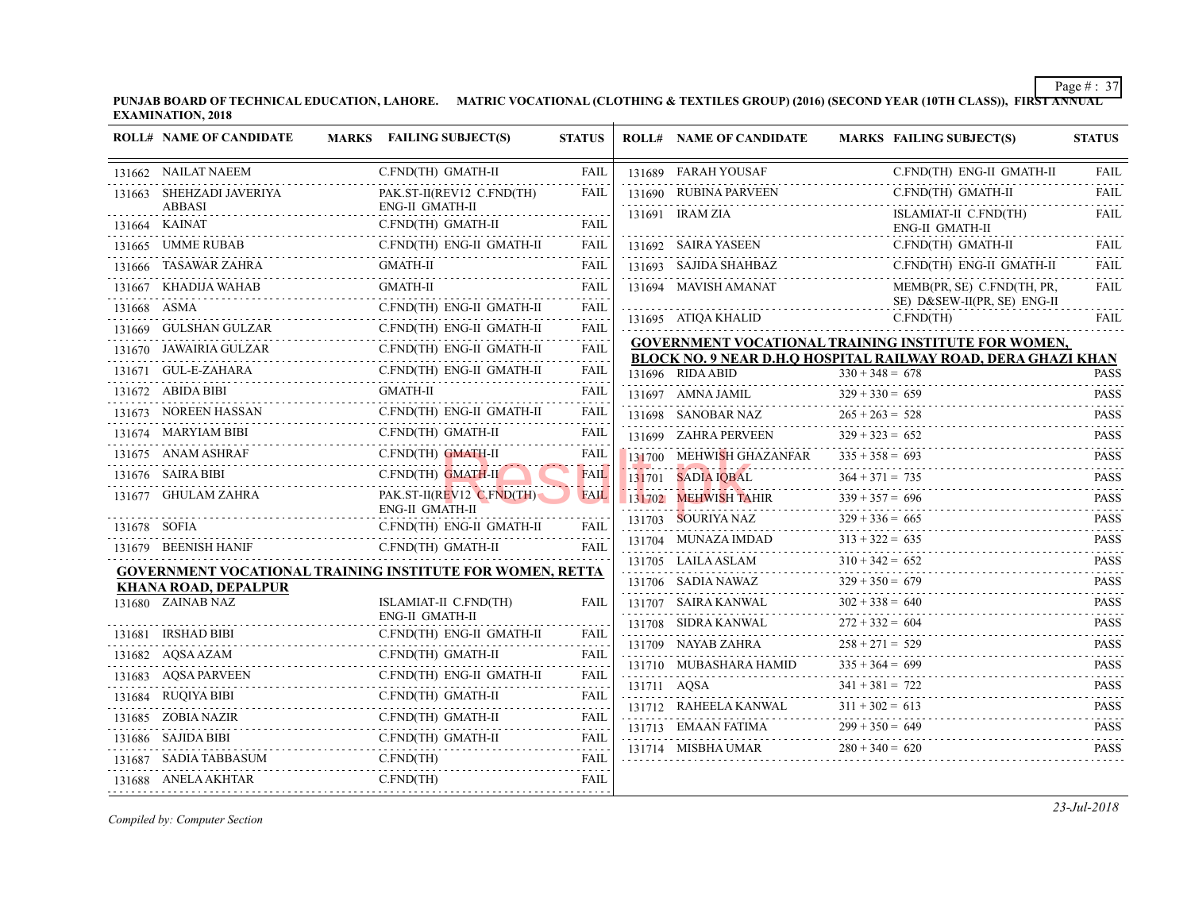| <b>ROLL# NAME OF CANDIDATE</b>                                       | MARKS FAILING SUBJECT(S)                                         | <b>STATUS</b>    | <b>ROLL# NAME OF CANDIDATE</b>                                                            | <b>MARKS FAIL</b>                      |
|----------------------------------------------------------------------|------------------------------------------------------------------|------------------|-------------------------------------------------------------------------------------------|----------------------------------------|
| 131662 NAILAT NAEEM                                                  | C.FND(TH) GMATH-II                                               | <b>FAIL</b>      | 131689 FARAH YOUSAF                                                                       | C.FN                                   |
| 131663 SHEHZADI JAVERIYA                                             | PAK.ST-II(REV12 C.FND(TH)                                        | <b>FAIL</b>      | 131690 RUBINA PARVEEN                                                                     | C.FN                                   |
| <b>ABBASI</b><br>131664 KAINAT                                       | ENG-II GMATH-II<br>C.FND(TH) GMATH-II                            | <b>FAIL</b>      | 131691 IRAM ZIA                                                                           | <b>ISLA</b><br>ENG-                    |
| 131665 UMME RUBAB                                                    | C.FND(TH) ENG-II GMATH-II                                        | <b>FAIL</b>      | 131692 SAIRA YASEEN                                                                       | C.FN                                   |
| 131666 TASAWAR ZAHRA                                                 | <b>GMATH-II</b>                                                  | <b>FAIL</b>      | 131693 SAJIDA SHAHBAZ                                                                     | C.FN                                   |
| 131667 KHADIJA WAHAB<br>131667 KHADIJA WAHAB                         | <b>GMATH-II</b>                                                  | <b>FAIL</b>      | 131694 MAVISH AMANAT                                                                      | <b>MEM</b>                             |
| 131668 ASMA                                                          | C.FND(TH) ENG-II GMATH-II                                        | .<br><b>FAIL</b> | 131695 ATIOA KHALID                                                                       | SE)<br>C.FN                            |
| 131669 GULSHAN GULZAR<br>131669 GULSHAN GULZAR C.F                   | C.FND(TH) ENG-II GMATH-II                                        | .<br>FAIL        |                                                                                           |                                        |
| 131670 JAWAIRIA GULZAR<br>IA GULZAR<br>----------------------------- | C.FND(TH) ENG-II GMATH-II                                        | .<br>FAIL        | <b>GOVERNMENT VOCATIONAL TRAINING INS</b><br><b>BLOCK NO. 9 NEAR D.H.O HOSPITAL RAILW</b> |                                        |
| 131671 GUL-E-ZAHARA                                                  | C.FND(TH) ENG-II GMATH-II<br>.<br>AHARA C.FND(TH) ]              | FAIL             | 131696 RIDA ABID                                                                          | $330 + 348 = 678$                      |
| 131672 ABIDA BIBI                                                    | <b>GMATH-II</b>                                                  | FAIL             | 131697 AMNA JAMIL                                                                         | $329 + 330 = 659$                      |
| 131673 NOREEN HASSAN                                                 | C.FND(TH) ENG-II GMATH-II                                        | FAIL             | 131698 SANOBAR NAZ                                                                        | $265 + 263 = 528$                      |
| 131674 MARYIAM BIBI                                                  | C.FND(TH) GMATH-II                                               | FAIL             | 131699 ZAHRA PERVEEN                                                                      | $329 + 323 = 652$                      |
| 131675 ANAM ASHRAF                                                   | C.FND(TH) GMATH-II                                               | FAIL             | 131700 MEHWISH GHAZANFAR                                                                  | $335 + 358 = 693$                      |
| 131676 SAIRA BIBI<br>)<br>                                           | C.FND(TH) GMATH-II                                               | <b>FAIL</b>      | 131701 SADIA IQBAL                                                                        | $364 + 371 = 735$                      |
| 131677 GHULAM ZAHRA                                                  | $PAKST-II(REV12 C.FND(TH))$<br>ENG-II GMATH-II                   | <b>FAIL</b>      | 131702 MEHWISH TAHIR                                                                      | $339 + 357 = 696$                      |
| 131678 SOFIA                                                         | C.FND(TH) ENG-II GMATH-II                                        | FAIL             | 131703 SOURIYA NAZ                                                                        | $329 + 336 = 665$                      |
| 131679 BEENISH HANIF                                                 | C.FND(TH) GMATH-II                                               | FAIL             | 131704 MUNAZA IMDAD                                                                       | $313 + 322 = 635$                      |
|                                                                      | <b>GOVERNMENT VOCATIONAL TRAINING INSTITUTE FOR WOMEN, RETTA</b> |                  | 131705 LAILA ASLAM<br>31705 LAILA ASLAM $310 + 342$                                       | $310 + 342 = 652$                      |
| <b>KHANA ROAD, DEPALPUR</b>                                          |                                                                  |                  | 131706 SADIA NAWAZ                                                                        | $329 + 350 = 679$                      |
| 131680 ZAINAB NAZ                                                    | ISLAMIAT-II C.FND(TH)<br><b>ENG-II GMATH-II</b>                  | <b>FAIL</b>      | 131707 SAIRA KANWAL                                                                       | $302 + 338 = 640$                      |
| 131681 IRSHAD BIBI                                                   | C.FND(TH) ENG-II GMATH-II                                        | FAIL             | 131708 SIDRA KANWAL                                                                       | $272 + 332 = 604$                      |
| 131682 AQSA AZAM                                                     | C.FND(TH) GMATH-II                                               | FAIL             | 131709 NAYAB ZAHRA<br>131710 MUBASHARA HAMID                                              | $258 + 271 = 529$<br>$335 + 364 = 699$ |
| 131683 AQSA PARVEEN                                                  | C.FND(TH) ENG-II GMATH-II                                        | .<br>FAIL        |                                                                                           |                                        |
| 131684 RUQIYA BIBI                                                   | C.FND(TH) GMATH-II                                               | .<br><b>FAIL</b> | 131711 AQSA<br>131712 RAHEELA KANWAL                                                      | $341 + 381 = 722$<br>$311 + 302 = 613$ |
| 131685 ZOBIA NAZIR<br>.                                              | C.FND(TH) GMATH-II                                               | -----<br>FAIL    | 131713 EMAAN FATIMA                                                                       | $299 + 350 = 649$                      |
| 131686 SAJIDA BIBI                                                   | C.FND(TH) GMATH-II<br>C.1 ND(111) GMATH-II                       | FAIL             | 131714 MISBHA UMAR                                                                        | $280 + 340 = 620$                      |
| 131687 SADIA TABBASUM                                                | C.FND(TH)                                                        | <b>FAIL</b>      |                                                                                           |                                        |
| 131688 ANELA AKHTAR                                                  | C.FND(TH)                                                        | FAIL             |                                                                                           |                                        |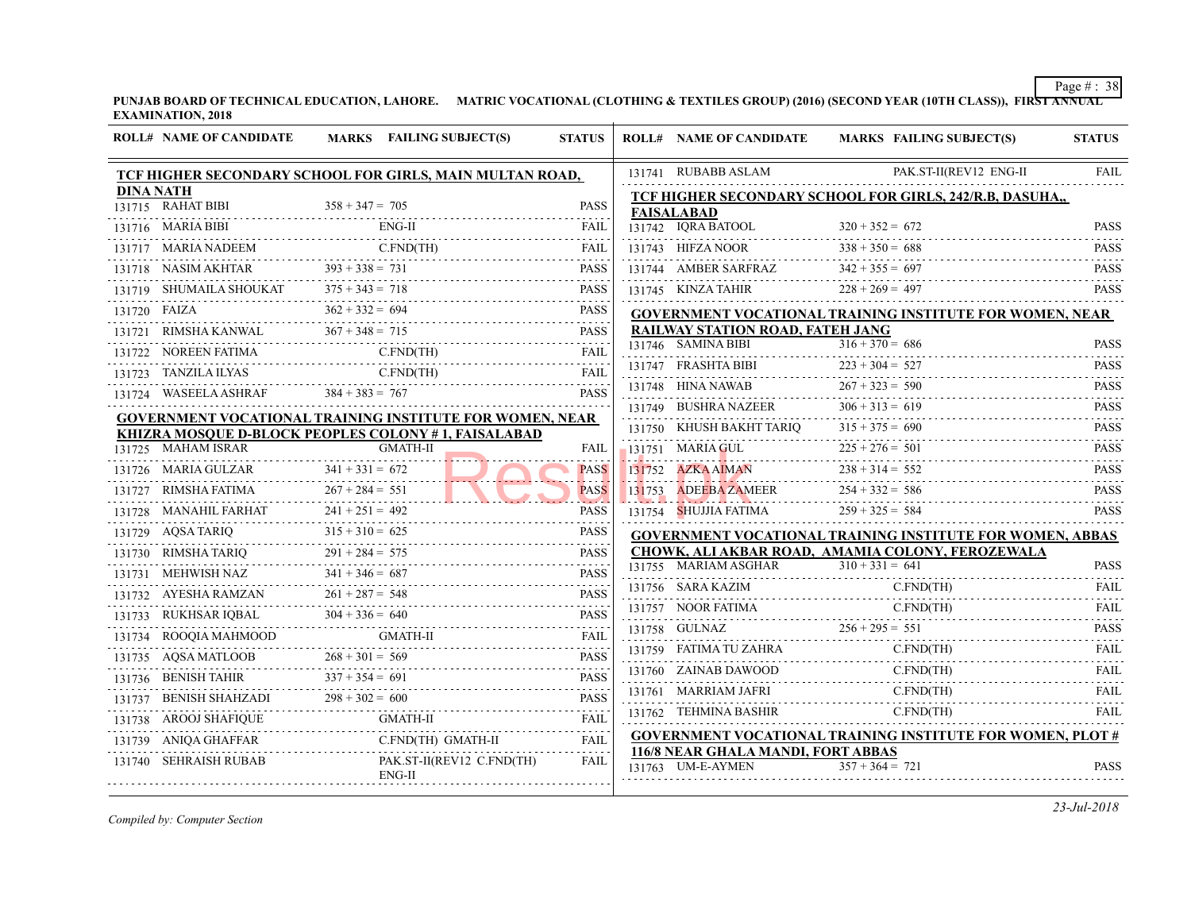|                  | <b>ROLL# NAME OF CANDIDATE</b>                                                                                          | <b>MARKS</b> FAILING SUBJECT(S)                          | <b>STATUS</b>              | <b>ROLL# NAME OF CANDIDATE</b>                          | <b>MARKS FAIL</b> |
|------------------|-------------------------------------------------------------------------------------------------------------------------|----------------------------------------------------------|----------------------------|---------------------------------------------------------|-------------------|
|                  |                                                                                                                         | TCF HIGHER SECONDARY SCHOOL FOR GIRLS, MAIN MULTAN ROAD, |                            | 131741 RUBABB ASLAM                                     | PAK.              |
| <b>DINA NATH</b> |                                                                                                                         |                                                          |                            | TCF HIGHER SECONDARY SCHOOL FOR GII                     |                   |
|                  | 131715 RAHAT BIBI                                                                                                       | $358 + 347 = 705$                                        | <b>PASS</b>                | <b>FAISALABAD</b>                                       |                   |
|                  | 131716 MARIA BIBI                                                                                                       |                                                          | FAIL                       | 131742 IQRA BATOOL $320 + 352 = 672$                    |                   |
|                  | $\begin{tabular}{ll} 131717 & MARIA NADEEM & C.FND( \\ \hline 131718 & NASA MAKHTAR & 393 + 338 = 731 \\ \end{tabular}$ | C.FND(TH)                                                | FAIL                       | 131743 HIFZA NOOR $338 + 350 = 688$                     |                   |
|                  |                                                                                                                         | PASS                                                     | <b>PASS</b>                | 131744 AMBER SARFRAZ $342 + 355 = 697$                  |                   |
|                  |                                                                                                                         | 131719 SHUMAILA SHOUKAT $375 + 343 = 718$ PASS           |                            | 131745 KINZA TAHIR $228 + 269 = 497$                    |                   |
|                  | 131720 FAIZA                                                                                                            | $362 + 332 = 694$                                        | <b>PASS</b>                | <b>GOVERNMENT VOCATIONAL TRAINING INS</b>               |                   |
|                  |                                                                                                                         | 131721 RIMSHA KANWAL $367 + 348 = 715$ PASS              | <b>PASS</b>                | RAILWAY STATION ROAD, FATEH JANG                        |                   |
|                  |                                                                                                                         | 131722 NOREEN FATIMA C.FND(TH) FAIL                      |                            | 131746 SAMINA BIBI                                      | $316 + 370 = 686$ |
|                  | 131723 TANZILA ILYAS                                                                                                    | C.FND(TH)<br>131723 TANZILA ILYAS C.FND(TH) FAIL         |                            | 131747 FRASHTA BIBI 223 +                               | $223 + 304 = 527$ |
|                  | 131724 WASEELA ASHRAF $384 + 383 = 767$                                                                                 |                                                          | <b>PASS</b>                | 131748 HINA NAWAB $267 + 323 = 59$                      | $267 + 323 = 590$ |
|                  |                                                                                                                         | GOVERNMENT VOCATIONAL TRAINING INSTITUTE FOR WOMEN, NEAR |                            | 131749 BUSHRA NAZEER $306 + 313 = 619$                  |                   |
|                  |                                                                                                                         | KHIZRA MOSQUE D-BLOCK PEOPLES COLONY #1, FAISALABAD      |                            | 131750 KHUSH BAKHT TARIQ $315 + 375 = 690$              |                   |
|                  | 131725 MAHAM ISRAR                                                                                                      | <b>GMATH-II</b>                                          | FAIL                       | 131751 MARIA GUL $225 + 276 = 501$                      |                   |
|                  | 131726 MARIA GULZAR 341 + 331 = 672                                                                                     |                                                          | <b>PASS</b>                | 131752 AZKA AIMAN                                       | $238 + 314 = 552$ |
|                  |                                                                                                                         | 131727 RIMSHA FATIMA $267 + 284 = 551$                   | <b>PASS</b><br>$2.5 - 2.4$ | 131753 ADEEBA ZAMEER $254 + 332 = 586$                  |                   |
|                  | 131728 MANAHIL FARHAT 241 + 251 = 492                                                                                   |                                                          | <b>PASS</b>                | 131754 SHUJJIA FATIMA                                   | $259 + 325 = 584$ |
|                  |                                                                                                                         | 131729 AQSA TARIQ $315 + 310 = 625$                      | <b>PASS</b>                | <b>GOVERNMENT VOCATIONAL TRAINING INS</b>               |                   |
|                  |                                                                                                                         | 131730 RIMSHATARIQ 291 + 284 = 575 PASS                  |                            | CHOWK, ALI AKBAR ROAD, AMAMIA COLO                      |                   |
|                  |                                                                                                                         | 131731 MEHWISH NAZ $341 + 346 = 687$ PASS                | <b>PASS</b>                | 131755 MARIAM ASGHAR                                    | $310 + 331 = 641$ |
|                  |                                                                                                                         | 131732 AYESHA RAMZAN $261 + 287 = 548$ PASS              |                            | 131756 SARA KAZIM                                       | C.FN              |
|                  |                                                                                                                         | 131733 RUKHSAR IQBAL $304 + 336 = 640$ PASS              | <b>PASS</b>                | 131757 NOOR FATIMA C.FN                                 | C.FN              |
|                  |                                                                                                                         |                                                          |                            | 131758 GULNAZ $256 + 295 = 551$                         |                   |
|                  |                                                                                                                         | 131735 AQSA MATLOOB 268 + 301 = 569 PASS                 |                            |                                                         | C.FN              |
|                  |                                                                                                                         | 131736 BENISH TAHIR $337 + 354 = 691$ PASS               |                            | 131760 ZAINAB DAWOOD                                    | C.FN              |
|                  |                                                                                                                         | 131737 BENISH SHAHZADI $298 + 302 = 600$ PASS            | <b>PASS</b>                | 131761 MARRIAM JAFRI                                    | C.FN              |
|                  | 131738 AROOJ SHAFIQUE                                                                                                   | FAIL FAIL FAIL FAIL                                      |                            | 131762 TEHMINA BASHIR                                   | C.FN              |
|                  | 131739 ANIQA GHAFFAR                                                                                                    | an an Aonaichte<br>Ca<br>C.FND(TH) GMATH-II              | FAIL                       | <b>GOVERNMENT VOCATIONAL TRAINING INS</b>               |                   |
|                  | 131740 SEHRAISH RUBAB                                                                                                   | PAK.ST-II(REV12 C.FND(TH)<br>ENG-II                      | FAIL                       | 116/8 NEAR GHALA MANDI, FORT ABBAS<br>131763 UM-E-AYMEN | $357 + 364 = 721$ |
|                  |                                                                                                                         |                                                          |                            |                                                         |                   |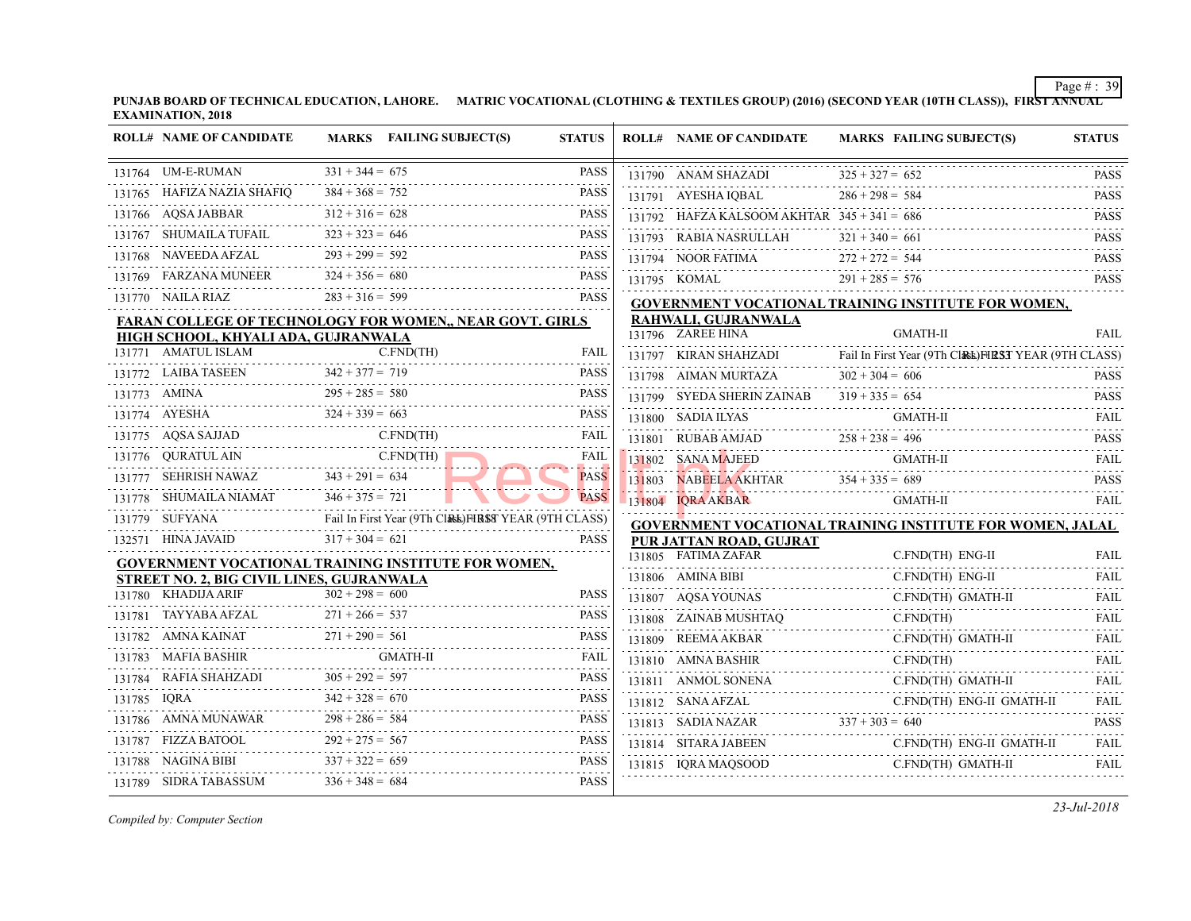| <b>ROLL# NAME OF CANDIDATE</b>                                               |                   | MARKS FAILING SUBJECT(S) | <b>STATUS</b>     | <b>ROLL# NAME OF CANDIDATE</b>                | <b>MARKS FAIL</b> |
|------------------------------------------------------------------------------|-------------------|--------------------------|-------------------|-----------------------------------------------|-------------------|
| 131764 UM-E-RUMAN                                                            | $331 + 344 = 675$ |                          | <b>PASS</b>       | 131790 ANAM SHAZADI                           | $325 + 327 = 652$ |
| 131765 HAFIZA NAZIA SHAFIQ $384 + 368 = 752$                                 |                   |                          | <b>PASS</b>       | 131791 AYESHA IQBAL $286 + 298 = 584$         |                   |
| R<br>$312 + 316 = 628$<br>131766 AQSA JABBAR                                 |                   |                          | <b>PASS</b>       | 131792 HAFZA KALSOOM AKHTAR $345 + 341 = 686$ |                   |
| 131767 SHUMAILA TUFAIL $323 + 323 = 646$ PASS                                |                   |                          |                   | 131793 RABIA NASRULLAH $321 + 340 = 661$      |                   |
| 131768 NAVEEDA AFZAL $293 + 299 = 592$ PASS                                  |                   |                          |                   | 131794 NOOR FATIMA $272 + 272 = 544$          |                   |
| 131769 FARZANA MUNEER $324 + 356 = 680$ PASS                                 |                   |                          | <b>PASS</b>       | 131795 KOMAL $291 + 285 = 576$                |                   |
| 131770 NAILA RIAZ $283 + 316 = 599$                                          |                   |                          | <b>PASS</b>       | <b>GOVERNMENT VOCATIONAL TRAINING INS</b>     |                   |
| <b>FARAN COLLEGE OF TECHNOLOGY FOR WOMEN,, NEAR GOVT. GIRLS</b>              |                   |                          |                   | RAHWALI, GUJRANWALA                           |                   |
| HIGH SCHOOL, KHYALI ADA, GUJRANWALA                                          |                   |                          |                   | 131796 ZAREE HINA                             | <b>GMA</b>        |
| 131771 AMATUL ISLAM                                                          |                   | C.FND(TH)                | FAIL              | 131797 KIRAN SHAHZADI Fail In First Year      |                   |
| $\frac{131772}{131772} \text{ LAIBA TASEEN} \longrightarrow 342 + 377 = 719$ |                   |                          |                   | 131798 AIMAN MURTAZA $302 + 304 = 606$        |                   |
| 131773 AMINA $295 + 285 = 580$ PASS                                          |                   |                          |                   | 131799 SYEDA SHERIN ZAINAB $319 + 335 = 654$  |                   |
| 131774 AYESHA $324 + 339 = 663$ PASS                                         |                   |                          |                   | 131800 SADIA ILYAS GM                         | <b>GMA</b>        |
| 131775 $AQSA SAJJAD$ C.FND(TH)                                               |                   |                          | <b>FAIL</b>       | 131801 RUBAB AMJAD $258 + 238 = 496$          |                   |
| 131776 QURATULAIN C.FND(TH)                                                  |                   |                          | FAIL<br>22 a 22 a | 131802 SANA MAJEED                            | GMA               |
| 131777 SEHRISH NAWAZ 343 + 291 = 634                                         |                   |                          | <b>PASS</b>       | 131803 NABEELA AKHTAR $354 + 335 = 689$       |                   |
| 131778 SHUMAILA NIAMAT $346 + 375 = 721$                                     |                   |                          | <b>PASS</b>       | 131804 IORA AKBAR                             | <b>GMA</b>        |
| 131779 SUFYANA Fail In First Year (9Th Class) FIRST YEAR (9TH CLASS)         |                   |                          |                   | <b>GOVERNMENT VOCATIONAL TRAINING INS</b>     |                   |
| 132571 HINA JAVAID $317 + 304 = 621$ PASS                                    |                   |                          | <b>PASS</b>       | PUR JATTAN ROAD, GUJRAT                       |                   |
| <b>GOVERNMENT VOCATIONAL TRAINING INSTITUTE FOR WOMEN,</b>                   |                   |                          |                   | 131805 FATIMA ZAFAR                           | C.FN              |
| <b>STREET NO. 2, BIG CIVIL LINES, GUJRANWALA</b>                             |                   |                          |                   | 131806 AMINA BIBI                             | C.FN              |
| 131780 KHADIJA ARIF                                                          | $302 + 298 = 600$ |                          | <b>PASS</b>       | 131807 AQSA YOUNAS C.FI                       | C.FN              |
| 131781 TAYYABA AFZAL $271 + 266 = 537$                                       |                   |                          | <b>PASS</b>       | 131808 ZAINAB MUSHTAQ C.FN                    | C.FN              |
| 131782 AMNA KAINAT $271 + 290 = 561$ PASS                                    |                   |                          |                   | 131809 REEMAAKBAR C.F                         | C.FN              |
| 131783 MAFIA BASHIR GMATH-II                                                 |                   |                          | <b>FAIL</b>       | 131810 AMNA BASHIR C.FI                       | C.FN              |
| 131784 RAFIA SHAHZADI $305 + 292 = 597$ PASS                                 |                   |                          |                   | 131811 ANMOL SONENA C.FN                      | C.FN              |
| 131785 IQRA $342 + 328 = 670$ PASS                                           |                   |                          | PASS              | 131812 SANA AFZAL C.F                         | C.FN              |
| 131786 AMNA MUNAWAR $298 + 286 = 584$ PASS                                   |                   |                          |                   | 131813 SADIA NAZAR $337 + 303 = 640$          |                   |
| 131787 FIZZA BATOOL 292 + 275 = 567                                          |                   |                          | <b>PASS</b>       | 131814 SITARA JABEEN C.FI                     | C.FN              |
| 131788 NAGINA BIBI $337 + 322 = 659$<br>.                                    |                   |                          | PASS              | $131815$ IQRA MAQSOOD C.FN                    | C.FN              |
| 131789 SIDRA TABASSUM $336 + 348 = 684$                                      |                   |                          | <b>PASS</b>       |                                               |                   |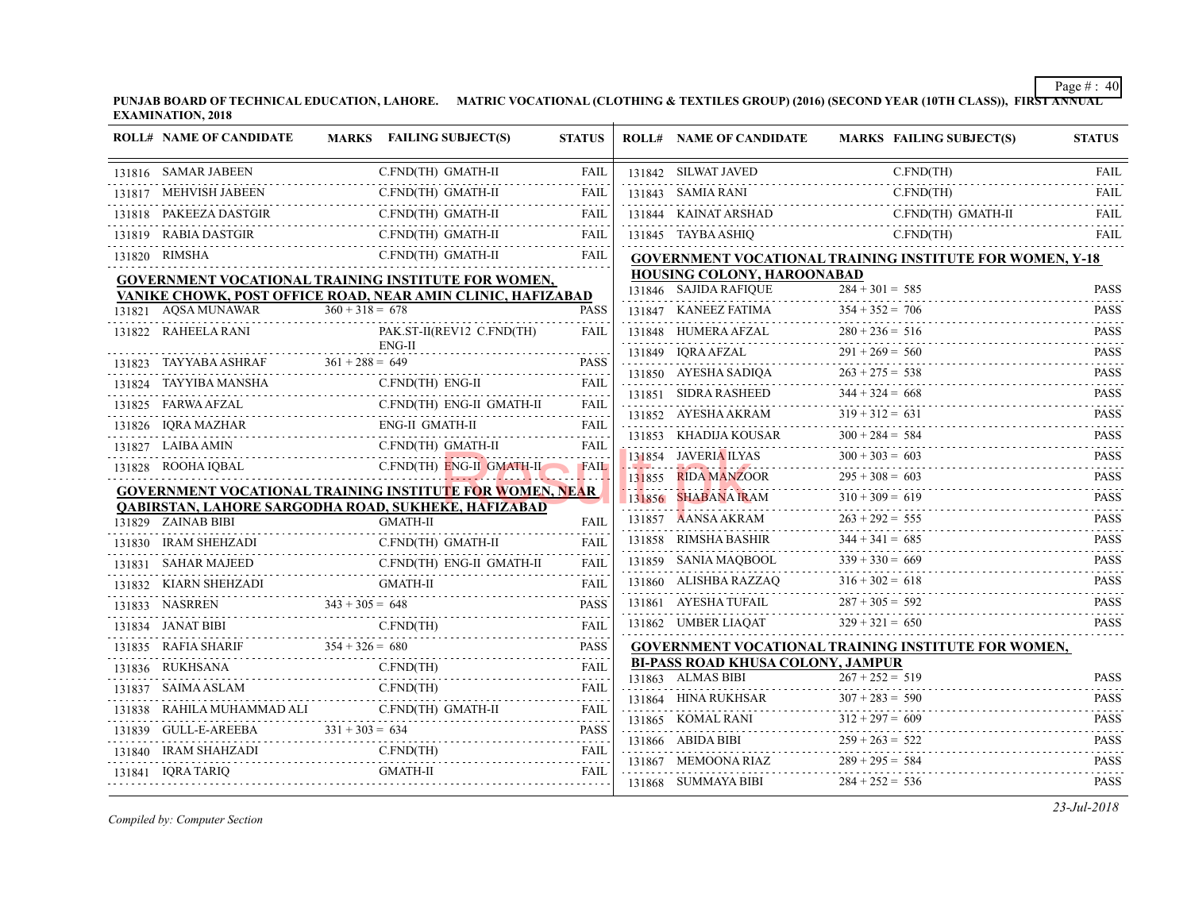| <b>ROLL# NAME OF CANDIDATE</b>                       | MARKS FAILING SUBJECT(S)                                               | <b>STATUS</b> | <b>ROLL# NAME OF CANDIDATE</b>                                            | <b>MARKS FAIL</b>            |
|------------------------------------------------------|------------------------------------------------------------------------|---------------|---------------------------------------------------------------------------|------------------------------|
| 131816 SAMAR JABEEN                                  | C.FND(TH) GMATH-II                                                     | FAIL          | 131842 SILWAT JAVED                                                       | C.FN                         |
| 131817 MEHVISH JABEEN                                | C.FND(TH) GMATH-II                                                     | FAIL          | 131843 SAMIA RANI                                                         | C.FN                         |
| PAKEEZA DASTGIR C.<br>131818 PAKEEZA DASTGIR         | C.FND(TH) GMATH-II                                                     | FAIL          | 131844 KAINAT ARSHAD                                                      | C.FN                         |
| 131819 RABIA DASTGIR                                 | C.FND(TH) GMATH-II                                                     | <b>FAIL</b>   | 131845 TAYBA ASHIQ                                                        | C.FN                         |
| 131820 RIMSHA                                        | C.FND(TH) GMATH-II                                                     | FAIL          | <b>GOVERNMENT VOCATIONAL TRAINING INS</b>                                 |                              |
|                                                      | <b>GOVERNMENT VOCATIONAL TRAINING INSTITUTE FOR WOMEN,</b>             |               | HOUSING COLONY, HAROONABAD                                                |                              |
|                                                      | VANIKE CHOWK, POST OFFICE ROAD, NEAR AMIN CLINIC, HAFIZABAD            |               | 131846 SAJIDA RAFIQUE                                                     | $\overline{284} + 301 = 585$ |
| 131821 AQSA MUNAWAR                                  | $360 + 318 = 678$                                                      | <b>PASS</b>   | 131847 KANEEZ FATIMA $354 + 352 =$                                        | $354 + 352 = 706$            |
| 131822 RAHEELA RANI                                  | PAK.ST-II(REV12 C.FND(TH)                                              | FAIL          | 131848 HUMERA AFZAL $280 + 2$                                             | $280 + 236 = 516$            |
| 131823 TAYYABA ASHRAF                                | $ENG-II$<br>$361 + 288 = 649$                                          | <b>PASS</b>   | 131849 IQRA AFZAL 291 + 269 = 560<br>131850 AYESHA SADIQA 263 + 275 = 538 |                              |
|                                                      | 131823 TAYYABA ASHRAF $361 + 288 = 649$ PASS                           |               |                                                                           |                              |
| 131824 TAYYIBA MANSHA<br>A MANSHA C.                 | C.FND(TH) ENG-II                                                       | FAIL          | 131851 SIDRA RASHEED $344 + 324 = 668$                                    |                              |
| 131825 FARWA AFZAL                                   | C.FND(TH) ENG-II GMATH-II                                              | FAIL          | 131852 AYESHA AKRAM $319 + 312 = 631$                                     |                              |
| 131826 IQRA MAZHAR                                   |                                                                        |               | 131853 KHADIJA KOUSAR $300 + 284 =$                                       | $300 + 284 = 584$            |
| 131827 LAIBA AMIN                                    | C.FND(TH) GMATH-II                                                     | FAIL          | 131854 JAVERIA ILYAS $300 + 303 = 603$                                    |                              |
| 131828 ROOHA IQBAL                                   | C.FND(TH) ENG-II GMATH-II FAIL                                         |               | 131855 RIDA MANZOOR 295 + 308 = 603                                       |                              |
|                                                      | GOVERNMENT VOCATIONAL TRAINING INSTITUTE FOR WOMEN, NEAR               |               | $131856$ SHABANA IRAM $310+$                                              | $310 + 309 = 619$            |
| 131829 ZAINAB BIBI                                   | QABIRSTAN, LAHORE SARGODHA ROAD, SUKHEKE, HAFIZABAD<br><b>GMATH-II</b> | <b>FAIL</b>   | 131857 AANSA AKRAM $263 + 292 = 555$                                      |                              |
| )[<br>----------------------<br>131830 IRAM SHEHZADI | C.FND(TH) GMATH-II                                                     | <b>FAIL</b>   | 131858 RIMSHA BASHIR 344 + 341 =                                          | $344 + 341 = 685$            |
| 131831 SAHAR MAJEED C.FND                            | C.FND(TH) ENG-II GMATH-II                                              | <b>FAIL</b>   | 131859 SANIA MAQBOOL 339                                                  | $339 + 330 = 669$            |
|                                                      | 131832 KIARN SHEHZADI GMATH-II FAIL                                    |               | 131860 ALISHBA RAZZAQ 316+302 = 618                                       |                              |
|                                                      | 131833 NASRREN $343 + 305 = 648$ PASS                                  | <b>PASS</b>   | 131861 AYESHA TUFAIL                                                      | $287 + 305 = 592$            |
| 131834 JANAT BIBI                                    | JANAT BIBI C.FND(TH)                                                   | <b>FAIL</b>   | 131862 UMBER LIAQAT $329 + 321 = 650$                                     |                              |
|                                                      | 131835 RAFIA SHARIF $354 + 326 = 680$ PASS                             | $-1 - 1 - 1$  | <b>GOVERNMENT VOCATIONAL TRAINING INS</b>                                 |                              |
| 131836 RUKHSANA                                      | [A C.FND(TH) FAIL                                                      |               | <b>BI-PASS ROAD KHUSA COLONY, JAMPUR</b>                                  |                              |
| 131837 SAIMA ASLAM                                   | C.FND(TH)                                                              | FAIL          | 131863 ALMAS BIBI                                                         | $267 + 252 = 519$            |
|                                                      | 131838 RAHILA MUHAMMAD ALI C.FND(TH) GMATH-II FAIL                     |               | 131864 HINA RUKHSAR $307 + 283 =$                                         | $307 + 283 = 590$            |
|                                                      | 131839 GULL-E-AREEBA $331 + 303 = 634$ PASS                            |               | 131865 KOMAL RANI 312 +                                                   | $312 + 297 = 609$            |
| 131840 IRAM SHAHZADI                                 | C.FND(TH)                                                              |               | 131866 ABIDA BIBI 259 + 263                                               | $259 + 263 = 522$            |
| 131841 IQRA TARIQ                                    |                                                                        |               | 131867 MEMOONA RIAZ                                                       | $289 + 295 = 584$            |
|                                                      |                                                                        |               | 131868 SUMMAYA BIBI                                                       | $284 + 252 = 536$            |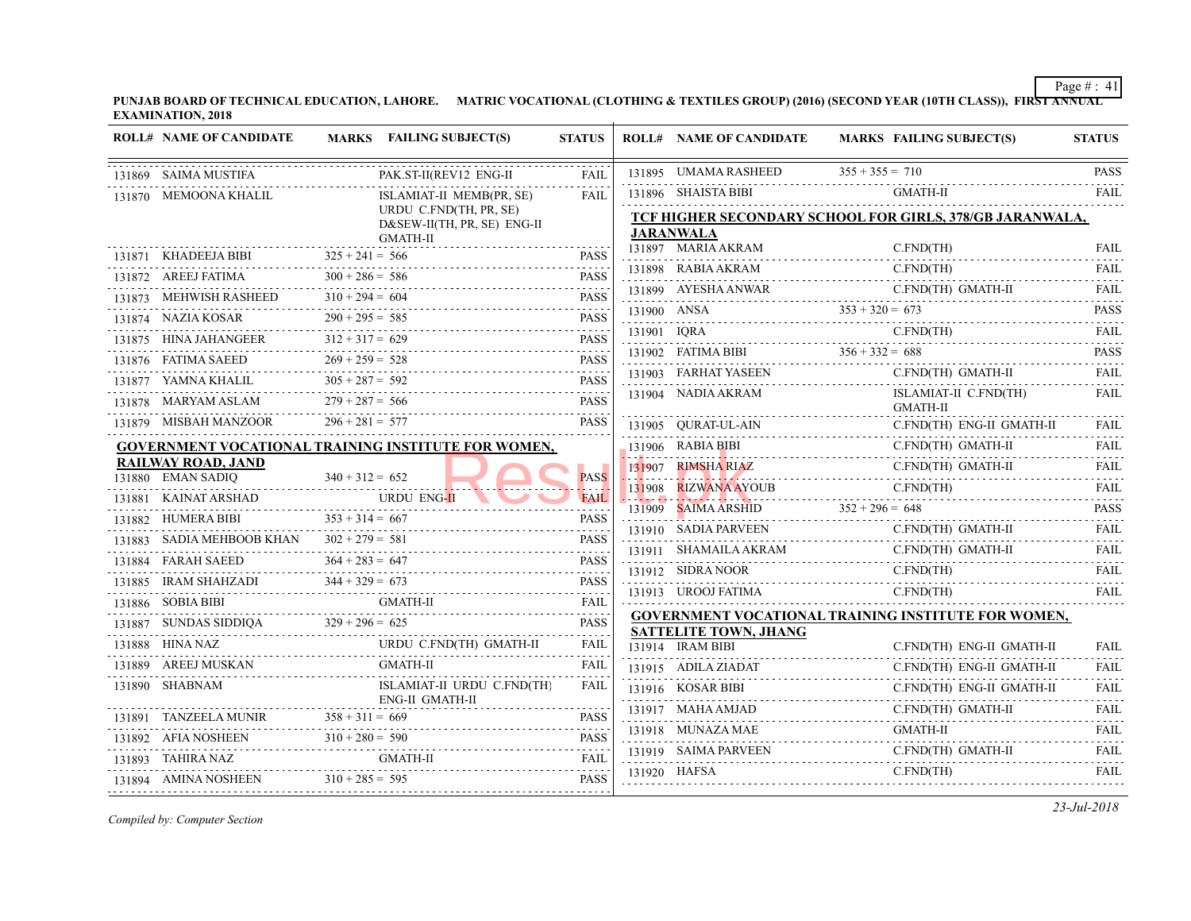| <b>ROLL# NAME OF CANDIDATE</b>                           | MARKS FAILING SUBJECT(S)                                        | <b>STATUS</b>                                            | <b>ROLL# NAME OF CANDIDATE</b>             | <b>MARKS FAIL</b>  |
|----------------------------------------------------------|-----------------------------------------------------------------|----------------------------------------------------------|--------------------------------------------|--------------------|
| 131869 SAIMA MUSTIFA                                     | PAK.ST-II(REV12 ENG-II                                          | FAIL                                                     | 131895 UMAMA RASHEED                       | $355 + 355 = 710$  |
| 131870 MEMOONA KHALIL                                    | ISLAMIAT-II MEMB(PR, SE)                                        | <b>FAIL</b>                                              | 131896 SHAISTA BIBI                        | GMA                |
|                                                          | URDU C.FND(TH, PR, SE)<br>D&SEW-II(TH, PR, SE) ENG-II           |                                                          | <b>TCF HIGHER SECONDARY SCHOOL FOR GIL</b> |                    |
|                                                          | GMATH-II                                                        |                                                          | <b>JARANWALA</b>                           |                    |
| 131871 KHADEEJA BIBI $325 + 241 = 566$                   |                                                                 | <b>PASS</b>                                              | 131897 MARIA AKRAM                         | C.FN               |
| 131872 AREEJ FATIMA                                      | $300 + 286 = 586$<br>131872 AREEJ FATIMA $300 + 286 = 586$ PASS | <b>PASS</b>                                              | 131898 RABIA AKRAM                         | C.FN               |
| 131873 MEHWISH RASHEED $310 + 294 = 604$                 | $310 + 294 = 604$ PASS                                          | <b>PASS</b>                                              | 131899 AYESHA ANWAR C.FN                   | C.FN               |
| 131874 NAZIA KOSAR 290 + 295 = 585                       | PASS                                                            |                                                          | 131900 ANSA $353 + 320 = 673$              |                    |
| 131875 HINA JAHANGEER $312 + 317 = 629$                  |                                                                 | <b>PASS</b>                                              | 131901 IQRA C.FN                           | C.FN               |
|                                                          | 131876 FATIMA SAEED $269 + 259 = 528$ PASS                      |                                                          | 131902 FATIMA BIBI $356 + 332 = 688$       |                    |
| 131877 YAMNA KHALIL $305 + 287 = 592$                    | $JIL$ $305 + 287 = 592$ PASS                                    |                                                          | 131903 FARHAT YASEEN                       | C.FN               |
|                                                          | 131878 MARYAM ASLAM $279 + 287 = 566$ PASS                      |                                                          | 131904 NADIA AKRAM                         | ISLA<br><b>GMA</b> |
| 131879 MISBAH MANZOOR $296 + 281 = 577$                  |                                                                 | <b>PASS</b>                                              | 131905 QURAT-UL-AIN C.FN                   | C.FN               |
|                                                          | GOVERNMENT VOCATIONAL TRAINING INSTITUTE FOR WOMEN,             |                                                          | 131906 RABIA BIBI                          | C.FN               |
| <b>RAILWAY ROAD, JAND</b>                                |                                                                 |                                                          | 131907 RIMSHA RIAZ                         | C.FN.              |
| 131880 EMAN SADIQ                                        | $340 + 312 = 652$                                               | <b>PASS</b>                                              | 131908 RIZWANA AYOUB                       | C.FN.              |
|                                                          | 131881 KAINAT ARSHAD URDU ENG-II                                | <b>FAIL</b>                                              | 131909 SAIMA ARSHID $352 + 296 = 648$      |                    |
| 131882 HUMERA BIBI $353 + 314 = 667$                     |                                                                 | <b>PASS</b>                                              | 131910 SADIA PARVEEN                       | C.FN.              |
| 131883 SADIA MEHBOOB KHAN $302 + 279 = 581$<br>.         |                                                                 | <b>PASS</b>                                              | 131911 SHAMAILA AKRAM C.F                  | C.FN               |
|                                                          | 131884 FARAH SAEED $364 + 283 = 647$ PASS                       |                                                          | 131912 SIDRA NOOR                          | C.FN               |
|                                                          | 131885 IRAM SHAHZADI $344 + 329 = 673$ PASS                     |                                                          | 131913 UROOJ FATIMA                        | C.FN               |
| 131886 SOBIA BIBI                                        |                                                                 | FAIL                                                     | <b>GOVERNMENT VOCATIONAL TRAINING INS</b>  |                    |
| 131887 SUNDAS SIDDIQA $329 + 296 = 625$                  |                                                                 | <b>PASS</b>                                              | <b>SATTELITE TOWN, JHANG</b>               |                    |
| 131888 HINA NAZ                                          | 131888 HINA NAZ URDU C.FND(TH) GMATH-II                         | FAIL                                                     | 131914 IRAM BIBI                           | C.FN               |
| SKAN<br>-------------------------<br>131889 AREEJ MUSKAN | GMATH-II                                                        | FAIL                                                     | 131915 ADILA ZIADAT                        | C.FN               |
| 131890 SHABNAM                                           | ISLAMIAT-II URDU C.FND(TH)<br>ENG-II GMATH-II                   | FAIL                                                     | 131916 KOSAR BIBI                          | C.FN               |
|                                                          |                                                                 | <b>PASS</b>                                              | 131917 MAHA AMJAD                          | C.FN               |
|                                                          | 131891 TANZEELA MUNIR $358 + 311 = 669$ PASS                    |                                                          | 131918 MUNAZA MAE                          | <b>GMA</b>         |
| 131893 TAHIRA NAZ                                        | 131892 AFIA NOSHEEN $310 + 280 = 590$ PASS<br>GMATH-II          | FAIL                                                     | 131919 SAIMA PARVEEN                       | C.FN               |
| 131894 AMINA NOSHEEN $310 + 285 = 595$                   |                                                                 | $\sim$ $\sim$ $\sim$ $\sim$ $\sim$ $\sim$<br><b>PASS</b> |                                            | C.FN.              |
|                                                          |                                                                 |                                                          |                                            |                    |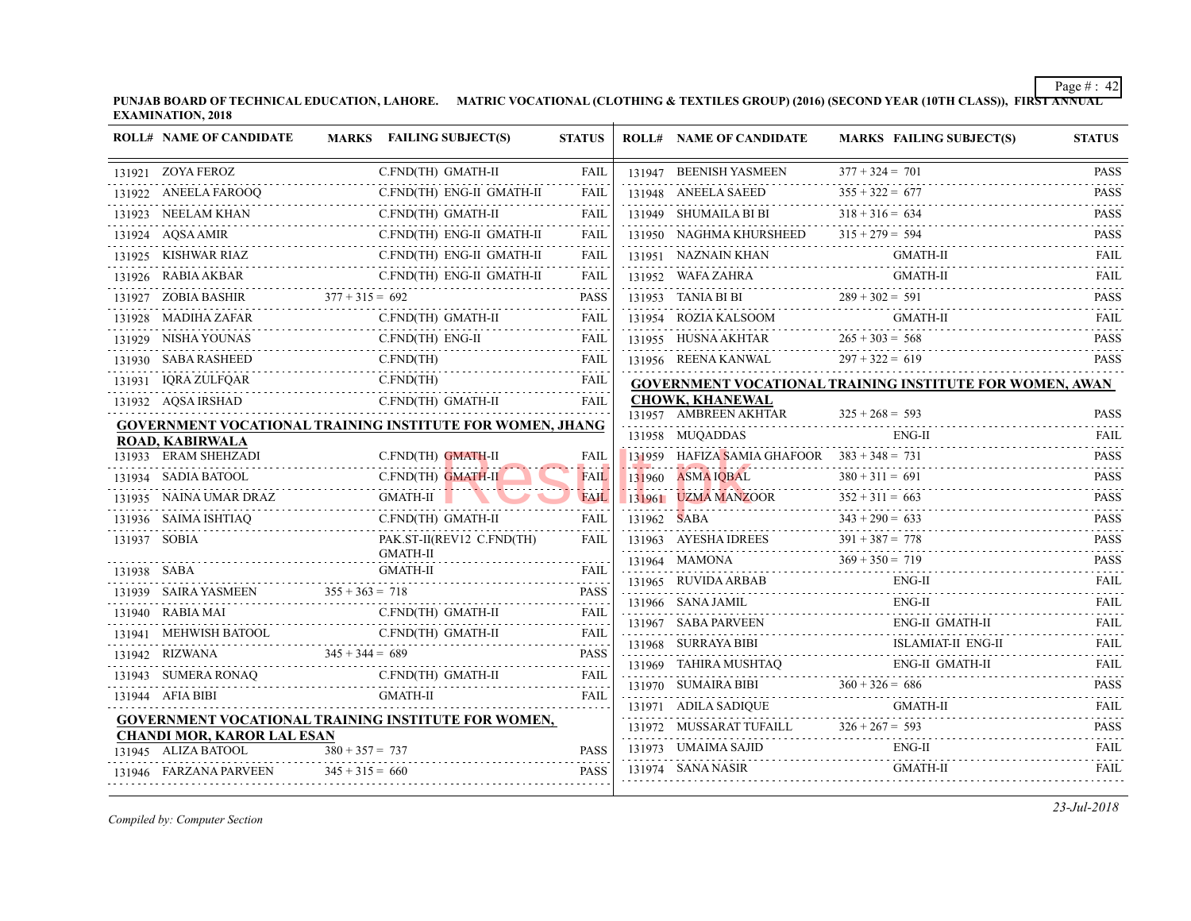|             | <b>ROLL# NAME OF CANDIDATE</b>         | MARKS FAILING SUBJECT(S)                                         | <b>STATUS</b> | <b>ROLL# NAME OF CANDIDATE</b>                    | <b>MARKS FAIL</b> |
|-------------|----------------------------------------|------------------------------------------------------------------|---------------|---------------------------------------------------|-------------------|
|             | 131921 ZOYA FEROZ                      | C.FND(TH) GMATH-II                                               | FAIL          | 131947 BEENISH YASMEEN                            | $377 + 324 = 701$ |
|             | 131922 ANEELA FAROOQ                   | C.FND(TH) ENG-II GMATH-II                                        | <b>FAIL</b>   | 131948 ANEELA SAEED                               | $355 + 322 = 677$ |
|             | 131923 NEELAM KHAN                     | C.FND(TH) GMATH-II                                               | <b>FAIL</b>   | 131949 SHUMAILA BI BI                             | $318 + 316 = 634$ |
|             | 131924 AQSA AMIR                       | C.FND(TH) ENG-II GMATH-II                                        | FAIL          | 131950 NAGHMA KHURSHEED                           | $315 + 279 = 594$ |
|             | 131925 KISHWAR RIAZ                    | C.FND(TH) ENG-II GMATH-II                                        | <b>FAIL</b>   | 131951 NAZNAIN KHAN                               | <b>GMA</b>        |
|             | 131926 RABIA AKBAR                     |                                                                  | FAIL          | 131952 WAFA ZAHRA                                 | <b>GMA</b>        |
|             |                                        | 131927 ZOBIA BASHIR $377 + 315 = 692$                            | PASS          |                                                   |                   |
|             | 131928 MADIHA ZAFAR                    | C.FND(TH) GMATH-II                                               | FAIL          | 131954 ROZIA KALSOOM                              | <b>GMA</b>        |
|             | 131929 NISHA YOUNAS                    | C.FND(TH) ENG-II<br>'H) ENG-II<br>----------------------------   | FAIL          | 131955 HUSNA AKHTAR 265                           | $265 + 303 = 568$ |
|             | 131930 SABA RASHEED                    | C.FND(TH)                                                        | <b>FAIL</b>   | 131956 REENA KANWAL                               | $297 + 322 = 619$ |
|             | 131931 IQRA ZULFQAR                    | C.FND(TH)<br>AR C.FND(TH) FAIL                                   |               | <b>GOVERNMENT VOCATIONAL TRAINING INS</b>         |                   |
|             | 131932 AQSA IRSHAD                     | C.FND(TH) GMATH-II                                               | <b>FAIL</b>   | <b>CHOWK, KHANEWAL</b>                            |                   |
|             |                                        | <b>GOVERNMENT VOCATIONAL TRAINING INSTITUTE FOR WOMEN, JHANG</b> |               | 131957 AMBREEN AKHTAR                             | $325 + 268 = 593$ |
|             | <b>ROAD, KABIRWALA</b>                 |                                                                  |               | 131958 MUQADDAS                                   | ENG-              |
|             | 131933 ERAM SHEHZADI                   | C.FND(TH) GMATH-II                                               | FAIL          | 131959 HAFIZA SAMIA GHAFOOR $383 + 348 = 731$     |                   |
|             | 131934 SADIA BATOOL                    | C.FND(TH) GMATH-II                                               | FAIL          | 131960 ASMA IQBAL                                 | $380 + 311 = 691$ |
|             | 131935 NAINA UMAR DRAZ                 | GMATH-II<br>AZ<br>-------------------                            | <b>FAIL</b>   | 131961 UZMA MANZOOR 352 + 311 =                   | $352 + 311 = 663$ |
|             | 131936 SAIMA ISHTIAQ<br>ISHTIAQ        | C.FND(TH) GMATH-II                                               | <b>FAIL</b>   | 131962 SABA $343 + 290 = 633$                     |                   |
|             | 131937 SOBIA                           | PAK.ST-II(REV12 C.FND(TH)<br><b>GMATH-II</b>                     | <b>FAIL</b>   | 131963 AYESHA IDREES 391 +                        | $391 + 387 = 778$ |
| 131938 SABA |                                        | <b>GMATH-II</b>                                                  | <b>FAIL</b>   | $369 + 350 = 719$<br>131964 MAMONA                |                   |
|             | 131939 SAIRA YASMEEN $355 + 363 = 718$ |                                                                  | <b>PASS</b>   | $131965$ RUVIDA ARBAB EN                          | ENG-              |
|             | 131940 RABIA MAI<br>$\Gamma$ C.        | C.FND(TH) GMATH-II                                               | <b>FAIL</b>   | 131966 SANA JAMIL                                 | ENG-              |
|             |                                        | C.FND(TH) GMATH-II                                               | FAIL          | 131967 SABA PARVEEN                               | ENG-              |
|             |                                        |                                                                  | <b>PASS</b>   | 131968 SURRAYA BIBI<br>$131968$ SURRAYA BIBI ISLA | <b>ISLA</b>       |
|             |                                        | 131943 SUMERA RONAQ C.FND(TH) GMATH-II FAIL                      | FAIL          | 131969 TAHIRA MUSHTAQ                             | ENG-              |
|             | 131944 AFIA BIBI                       | <b>GMATH-II</b>                                                  | <b>FAIL</b>   | 131970 SUMAIRA BIBI $360 + 326 = 686$             |                   |
|             |                                        | <b>GOVERNMENT VOCATIONAL TRAINING INSTITUTE FOR WOMEN,</b>       |               | 131971 ADILA SADIQUE                              | GMA               |
|             | <b>CHANDI MOR, KAROR LAL ESAN</b>      |                                                                  |               | 131972 MUSSARAT TUFAILL 326 + 267 = 593           |                   |
|             | 131945 ALIZA BATOOL                    | $380 + 357 = 737$                                                | <b>PASS</b>   | 131973 UMAIMA SAJID                               | ENG-              |
|             | 131946 FARZANA PARVEEN                 | $345 + 315 = 660$                                                | <b>PASS</b>   |                                                   | <b>GMA</b>        |
|             |                                        |                                                                  |               | 131974 SANA NASIR                                 |                   |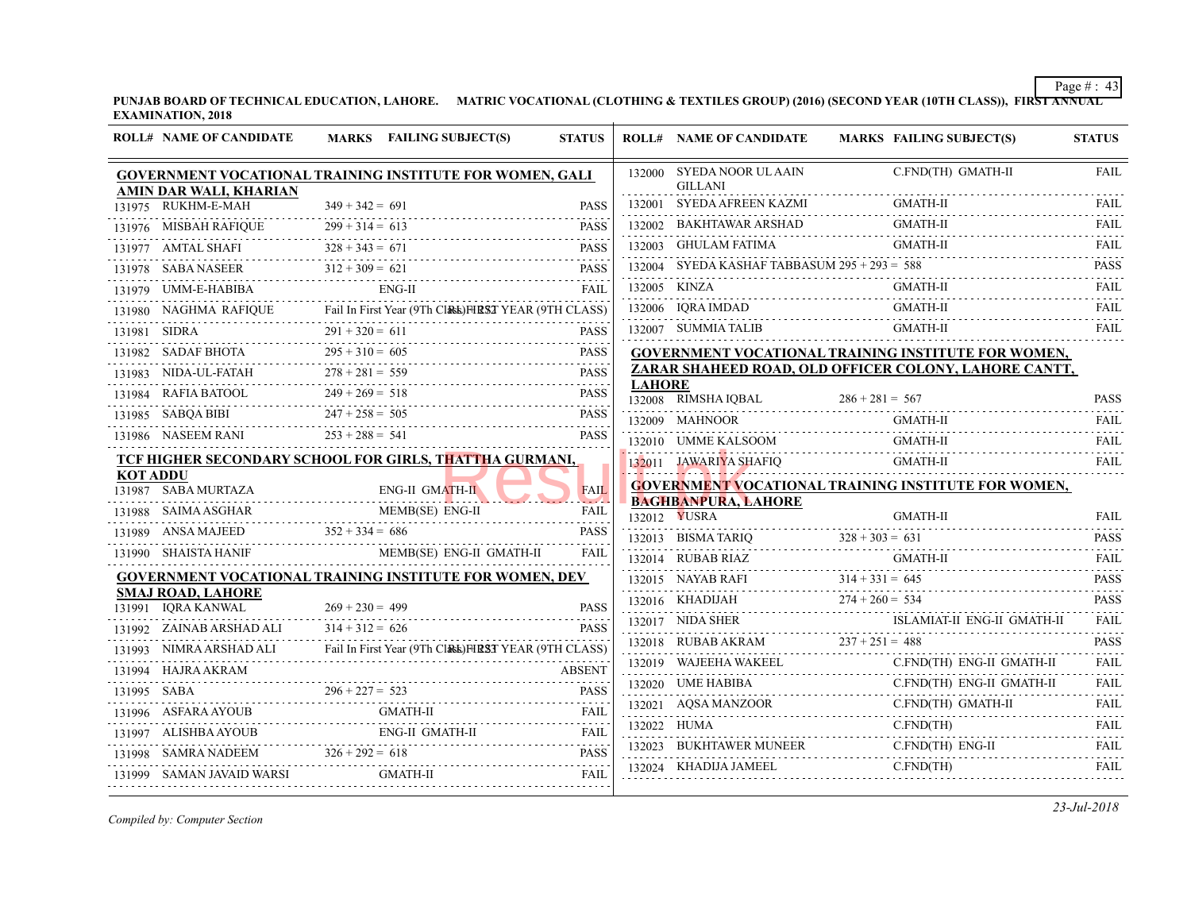| <b>ROLL# NAME OF CANDIDATE</b>               | MARKS FAILING SUBJECT(S)                                                                                                                                                                                                                                                                                                                                                                                                                                                       | <b>STATUS</b> |               | <b>ROLL# NAME OF CANDIDATE</b>                   | <b>MARKS FAIL</b> |
|----------------------------------------------|--------------------------------------------------------------------------------------------------------------------------------------------------------------------------------------------------------------------------------------------------------------------------------------------------------------------------------------------------------------------------------------------------------------------------------------------------------------------------------|---------------|---------------|--------------------------------------------------|-------------------|
|                                              | <b>GOVERNMENT VOCATIONAL TRAINING INSTITUTE FOR WOMEN, GALI</b>                                                                                                                                                                                                                                                                                                                                                                                                                |               |               | 132000 SYEDA NOOR UL AAIN<br><b>GILLANI</b>      | C.FN              |
| AMIN DAR WALI, KHARIAN<br>131975 RUKHM-E-MAH | $349 + 342 = 691$                                                                                                                                                                                                                                                                                                                                                                                                                                                              | <b>PASS</b>   |               | 132001 SYEDA AFREEN KAZMI                        | GMA               |
|                                              | 131976 MISBAH RAFIQUE $299 + 314 = 613$ PASS                                                                                                                                                                                                                                                                                                                                                                                                                                   |               |               | 132002 BAKHTAWAR ARSHAD GMA                      | <b>GMA</b>        |
|                                              | 131977 AMTAL SHAFI $328 + 343 = 671$ PASS                                                                                                                                                                                                                                                                                                                                                                                                                                      | <b>PASS</b>   |               | 132003 GHULAM FATIMA                             | <b>GMA</b>        |
|                                              | 131978 SABA NASEER $312 + 309 = 621$ PASS                                                                                                                                                                                                                                                                                                                                                                                                                                      |               |               | 132004 SYEDA KASHAF TABBASUM $295 + 293 = 588$   |                   |
| 131979    UMM-E-HABIBA    ENG-II             |                                                                                                                                                                                                                                                                                                                                                                                                                                                                                | FAIL          |               | 132005 KINZA                                     | <b>GMA</b>        |
|                                              | 131980 NAGHMA RAFIQUE Fail In First Year (9Th CLASS) FIRST YEAR (9TH CLASS)                                                                                                                                                                                                                                                                                                                                                                                                    |               |               | 132006 IQRA IMDAD                                | <b>GMA</b>        |
|                                              | 131981 SIDRA $291 + 320 = 611$ PASS                                                                                                                                                                                                                                                                                                                                                                                                                                            | <b>PASS</b>   |               | 132007 SUMMIA TALIB                              | <b>GMA</b>        |
|                                              | 131982 SADAF BHOTA $295 + 310 = 605$ PASS                                                                                                                                                                                                                                                                                                                                                                                                                                      |               |               | <b>GOVERNMENT VOCATIONAL TRAINING INS</b>        |                   |
|                                              | 131983 NIDA-UL-FATAH $278 + 281 = 559$ PASS                                                                                                                                                                                                                                                                                                                                                                                                                                    | <b>PASS</b>   |               | ZARAR SHAHEED ROAD, OLD OFFICER COI              |                   |
|                                              | 131984 RAFIA BATOOL $249 + 269 = 518$ PASS                                                                                                                                                                                                                                                                                                                                                                                                                                     | <b>PASS</b>   | <b>LAHORE</b> | 132008 RIMSHA IQBAL $286 + 281 = 567$            |                   |
|                                              | 131985 SABQA BIBI $247 + 258 = 505$ PASS                                                                                                                                                                                                                                                                                                                                                                                                                                       | <b>PASS</b>   |               |                                                  | <b>GMA</b>        |
| 131986 NASEEM RANI $253 + 288 = 541$         |                                                                                                                                                                                                                                                                                                                                                                                                                                                                                | <b>PASS</b>   |               | 132010 UMME KALSOOM GMA                          | <b>GMA</b>        |
|                                              | TCF HIGHER SECONDARY SCHOOL FOR GIRLS, THATTHA GURMANI,                                                                                                                                                                                                                                                                                                                                                                                                                        |               |               | 132011 JAWARIYA SHAFIQ                           | <b>GMA</b>        |
| <b>KOT ADDU</b><br>131987 SABA MURTAZA       |                                                                                                                                                                                                                                                                                                                                                                                                                                                                                | <b>FAIL</b>   |               | <b>GOVERNMENT VOCATIONAL TRAINING INS</b>        |                   |
|                                              | RTAZA ENG-II GMATH-II                                                                                                                                                                                                                                                                                                                                                                                                                                                          | . <i>.</i> .  |               | <b>BAGHBANPURA, LAHORE</b>                       |                   |
|                                              | $\begin{tabular}{c} \hline 131988 & \multicolumn{1}{c}{SAMA ASGHAR} \end{tabular} \begin{tabular}{lcccc} \multicolumn{1}{c}{PAB(SE)} \end{tabular} \begin{tabular}{lcccc} \multicolumn{1}{c}{R131989} & \multicolumn{1}{c}{ANSA MAJEED} \end{tabular} \begin{tabular}{lcccc} \multicolumn{1}{c}{PAB(SE)} \end{tabular} \begin{tabular}{lcccc} \multicolumn{1}{c}{R131989} & \multicolumn{1}{c}{ANSA MAJEED} \end{tabular} \end{tabular} \begin{tabular}{lcccc} \multicolumn{1$ |               |               | 132012 <b>YUSRA</b>                              | <b>GMA</b>        |
|                                              | 131990 SHAISTA HANIF MEMB(SE) ENG-II GMATH-II                                                                                                                                                                                                                                                                                                                                                                                                                                  | <b>FAIL</b>   |               | 132013 BISMA TARIQ $328 + 303 = 631$             |                   |
|                                              | <b>GOVERNMENT VOCATIONAL TRAINING INSTITUTE FOR WOMEN, DEV</b>                                                                                                                                                                                                                                                                                                                                                                                                                 |               |               | 132014 RUBAB RIAZ                                | <b>GMA</b>        |
| <b>SMAJ ROAD, LAHORE</b>                     |                                                                                                                                                                                                                                                                                                                                                                                                                                                                                |               |               | 132015 NAYAB RAFI $314 + 331 = 645$              |                   |
| 131991 IQRA KANWAL                           | $269 + 230 = 499$                                                                                                                                                                                                                                                                                                                                                                                                                                                              | <b>PASS</b>   |               | 132016 KHADIJAH $274 + 260 = 534$                | <b>ISLA</b>       |
| 131992 ZAINAB ARSHAD ALI $314 + 312 = 626$   |                                                                                                                                                                                                                                                                                                                                                                                                                                                                                | <b>PASS</b>   |               | 132017 NIDA SHER ISLA                            |                   |
|                                              | 131993 NIMRA ARSHAD ALI Fail In First Year (9Th ClASS) FIRST YEAR (9TH CLASS)                                                                                                                                                                                                                                                                                                                                                                                                  |               |               | 132018 RUBAB AKRAM $237 + 251 = 488$             | C.FN              |
|                                              | $\begin{tabular}{c} 131994 \quad HAIRA AKRAM \end{tabular} \begin{tabular}{c} ABSENT \end{tabular} \begin{tabular}{c} ABSENT \end{tabular} \end{tabular} \begin{tabular}{c} ABSENT \end{tabular} \begin{tabular}{c} ABSENT \end{tabular} \end{tabular}$                                                                                                                                                                                                                        |               |               | 132019 WAJEEHA WAKEEL C.FN                       | C.FN              |
|                                              |                                                                                                                                                                                                                                                                                                                                                                                                                                                                                |               |               | $132020$ UME HABIBA C.FN                         | C.FN              |
|                                              | 131996 ASFARA AYOUB GMATH-II FAIL FAIL                                                                                                                                                                                                                                                                                                                                                                                                                                         |               |               | $132021 \quad \text{AQSA MANZOOR}$               | C.FN              |
|                                              | ${\bf ENG-II\ GMATH-II}\hspace{1.5cm} {\bf FAIL}\hspace{1.5cm} {\bf FAIL}\hspace{1.5cm}$                                                                                                                                                                                                                                                                                                                                                                                       |               |               | $132022$ HUMA C.FN                               | C.FN              |
|                                              | 131998 SAMRA NADEEM 326 + 292 = 618 PASS                                                                                                                                                                                                                                                                                                                                                                                                                                       |               |               | 132023 BUKHTAWER MUNEER<br>132024 KHADIJA JAMEEL | C.FN              |
| 131999 SAMAN JAVAID WARSI GMATH-II           |                                                                                                                                                                                                                                                                                                                                                                                                                                                                                |               |               |                                                  |                   |
|                                              |                                                                                                                                                                                                                                                                                                                                                                                                                                                                                |               |               |                                                  |                   |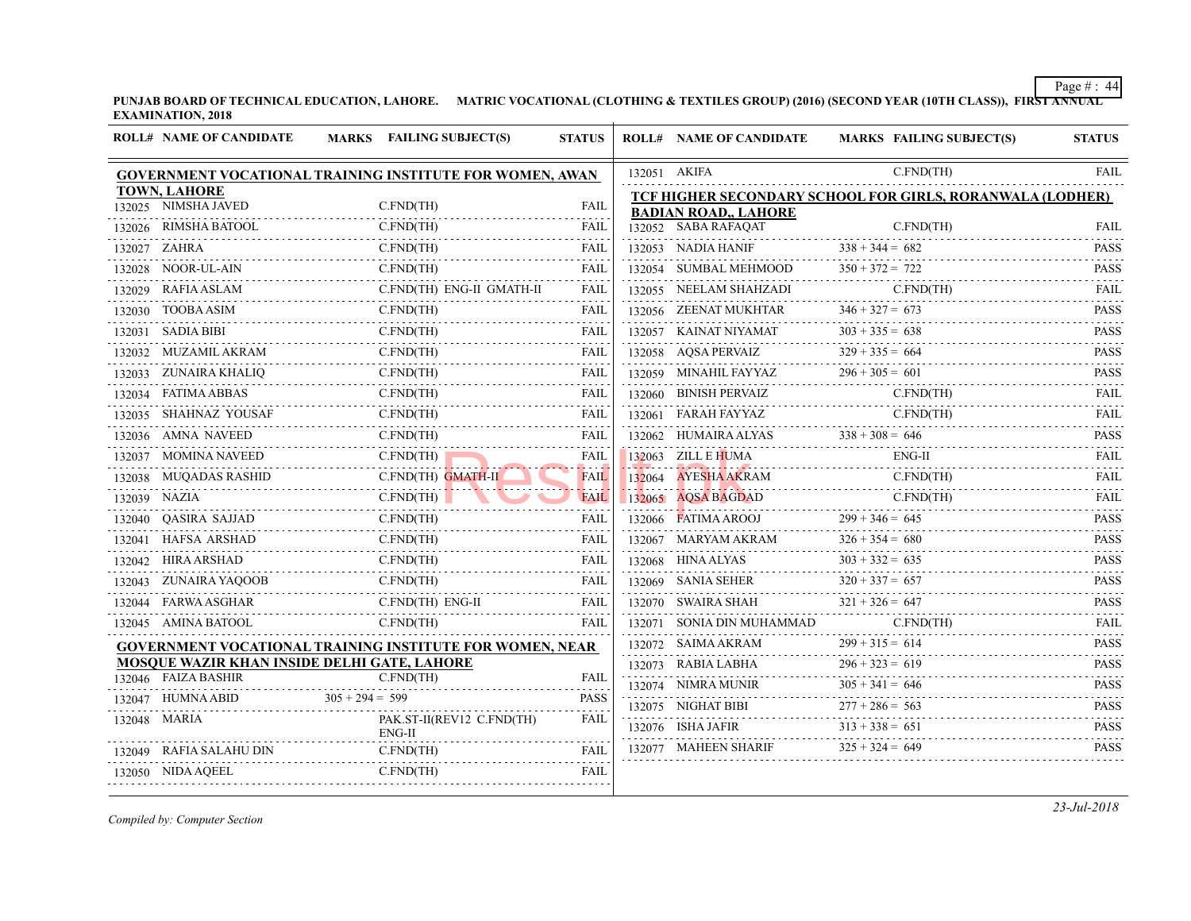⊤

|        | <b>ROLL# NAME OF CANDIDATE</b>                              | <b>FAILING SUBJECT(S)</b><br><b>MARKS</b>                       | <b>STATUS</b> |                                     | <b>ROLL# NAME OF CANDIDATE</b>                         | <b>MARKS FAIL</b> |
|--------|-------------------------------------------------------------|-----------------------------------------------------------------|---------------|-------------------------------------|--------------------------------------------------------|-------------------|
|        |                                                             | <b>GOVERNMENT VOCATIONAL TRAINING INSTITUTE FOR WOMEN, AWAN</b> |               |                                     | 132051 AKIFA                                           | C.FN.             |
|        | <b>TOWN, LAHORE</b>                                         |                                                                 |               | TCF HIGHER SECONDARY SCHOOL FOR GII |                                                        |                   |
|        | 132025 NIMSHA JAVED                                         | $C.FND$ (TH)                                                    | FAIL          |                                     | <b>BADIAN ROAD, LAHORE</b>                             |                   |
|        | 132026 RIMSHA BATOOL                                        | C.FND(TH)                                                       | <b>FAIL</b>   |                                     | 132052 SABA RAFAQAT                                    | C.FN.             |
|        | 132027 ZAHRA                                                | C.FND(TH)                                                       | FAIL          |                                     | 132053 NADIA HANIF                                     | $338 + 344 = 682$ |
|        | 132028 NOOR-UL-AIN                                          | C.FND(TH)<br>N C.FND(TH)                                        | <b>FAIL</b>   |                                     | 132054 SUMBAL MEHMOOD                                  | $350 + 372 = 722$ |
| 132029 | RAFIA ASLAM<br>1          C                                 | C.FND(TH) ENG-II GMATH-II                                       | <b>FAIL</b>   | 132055                              | NEELAM SHAHZADI                                        | C.FN              |
|        | 132030 TOOBA ASIM                                           | C.FND(TH)                                                       | FAIL          |                                     | 132056 ZEENAT MUKHTAR                                  | $346 + 327 = 673$ |
|        | 132031 SADIA BIBI                                           | C.FND(TH)<br>C.FND(TH)                                          | FAIL          |                                     | 132057 KAINAT NIYAMAT<br>.                             | $303 + 335 = 638$ |
|        | 132032 MUZAMIL AKRAM C.FND(TH)                              |                                                                 | FAIL          |                                     | 132058 AQSA PERVAIZ                                    | $329 + 335 = 664$ |
|        | 132033 ZUNAIRA KHALIQ C.FND(TH)                             | FAIL FAIL                                                       |               |                                     | 132059 MINAHIL FAYYAZ $296 + 305 = 0$                  | $296 + 305 = 601$ |
|        | 132034 FATIMA ABBAS                                         | C.FND(TH)                                                       | FAIL          |                                     | 132060 BINISH PERVAIZ                                  | C.FN              |
|        | 132035 SHAHNAZ YOUSAF                                       | C.FND(TH)                                                       | FAIL          |                                     | 132061 FARAH FAYYAZ                                    | C.FN              |
|        | 132036 AMNA NAVEED                                          | C.FND(TH)                                                       | <b>FAIL</b>   |                                     | 132062 HUMAIRA ALYAS                                   | $338 + 308 = 646$ |
|        | 132037 MOMINA NAVEED<br>ED<br>----------------------        | C.FND(TH)                                                       | FAIL<br>.     |                                     | 132063 ZILL E HUMA                                     | ENG-              |
|        | 132038 MUQADAS RASHID                                       |                                                                 | <b>FAIL</b>   |                                     | 132064 AYESHA AKRAM<br><b>NYESHA AKRAM</b> C.FN        | C.FN              |
|        | 132039 NAZIA                                                | C.FND(TH)                                                       | <b>FAIL</b>   |                                     | 132065 AQSA BAGDAD                                     | C.FN              |
|        | 132040 QASIRA SAJJAD<br>AD<br>------------------------      | C.FND(TH)                                                       | <b>FAIL</b>   |                                     | 132066 FATIMA AROOJ                                    | $299 + 346 = 645$ |
|        | 132041 HAFSA ARSHAD                                         | ARSHAD C.FND(TH)                                                | <b>FAIL</b>   |                                     | 132067 MARYAM AKRAM                                    | $326 + 354 = 680$ |
|        | 132042 HIRA ARSHAD                                          | C.FND(TH)<br>C.FND(TH)<br>.                                     | FAIL          |                                     | 132068 HINA ALYAS $303 + 332 =$                        | $303 + 332 = 635$ |
|        | 132043 ZUNAIRA YAQOOB                                       | C.FND(TH)                                                       | FAIL          |                                     | 132069 SANIA SEHER                                     | $320 + 337 = 657$ |
| 132044 | FARWA ASGHAR                                                | C.FND(TH) ENG-II                                                | FAIL          |                                     | 132070 SWAIRA SHAH                                     | $321 + 326 = 647$ |
|        | 132045 AMINA BATOOL                                         | C.FND(TH)                                                       | <b>FAIL</b>   |                                     | 132071 SONIA DIN MUHAMMAD                              | C.FN              |
|        |                                                             | <b>GOVERNMENT VOCATIONAL TRAINING INSTITUTE FOR WOMEN, NEAR</b> |               |                                     | 132072 SAIMA AKRAM                                     | $299 + 315 = 614$ |
|        | MOSQUE WAZIR KHAN INSIDE DELHI GATE, LAHORE                 |                                                                 |               |                                     | 132073 RABIA LABHA<br>RABIA LABHA $296 + 323 = 0$      | $296 + 323 = 619$ |
|        | 132046 FAIZA BASHIR                                         | C.FND(TH)                                                       | FAIL          |                                     | 132074 NIMRA MUNIR<br>132074 NIMRA MUNIR $305 + 341 =$ | $305 + 341 = 646$ |
|        | 132047 HUMNA ABID<br>ID $305 + 294$                         | $305 + 294 = 599$                                               | <b>PASS</b>   |                                     | AT BIBI $277 + 286 = 563$<br>132075 NIGHAT BIBI        |                   |
|        | 132048 MARIA                                                | PAK.ST-II(REV12 C.FND(TH)<br>$ENG-II$<br>.                      | FAIL          |                                     | 132076 ISHA JAFIR                                      | $313 + 338 = 651$ |
|        | 132049 RAFIA SALAHU DIN<br>U DIN<br>----------------------- | C.FND(TH)                                                       | FAIL          |                                     | 132077 MAHEEN SHARIF                                   | $325 + 324 = 649$ |
|        | 132050 NIDA AQEEL                                           | C.FND(TH)                                                       | FAIL          |                                     |                                                        |                   |
|        |                                                             |                                                                 |               |                                     |                                                        |                   |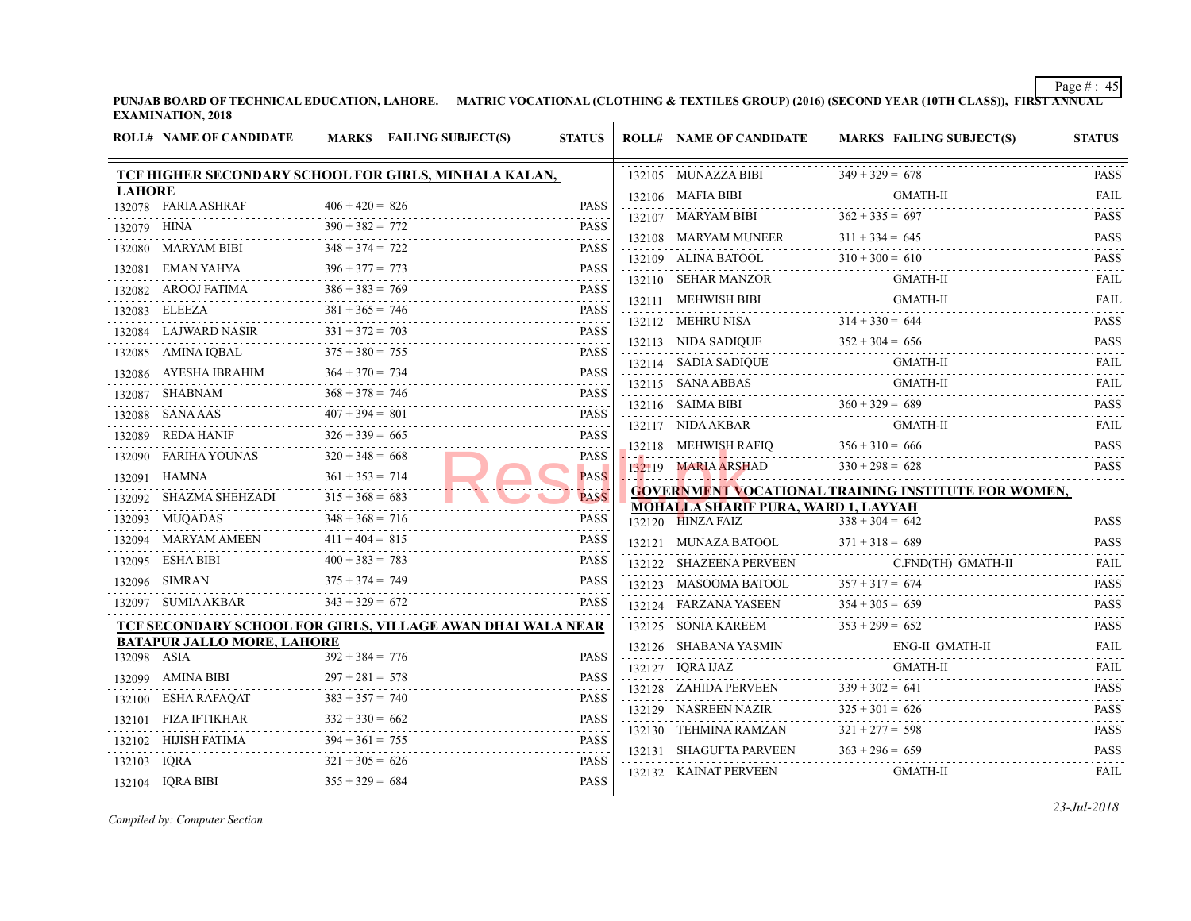|               | <b>ROLL# NAME OF CANDIDATE</b>           | MARKS FAILING SUBJECT(S)                                    | <b>STATUS</b>                        | <b>ROLL# NAME OF CANDIDATE</b>                                    | <b>MARKS FAIL</b>        |
|---------------|------------------------------------------|-------------------------------------------------------------|--------------------------------------|-------------------------------------------------------------------|--------------------------|
|               |                                          | TCF HIGHER SECONDARY SCHOOL FOR GIRLS, MINHALA KALAN,       |                                      | 132105 MUNAZZA BIBI                                               | $349 + 329 = 678$        |
| <b>LAHORE</b> |                                          |                                                             |                                      | 132106 MAFIA BIBI                                                 | GMA                      |
|               | 132078 FARIA ASHRAF                      | $406 + 420 = 826$                                           | PASS                                 | 132107 MARYAM BIBI $362 + 335 = 697$                              |                          |
| 132079 HINA   |                                          | $390 + 382 = 772$ PASS                                      |                                      | 132108 MARYAM MUNEER $311 + 334 = 645$                            |                          |
|               |                                          | 132080 MARYAM BIBI $348 + 374 = 722$ PASS                   |                                      | 132109 ALINA BATOOL $310 + 300 = 610$                             |                          |
|               |                                          | 132081 EMAN YAHYA $396 + 377 = 773$ PASS                    |                                      | 132110 SEHAR MANZOR GM.                                           | GMA                      |
|               |                                          | 132082 AROOJ FATIMA $386 + 383 = 769$ PASS                  | <b>PASS</b>                          |                                                                   | <b>GMA</b>               |
|               |                                          | 132083 ELEEZA $381 + 365 = 746$ PASS                        |                                      | 132111 MEHWISH BIBI GMA<br>132112 MEHRU NISA $314 + 330 = 644$    |                          |
|               |                                          | 132084 LAJWARD NASIR $331 + 372 = 703$ PASS                 |                                      | 132113 NIDA SADIQUE                                               |                          |
|               |                                          | 132085 AMINA IQBAL $375 + 380 = 755$ PASS                   |                                      | 132114 SADIA SADIQUE                                              | $352 + 304 = 656$<br>GMA |
|               |                                          | 132086 AYESHA IBRAHIM 364 + 370 = 734 PASS                  | <b>PASS</b>                          |                                                                   |                          |
|               | 132087 SHABNAM                           | M $368 + 378 = 746$ PASS                                    |                                      | 132115 SANA ABBAS GMA                                             | <b>GMA</b>               |
|               |                                          | 132088 SANA AAS $407 + 394 = 801$ PASS                      |                                      | 132116 SAIMA BIBI $360 + 329 = 689$                               |                          |
|               | 132089 REDA HANIF                        | IIF $326 + 339 = 665$                                       | <b>PASS</b>                          | 132117 NIDA AKBAR                                                 | <b>GMA</b>               |
|               |                                          | 132090 FARIHA YOUNAS $320 + 348 = 668$                      | <b>PASS</b>                          | 132118 MEHWISH RAFIQ $356 + 310 = 666$                            |                          |
|               | 132091 HAMNA $361 + 353 = 714$           |                                                             | .<br><b>PASS</b>                     | 132119 MARIA ARSHAD                                               | $330 + 298 = 628$        |
|               | 132092 SHAZMA SHEHZADI $315 + 368 = 683$ |                                                             | $- - - -$<br><b>PASS</b>             | <b>GOVERNMENT VOCATIONAL TRAINING INS</b>                         |                          |
|               | 132093 MUQADAS                           | $348 + 368 = 716$                                           | PASS                                 | <b>MOHALLA SHARIF PURA, WARD 1, LAYYAH</b><br>$132120$ HINZA FAIZ | $338 + 304 = 642$        |
|               |                                          | 132094 MARYAM AMEEN $411 + 404 = 815$                       | <b>PASS</b>                          | 132121 MUNAZA BATOOL $371 + 318 = 689$                            |                          |
|               | 132095 ESHA BIBI                         | $400 + 383 = 783$                                           | <b>PASS</b>                          | 132122 SHAZEENA PERVEEN                                           | C.FN                     |
|               | 132096 SIMRAN                            | N $375 + 374 = 749$ PASS                                    |                                      | 132123 MASOOMA BATOOL                                             | $357 + 317 = 674$        |
|               | 132097 SUMIA AKBAR $343 + 329 = 672$     |                                                             | <b>PASS</b>                          | 132124 FARZANA YASEEN $354 + 305 = 659$                           |                          |
|               |                                          | TCF SECONDARY SCHOOL FOR GIRLS, VILLAGE AWAN DHAI WALA NEAR |                                      | 132125 SONIA KAREEM $353 + 299 = 652$                             |                          |
|               | <b>BATAPUR JALLO MORE, LAHORE</b>        |                                                             |                                      | 132126 SHABANA YASMIN<br>132126 SHABANA YASMIN ENG                | ENG-                     |
| 132098 ASIA   |                                          | $392 + 384 = 776$                                           | <b>PASS</b><br>$- - - - - - - - - -$ | $132127$ IORA IJAZ                                                | GMA                      |
|               |                                          | 132099 AMINA BIBI $297 + 281 = 578$ PASS                    |                                      | 132128 ZAHIDA PERVEEN $339 + 302 = 641$                           |                          |
|               | 132100 ESHA RAFAQAT                      | $383 + 357 = 740$                                           |                                      | 132129 NASREEN NAZIR                                              | $325 + 301 = 626$        |
|               |                                          | 132101 FIZA IFTIKHAR $332 + 330 = 662$ PASS                 | <b>PASS</b>                          | 132130 TEHMINA RAMZAN                                             | $321 + 277 = 598$        |
|               |                                          | 132102 HIJISH FATIMA $394 + 361 = 755$ PASS                 |                                      | 132131 SHAGUFTA PARVEEN                                           | $363 + 296 = 659$        |
| 132103 IQRA   |                                          | $321 + 305 = 626$                                           | <b>PASS</b><br>.                     | 132132 KAINAT PERVEEN                                             | GMA                      |
|               | 132104 IQRA BIBI                         | $355 + 329 = 684$                                           | <b>PASS</b>                          |                                                                   |                          |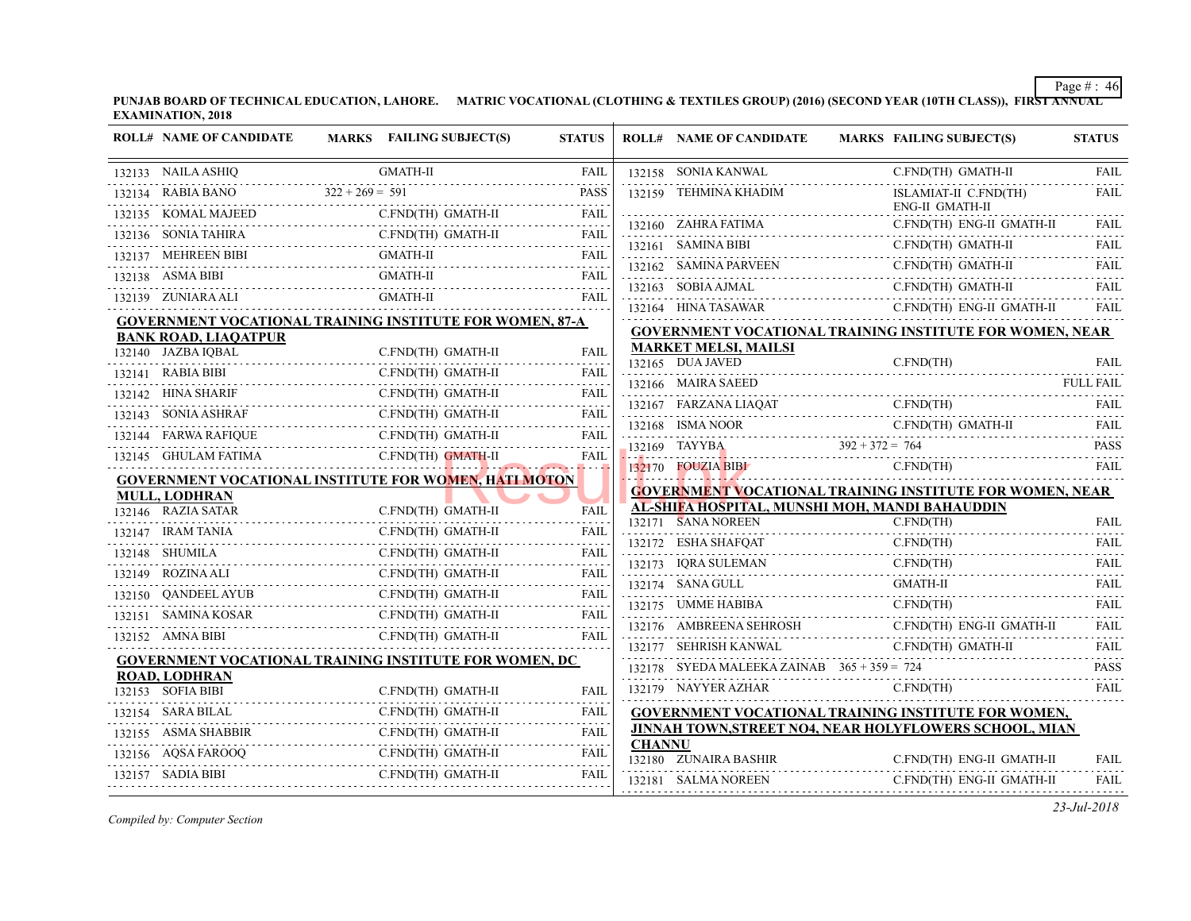| <b>ROLL# NAME OF CANDIDATE</b>                                  |                   | MARKS FAILING SUBJECT(S)  | <b>STATUS</b> |               | <b>ROLL# NAME OF CANDIDATE</b>                             | <b>MARKS FAIL</b> |              |
|-----------------------------------------------------------------|-------------------|---------------------------|---------------|---------------|------------------------------------------------------------|-------------------|--------------|
| 132133 NAILA ASHIQ                                              |                   | <b>GMATH-II</b>           | <b>FAIL</b>   |               | 132158 SONIA KANWAL                                        |                   | C.FN         |
| 132134 RABIA BANO                                               | $322 + 269 = 591$ |                           | <b>PASS</b>   |               | 132159 TEHMINA KHADIM                                      |                   | <b>ISLA</b>  |
| 132135 KOMAL MAJEED                                             |                   | C.FND(TH) GMATH-II        | <b>FAIL</b>   |               | 132160 ZAHRA FATIMA                                        |                   | ENG-<br>C.FN |
| 132136 SONIA TAHIRA                                             |                   | A C.FND(TH) GMATH-II FAIL |               |               |                                                            |                   |              |
| 132137 MEHREEN BIBI                                             |                   | <b>GMATH-II</b>           | FAIL          |               | 132161 SAMINA BIBI                                         |                   | C.FN         |
| 132138 ASMA BIBI                                                |                   | <b>GMATH-II</b>           | <b>FAIL</b>   |               | 132162 SAMINA PARVEEN                                      |                   | C.FN         |
| 132139 ZUNIARA ALI                                              |                   | GMATH-II                  | <b>FAIL</b>   |               | 132163 SOBIA AJMAL                                         |                   | C.FN         |
| <b>GOVERNMENT VOCATIONAL TRAINING INSTITUTE FOR WOMEN, 87-A</b> |                   |                           |               |               | 132164 HINA TASAWAR                                        |                   | C.FN         |
| <b>BANK ROAD, LIAQATPUR</b>                                     |                   |                           |               |               | <b>GOVERNMENT VOCATIONAL TRAINING INS</b>                  |                   |              |
| 132140 JAZBA IQBAL                                              |                   | C.FND(TH) GMATH-II        | <b>FAIL</b>   |               | <b>MARKET MELSI, MAILSI</b><br>132165 DUA JAVED            |                   | C.FN         |
| 132141 RABIA BIBI                                               |                   | C.FND(TH) GMATH-II        | FAIL          |               | 132166 MAIRA SAEED                                         |                   |              |
| 132142 HINA SHARIF                                              |                   | C.FND(TH) GMATH-II        | FAIL          |               | 132167 FARZANA LIAQAT                                      |                   | C.FN         |
| 132143 SONIA ASHRAF                                             |                   | C.FND(TH) GMATH-II        | FAIL          |               | FARZANA LIAQAT C.FN<br>132168 ISMA NOOR                    |                   | C.FN         |
| 132144 FARWA RAFIQUE                                            |                   | C.FND(TH) GMATH-II        | <b>FAIL</b>   |               |                                                            |                   |              |
| 132145 GHULAM FATIMA                                            |                   | C.FND(TH) GMATH-II        | <b>FAIL</b>   |               | 132169 TAYYBA $392 + 372 = 764$                            |                   |              |
| <b>GOVERNMENT VOCATIONAL INSTITUTE FOR WOMEN, HATI MOTON</b>    |                   |                           |               |               | 132170 FOUZIA BIBI                                         |                   | C.FN         |
| <b>MULL, LODHRAN</b>                                            |                   |                           |               |               | <b>GOVERNMENT VOCATIONAL TRAINING INS</b>                  |                   |              |
| 132146 RAZIA SATAR                                              |                   | C.FND(TH) GMATH-II        | <b>FAIL</b>   |               | AL-SHIFA HOSPITAL, MUNSHI MOH, MANDI<br>132171 SANA NOREEN |                   | C.FN         |
| 132147 IRAM TANIA                                               |                   | C.FND(TH) GMATH-II        | FAIL          |               | 132172 ESHA SHAFQAT                                        |                   | C.FN         |
| 132148 SHUMILA                                                  |                   | C.FND(TH) GMATH-II        | <b>FAIL</b>   |               | 132173 IQRA SULEMAN                                        |                   | C.FN         |
| 132149 ROZINA ALI                                               |                   | C.FND(TH) GMATH-II        | FAIL          |               | 132174 SANA GULL                                           |                   | <b>GMA</b>   |
| 132150 QANDEEL AYUB                                             |                   | C.FND(TH) GMATH-II        | FAIL          |               | 132175 UMME HABIBA                                         |                   | C.FN         |
| 132151 SAMINA KOSAR C                                           |                   | C.FND(TH) GMATH-II        | FAIL          |               | 132176 AMBREENA SEHROSH                                    |                   | C.FN         |
| 132152 AMNA BIBI                                                |                   | C.FND(TH) GMATH-II        | <b>FAIL</b>   |               |                                                            |                   |              |
| <b>GOVERNMENT VOCATIONAL TRAINING INSTITUTE FOR WOMEN, DC</b>   |                   |                           |               |               | 132177 SEHRISH KANWAL                                      |                   | C.FN         |
| <b>ROAD, LODHRAN</b>                                            |                   |                           |               |               | 132178 SYEDA MALEEKA ZAINAB $365 + 359 = 724$              |                   |              |
| 132153 SOFIA BIBI                                               |                   | C.FND(TH) GMATH-II        | FAIL          |               | 132179 NAYYER AZHAR                                        |                   | C.FN         |
| 132154 SARA BILAL                                               |                   | C.FND(TH) GMATH-II        | FAIL          |               | <b>GOVERNMENT VOCATIONAL TRAINING INS</b>                  |                   |              |
| 132155 ASMA SHABBIR                                             |                   | C.FND(TH) GMATH-II        | FAIL          | <b>CHANNU</b> | <b>JINNAH TOWN, STREET NO4, NEAR HOLYFL</b>                |                   |              |
| 132156 AQSA FAROOQ                                              |                   | C.FND(TH) GMATH-II        | FAIL          |               | 132180 ZUNAIRA BASHIR                                      |                   | C.FN         |
| 132157 SADIA BIBI                                               |                   | C.FND(TH) GMATH-II        | FAIL          |               | 132181 SALMA NOREEN                                        |                   | C.FN         |
|                                                                 |                   |                           |               |               |                                                            |                   |              |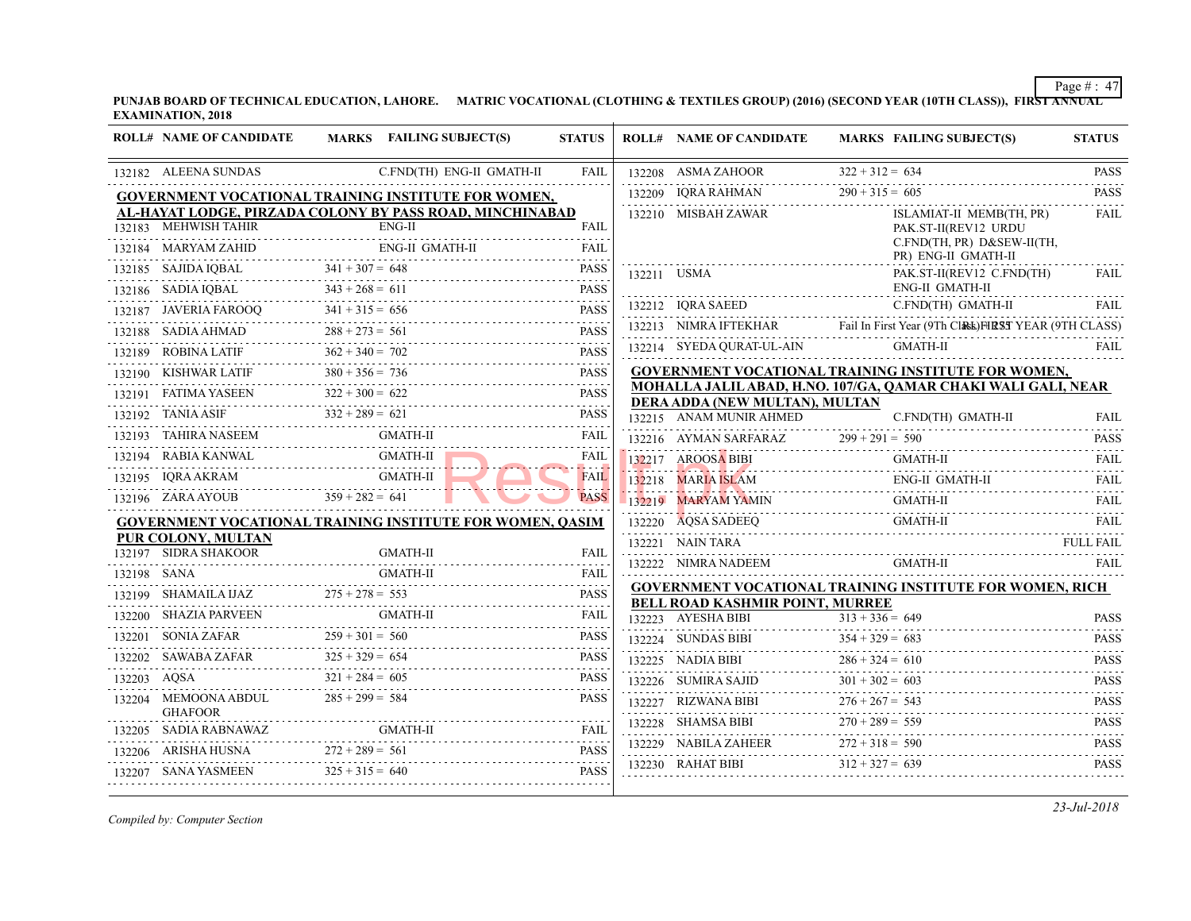⊤

|             | <b>ROLL# NAME OF CANDIDATE</b>                     | MARKS FAILING SUBJECT(S)                                         | <b>STATUS</b>    | <b>ROLL# NAME OF CANDIDATE</b>                                               | <b>MARKS FAIL</b> |
|-------------|----------------------------------------------------|------------------------------------------------------------------|------------------|------------------------------------------------------------------------------|-------------------|
|             | 132182 ALEENA SUNDAS                               | C.FND(TH) ENG-II GMATH-II                                        | <b>FAIL</b>      | 132208 ASMA ZAHOOR                                                           | $322 + 312 = 634$ |
|             |                                                    | GOVERNMENT VOCATIONAL TRAINING INSTITUTE FOR WOMEN,              |                  | 132209 IQRA RAHMAN                                                           | $290 + 315 = 605$ |
|             |                                                    | <u>AL-HAYAT LODGE, PIRZADA COLONY BY PASS ROAD, MINCHINABAD</u>  |                  | 132210 MISBAH ZAWAR                                                          | <b>ISLA</b>       |
|             | 132183 MEHWISH TAHIR                               | $ENG-II$                                                         | <b>FAIL</b>      |                                                                              | PAK.              |
|             | 132184 MARYAM ZAHID                                | <b>ENG-II GMATH-II</b>                                           | <b>FAIL</b>      |                                                                              | C.FN<br>PR)       |
|             | 132185 SAJIDA IQBAL $341 + 307 = 648$              |                                                                  | <b>PASS</b>      | 132211 USMA                                                                  | PAK.              |
|             | 132186 SADIA IQBAL                                 | $343 + 268 = 611$                                                | <b>PASS</b>      |                                                                              | ENG-              |
|             |                                                    | 132187 JAVERIA FAROOQ 341 + 315 = 656 PASS                       | <b>PASS</b>      | 132212 IORA SAEED                                                            | C.FN              |
|             | 132188 SADIA AHMAD                                 | $288 + 273 = 561$                                                | <b>PASS</b>      | 132213 NIMRA IFTEKHAR Fail In First Year                                     |                   |
|             |                                                    | 132189 ROBINA LATIF $362 + 340 = 702$ PASS                       | <b>PASS</b>      | 132214 SYEDA QURAT-UL-AIN                                                    | GMA               |
|             | 132190 KISHWAR LATIF $380 + 356 = 736$             |                                                                  | <b>PASS</b>      | <b>GOVERNMENT VOCATIONAL TRAINING INS</b>                                    |                   |
|             | 132191 FATIMA YASEEN                               | A YASEEN 322 + 300 = 622 PASS                                    |                  | MOHALLA JALIL ABAD, H.NO. 107/GA, QAMA                                       |                   |
|             | 132192 TANIA ASIF                                  | SIF $332 + 289 = 621$ PASS                                       |                  | DERA ADDA (NEW MULTAN), MULTAN<br>132215 ANAM MUNIR AHMED                    | C.FN              |
|             | 132193 TAHIRA NASEEM                               | <b>GMATH-II</b><br>132193 TAHIRA NASEEM <b>GMATH-II</b>          | FAIL             | 132216 AYMAN SARFARAZ 299 + 291 = 590                                        |                   |
|             | 132194 RABIA KANWAL                                |                                                                  | <b>FAIL</b>      | 132217 AROOSA BIBI<br>32217 AROOSA BIBI                                      | <b>GMA</b>        |
|             | 132195 IQRA AKRAM GMATH-II                         | GMATH-II                                                         | .<br><b>FAIL</b> | 132218 MARIA ISLAM                                                           | ENG-              |
|             | 132196 ZARA AYOUB $359 + 282 = 641$                |                                                                  | <b>PASS</b>      | 132219 MARYAM YAMIN                                                          | <b>GMA</b>        |
|             |                                                    | <b>GOVERNMENT VOCATIONAL TRAINING INSTITUTE FOR WOMEN, OASIM</b> |                  | 132220 AOSA SADEEO                                                           | GMA               |
|             | PUR COLONY, MULTAN                                 |                                                                  |                  | 132221 NAIN TARA                                                             |                   |
|             | 132197 SIDRA SHAKOOR                               | <b>GMATH-II</b>                                                  | <b>FAIL</b>      | 132222 NIMRA NADEEM                                                          | <b>GMA</b>        |
| 132198 SANA |                                                    | GMATH-II                                                         | FAIL             |                                                                              |                   |
|             |                                                    | 132199 SHAMAILA IJAZ $275 + 278 = 553$ PASS                      | <b>PASS</b>      | <b>GOVERNMENT VOCATIONAL TRAINING INS</b><br>BELL ROAD KASHMIR POINT, MURREE |                   |
|             |                                                    | 132200 SHAZIA PARVEEN GMATH-II FAIL FAIL                         |                  | 132223 AYESHA BIBI                                                           | $313 + 336 = 649$ |
|             | 132201 SONIA ZAFAR                                 | 132201 SONIA ZAFAR $259 + 301 = 560$ PASS                        | <b>PASS</b>      | 132224 SUNDAS BIBI $354 + 329 = 683$                                         |                   |
|             | ABA ZAFAR $325 + 329 = 654$<br>132202 SAWABA ZAFAR |                                                                  | <b>PASS</b>      | 132225 NADIA BIBI $286 + 324 = 610$                                          |                   |
|             | 132203 AQSA                                        | $321 + 284 = 605$                                                | <b>PASS</b>      | SUMIRA SAJID $301 + 302 =$<br>132226 SUMIRA SAJID                            | $301 + 302 = 603$ |
|             | 132204 MEMOONA ABDUL<br><b>GHAFOOR</b>             | $285 + 299 = 584$                                                | <b>PASS</b>      | 132227 RIZWANA BIBI $276 + 267 = 54$                                         | $276 + 267 = 543$ |
| 132205      |                                                    | GMATH-II                                                         |                  | 132228 SHAMSA BIBI                                                           | $270 + 289 = 559$ |
|             | 132206 ARISHA HUSNA                                | $272 + 289 = 561$                                                | <b>PASS</b>      | 132229 NABILA ZAHEER $272 + 318 = 590$                                       |                   |
|             | 132207 SANA YASMEEN                                | $325 + 315 = 640$                                                | <b>PASS</b>      | 132230 RAHAT BIBI $312 + 327 = 639$                                          |                   |
|             |                                                    |                                                                  |                  |                                                                              |                   |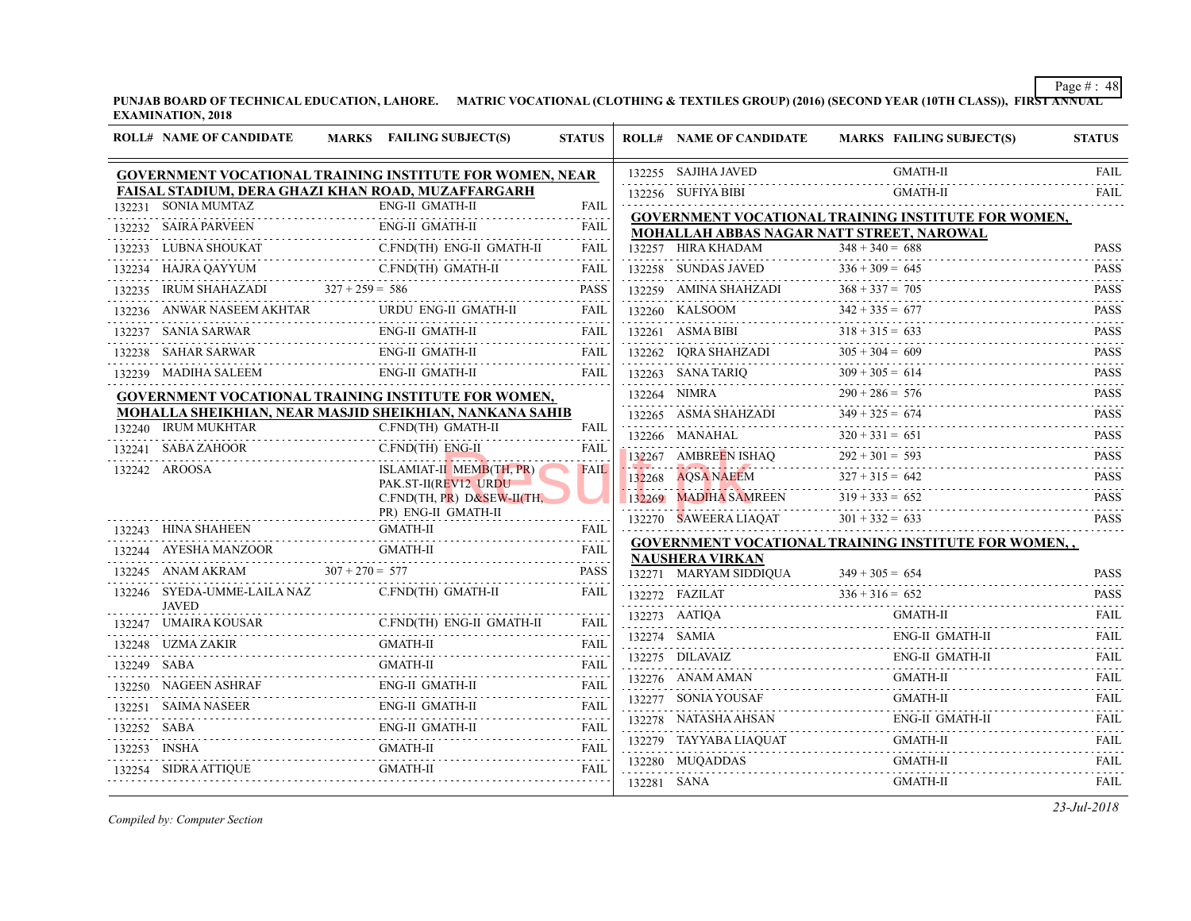⊤

|             | <b>ROLL# NAME OF CANDIDATE</b>                     |                   | MARKS FAILING SUBJECT(S)                                        | <b>STATUS</b>       |             | <b>ROLL# NAME OF CANDIDATE</b>                     | <b>MARKS FAIL</b>                              |
|-------------|----------------------------------------------------|-------------------|-----------------------------------------------------------------|---------------------|-------------|----------------------------------------------------|------------------------------------------------|
|             |                                                    |                   | <b>GOVERNMENT VOCATIONAL TRAINING INSTITUTE FOR WOMEN, NEAR</b> |                     |             | 132255 SAJIHA JAVED                                | <b>GMA</b>                                     |
|             | FAISAL STADIUM, DERA GHAZI KHAN ROAD, MUZAFFARGARH |                   |                                                                 |                     |             | 132256 SUFIYA BIBI                                 | <b>GMA</b>                                     |
|             | 132231 SONIA MUMTAZ                                |                   | <b>ENG-II GMATH-II</b>                                          | <b>FAIL</b>         |             | <b>GOVERNMENT VOCATIONAL TRAINING INS</b>          |                                                |
|             | 132232 SAIRA PARVEEN                               |                   | ENG-II GMATH-II                                                 | FAIL                |             | <b>MOHALLAH ABBAS NAGAR NATT STREET, I</b>         |                                                |
| 132233      | LUBNA SHOUKAT<br>AT<br>----------------------      |                   | C.FND(TH) ENG-II GMATH-II                                       | FAIL                |             | 132257 HIRA KHADAM                                 | $348 + 340 = 688$                              |
|             | 132234 HAJRA QAYYUM                                |                   | C.FND(TH) GMATH-II                                              | FAIL                |             | 132258 SUNDAS JAVED                                | $336 + 309 = 645$                              |
| 132235      |                                                    |                   | IRUM SHAHAZADI $327 + 259 = 586$ PASS                           |                     |             | 132259 AMINA SHAHZADI $368 + 337 =$                | $368 + 337 = 705$                              |
|             | 132236 ANWAR NASEEM AKHTAR URL                     |                   | URDU ENG-II GMATH-II                                            | <b>FAIL</b>         |             | 132260 KALSOOM $342 + 335 =$                       | $342 + 335 = 677$                              |
|             | 132237 SANIA SARWAR                                |                   | <b>ENG-II GMATH-II</b>                                          | FAIL                |             | 132261 ASMA BIBI<br>132261 ASMA BIBI $318 + 315 =$ | $318 + 315 = 633$                              |
|             | 132238 SAHAR SARWAR                                |                   | ENG-II GMATH-II                                                 | <b>FAIL</b>         |             | 132262 IQRA SHAHZADI $305 + 304 = 6$               | $305 + 304 = 609$                              |
|             | 132239 MADIHA SALEEM                               |                   | <b>ENG-II GMATH-II</b>                                          | <b>FAIL</b>         |             | $132263$ SANA TARIQ                                | $309 + 305 = 614$                              |
|             |                                                    |                   | GOVERNMENT VOCATIONAL TRAINING INSTITUTE FOR WOMEN,             |                     |             | 132264 NIMRA                                       | $290 + 286 = 576$                              |
|             |                                                    |                   | MOHALLA SHEIKHIAN, NEAR MASJID SHEIKHIAN, NANKANA SAHIB         |                     |             | 132265 ASMA SHAHZADI 349 + 325 = 674               |                                                |
|             | 132240 IRUM MUKHTAR                                |                   | C.FND(TH) GMATH-II                                              | <b>FAIL</b>         |             | 132266 MANAHAL $320 + 331 = 6$                     | $320 + 331 = 651$                              |
|             | 132241 SABA ZAHOOR<br>OR<br>                       |                   | C.FND(TH) ENG-II                                                | <b>FAIL</b>         |             | 132267 AMBREEN ISHAQ 292 + 30                      | $292 + 301 = 593$                              |
|             | 132242 AROOSA                                      |                   | ISLAMIAT-II MEMB(TH, PR)<br>PAK.ST-II(REV12 URDU                | <b>FAIL</b>         |             | $132268$ AQSA NAEEM $327 + 315 = 642$              |                                                |
|             |                                                    |                   | C.FND(TH, PR) $D&SEW-H(TH)$                                     |                     |             | 132269 MADIHA SAMREEN                              | $319 + 333 = 652$                              |
|             |                                                    |                   | PR) ENG-II GMATH-II                                             |                     |             | 132270 SAWEERA LIAOAT                              | $301 + 332 = 633$                              |
|             | 132243 HINA SHAHEEN                                |                   | GMATH-II                                                        | <b>FAIL</b>         |             | <b>GOVERNMENT VOCATIONAL TRAINING INS</b>          |                                                |
|             | 132244 AYESHA MANZOOR                              |                   | <b>GMATH-II</b>                                                 |                     |             | <b>NAUSHERA VIRKAN</b>                             |                                                |
|             | 132245 ANAM AKRAM                                  | $307 + 270 = 577$ |                                                                 | <b>PASS</b>         |             | 132271 MARYAM SIDDIQUA                             | $349 + 305 = 654$                              |
|             | 132246 SYEDA-UMME-LAILA NAZ<br><b>JAVED</b>        |                   | C.FND(TH) GMATH-II                                              | FAIL                |             | 132272 FAZILAT<br>$132272$ FAZILAT $336 + 316 =$   | $336 + 316 = 652$                              |
|             | 132247 UMAIRA KOUSAR                               |                   | DUSAR C.FND(TH) ENG-II GMATH-II                                 | <b>FAIL</b>         |             | 132273 AATIOA                                      | GMA                                            |
|             | 132248 UZMA ZAKIR                                  |                   | <b>GMATH-II</b>                                                 |                     |             | 132274 SAMIA                                       | ENG-                                           |
| 132249 SABA |                                                    |                   | <b>GMATH-JI</b>                                                 |                     |             | 132275 DILAVAIZ                                    | ENG-                                           |
|             |                                                    |                   | 132250 NAGEEN ASHRAF ENG-II GMATH-II FAIL FAIL                  |                     |             | 132276 ANAM AMAN                                   | <b>GMA</b>                                     |
|             | 132251 SAIMA NASEER                                |                   | <b>ENG-II GMATH-II</b><br>II FAIL                               |                     |             | 132277 SONIA YOUSAF<br>132277 SONIA YOUSAF GMA     | <b>GMA</b>                                     |
| 132252 SABA |                                                    |                   |                                                                 | <b>FAIL</b>         |             | 132278 NATASHA AHSAN                               | ENG-<br>{<br>- - - - - - - - - - - - - - - - - |
|             | 132253 INSHA                                       |                   | GMATH-II                                                        | $- - - - -$<br>FAIL |             | 132279 TAYYABA LIAQUAT                             | <b>GMA</b>                                     |
|             | 132254 SIDRA ATTIQUE                               |                   | <b>GMATH-II</b>                                                 |                     |             | 132280 MUQADDAS                                    | <b>GMA</b>                                     |
|             |                                                    |                   |                                                                 |                     | 132281 SANA |                                                    | <b>GMA</b>                                     |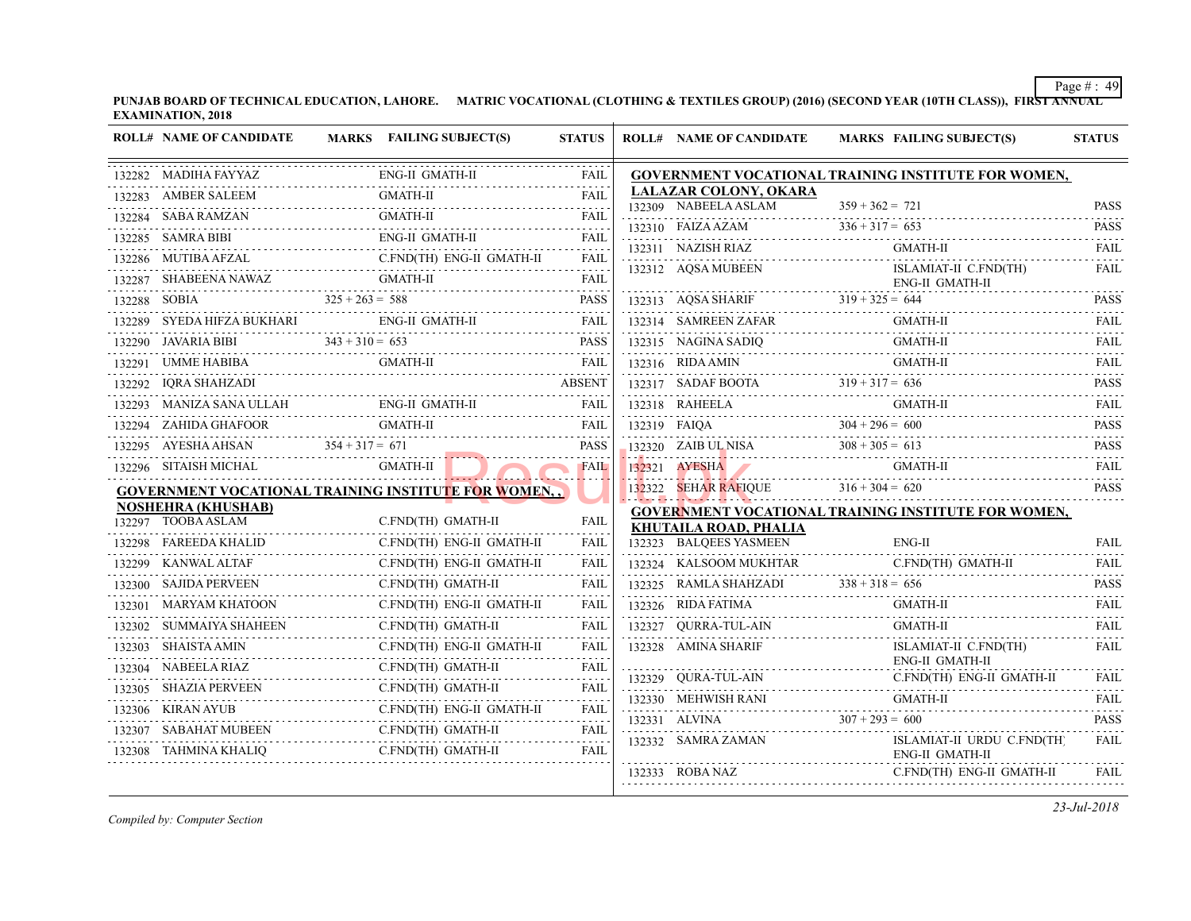|        | <b>ROLL# NAME OF CANDIDATE</b>                               | MARKS FAILING SUBJECT(S)                                        | <b>STATUS</b>                  | <b>ROLL# NAME OF CANDIDATE</b>                  | <b>MARKS FAIL</b>   |
|--------|--------------------------------------------------------------|-----------------------------------------------------------------|--------------------------------|-------------------------------------------------|---------------------|
|        | 132282 MADIHA FAYYAZ                                         | ENG-II GMATH-II                                                 | <b>FAIL</b>                    | <b>GOVERNMENT VOCATIONAL TRAINING INS</b>       |                     |
|        | 132283 AMBER SALEEM                                          | <b>GMATH-II</b>                                                 |                                | LALAZAR COLONY, OKARA                           |                     |
|        | 132284 SABA RAMZAN                                           | <b>GMATH-II</b>                                                 |                                | 132309 NABEELA ASLAM                            | $359 + 362 = 721$   |
|        | 132285 SAMRA BIBI                                            | ENG-II GMATH-II                                                 | <b>FAIL</b>                    | 132310 FAIZA AZAM $336 + 317 = 65$              | $336 + 317 = 653$   |
|        | 132286 MUTIBA AFZAL                                          | 132286 MUTIBA AFZAL C.FND(TH) ENG-II GMATH-II FAIL              | .                              | 132311 NAZISH RIAZ                              | GMA                 |
|        |                                                              | 132287 SHABEENA NAWAZ GMATH-II                                  | <b>FAIL</b>                    | 132312 AQSA MUBEEN                              | <b>ISLA</b><br>ENG- |
|        |                                                              |                                                                 | <b>PASS</b>                    | 132313 AQSA SHARIF $319 + 325 = 644$            |                     |
|        |                                                              | $325 + 263 = 588$<br>132289 SYEDA HIFZA BUKHARI ENG-II GMATH-II |                                |                                                 | GMA                 |
|        |                                                              | 132290 JAVARIA BIBI $343 + 310 = 653$ PASS                      |                                | 132315 NAGINA SADIQ GMA                         | <b>GMA</b>          |
|        | 132291 UMME HABIBA                                           | GMATH-II                                                        | <b>FAIL</b>                    | 132316 RIDA AMIN                                | <b>GMA</b>          |
|        | 132292 IQRA SHAHZADI                                         | $\text{ABSEN1}$                                                 | <b>ABSENT</b>                  | 132317 SADAF BOOTA $319 + 317 = 636$            |                     |
|        |                                                              | 132293 MANIZA SANA ULLAH ENG-II GMATH-II FAIL FAIL              |                                | 132318 RAHEELA GM.                              | GMA                 |
|        |                                                              |                                                                 | FAIL                           | 132319 FAIQA $304 + 296 = 600$                  |                     |
|        | 132295 AYESHA AHSAN $354 + 317 = 671$                        |                                                                 | PASS                           | 132320 ZAIB UL NISA $308 + 305 = 613$           |                     |
|        | 132296 SITAISH MICHAL                                        | GMATH-II                                                        | <b>FAIL</b>                    | 132321 AYESHA                                   | <b>GMA</b>          |
|        |                                                              | <u>GOVERNMENT VOCATIONAL TRAINING INSTITUTE FOR WOMEN, ,</u>    |                                | 132322 SEHAR RAFIOUE $316 + 304 = 620$          |                     |
|        | <b>NOSHEHRA (KHUSHAB)</b><br>132297 TOOBA ASLAM              | C.FND(TH) GMATH-II                                              |                                | <b>GOVERNMENT VOCATIONAL TRAINING INS</b>       |                     |
|        |                                                              |                                                                 | FAIL                           | KHUTAILA ROAD, PHALIA<br>132323 BALQEES YASMEEN | ENG-                |
|        | 132298 FAREEDA KHALID                                        | C.FND(TH) ENG-II GMATH-II                                       | FAIL<br><b>FAIL</b>            | 132324 KALSOOM MUKHTAR                          | C.FN                |
|        | VAL ALTAF C.<br>132299 KANWAL ALTAF<br>132300 SAJIDA PERVEEN | C.FND(TH) ENG-II GMATH-II<br>C.FND(TH) GMATH-II                 | FAIL                           | 132325 RAMLA SHAHZADI $338 + 318 = 656$         |                     |
|        | MARYAM KHATOON                                               |                                                                 | FAIL                           | 132326 RIDA FATIMA                              | <b>GMA</b>          |
| 132301 |                                                              | C.FND(TH) ENG-II GMATH-II                                       |                                |                                                 |                     |
|        | 132302 SUMMAIYA SHAHEEN                                      | C.FND(TH) GMATH-II                                              | FAIL                           | 132327 QURRA-TUL-AIN                            | GMA                 |
| 132303 | SHAISTA AMIN                                                 | C.FND(TH) ENG-II GMATH-II                                       | FAIL                           | 132328 AMINA SHARIF                             | <b>ISLA</b><br>ENG- |
|        | 132304 NABEELA RIAZ                                          | C.FND(TH) GMATH-II                                              | FAIL                           | 132329 QURA-TUL-AIN                             | C.FN                |
|        | 132305 SHAZIA PERVEEN<br>ERVEEN C.FND                        | C.FND(TH) GMATH-II                                              | <b>FAIL</b><br>المتحدث والمناد | 132330 MEHWISH RANI<br>132330 MEHWISH RANI GM   | <b>GMA</b>          |
|        | 132306 KIRAN AYUB                                            | C.FND(TH) ENG-II GMATH-II                                       | FAIL<br>.                      | 132331 ALVINA $307 + 293 = 600$                 |                     |
|        | 132307 SABAHAT MUBEEN                                        | C.FND(TH) GMATH-II                                              | FAIL<br>.                      | 132332 SAMRA ZAMAN                              | <b>ISLA</b>         |
|        | 132308 TAHMINA KHALIQ                                        | C.FND(TH) GMATH-II                                              | FAIL                           |                                                 | ENG-                |
|        |                                                              |                                                                 |                                | 132333 ROBA NAZ                                 | C.FN                |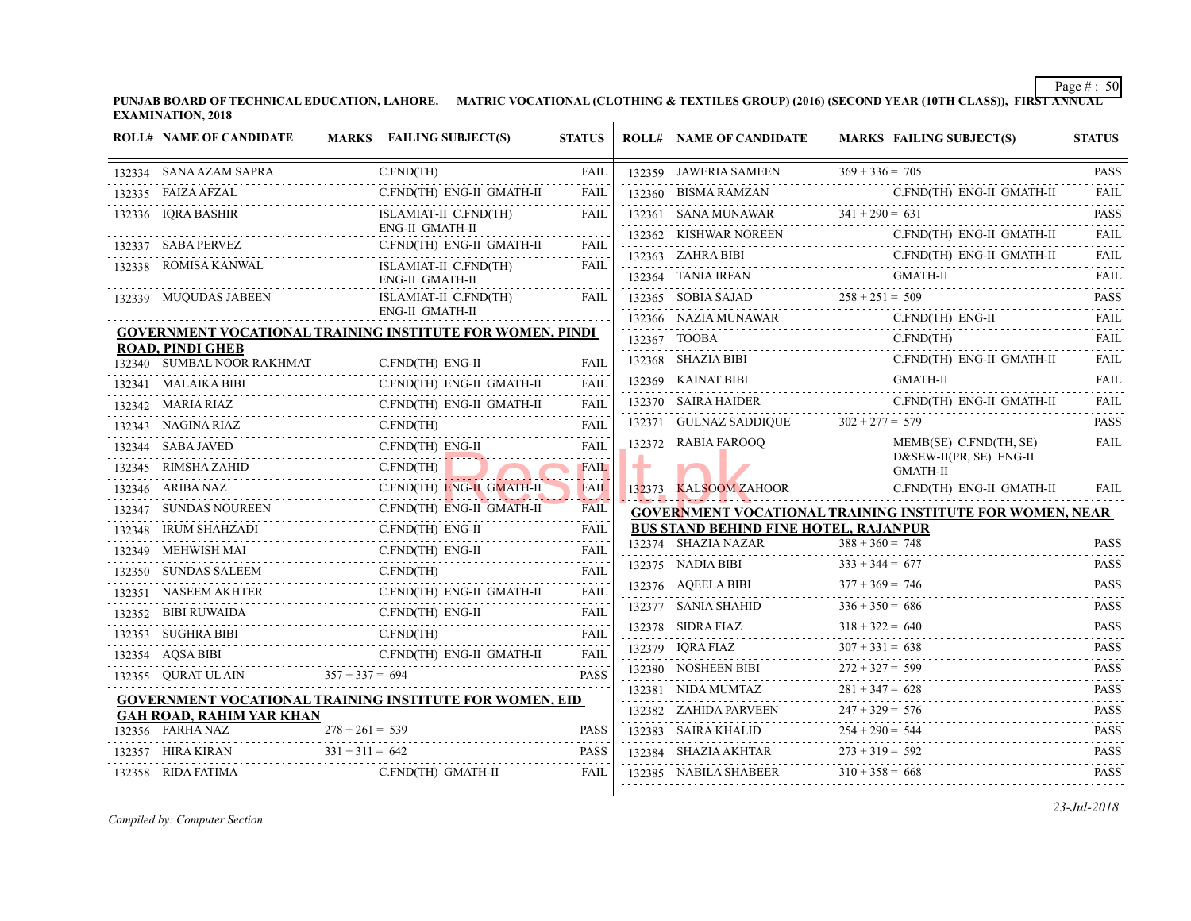| <b>ROLL# NAME OF CANDIDATE</b>                                                 | MARKS FAILING SUBJECT(S)                                                         | <b>STATUS</b>                                                                                                                                |   | <b>ROLL# NAME OF CANDIDATE</b>              | <b>MARKS FAIL</b>  |
|--------------------------------------------------------------------------------|----------------------------------------------------------------------------------|----------------------------------------------------------------------------------------------------------------------------------------------|---|---------------------------------------------|--------------------|
| 132334 SANA AZAM SAPRA                                                         | C.FND(TH)                                                                        | FAIL                                                                                                                                         |   | 132359 JAWERIA SAMEEN                       | $369 + 336 = 705$  |
| 132335 FAIZA AFZAL                                                             | C.FND(TH) ENG-II GMATH-II                                                        | <b>FAIL</b>                                                                                                                                  |   | 132360 BISMA RAMZAN                         | C.FN               |
| 132336 IQRA BASHIR                                                             | ISLAMIAT-II C.FND(TH)                                                            | FAIL                                                                                                                                         |   | 132361 SANA MUNAWAR $341 + 290 = 631$       |                    |
| 132337 SABA PERVEZ                                                             | ENG-II GMATH-II<br>C.FND(TH) ENG-II GMATH-II                                     | <b>FAIL</b>                                                                                                                                  |   | 132362 KISHWAR NOREEN                       | C.FN               |
| 132338 ROMISA KANWAL                                                           | ISLAMIAT-II C.FND(TH)                                                            | FAIL                                                                                                                                         |   | 132363 ZAHRA BIBI                           | C.FN               |
|                                                                                | ENG-II GMATH-II                                                                  |                                                                                                                                              |   | 132364 TANIA IRFAN                          | <b>GMA</b>         |
| 132339 MUQUDAS JABEEN                                                          | ISLAMIAT-II C.FND(TH)                                                            | FAIL                                                                                                                                         |   | 132365 SOBIA SAJAD $258 + 251 = 509$        |                    |
|                                                                                | ENG-II GMATH-II                                                                  |                                                                                                                                              |   | 132366 NAZIA MUNAWAR C.F                    | C.FN               |
| <b>ROAD, PINDI GHEB</b>                                                        | <b>GOVERNMENT VOCATIONAL TRAINING INSTITUTE FOR WOMEN, PINDI</b>                 |                                                                                                                                              |   | 132367 TOOBA                                | C.FN               |
| 132340 SUMBAL NOOR RAKHMAT                                                     | C.FND(TH) ENG-II                                                                 | <b>FAIL</b>                                                                                                                                  |   | 132368 SHAZIA BIBI                          | C.FN               |
| 132341 MALAIKA BIBI                                                            | C.FND(TH) ENG-II GMATH-II                                                        | <b>FAIL</b>                                                                                                                                  |   | 132369 KAINAT BIBI                          | <b>GMA</b>         |
| 132342 MARIA RIAZ                                                              | C.FND(TH) ENG-II GMATH-II                                                        | FAIL                                                                                                                                         |   | 132370 SAIRA HAIDER                         | C.FN               |
| 132343 NAGINA RIAZ<br><u>z</u><br>                                             | $C.FND$ (TH)                                                                     | <b>FAIL</b>                                                                                                                                  |   | 132371 GULNAZ SADDIQUE $302 + 277 = 579$    |                    |
| 132344 SABA JAVED                                                              | C.FND(TH) ENG-II                                                                 | <b>FAIL</b>                                                                                                                                  |   | 132372 RABIA FAROOQ                         | <b>MEM</b>         |
| 132345 RIMSHA ZAHID<br>ZAHID<br>----------------------------                   | C.FND(TH)                                                                        | <b>FAIL</b>                                                                                                                                  | ÷ |                                             | D&SI<br><b>GMA</b> |
| 132346 ARIBA NAZ                                                               | C.FND(TH) ENG-II GMATH-II                                                        | FAIL                                                                                                                                         |   | 132373 KALSOOM ZAHOOR                       | C.FN               |
| 132347 SUNDAS NOUREEN C                                                        | C.FND(TH) ENG-II GMATH-II                                                        | FAIL                                                                                                                                         |   | <b>GOVERNMENT VOCATIONAL TRAINING INS</b>   |                    |
| 132348 IRUM SHAHZADI<br>$\begin{array}{c} \text{IZADI} \\ \text{} \end{array}$ | C.FND(TH) ENG-II                                                                 | FAIL                                                                                                                                         |   | <b>BUS STAND BEHIND FINE HOTEL, RAJANPU</b> |                    |
| 132349 MEHWISH MAI                                                             | C.FND(TH) ENG-II                                                                 | <b>FAIL</b>                                                                                                                                  |   | 132374 SHAZIA NAZAR                         | $388 + 360 = 748$  |
| 132350 SUNDAS SALEEM                                                           | EEM C.FND(TH)                                                                    | FAIL                                                                                                                                         |   | 132375 NADIA BIBI                           | $333 + 344 = 677$  |
| 132351 NASEEM AKHTER                                                           | C.FND(TH) ENG-II GMATH-II<br>132351 NASEEM AKHTER C.FND(TH) ENG-II GMATH-II FAIL | $\omega$ is a set of $\omega$                                                                                                                |   | 132376 AQEELA BIBI                          | $377 + 369 = 746$  |
| 132352 BIBI RUWAIDA                                                            | C.FND(TH) ENG-II<br>RUWAIDA C.FND(TH) ENG-II                                     | FAIL                                                                                                                                         |   | 132377 SANIA SHAHID $336 + 350 =$           | $336 + 350 = 686$  |
| 132353 SUGHRA BIBI<br>BIBI C.FND(T                                             | C.FND(TH)                                                                        | <b>FAIL</b>                                                                                                                                  |   | 132378 SIDRA FIAZ                           | $318 + 322 = 640$  |
| 132354 AQSA BIBI                                                               | C.FND(TH) ENG-II GMATH-II                                                        | $\mathcal{L}^{\mathcal{A}}\left( \mathcal{A}^{\mathcal{A}}\right) =\mathcal{L}^{\mathcal{A}}\left( \mathcal{A}^{\mathcal{A}}\right)$<br>FAIL |   | 132379 IQRA FIAZ 307                        | $307 + 331 = 638$  |
| 132355 OURAT UL AIN                                                            | $357 + 337 = 694$                                                                | <b>PASS</b>                                                                                                                                  |   | 132380 NOSHEEN BIBI                         | $272 + 327 = 599$  |
|                                                                                | <b>GOVERNMENT VOCATIONAL TRAINING INSTITUTE FOR WOMEN, EID</b>                   |                                                                                                                                              |   | 132381 NIDA MUMTAZ                          | $281 + 347 = 628$  |
| <b>GAH ROAD, RAHIM YAR KHAN</b>                                                |                                                                                  |                                                                                                                                              |   | 132382 ZAHIDA PARVEEN 247 + 329             | $247 + 329 = 576$  |
| 132356 FARHA NAZ                                                               | $278 + 261 = 539$                                                                | <b>PASS</b>                                                                                                                                  |   | 132383 SAIRA KHALID                         | $254 + 290 = 544$  |
| 132357 HIRA KIRAN                                                              | $331 + 311 = 642$<br>AN $331 + 311 = 642$ PASS                                   | <b>PASS</b>                                                                                                                                  |   | 132384 SHAZIA AKHTAR                        | $273 + 319 = 592$  |
| 132358 RIDA FATIMA                                                             | C.FND(TH) GMATH-II                                                               | FAIL                                                                                                                                         |   | 132385 NABILA SHABEER $310 + 358 = 668$     |                    |
|                                                                                |                                                                                  |                                                                                                                                              |   |                                             |                    |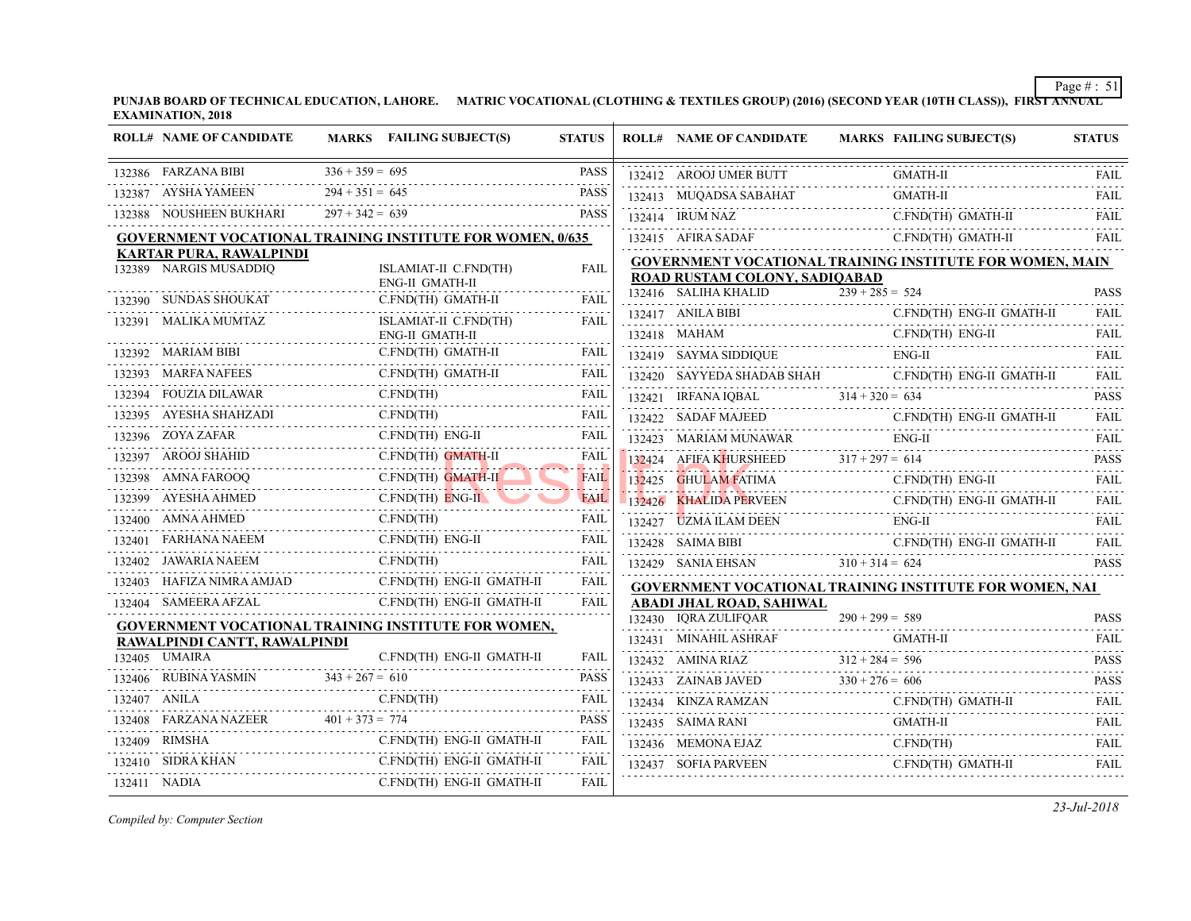|        | <b>ROLL# NAME OF CANDIDATE</b>                                   |                   | MARKS FAILING SUBJECT(S)                 | <b>STATUS</b> |        | <b>ROLL# NAME OF CANDIDATE</b>                                             | <b>MARKS FAIL</b> |
|--------|------------------------------------------------------------------|-------------------|------------------------------------------|---------------|--------|----------------------------------------------------------------------------|-------------------|
|        | 132386 FARZANA BIBI                                              | $336 + 359 = 695$ |                                          | <b>PASS</b>   |        | 132412 AROOJ UMER BUTT                                                     | GMA               |
|        | 132387 AYSHA YAMEEN                                              | $294 + 351 = 645$ |                                          | PASS          |        | 132413 MUQADSA SABAHAT                                                     | <b>GMA</b>        |
|        | 132388 NOUSHEEN BUKHARI                                          | $297 + 342 = 639$ |                                          | <b>PASS</b>   |        | 132414 IRUM NAZ                                                            | C.FN              |
|        | <b>GOVERNMENT VOCATIONAL TRAINING INSTITUTE FOR WOMEN, 0/635</b> |                   |                                          |               |        | 132415 AFIRA SADAF                                                         | C.FN              |
|        | <b>KARTAR PURA, RAWALPINDI</b><br>132389 NARGIS MUSADDIQ         |                   | ISLAMIAT-II C.FND(TH)<br>ENG-II GMATH-II | FAIL          |        | <b>GOVERNMENT VOCATIONAL TRAINING INS</b><br>ROAD RUSTAM COLONY, SADIOABAD |                   |
|        | 132390 SUNDAS SHOUKAT                                            |                   | C.FND(TH) GMATH-II                       | FAIL          |        | 132416 SALIHA KHALID                                                       | $239 + 285 = 524$ |
|        | 132391 MALIKA MUMTAZ                                             |                   | ISLAMIAT-II C.FND(TH)<br>ENG-II GMATH-II | FAIL          |        | 132417 ANILA BIBI<br>132418 MAHAM                                          | C.FN<br>C.FN      |
|        | 132392 MARIAM BIBI                                               |                   | C.FND(TH) GMATH-II                       | FAIL          |        | 132419 SAYMA SIDDIQUE                                                      | ENG-              |
|        | 132393 MARFA NAFEES                                              |                   | C.FND(TH) GMATH-II                       | FAIL          |        | 132420 SAYYEDA SHADAB SHAH                                                 | C.FN              |
|        | 132394 FOUZIA DILAWAR                                            |                   | C.FND(TH)                                | FAIL          |        | 132421 IRFANA IQBAL                                                        | $314 + 320 = 634$ |
|        | AHZADI<br><br>132395 AYESHA SHAHZADI                             |                   | C.FND(TH)                                | <b>FAIL</b>   |        | 132422 SADAF MAJEED                                                        | C.FN              |
|        | 132396 ZOYA ZAFAR                                                |                   | C.FND(TH) ENG-II                         | FAIL          |        | 132423 MARIAM MUNAWAR                                                      | ENG-              |
|        | 132397 AROOJ SHAHID<br>$\rm C$ .                                 |                   | C.FND(TH) GMATH-II                       | FAIL          |        | $132424$ AFIFA KHURSHEED $317 + 297 = 614$                                 |                   |
|        | 132398 AMNA FAROOQ<br>$\overline{C}$ .                           |                   | C.FND(TH) GMATH-II                       | <b>FAIL</b>   | 132425 | <b>GHULAM FATIMA</b>                                                       | C.FN              |
|        | 132399 AYESHA AHMED                                              |                   | $C.FND(TH)$ $ENG-II$                     | FAIL          |        | 132426 KHALIDA PERVEEN                                                     | C.FN              |
|        | 132400 AMNA AHMED                                                |                   | C.FND(TH)                                | FAIL          |        | 132427 UZMA ILAM DEEN<br>ENC<br>AM DEEN                                    | ENG-              |
|        | 132401 FARHANA NAEEM                                             |                   | EM C.FND(TH) E<br>C.FND(TH) ENG-II       | FAIL          |        | 132428 SAIMA BIBI                                                          | C.FN              |
|        | 132402 JAWARIA NAEEM                                             | C.FND(TH)         | C.FND(TH)                                | FAIL          |        | 132429 SANIA EHSAN $310 + 314 = 624$                                       |                   |
|        | 132403 HAFIZA NIMRA AMJAD                                        |                   | C.FND(TH) ENG-II GMATH-II                | FAIL          |        | <b>GOVERNMENT VOCATIONAL TRAINING INS</b>                                  |                   |
|        | 132404 SAMEERA AFZAL                                             |                   | C.FND(TH) ENG-II GMATH-II                | FAIL          |        | ABADI JHAL ROAD, SAHIWAL                                                   |                   |
|        | GOVERNMENT VOCATIONAL TRAINING INSTITUTE FOR WOMEN,              |                   |                                          |               |        | 132430 IQRA ZULIFQAR                                                       | $290 + 299 = 589$ |
|        | RAWALPINDI CANTT, RAWALPINDI                                     |                   |                                          |               |        | 132431 MINAHIL ASHRAF                                                      | GMA               |
|        | 132405 UMAIRA                                                    |                   | C.FND(TH) ENG-II GMATH-II                | FAIL          |        | 132432 AMINA RIAZ $312 + 284 = 596$                                        |                   |
|        | 132406 RUBINA YASMIN $343 + 267 = 610$                           |                   |                                          | PASS          |        | 132433 ZAINAB JAVED                                                        | $330 + 276 = 606$ |
|        | 132407 ANILA<br>A C.F                                            |                   | C.FND(TH)                                | FAIL          |        | 132434 KINZA RAMZAN                                                        | C.FN              |
| 132408 | FARZANA NAZEER $401 + 373 = 774$                                 |                   |                                          | <b>PASS</b>   |        | 132435 SAIMA RANI                                                          | <b>GMA</b>        |
|        | 132409 RIMSHA                                                    |                   | C.FND(TH) ENG-II GMATH-II                | FAIL          |        | 132436 MEMONA EJAZ<br>Z<br>                                                | C.FN              |
|        | 132410 SIDRA KHAN                                                |                   | C.FND(TH) ENG-II GMATH-II                | FAIL          |        | 132437 SOFIA PARVEEN                                                       | C.FN              |
|        | 132411 NADIA                                                     |                   | C.FND(TH) ENG-II GMATH-II                | FAIL          |        |                                                                            |                   |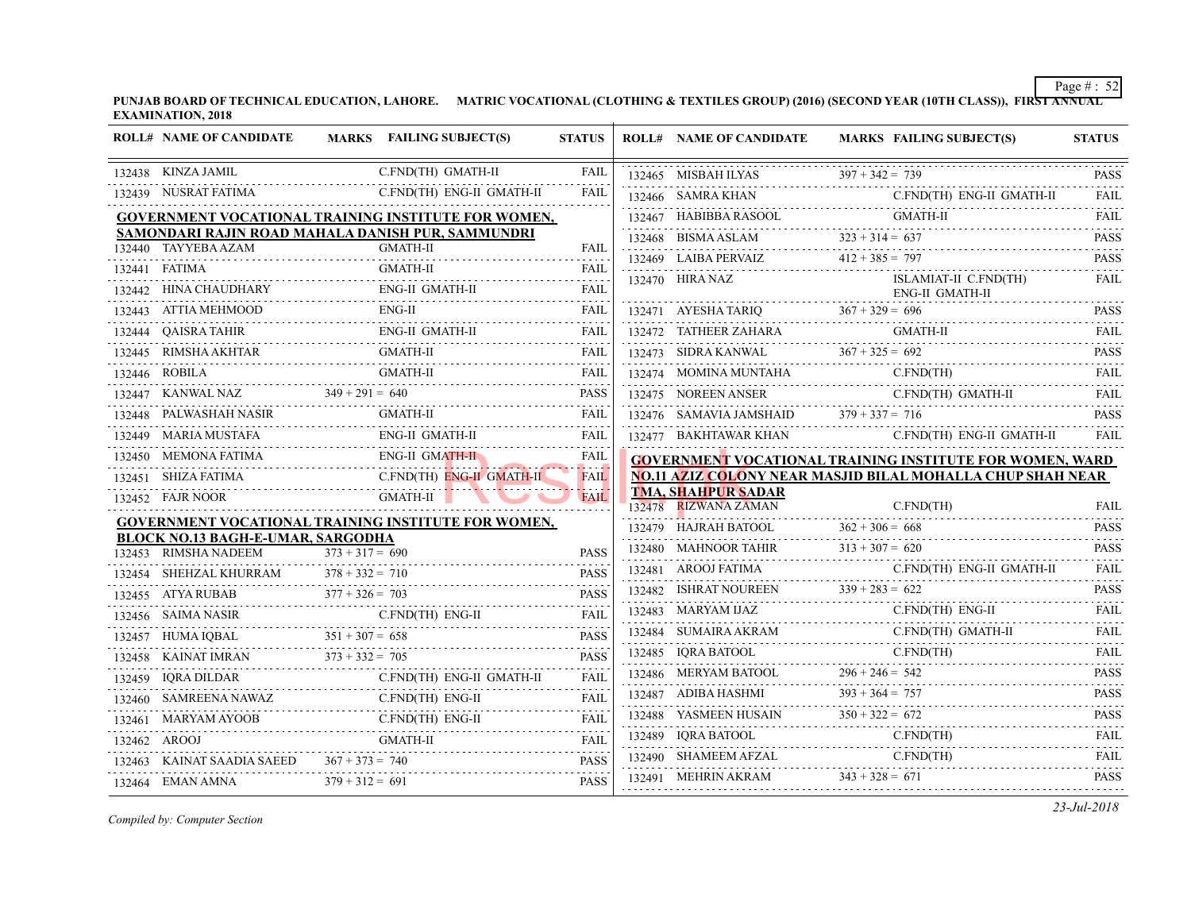| <b>ROLL# NAME OF CANDIDATE</b>                                   | MARKS FAILING SUBJECT(S)                                                                                                                                                                                                  | <b>STATUS</b>                 | <b>ROLL# NAME OF CANDIDATE</b>                    | <b>MARKS FAIL</b> |
|------------------------------------------------------------------|---------------------------------------------------------------------------------------------------------------------------------------------------------------------------------------------------------------------------|-------------------------------|---------------------------------------------------|-------------------|
| 132438 KINZA JAMIL                                               | C.FND(TH) GMATH-II                                                                                                                                                                                                        | FAIL                          | 132465 MISBAH ILYAS 397 + 342 = 7                 | $397 + 342 = 739$ |
| 132439 NUSRAT FATIMA                                             | C.FND(TH) ENG-II GMATH-II                                                                                                                                                                                                 | <b>FAIL</b>                   | 132466 SAMRA KHAN                                 | C.FN              |
|                                                                  | GOVERNMENT VOCATIONAL TRAINING INSTITUTE FOR WOMEN,                                                                                                                                                                       |                               | 132467 HABIBBA RASOOL                             | GMA               |
|                                                                  | SAMONDARI RAJIN ROAD MAHALA DANISH PUR, SAMMUNDRI                                                                                                                                                                         |                               | 132468 BISMA ASLAM $323 + 314 = 637$              |                   |
| 132440 TAYYEBA AZAM                                              | <b>GMATH-II</b>                                                                                                                                                                                                           | FAIL                          | 132469 LAIBA PERVAIZ 412 + 385 = 797              |                   |
| 132441 FATIMA                                                    | GMATH-II                                                                                                                                                                                                                  | FAIL                          | 132470 HIRA NAZ                                   | <b>ISLA</b>       |
|                                                                  | 132442 HINA CHAUDHARY ENG-II GMATH-II FAIL FAIL                                                                                                                                                                           |                               |                                                   | ENG-              |
| 132443 ATTIA MEHMOOD                                             | $ENG-IJ$<br>ATTIA MEHMOOD ENG-II FAIL                                                                                                                                                                                     | FAIL                          | 132471 AYESHA TARIQ $367 + 329 = 696$             |                   |
|                                                                  | $\begin{tabular}{llllll} \bf 132444 & QAISRA TAHIR & \multicolumn{3}{l} {ENG-II GMATH-II} & \multicolumn{3}{l} {FAIL} \\ \hline \end{tabular}$                                                                            |                               |                                                   | GMA               |
|                                                                  | GMATH-II                                                                                                                                                                                                                  | FAIL                          | 132473 SIDRA KANWAL $367 + 325 = 692$             |                   |
|                                                                  | $\begin{tabular}{c} 132446 \quad \text{ROBILA} \qquad \qquad \text{GMATH-II} \qquad \qquad \text{FAIL} \\ \hline 132447 \quad \text{KANWAL NAZ} \qquad \qquad 349 + 291 = 640 \qquad \qquad \text{PASS} \\ \end{tabular}$ |                               | 132474 MOMINA MUNTAHA C.FN                        | C.FN              |
|                                                                  |                                                                                                                                                                                                                           |                               |                                                   | C.FN              |
|                                                                  | 132448 PALWASHAH NASIR GMATH-II FAIL FAIL                                                                                                                                                                                 |                               | 132476 SAMAVIA JAMSHAID $379 + 337 = 716$         |                   |
|                                                                  | 132449 MARIA MUSTAFA ENG-II GMATH-II                                                                                                                                                                                      | <b>FAIL</b>                   |                                                   | C.FN              |
|                                                                  | 132450 MEMONA FATIMA ENG-II GMATH-II                                                                                                                                                                                      | FAIL                          | <b>GOVERNMENT VOCATIONAL TRAINING INS</b>         |                   |
|                                                                  | 132451 SHIZA FATIMA C.FND(TH) ENG-II GMATH-II                                                                                                                                                                             | 2 <del>.</del><br><b>FAIL</b> | <b>NO.11 AZIZ COLONY NEAR MASJID BILAL M</b>      |                   |
| 132452 FAJR NOOR                                                 | GMATH-II                                                                                                                                                                                                                  | <b>FAIL</b>                   | <b>TMA, SHAHPUR SADAR</b><br>132478 RIZWANA ZAMAN | C.FN.             |
|                                                                  | GOVERNMENT VOCATIONAL TRAINING INSTITUTE FOR WOMEN,                                                                                                                                                                       |                               | $132479$ HAJRAH BATOOL $362 + 306 = 668$          |                   |
| <b>BLOCK NO.13 BAGH-E-UMAR, SARGODHA</b><br>132453 RIMSHA NADEEM | $\frac{1}{373} + \frac{1}{317} = 690$                                                                                                                                                                                     | <b>PASS</b>                   | 132480 MAHNOOR TAHIR $313 + 307 = 620$            |                   |
|                                                                  |                                                                                                                                                                                                                           | <b>PASS</b>                   |                                                   | C.FN              |
|                                                                  | 132454 SHEHZAL KHURRAM $378 + 332 = 710$                                                                                                                                                                                  |                               | 132482 ISHRAT NOUREEN $339 + 283 = 622$           |                   |
|                                                                  | 132455 ATYA RUBAB $377 + 326 = 703$ PASS                                                                                                                                                                                  |                               | 132483 MARYAM IJAZ<br>132483 MARYAM IJAZ C.FI     | C.FN              |
|                                                                  | 132456 SAIMA NASIR C.FND(TH) ENG-II FAIL                                                                                                                                                                                  |                               | 132484 SUMAIRA AKRAM C.F                          | C.FN              |
|                                                                  | 132457 HUMA IQBAL $351 + 307 = 658$ PASS                                                                                                                                                                                  | <b>PASS</b>                   | 132485 IQRA BATOOL C.I                            | C.FN              |
|                                                                  | 132458 KAINAT IMRAN $373 + 332 = 705$<br>132458 KAINAT IMRAN                                                                                                                                                              |                               |                                                   |                   |
|                                                                  | 132459 IQRA DILDAR C.FND(TH) ENG-II GMATH-II                                                                                                                                                                              | <b>FAII</b>                   | 132486 MERYAM BATOOL 296 + 246 = 542              |                   |
|                                                                  | 132460 SAMREENA NAWAZ C.FND(TH) ENG-II FAIL                                                                                                                                                                               |                               | 132487 ADIBA HASHMI 393 + 364 = 757               |                   |
|                                                                  | 132461 MARYAM AYOOB C.FND(TH) ENG-II                                                                                                                                                                                      | <b>FAIL</b>                   | 132488 YASMEEN HUSAIN $350 + 322 = 672$           |                   |
|                                                                  | $\underbrace{\text{GAATH-II}}_{\text{132462}} \quad \text{FAIL} \quad \text{FAIL}$                                                                                                                                        |                               | 132489 IQRA BATOOL C.FN                           | C.FN              |
| 132463 KAINAT SAADIA SAEED $367 + 373 = 740$                     |                                                                                                                                                                                                                           | <b>PASS</b>                   | 132490 SHAMEEM AFZAL C.FI                         | C.FN              |
| 132464 EMAN AMNA                                                 | $379 + 312 = 691$                                                                                                                                                                                                         | <b>PASS</b>                   | 132491 MEHRIN AKRAM $343 + 328 = 671$             |                   |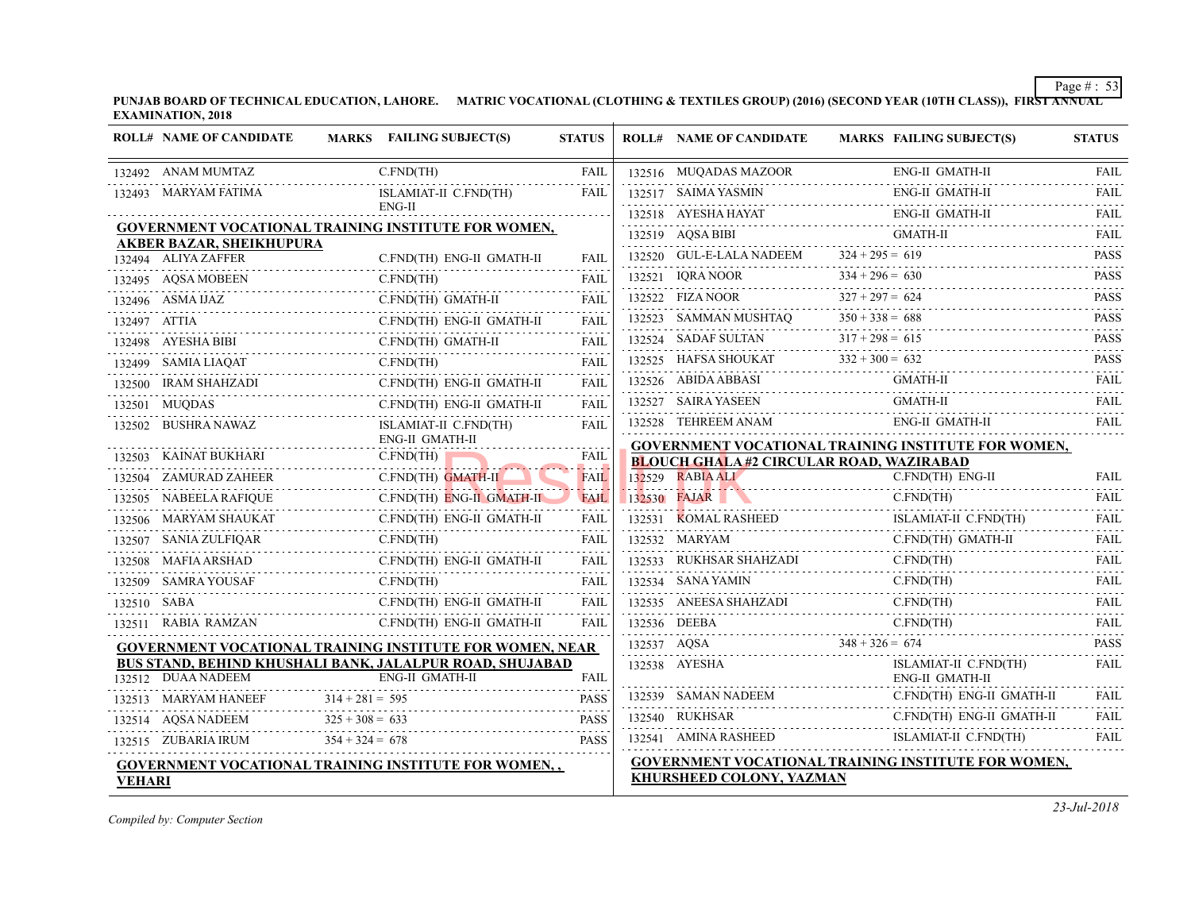|               | <b>ROLL# NAME OF CANDIDATE</b>                                | MARKS FAILING SUBJECT(S)                                                    | <b>STATUS</b> | <b>ROLL# NAME OF CANDIDATE</b>                | <b>MARKS FAIL</b>   |
|---------------|---------------------------------------------------------------|-----------------------------------------------------------------------------|---------------|-----------------------------------------------|---------------------|
|               | 132492 ANAM MUMTAZ                                            | C.FND(TH)                                                                   | FAIL          | 132516 MUQADAS MAZOOR                         | ENG-                |
|               | 132493 MARYAM FATIMA                                          | ISLAMIAT-II C.FND(TH)                                                       | <b>FAIL</b>   | 132517 SAIMA YASMIN                           | ENG-                |
|               |                                                               | ENG-II                                                                      |               | 132518 AYESHA HAYAT                           | ENG-                |
|               |                                                               | GOVERNMENT VOCATIONAL TRAINING INSTITUTE FOR WOMEN,                         |               | 132519 AQSA BIBI                              | <b>GMA</b>          |
|               | <b>AKBER BAZAR, SHEIKHUPURA</b><br>132494 ALIYA ZAFFER        | C.FND(TH) ENG-II GMATH-II                                                   | FAIL          | 132520 GUL-E-LALA NADEEM $324 + 295 = 619$    |                     |
|               | 132495 AQSA MOBEEN<br>N C                                     | C.FND(TH)                                                                   | FAIL          | $132521$ IQRA NOOR 33                         | $334 + 296 = 630$   |
|               | $132496$ ASMA IJAZ                                            | C.FND(TH) GMATH-II                                                          | FAIL          | 132522 FIZA NOOR 327 + 297 = 624              |                     |
| 132497 ATTIA  |                                                               | C.FND(TH) ENG-II GMATH-II                                                   | FAIL          | 132523 SAMMAN MUSHTAQ $350 + 338 = 688$       |                     |
|               | 132498 AYESHA BIBI                                            | C.FND(TH) GMATH-II                                                          | FAIL          | 132524 SADAF SULTAN $317 + 298 = 615$         |                     |
|               | 132499 SAMIA LIAQAT                                           | $T$ C.FND(TH)                                                               | FAIL          | 132525 HAFSA SHOUKAT $332 + 300 = 632$        |                     |
|               | AHZADI<br>---------------------------<br>132500 IRAM SHAHZADI | C.FND(TH) ENG-II GMATH-II                                                   | FAIL          | 132526 ABIDA ABBASI<br>132526 ABIDA ABBASI GM | GMA                 |
|               | 132501 MUQDAS                                                 | C.FND(TH) ENG-II GMATH-II                                                   | <b>FAIL</b>   | 132527 SAIRA YASEEN                           | <b>GMA</b>          |
|               | 132502 BUSHRA NAWAZ                                           | ISLAMIAT-II C.FND(TH)                                                       | <b>FAIL</b>   | 132528 TEHREEM ANAM                           | ENG-                |
|               |                                                               | ENG-II GMATH-II                                                             |               | <b>GOVERNMENT VOCATIONAL TRAINING INS</b>     |                     |
|               | 132503 KAINAT BUKHARI                                         | C.FND(TH)                                                                   | FAIL<br>.     | <b>BLOUCH GHALA#2 CIRCULAR ROAD, WAZI</b>     |                     |
|               | 132504 ZAMURAD ZAHEER                                         | C.FND(TH) GMATH-II<br>$\frac{1}{2}$                                         | <b>FAIL</b>   | 132529 RABIA ALI                              | C.FN                |
|               | 132505 NABEELA RAFIQUE                                        | C.FND(TH) ENG-II GMATH-II                                                   | FAIL          | 132530 FAJAR                                  | C.FN.               |
|               | 132506 MARYAM SHAUKAT                                         | C.FND(TH) ENG-II GMATH-II                                                   | FAIL          | 132531 KOMAL RASHEED<br>L RASHEED ISL.        | <b>ISLA</b>         |
| 132507        | SANIA ZULFIQAR                                                | $R$ C<br>C.FND(TH)                                                          | <b>FAIL</b>   | 132532 MARYAM                                 | C.FN                |
|               | D<br>-----------------------<br>132508 MAFIA ARSHAD           | C.FND(TH) ENG-II GMATH-II                                                   | FAIL          |                                               | C.FN                |
|               | 132509 SAMRA YOUSAF C.                                        | C.FND(TH)                                                                   | FAIL          | 132534 SANA YAMIN                             | C.FN                |
| 132510 SABA   |                                                               | C.FND(TH) ENG-II GMATH-II                                                   | FAIL          | 132535 ANEESA SHAHZADI                        | C.FN                |
|               | 132511 RABIA RAMZAN                                           | C.FND(TH) ENG-II GMATH-II                                                   | FAIL          | 132536 DEEBA<br>BA C.F                        | C.FN                |
|               |                                                               | GOVERNMENT VOCATIONAL TRAINING INSTITUTE FOR WOMEN, NEAR                    |               | $348 + 326 = 674$<br>132537 AQSA              |                     |
|               | 132512 DUAA NADEEM                                            | BUS STAND, BEHIND KHUSHALI BANK, JALALPUR ROAD, SHUJABAD<br>ENG-II GMATH-II | <b>FAIL</b>   | 132538 AYESHA                                 | <b>ISLA</b><br>ENG- |
|               | 132513 MARYAM HANEEF                                          | $314 + 281 = 595$                                                           | <b>PASS</b>   | 132539 SAMAN NADEEM                           | C.FN                |
|               |                                                               | $325 + 308 = 633$                                                           |               | 132540 RUKHSAR                                | C.FN                |
|               | 132514 AQSA NADEEM $325 + 308 =$<br>132515 ZUBARIA IRUM       | $354 + 324 = 678$                                                           | <b>PASS</b>   | 132541 AMINA RASHEED                          | <b>ISLA</b>         |
|               |                                                               |                                                                             |               | <b>GOVERNMENT VOCATIONAL TRAINING INS</b>     |                     |
| <b>VEHARI</b> |                                                               | <b>GOVERNMENT VOCATIONAL TRAINING INSTITUTE FOR WOMEN,,</b>                 |               | KHURSHEED COLONY, YAZMAN                      |                     |
|               |                                                               |                                                                             |               |                                               |                     |